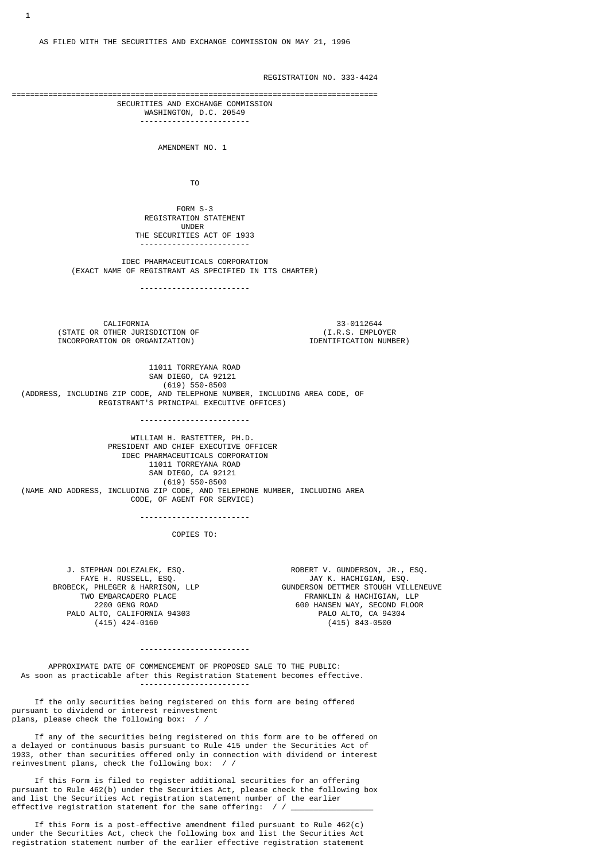REGISTRATION NO. 333-4424 ================================================================================ SECURITIES AND EXCHANGE COMMISSION WASHINGTON, D.C. 20549 ------------------------ AMENDMENT NO. 1 The contract of the contract of the contract of the contract of the contract of the contract of the contract o FORM S-3 REGISTRATION STATEMENT UNDER THE SECURITIES ACT OF 1933 ------------------------ IDEC PHARMACEUTICALS CORPORATION (EXACT NAME OF REGISTRANT AS SPECIFIED IN ITS CHARTER) ------------------------ CALIFORNIA 33-0112644 (STATE OR OTHER JURISDICTION OF  $(1.R.S. EMPLOYER)$ <br>INCORPORATION OR ORGANIZATION) INCORPORATION OR ORGANIZATION) 11011 TORREYANA ROAD SAN DIEGO, CA 92121 (619) 550-8500 (ADDRESS, INCLUDING ZIP CODE, AND TELEPHONE NUMBER, INCLUDING AREA CODE, OF REGISTRANT'S PRINCIPAL EXECUTIVE OFFICES) ------------------------ WILLIAM H. RASTETTER, PH.D. PRESIDENT AND CHIEF EXECUTIVE OFFICER IDEC PHARMACEUTICALS CORPORATION 11011 TORREYANA ROAD SAN DIEGO, CA 92121 (619) 550-8500 (NAME AND ADDRESS, INCLUDING ZIP CODE, AND TELEPHONE NUMBER, INCLUDING AREA CODE, OF AGENT FOR SERVICE) ------------------------ COPIES TO: J. STEPHAN DOLEZALEK, ESQ. ROBERT V. GUNDERSON, JR., ESQ. FAYE H. RUSSELL, ESQ. JAY K. HACHIGIAN, ESQ. BROBECK, PHLEGER & HARRISON, LLP GUNDERSON DETTMER STOUGH VILLENEUVE TWO EMBARCADERO PLACE THE SERIES OF THE RANKLIN & HACHIGIAN, LLP 2200 GENG ROAD 600 HANSEN WAY, SECOND FLOOR PALO ALTO, CALIFORNIA 94303 PALO ALTO, CA 94304 (415) 424-0160 (415) 843-0500

 APPROXIMATE DATE OF COMMENCEMENT OF PROPOSED SALE TO THE PUBLIC: As soon as practicable after this Registration Statement becomes effective. ------------------------

------------------------

 If the only securities being registered on this form are being offered pursuant to dividend or interest reinvestment plans, please check the following box: / /

 If any of the securities being registered on this form are to be offered on a delayed or continuous basis pursuant to Rule 415 under the Securities Act of 1933, other than securities offered only in connection with dividend or interest reinvestment plans, check the following box: / /

 If this Form is filed to register additional securities for an offering pursuant to Rule 462(b) under the Securities Act, please check the following box and list the Securities Act registration statement number of the earlier effective registration statement for the same offering: //

 If this Form is a post-effective amendment filed pursuant to Rule 462(c) under the Securities Act, check the following box and list the Securities Act registration statement number of the earlier effective registration statement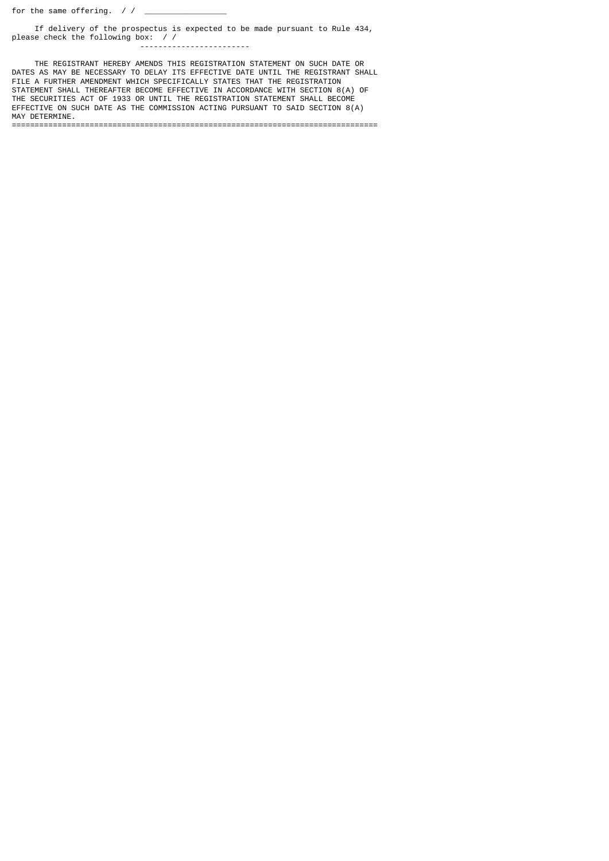for the same offering. //  $\equiv$ 

 If delivery of the prospectus is expected to be made pursuant to Rule 434, please check the following box: / / ------------------------

 THE REGISTRANT HEREBY AMENDS THIS REGISTRATION STATEMENT ON SUCH DATE OR DATES AS MAY BE NECESSARY TO DELAY ITS EFFECTIVE DATE UNTIL THE REGISTRANT SHALL FILE A FURTHER AMENDMENT WHICH SPECIFICALLY STATES THAT THE REGISTRATION STATEMENT SHALL THEREAFTER BECOME EFFECTIVE IN ACCORDANCE WITH SECTION 8(A) OF THE SECURITIES ACT OF 1933 OR UNTIL THE REGISTRATION STATEMENT SHALL BECOME EFFECTIVE ON SUCH DATE AS THE COMMISSION ACTING PURSUANT TO SAID SECTION 8(A) MAY DETERMINE. ================================================================================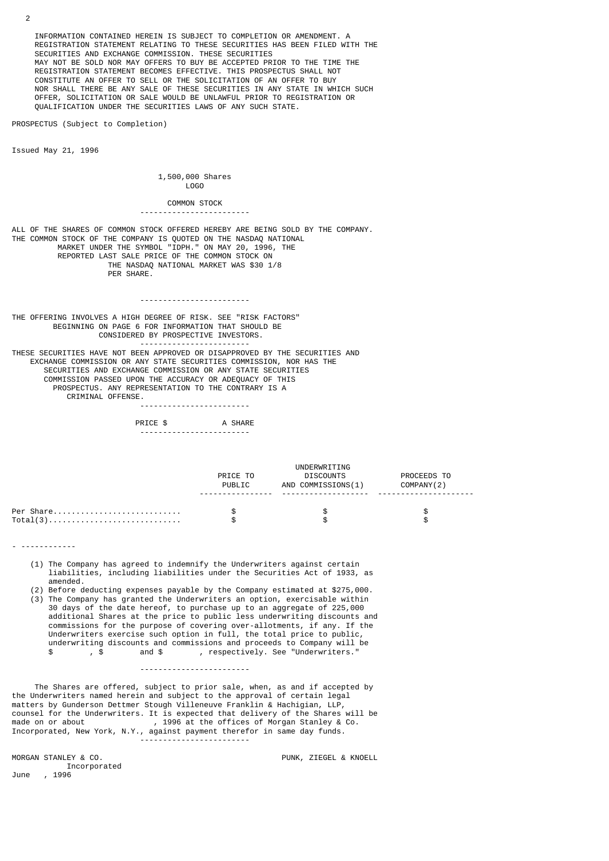INFORMATION CONTAINED HEREIN IS SUBJECT TO COMPLETION OR AMENDMENT. A REGISTRATION STATEMENT RELATING TO THESE SECURITIES HAS BEEN FILED WITH THE SECURITIES AND EXCHANGE COMMISSION. THESE SECURITIES MAY NOT BE SOLD NOR MAY OFFERS TO BUY BE ACCEPTED PRIOR TO THE TIME THE REGISTRATION STATEMENT BECOMES EFFECTIVE. THIS PROSPECTUS SHALL NOT CONSTITUTE AN OFFER TO SELL OR THE SOLICITATION OF AN OFFER TO BUY NOR SHALL THERE BE ANY SALE OF THESE SECURITIES IN ANY STATE IN WHICH SUCH OFFER, SOLICITATION OR SALE WOULD BE UNLAWFUL PRIOR TO REGISTRATION OR QUALIFICATION UNDER THE SECURITIES LAWS OF ANY SUCH STATE.

PROSPECTUS (Subject to Completion)

Issued May 21, 1996

 1,500,000 Shares LOGO

> COMMON STOCK ------------------------

ALL OF THE SHARES OF COMMON STOCK OFFERED HEREBY ARE BEING SOLD BY THE COMPANY. THE COMMON STOCK OF THE COMPANY IS QUOTED ON THE NASDAQ NATIONAL MARKET UNDER THE SYMBOL "IDPH." ON MAY 20, 1996, THE REPORTED LAST SALE PRICE OF THE COMMON STOCK ON THE NASDAQ NATIONAL MARKET WAS \$30 1/8 PER SHARE.

------------------------

THE OFFERING INVOLVES A HIGH DEGREE OF RISK. SEE "RISK FACTORS" BEGINNING ON PAGE 6 FOR INFORMATION THAT SHOULD BE CONSIDERED BY PROSPECTIVE INVESTORS. ------------------------ THESE SECURITIES HAVE NOT BEEN APPROVED OR DISAPPROVED BY THE SECURITIES AND EXCHANGE COMMISSION OR ANY STATE SECURITIES COMMISSION, NOR HAS THE SECURITIES AND EXCHANGE COMMISSION OR ANY STATE SECURITIES COMMISSION PASSED UPON THE ACCURACY OR ADEQUACY OF THIS PROSPECTUS. ANY REPRESENTATION TO THE CONTRARY IS A

CRIMINAL OFFENSE.

|  |  |  |  |  |  |  | ------------------------- |  |  |  |
|--|--|--|--|--|--|--|---------------------------|--|--|--|
|  |  |  |  |  |  |  |                           |  |  |  |
|  |  |  |  |  |  |  |                           |  |  |  |
|  |  |  |  |  |  |  |                           |  |  |  |

PRICE \$ A SHARE ------------------------

|           |          | UNDERWRITING       |             |
|-----------|----------|--------------------|-------------|
|           | PRICE TO | DISCOUNTS          | PROCEEDS TO |
|           | PUBLIC   | AND COMMISSIONS(1) | COMPANY(2)  |
|           |          |                    |             |
| Per Share |          |                    |             |
| Total(3)  |          | \$.                |             |

- ------------

- (1) The Company has agreed to indemnify the Underwriters against certain liabilities, including liabilities under the Securities Act of 1933, as amended.
- (2) Before deducting expenses payable by the Company estimated at \$275,000. (3) The Company has granted the Underwriters an option, exercisable within 30 days of the date hereof, to purchase up to an aggregate of 225,000 additional Shares at the price to public less underwriting discounts and commissions for the purpose of covering over-allotments, if any. If the Underwriters exercise such option in full, the total price to public, underwriting discounts and commissions and proceeds to Company will be \$, \$, and \$, respectively. See "Underwriters." , respectively. See "Underwriters."

------------------------

 The Shares are offered, subject to prior sale, when, as and if accepted by the Underwriters named herein and subject to the approval of certain legal matters by Gunderson Dettmer Stough Villeneuve Franklin & Hachigian, LLP, counsel for the Underwriters. It is expected that delivery of the Shares will be , 1996 at the offices of Morgan Stanley & Co. Incorporated, New York, N.Y., against payment therefor in same day funds. ------------------------

MORGAN STANLEY & CO. PUNK, ZIEGEL & KNOELL

Incorporated<br>June 1996 , 1996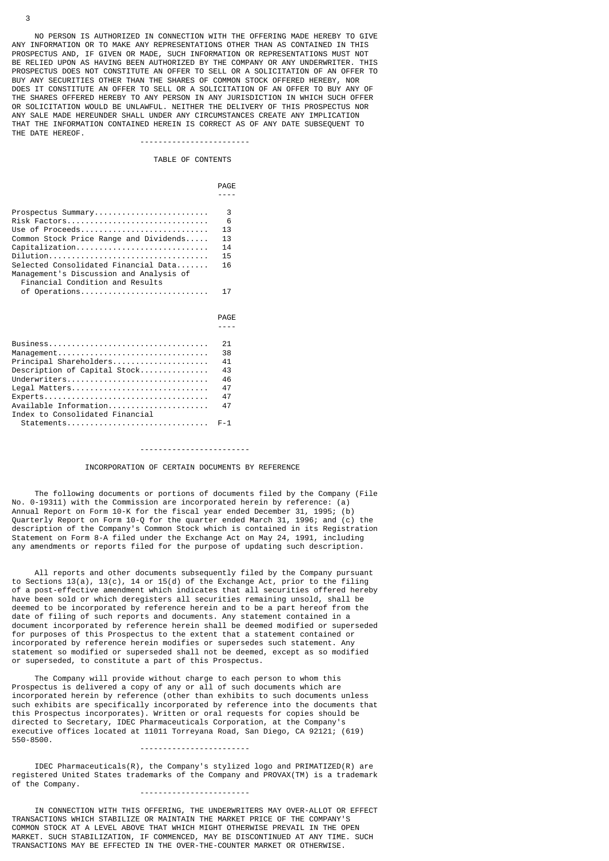NO PERSON IS AUTHORIZED IN CONNECTION WITH THE OFFERING MADE HEREBY TO GIVE ANY INFORMATION OR TO MAKE ANY REPRESENTATIONS OTHER THAN AS CONTAINED IN THIS PROSPECTUS AND, IF GIVEN OR MADE, SUCH INFORMATION OR REPRESENTATIONS MUST NOT BE RELIED UPON AS HAVING BEEN AUTHORIZED BY THE COMPANY OR ANY UNDERWRITER. THIS PROSPECTUS DOES NOT CONSTITUTE AN OFFER TO SELL OR A SOLICITATION OF AN OFFER TO BUY ANY SECURITIES OTHER THAN THE SHARES OF COMMON STOCK OFFERED HEREBY, NOR DOES IT CONSTITUTE AN OFFER TO SELL OR A SOLICITATION OF AN OFFER TO BUY ANY OF THE SHARES OFFERED HEREBY TO ANY PERSON IN ANY JURISDICTION IN WHICH SUCH OFFER OR SOLICITATION WOULD BE UNLAWFUL. NEITHER THE DELIVERY OF THIS PROSPECTUS NOR ANY SALE MADE HEREUNDER SHALL UNDER ANY CIRCUMSTANCES CREATE ANY IMPLICATION THAT THE INFORMATION CONTAINED HEREIN IS CORRECT AS OF ANY DATE SUBSEQUENT TO THE DATE HEREOF. ------------------------

#### TABLE OF CONTENTS

|                                                                                                                                                                                                                                                     | PAGF                                 |
|-----------------------------------------------------------------------------------------------------------------------------------------------------------------------------------------------------------------------------------------------------|--------------------------------------|
|                                                                                                                                                                                                                                                     | $- - - -$                            |
| Prospectus Summary<br>Risk Factors<br>Use of Proceeds<br>Common Stock Price Range and Dividends<br>Capitalization<br>Dilution<br>Selected Consolidated Financial Data<br>Management's Discussion and Analysis of<br>Financial Condition and Results | 3<br>6<br>13<br>13<br>14<br>15<br>16 |
| of Operations                                                                                                                                                                                                                                       | 17                                   |
|                                                                                                                                                                                                                                                     |                                      |
|                                                                                                                                                                                                                                                     | <b>PAGF</b><br>- - - -               |
|                                                                                                                                                                                                                                                     | 21                                   |
| Management                                                                                                                                                                                                                                          | 38                                   |
| Principal Shareholders                                                                                                                                                                                                                              | 41                                   |
| Description of Capital Stock                                                                                                                                                                                                                        | 43                                   |
| Underwriters                                                                                                                                                                                                                                        | 46                                   |
| Legal Matters                                                                                                                                                                                                                                       | 47                                   |
|                                                                                                                                                                                                                                                     | 47                                   |
| Available Information<br>Index to Consolidated Financial<br>Statements                                                                                                                                                                              | 47<br>$F - 1$                        |

#### ------------------------

# INCORPORATION OF CERTAIN DOCUMENTS BY REFERENCE

 The following documents or portions of documents filed by the Company (File No. 0-19311) with the Commission are incorporated herein by reference: (a) Annual Report on Form 10-K for the fiscal year ended December 31, 1995; (b) Quarterly Report on Form 10-Q for the quarter ended March 31, 1996; and (c) the description of the Company's Common Stock which is contained in its Registration Statement on Form 8-A filed under the Exchange Act on May 24, 1991, including any amendments or reports filed for the purpose of updating such description.

All reports and other documents subsequently filed by the Company pursuant to Sections  $13(a)$ ,  $13(c)$ ,  $14$  or  $15(d)$  of the Exchange Act, prior to the filing of a post-effective amendment which indicates that all securities offered hereby have been sold or which deregisters all securities remaining unsold, shall be deemed to be incorporated by reference herein and to be a part hereof from the date of filing of such reports and documents. Any statement contained in a document incorporated by reference herein shall be deemed modified or superseded for purposes of this Prospectus to the extent that a statement contained or incorporated by reference herein modifies or supersedes such statement. Any statement so modified or superseded shall not be deemed, except as so modified or superseded, to constitute a part of this Prospectus.

 The Company will provide without charge to each person to whom this Prospectus is delivered a copy of any or all of such documents which are incorporated herein by reference (other than exhibits to such documents unless such exhibits are specifically incorporated by reference into the documents that this Prospectus incorporates). Written or oral requests for copies should be directed to Secretary, IDEC Pharmaceuticals Corporation, at the Company's executive offices located at 11011 Torreyana Road, San Diego, CA 92121; (619) 550-8500.

#### ------------------------

 IDEC Pharmaceuticals(R), the Company's stylized logo and PRIMATIZED(R) are registered United States trademarks of the Company and PROVAX(TM) is a trademark of the Company.

------------------------

 IN CONNECTION WITH THIS OFFERING, THE UNDERWRITERS MAY OVER-ALLOT OR EFFECT TRANSACTIONS WHICH STABILIZE OR MAINTAIN THE MARKET PRICE OF THE COMPANY'S COMMON STOCK AT A LEVEL ABOVE THAT WHICH MIGHT OTHERWISE PREVAIL IN THE OPEN MARKET. SUCH STABILIZATION, IF COMMENCED, MAY BE DISCONTINUED AT ANY TIME. SUCH TRANSACTIONS MAY BE EFFECTED IN THE OVER-THE-COUNTER MARKET OR OTHERWISE.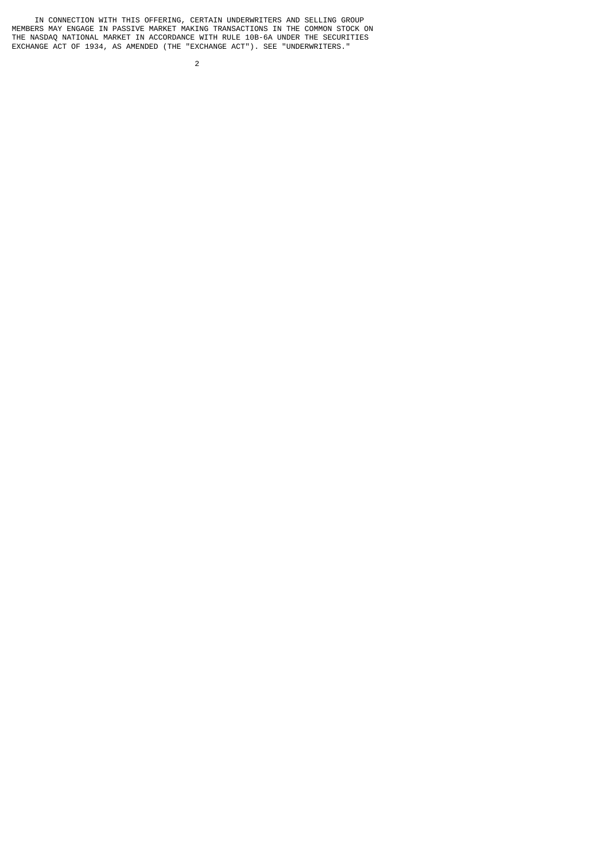IN CONNECTION WITH THIS OFFERING, CERTAIN UNDERWRITERS AND SELLING GROUP MEMBERS MAY ENGAGE IN PASSIVE MARKET MAKING TRANSACTIONS IN THE COMMON STOCK ON THE NASDAQ NATIONAL MARKET IN ACCORDANCE WITH RULE 10B-6A UNDER THE SECURITIES EXCHANGE ACT OF 1934, AS AMENDED (THE "EXCHANGE ACT"). SEE "UNDERWRITERS."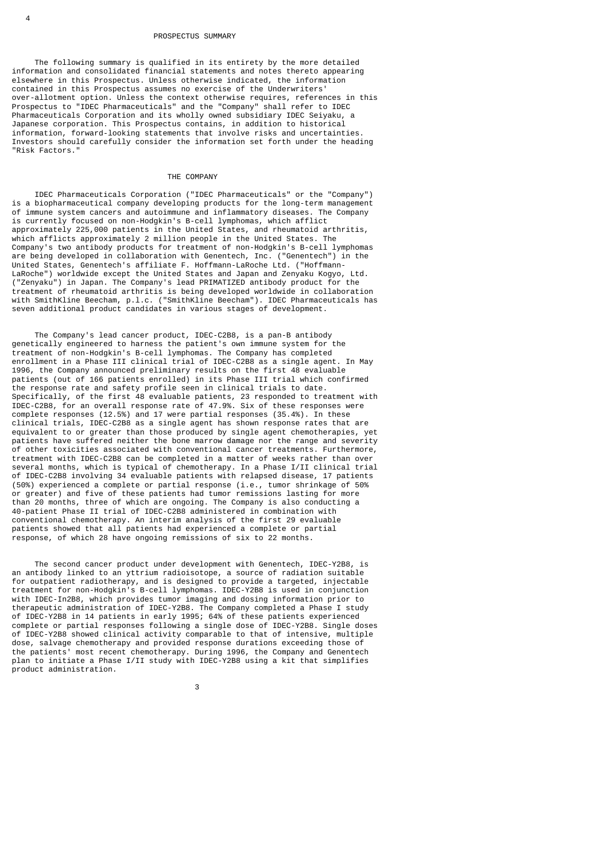#### PROSPECTUS SUMMARY

 The following summary is qualified in its entirety by the more detailed information and consolidated financial statements and notes thereto appearing elsewhere in this Prospectus. Unless otherwise indicated, the information contained in this Prospectus assumes no exercise of the Underwriters' over-allotment option. Unless the context otherwise requires, references in this Prospectus to "IDEC Pharmaceuticals" and the "Company" shall refer to IDEC Pharmaceuticals Corporation and its wholly owned subsidiary IDEC Seiyaku, a Japanese corporation. This Prospectus contains, in addition to historical information, forward-looking statements that involve risks and uncertainties. Investors should carefully consider the information set forth under the heading "Risk Factors."

## THE COMPANY

 IDEC Pharmaceuticals Corporation ("IDEC Pharmaceuticals" or the "Company") is a biopharmaceutical company developing products for the long-term management of immune system cancers and autoimmune and inflammatory diseases. The Company is currently focused on non-Hodgkin's B-cell lymphomas, which afflict approximately 225,000 patients in the United States, and rheumatoid arthritis, which afflicts approximately 2 million people in the United States. The Company's two antibody products for treatment of non-Hodgkin's B-cell lymphomas are being developed in collaboration with Genentech, Inc. ("Genentech") in the United States, Genentech's affiliate F. Hoffmann-LaRoche Ltd. ("Hoffmann-LaRoche") worldwide except the United States and Japan and Zenyaku Kogyo, Ltd. ("Zenyaku") in Japan. The Company's lead PRIMATIZED antibody product for the treatment of rheumatoid arthritis is being developed worldwide in collaboration with SmithKline Beecham, p.l.c. ("SmithKline Beecham"). IDEC Pharmaceuticals has seven additional product candidates in various stages of development.

 The Company's lead cancer product, IDEC-C2B8, is a pan-B antibody genetically engineered to harness the patient's own immune system for the treatment of non-Hodgkin's B-cell lymphomas. The Company has completed enrollment in a Phase III clinical trial of IDEC-C2B8 as a single agent. In May 1996, the Company announced preliminary results on the first 48 evaluable patients (out of 166 patients enrolled) in its Phase III trial which confirmed the response rate and safety profile seen in clinical trials to date. Specifically, of the first 48 evaluable patients, 23 responded to treatment with IDEC-C2B8, for an overall response rate of 47.9%. Six of these responses were complete responses (12.5%) and 17 were partial responses (35.4%). In these clinical trials, IDEC-C2B8 as a single agent has shown response rates that are equivalent to or greater than those produced by single agent chemotherapies, yet patients have suffered neither the bone marrow damage nor the range and severity of other toxicities associated with conventional cancer treatments. Furthermore, treatment with IDEC-C2B8 can be completed in a matter of weeks rather than over several months, which is typical of chemotherapy. In a Phase I/II clinical trial of IDEC-C2B8 involving 34 evaluable patients with relapsed disease, 17 patients (50%) experienced a complete or partial response (i.e., tumor shrinkage of 50% or greater) and five of these patients had tumor remissions lasting for more than 20 months, three of which are ongoing. The Company is also conducting a 40-patient Phase II trial of IDEC-C2B8 administered in combination with conventional chemotherapy. An interim analysis of the first 29 evaluable patients showed that all patients had experienced a complete or partial response, of which 28 have ongoing remissions of six to 22 months.

 The second cancer product under development with Genentech, IDEC-Y2B8, is an antibody linked to an yttrium radioisotope, a source of radiation suitable for outpatient radiotherapy, and is designed to provide a targeted, injectable treatment for non-Hodgkin's B-cell lymphomas. IDEC-Y2B8 is used in conjunction with IDEC-In2B8, which provides tumor imaging and dosing information prior to therapeutic administration of IDEC-Y2B8. The Company completed a Phase I study of IDEC-Y2B8 in 14 patients in early 1995; 64% of these patients experienced complete or partial responses following a single dose of IDEC-Y2B8. Single doses of IDEC-Y2B8 showed clinical activity comparable to that of intensive, multiple dose, salvage chemotherapy and provided response durations exceeding those of the patients' most recent chemotherapy. During 1996, the Company and Genentech plan to initiate a Phase I/II study with IDEC-Y2B8 using a kit that simplifies product administration.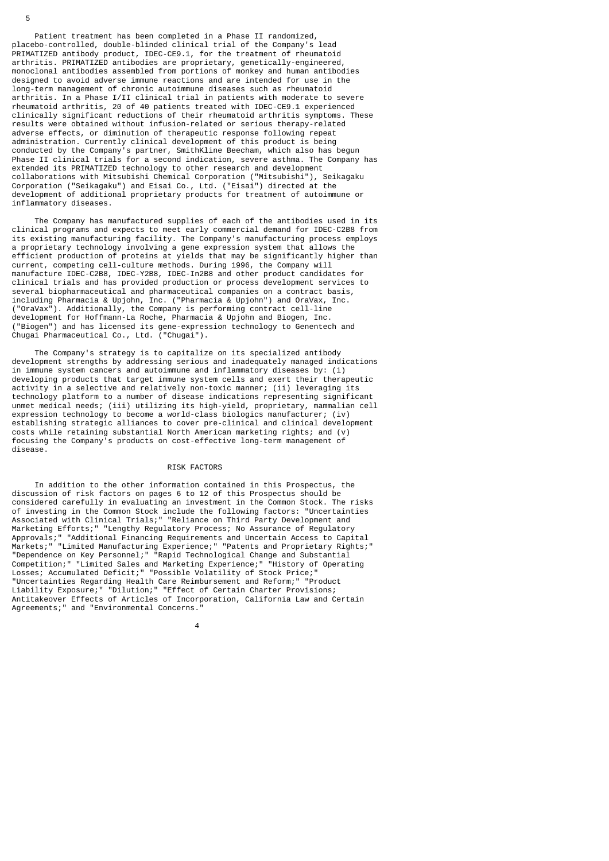Patient treatment has been completed in a Phase II randomized, placebo-controlled, double-blinded clinical trial of the Company's lead PRIMATIZED antibody product, IDEC-CE9.1, for the treatment of rheumatoid arthritis. PRIMATIZED antibodies are proprietary, genetically-engineered, monoclonal antibodies assembled from portions of monkey and human antibodies designed to avoid adverse immune reactions and are intended for use in the long-term management of chronic autoimmune diseases such as rheumatoid arthritis. In a Phase I/II clinical trial in patients with moderate to severe rheumatoid arthritis, 20 of 40 patients treated with IDEC-CE9.1 experienced clinically significant reductions of their rheumatoid arthritis symptoms. These results were obtained without infusion-related or serious therapy-related adverse effects, or diminution of therapeutic response following repeat administration. Currently clinical development of this product is being conducted by the Company's partner, SmithKline Beecham, which also has begun Phase II clinical trials for a second indication, severe asthma. The Company has extended its PRIMATIZED technology to other research and development collaborations with Mitsubishi Chemical Corporation ("Mitsubishi"), Seikagaku Corporation ("Seikagaku") and Eisai Co., Ltd. ("Eisai") directed at the development of additional proprietary products for treatment of autoimmune or inflammatory diseases.

 The Company has manufactured supplies of each of the antibodies used in its clinical programs and expects to meet early commercial demand for IDEC-C2B8 from its existing manufacturing facility. The Company's manufacturing process employs a proprietary technology involving a gene expression system that allows the efficient production of proteins at yields that may be significantly higher than current, competing cell-culture methods. During 1996, the Company will manufacture IDEC-C2B8, IDEC-Y2B8, IDEC-In2B8 and other product candidates for clinical trials and has provided production or process development services to several biopharmaceutical and pharmaceutical companies on a contract basis, including Pharmacia & Upjohn, Inc. ("Pharmacia & Upjohn") and OraVax, Inc. ("OraVax"). Additionally, the Company is performing contract cell-line development for Hoffmann-La Roche, Pharmacia & Upjohn and Biogen, Inc. ("Biogen") and has licensed its gene-expression technology to Genentech and Chugai Pharmaceutical Co., Ltd. ("Chugai").

 The Company's strategy is to capitalize on its specialized antibody development strengths by addressing serious and inadequately managed indications in immune system cancers and autoimmune and inflammatory diseases by: (i) developing products that target immune system cells and exert their therapeutic activity in a selective and relatively non-toxic manner; (ii) leveraging its technology platform to a number of disease indications representing significant unmet medical needs; (iii) utilizing its high-yield, proprietary, mammalian cell expression technology to become a world-class biologics manufacturer; (iv) establishing strategic alliances to cover pre-clinical and clinical development costs while retaining substantial North American marketing rights; and (v) focusing the Company's products on cost-effective long-term management of disease.

#### RISK FACTORS

 In addition to the other information contained in this Prospectus, the discussion of risk factors on pages 6 to 12 of this Prospectus should be considered carefully in evaluating an investment in the Common Stock. The risks of investing in the Common Stock include the following factors: "Uncertainties Associated with Clinical Trials;" "Reliance on Third Party Development and Marketing Efforts;" "Lengthy Regulatory Process; No Assurance of Regulatory Approvals;" "Additional Financing Requirements and Uncertain Access to Capital Markets;" "Limited Manufacturing Experience;" "Patents and Proprietary Rights;" "Dependence on Key Personnel;" "Rapid Technological Change and Substantial Competition;" "Limited Sales and Marketing Experience;" "History of Operating Losses; Accumulated Deficit;" "Possible Volatility of Stock Price;" "Uncertainties Regarding Health Care Reimbursement and Reform;" "Product Liability Exposure;" "Dilution;" "Effect of Certain Charter Provisions; Antitakeover Effects of Articles of Incorporation, California Law and Certain Agreements;" and "Environmental Concerns."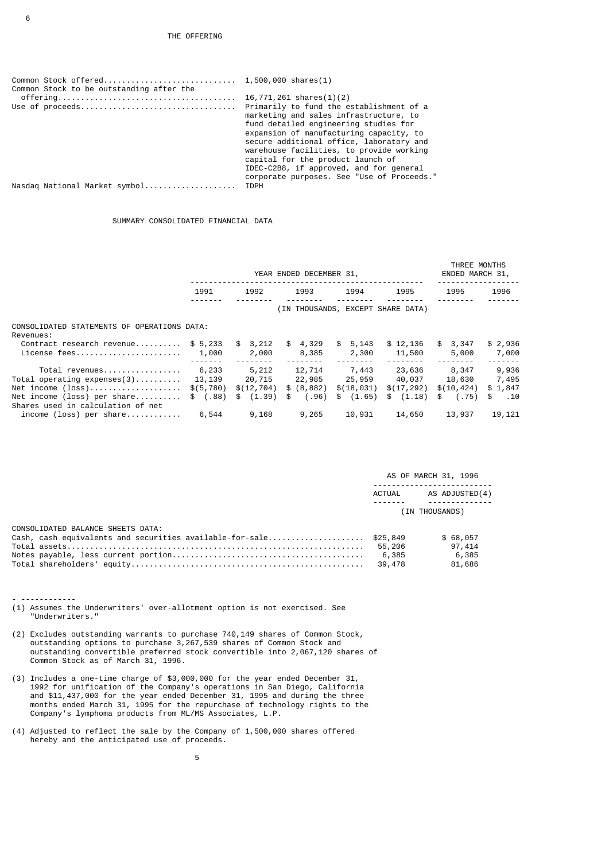| Common Stock to be outstanding after the |                                                                                       |
|------------------------------------------|---------------------------------------------------------------------------------------|
|                                          | $16,771,261$ shares $(1)(2)$<br>Primarily to fund the establishment of a              |
|                                          | marketing and sales infrastructure, to<br>fund detailed engineering studies for       |
|                                          | expansion of manufacturing capacity, to<br>secure additional office, laboratory and   |
|                                          | warehouse facilities, to provide working<br>capital for the product launch of         |
|                                          | IDEC-C2B8, if approved, and for general<br>corporate purposes. See "Use of Proceeds." |
| Nasdaq National Market symbol            | IDPH                                                                                  |

## SUMMARY CONSOLIDATED FINANCIAL DATA

|                                                                                                                                          |                                         |                                  | YEAR ENDED DECEMBER 31,                                  |                                 |                                   | THREE MONTHS<br>ENDED MARCH 31,                      |                                        |
|------------------------------------------------------------------------------------------------------------------------------------------|-----------------------------------------|----------------------------------|----------------------------------------------------------|---------------------------------|-----------------------------------|------------------------------------------------------|----------------------------------------|
|                                                                                                                                          | 1991                                    | 1992                             | 1993                                                     | 1994                            | 1995                              | 1995                                                 | 1996                                   |
|                                                                                                                                          |                                         |                                  | (IN THOUSANDS, EXCEPT SHARE DATA)                        |                                 |                                   |                                                      |                                        |
| CONSOLIDATED STATEMENTS OF OPERATIONS DATA:<br>Revenues:                                                                                 |                                         |                                  |                                                          |                                 |                                   |                                                      |                                        |
| Contract research revenue<br>License fees                                                                                                | \$5,233<br>1,000                        | \$3,212<br>2,000                 | \$ 4,329<br>8,385                                        | \$5,143<br>2,300                | \$12,136<br>11,500                | \$3,347<br>5,000                                     | \$2,936<br>7,000                       |
| Total revenues<br>$Total$ operating expenses(3)<br>Net income (loss)<br>Net income (loss) per share<br>Shares used in calculation of net | 6,233<br>13,139<br>\$(5,780)<br>\$(.88) | 5,212<br>\$(12, 704)<br>\$(1.39) | 12,714<br>20,715 22,985 25,959<br>\$ (8,882)<br>\$ (.96) | 7,443<br>\$(18,031)<br>\$(1.65) | 40,037<br>\$(17, 292)<br>\$(1.18) | 23,636 8,347<br>18,630<br>\$(10, 424)<br>\$<br>(.75) | 9,936<br>7,495<br>\$1,847<br>.10<br>\$ |
| $income$ (loss) per share                                                                                                                | 6,544                                   | 9,168                            | 9,265                                                    | 10,931                          | 14,650                            | 13,937                                               | 19,121                                 |

|                                                                   | AS OF MARCH 31, 1996 |                |
|-------------------------------------------------------------------|----------------------|----------------|
|                                                                   | ACTUAL               | AS ADJUSTED(4) |
|                                                                   |                      | (IN THOUSANDS) |
| CONSOLIDATED BALANCE SHEETS DATA:                                 |                      |                |
| Cash, cash equivalents and securities available-for-sale \$25,849 |                      | \$68,057       |
|                                                                   | 55,206               | 97,414         |
|                                                                   | 6,385                | 6,385          |
|                                                                   | 39,478               | 81,686         |

- (1) Assumes the Underwriters' over-allotment option is not exercised. See "Underwriters."
- (2) Excludes outstanding warrants to purchase 740,149 shares of Common Stock, outstanding options to purchase 3,267,539 shares of Common Stock and outstanding convertible preferred stock convertible into 2,067,120 shares of Common Stock as of March 31, 1996.
- (3) Includes a one-time charge of \$3,000,000 for the year ended December 31, 1992 for unification of the Company's operations in San Diego, California and \$11,437,000 for the year ended December 31, 1995 and during the three months ended March 31, 1995 for the repurchase of technology rights to the Company's lymphoma products from ML/MS Associates, L.P.
- (4) Adjusted to reflect the sale by the Company of 1,500,000 shares offered hereby and the anticipated use of proceeds.

- ------------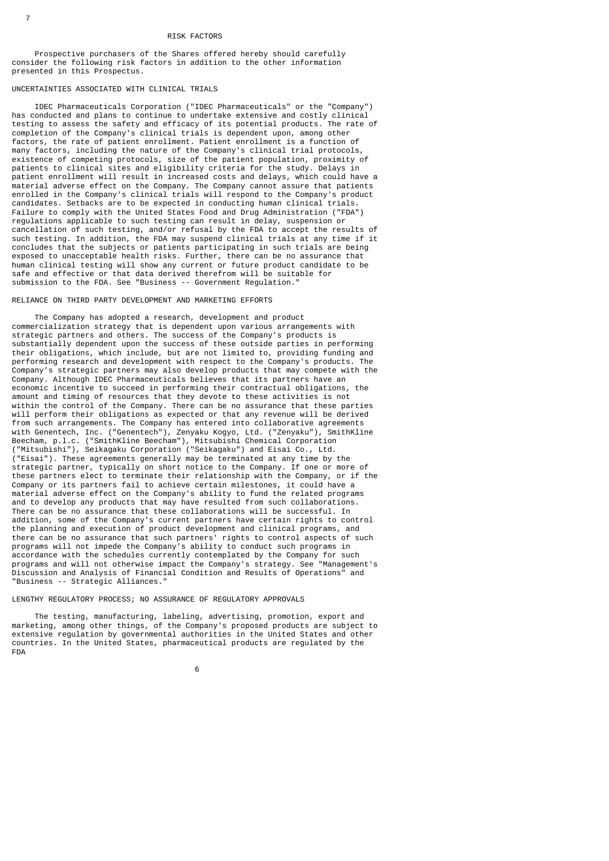#### RISK FACTORS

 Prospective purchasers of the Shares offered hereby should carefully consider the following risk factors in addition to the other information presented in this Prospectus.

# UNCERTAINTIES ASSOCIATED WITH CLINICAL TRIALS

 IDEC Pharmaceuticals Corporation ("IDEC Pharmaceuticals" or the "Company") has conducted and plans to continue to undertake extensive and costly clinical testing to assess the safety and efficacy of its potential products. The rate of completion of the Company's clinical trials is dependent upon, among other factors, the rate of patient enrollment. Patient enrollment is a function of many factors, including the nature of the Company's clinical trial protocols, existence of competing protocols, size of the patient population, proximity of patients to clinical sites and eligibility criteria for the study. Delays in patient enrollment will result in increased costs and delays, which could have a material adverse effect on the Company. The Company cannot assure that patients enrolled in the Company's clinical trials will respond to the Company's product candidates. Setbacks are to be expected in conducting human clinical trials. Failure to comply with the United States Food and Drug Administration ("FDA") regulations applicable to such testing can result in delay, suspension or cancellation of such testing, and/or refusal by the FDA to accept the results of such testing. In addition, the FDA may suspend clinical trials at any time if it concludes that the subjects or patients participating in such trials are being exposed to unacceptable health risks. Further, there can be no assurance that human clinical testing will show any current or future product candidate to be safe and effective or that data derived therefrom will be suitable for submission to the FDA. See "Business -- Government Regulation."

## RELIANCE ON THIRD PARTY DEVELOPMENT AND MARKETING EFFORTS

 The Company has adopted a research, development and product commercialization strategy that is dependent upon various arrangements with strategic partners and others. The success of the Company's products is substantially dependent upon the success of these outside parties in performing their obligations, which include, but are not limited to, providing funding and performing research and development with respect to the Company's products. Company's strategic partners may also develop products that may compete with the Company. Although IDEC Pharmaceuticals believes that its partners have an economic incentive to succeed in performing their contractual obligations, the amount and timing of resources that they devote to these activities is not within the control of the Company. There can be no assurance that these parties will perform their obligations as expected or that any revenue will be derived from such arrangements. The Company has entered into collaborative agreements with Genentech, Inc. ("Genentech"), Zenyaku Kogyo, Ltd. ("Zenyaku"), SmithKline Beecham, p.l.c. ("SmithKline Beecham"), Mitsubishi Chemical Corporation ("Mitsubishi"), Seikagaku Corporation ("Seikagaku") and Eisai Co., Ltd. ("Eisai"). These agreements generally may be terminated at any time by the strategic partner, typically on short notice to the Company. If one or more of these partners elect to terminate their relationship with the Company, or if the Company or its partners fail to achieve certain milestones, it could have a material adverse effect on the Company's ability to fund the related programs and to develop any products that may have resulted from such collaborations. There can be no assurance that these collaborations will be successful. In addition, some of the Company's current partners have certain rights to control the planning and execution of product development and clinical programs, and there can be no assurance that such partners' rights to control aspects of such programs will not impede the Company's ability to conduct such programs in accordance with the schedules currently contemplated by the Company for such programs and will not otherwise impact the Company's strategy. See "Management's Discussion and Analysis of Financial Condition and Results of Operations" and "Business -- Strategic Alliances."

LENGTHY REGULATORY PROCESS; NO ASSURANCE OF REGULATORY APPROVALS

 The testing, manufacturing, labeling, advertising, promotion, export and marketing, among other things, of the Company's proposed products are subject to extensive regulation by governmental authorities in the United States and other countries. In the United States, pharmaceutical products are regulated by the FDA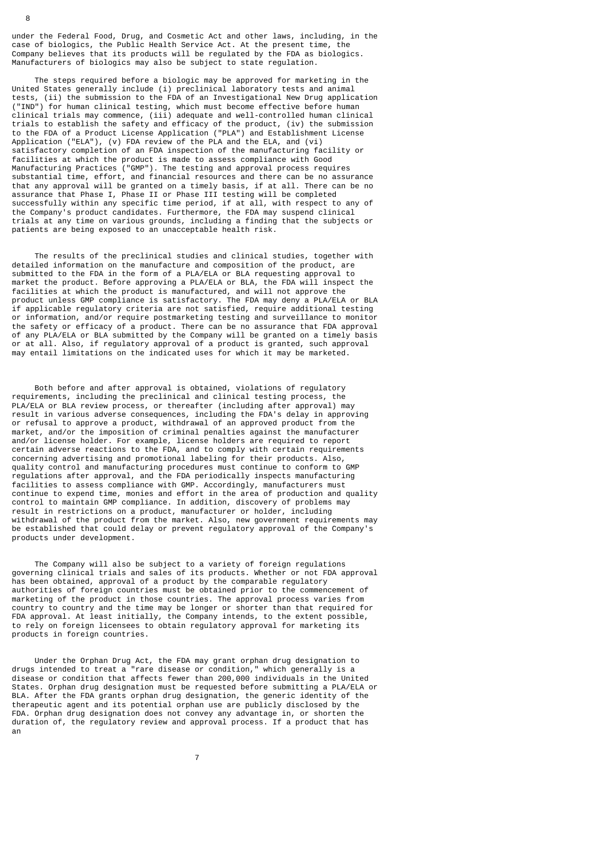under the Federal Food, Drug, and Cosmetic Act and other laws, including, in the case of biologics, the Public Health Service Act. At the present time, the Company believes that its products will be regulated by the FDA as biologics. Manufacturers of biologics may also be subject to state regulation.

 The steps required before a biologic may be approved for marketing in the United States generally include (i) preclinical laboratory tests and animal tests, (ii) the submission to the FDA of an Investigational New Drug application ("IND") for human clinical testing, which must become effective before human clinical trials may commence, (iii) adequate and well-controlled human clinical trials to establish the safety and efficacy of the product, (iv) the submission to the FDA of a Product License Application ("PLA") and Establishment License Application ("ELA"), (v) FDA review of the PLA and the ELA, and (vi) satisfactory completion of an FDA inspection of the manufacturing facility or facilities at which the product is made to assess compliance with Good Manufacturing Practices ("GMP"). The testing and approval process requires substantial time, effort, and financial resources and there can be no assurance that any approval will be granted on a timely basis, if at all. There can be no assurance that Phase I, Phase II or Phase III testing will be completed successfully within any specific time period, if at all, with respect to any of the Company's product candidates. Furthermore, the FDA may suspend clinical trials at any time on various grounds, including a finding that the subjects or patients are being exposed to an unacceptable health risk.

 The results of the preclinical studies and clinical studies, together with detailed information on the manufacture and composition of the product, are submitted to the FDA in the form of a PLA/ELA or BLA requesting approval to market the product. Before approving a PLA/ELA or BLA, the FDA will inspect the facilities at which the product is manufactured, and will not approve the product unless GMP compliance is satisfactory. The FDA may deny a PLA/ELA or BLA if applicable regulatory criteria are not satisfied, require additional testing or information, and/or require postmarketing testing and surveillance to monitor the safety or efficacy of a product. There can be no assurance that FDA approval of any PLA/ELA or BLA submitted by the Company will be granted on a timely basis or at all. Also, if regulatory approval of a product is granted, such approval may entail limitations on the indicated uses for which it may be marketed.

 Both before and after approval is obtained, violations of regulatory requirements, including the preclinical and clinical testing process, the PLA/ELA or BLA review process, or thereafter (including after approval) may result in various adverse consequences, including the FDA's delay in approving or refusal to approve a product, withdrawal of an approved product from the market, and/or the imposition of criminal penalties against the manufacturer and/or license holder. For example, license holders are required to report certain adverse reactions to the FDA, and to comply with certain requirements concerning advertising and promotional labeling for their products. Also, quality control and manufacturing procedures must continue to conform to GMP regulations after approval, and the FDA periodically inspects manufacturing facilities to assess compliance with GMP. Accordingly, manufacturers must continue to expend time, monies and effort in the area of production and quality control to maintain GMP compliance. In addition, discovery of problems may result in restrictions on a product, manufacturer or holder, including withdrawal of the product from the market. Also, new government requirements may be established that could delay or prevent regulatory approval of the Company's products under development.

 The Company will also be subject to a variety of foreign regulations governing clinical trials and sales of its products. Whether or not FDA approval has been obtained, approval of a product by the comparable regulatory authorities of foreign countries must be obtained prior to the commencement of marketing of the product in those countries. The approval process varies from country to country and the time may be longer or shorter than that required for FDA approval. At least initially, the Company intends, to the extent possible, to rely on foreign licensees to obtain regulatory approval for marketing its products in foreign countries.

 Under the Orphan Drug Act, the FDA may grant orphan drug designation to drugs intended to treat a "rare disease or condition," which generally is a disease or condition that affects fewer than 200,000 individuals in the United States. Orphan drug designation must be requested before submitting a PLA/ELA or BLA. After the FDA grants orphan drug designation, the generic identity of the therapeutic agent and its potential orphan use are publicly disclosed by the FDA. Orphan drug designation does not convey any advantage in, or shorten the duration of, the regulatory review and approval process. If a product that has an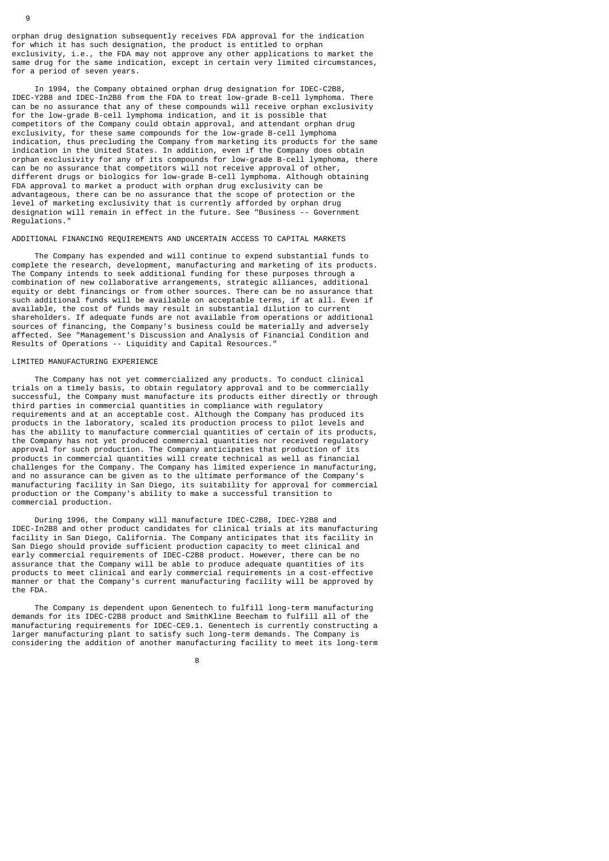orphan drug designation subsequently receives FDA approval for the indication for which it has such designation, the product is entitled to orphan exclusivity, i.e., the FDA may not approve any other applications to market the same drug for the same indication, except in certain very limited circumstances, for a period of seven years.

 In 1994, the Company obtained orphan drug designation for IDEC-C2B8, IDEC-Y2B8 and IDEC-In2B8 from the FDA to treat low-grade B-cell lymphoma. There can be no assurance that any of these compounds will receive orphan exclusivity for the low-grade B-cell lymphoma indication, and it is possible that competitors of the Company could obtain approval, and attendant orphan drug exclusivity, for these same compounds for the low-grade B-cell lymphoma indication, thus precluding the Company from marketing its products for the same indication in the United States. In addition, even if the Company does obtain orphan exclusivity for any of its compounds for low-grade B-cell lymphoma, there can be no assurance that competitors will not receive approval of other, different drugs or biologics for low-grade B-cell lymphoma. Although obtaining FDA approval to market a product with orphan drug exclusivity can be advantageous, there can be no assurance that the scope of protection or the level of marketing exclusivity that is currently afforded by orphan drug<br>designation will remain in effect in the future. See "Business -- Government designation will remain in effect in the future. See "Business Regulations."

## ADDITIONAL FINANCING REQUIREMENTS AND UNCERTAIN ACCESS TO CAPITAL MARKETS

 The Company has expended and will continue to expend substantial funds to complete the research, development, manufacturing and marketing of its products. The Company intends to seek additional funding for these purposes through a combination of new collaborative arrangements, strategic alliances, additional equity or debt financings or from other sources. There can be no assurance that such additional funds will be available on acceptable terms, if at all. Even if available, the cost of funds may result in substantial dilution to current shareholders. If adequate funds are not available from operations or additional sources of financing, the Company's business could be materially and adversely affected. See "Management's Discussion and Analysis of Financial Condition and Results of Operations -- Liquidity and Capital Resources."

## LIMITED MANUFACTURING EXPERIENCE

 The Company has not yet commercialized any products. To conduct clinical trials on a timely basis, to obtain regulatory approval and to be commercially successful, the Company must manufacture its products either directly or through third parties in commercial quantities in compliance with regulatory requirements and at an acceptable cost. Although the Company has produced its products in the laboratory, scaled its production process to pilot levels and has the ability to manufacture commercial quantities of certain of its products, the Company has not yet produced commercial quantities nor received regulatory approval for such production. The Company anticipates that production of its products in commercial quantities will create technical as well as financial challenges for the Company. The Company has limited experience in manufacturing, and no assurance can be given as to the ultimate performance of the Company's manufacturing facility in San Diego, its suitability for approval for commercial production or the Company's ability to make a successful transition to commercial production.

 During 1996, the Company will manufacture IDEC-C2B8, IDEC-Y2B8 and IDEC-In2B8 and other product candidates for clinical trials at its manufacturing facility in San Diego, California. The Company anticipates that its facility in San Diego should provide sufficient production capacity to meet clinical and early commercial requirements of IDEC-C2B8 product. However, there can be no assurance that the Company will be able to produce adequate quantities of its products to meet clinical and early commercial requirements in a cost-effective manner or that the Company's current manufacturing facility will be approved by the FDA.

 The Company is dependent upon Genentech to fulfill long-term manufacturing demands for its IDEC-C2B8 product and SmithKline Beecham to fulfill all of the manufacturing requirements for IDEC-CE9.1. Genentech is currently constructing a larger manufacturing plant to satisfy such long-term demands. The Company is considering the addition of another manufacturing facility to meet its long-term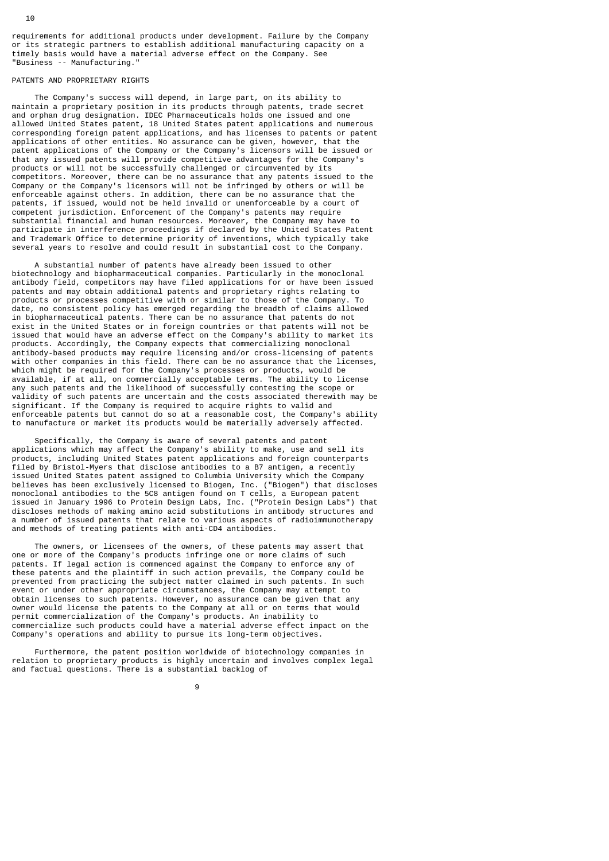requirements for additional products under development. Failure by the Company or its strategic partners to establish additional manufacturing capacity on a timely basis would have a material adverse effect on the Company. See "Business -- Manufacturing."

# PATENTS AND PROPRIETARY RIGHTS

 The Company's success will depend, in large part, on its ability to maintain a proprietary position in its products through patents, trade secret and orphan drug designation. IDEC Pharmaceuticals holds one issued and one allowed United States patent, 18 United States patent applications and numerous corresponding foreign patent applications, and has licenses to patents or patent applications of other entities. No assurance can be given, however, that the patent applications of the Company or the Company's licensors will be issued or that any issued patents will provide competitive advantages for the Company's products or will not be successfully challenged or circumvented by its competitors. Moreover, there can be no assurance that any patents issued to the Company or the Company's licensors will not be infringed by others or will be enforceable against others. In addition, there can be no assurance that the patents, if issued, would not be held invalid or unenforceable by a court of competent jurisdiction. Enforcement of the Company's patents may require substantial financial and human resources. Moreover, the Company may have to participate in interference proceedings if declared by the United States Patent and Trademark Office to determine priority of inventions, which typically take several years to resolve and could result in substantial cost to the Company.

 A substantial number of patents have already been issued to other biotechnology and biopharmaceutical companies. Particularly in the monoclonal antibody field, competitors may have filed applications for or have been issued patents and may obtain additional patents and proprietary rights relating to products or processes competitive with or similar to those of the Company. To date, no consistent policy has emerged regarding the breadth of claims allowed in biopharmaceutical patents. There can be no assurance that patents do not exist in the United States or in foreign countries or that patents will not be issued that would have an adverse effect on the Company's ability to market its products. Accordingly, the Company expects that commercializing monoclonal antibody-based products may require licensing and/or cross-licensing of patents with other companies in this field. There can be no assurance that the licenses, which might be required for the Company's processes or products, would be available, if at all, on commercially acceptable terms. The ability to license any such patents and the likelihood of successfully contesting the scope or validity of such patents are uncertain and the costs associated therewith may be significant. If the Company is required to acquire rights to valid and enforceable patents but cannot do so at a reasonable cost, the Company's ability to manufacture or market its products would be materially adversely affected.

Specifically, the Company is aware of several patents and patent applications which may affect the Company's ability to make, use and sell its products, including United States patent applications and foreign counterparts filed by Bristol-Myers that disclose antibodies to a B7 antigen, a recently issued United States patent assigned to Columbia University which the Company believes has been exclusively licensed to Biogen, Inc. ("Biogen") that discloses monoclonal antibodies to the 5C8 antigen found on T cells, a European patent issued in January 1996 to Protein Design Labs, Inc. ("Protein Design Labs") that discloses methods of making amino acid substitutions in antibody structures and a number of issued patents that relate to various aspects of radioimmunotherapy and methods of treating patients with anti-CD4 antibodies.

 The owners, or licensees of the owners, of these patents may assert that one or more of the Company's products infringe one or more claims of such patents. If legal action is commenced against the Company to enforce any of these patents and the plaintiff in such action prevails, the Company could be prevented from practicing the subject matter claimed in such patents. In such event or under other appropriate circumstances, the Company may attempt to obtain licenses to such patents. However, no assurance can be given that any owner would license the patents to the Company at all or on terms that would permit commercialization of the Company's products. An inability to commercialize such products could have a material adverse effect impact on the Company's operations and ability to pursue its long-term objectives.

 Furthermore, the patent position worldwide of biotechnology companies in relation to proprietary products is highly uncertain and involves complex legal and factual questions. There is a substantial backlog of

9 and 20 and 20 and 20 and 20 and 20 and 20 and 20 and 20 and 20 and 20 and 20 and 20 and 20 and 20 and 20 and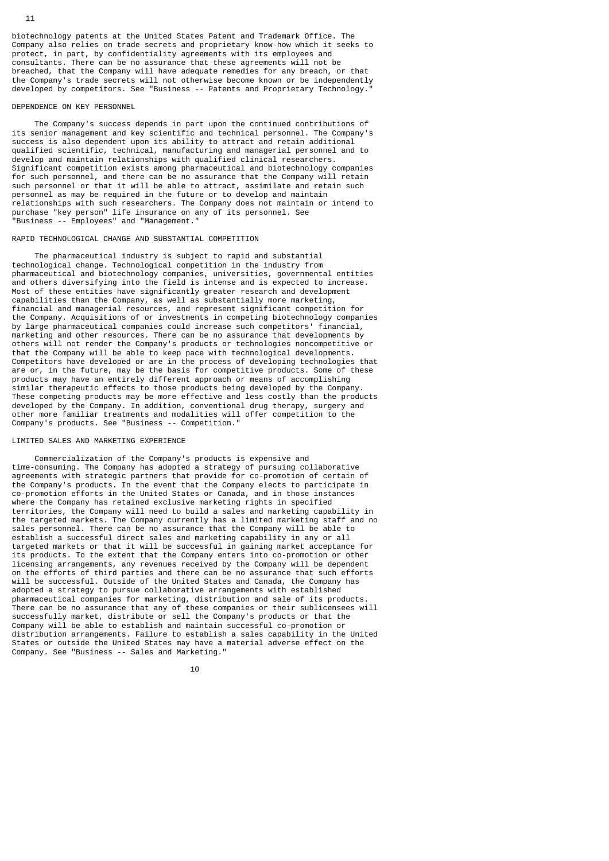biotechnology patents at the United States Patent and Trademark Office. The Company also relies on trade secrets and proprietary know-how which it seeks to protect, in part, by confidentiality agreements with its employees and consultants. There can be no assurance that these agreements will not be breached, that the Company will have adequate remedies for any breach, or that the Company's trade secrets will not otherwise become known or be independently developed by competitors. See "Business -- Patents and Proprietary Technology."

# DEPENDENCE ON KEY PERSONNEL

 The Company's success depends in part upon the continued contributions of its senior management and key scientific and technical personnel. The Company's success is also dependent upon its ability to attract and retain additional qualified scientific, technical, manufacturing and managerial personnel and to develop and maintain relationships with qualified clinical researchers. Significant competition exists among pharmaceutical and biotechnology companies for such personnel, and there can be no assurance that the Company will retain such personnel or that it will be able to attract, assimilate and retain such personnel as may be required in the future or to develop and maintain relationships with such researchers. The Company does not maintain or intend to purchase "key person" life insurance on any of its personnel. See "Business -- Employees" and "Management."

## RAPID TECHNOLOGICAL CHANGE AND SUBSTANTIAL COMPETITION

 The pharmaceutical industry is subject to rapid and substantial technological change. Technological competition in the industry from pharmaceutical and biotechnology companies, universities, governmental entities and others diversifying into the field is intense and is expected to increase. Most of these entities have significantly greater research and development capabilities than the Company, as well as substantially more marketing, financial and managerial resources, and represent significant competition for the Company. Acquisitions of or investments in competing biotechnology companies by large pharmaceutical companies could increase such competitors' financial, marketing and other resources. There can be no assurance that developments by others will not render the Company's products or technologies noncompetitive or that the Company will be able to keep pace with technological developments. Competitors have developed or are in the process of developing technologies that are or, in the future, may be the basis for competitive products. Some of these products may have an entirely different approach or means of accomplishing similar therapeutic effects to those products being developed by the Company. These competing products may be more effective and less costly than the products developed by the Company. In addition, conventional drug therapy, surgery and other more familiar treatments and modalities will offer competition to the Company's products. See "Business -- Competition."

## LIMITED SALES AND MARKETING EXPERIENCE

 Commercialization of the Company's products is expensive and time-consuming. The Company has adopted a strategy of pursuing collaborative agreements with strategic partners that provide for co-promotion of certain of the Company's products. In the event that the Company elects to participate in co-promotion efforts in the United States or Canada, and in those instances where the Company has retained exclusive marketing rights in specified territories, the Company will need to build a sales and marketing capability in the targeted markets. The Company currently has a limited marketing staff and no sales personnel. There can be no assurance that the Company will be able to establish a successful direct sales and marketing capability in any or all targeted markets or that it will be successful in gaining market acceptance for its products. To the extent that the Company enters into co-promotion or other licensing arrangements, any revenues received by the Company will be dependent on the efforts of third parties and there can be no assurance that such efforts will be successful. Outside of the United States and Canada, the Company has adopted a strategy to pursue collaborative arrangements with established pharmaceutical companies for marketing, distribution and sale of its products. There can be no assurance that any of these companies or their sublicensees will successfully market, distribute or sell the Company's products or that the Company will be able to establish and maintain successful co-promotion or distribution arrangements. Failure to establish a sales capability in the United States or outside the United States may have a material adverse effect on the Company. See "Business -- Sales and Marketing."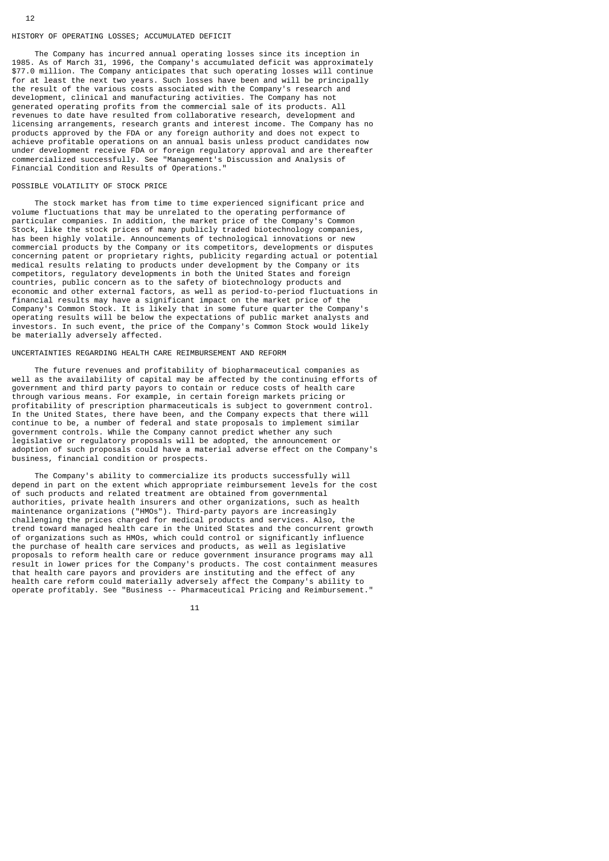# HISTORY OF OPERATING LOSSES; ACCUMULATED DEFICIT

 The Company has incurred annual operating losses since its inception in 1985. As of March 31, 1996, the Company's accumulated deficit was approximately \$77.0 million. The Company anticipates that such operating losses will continue for at least the next two years. Such losses have been and will be principally the result of the various costs associated with the Company's research and development, clinical and manufacturing activities. The Company has not generated operating profits from the commercial sale of its products. All revenues to date have resulted from collaborative research, development and licensing arrangements, research grants and interest income. The Company has no products approved by the FDA or any foreign authority and does not expect to achieve profitable operations on an annual basis unless product candidates now under development receive FDA or foreign regulatory approval and are thereafter commercialized successfully. See "Management's Discussion and Analysis of Financial Condition and Results of Operations."

## POSSIBLE VOLATILITY OF STOCK PRICE

 The stock market has from time to time experienced significant price and volume fluctuations that may be unrelated to the operating performance of particular companies. In addition, the market price of the Company's Common Stock, like the stock prices of many publicly traded biotechnology companies, has been highly volatile. Announcements of technological innovations or new commercial products by the Company or its competitors, developments or disputes concerning patent or proprietary rights, publicity regarding actual or potential medical results relating to products under development by the Company or its competitors, regulatory developments in both the United States and foreign countries, public concern as to the safety of biotechnology products and economic and other external factors, as well as period-to-period fluctuations in financial results may have a significant impact on the market price of the Company's Common Stock. It is likely that in some future quarter the Company's operating results will be below the expectations of public market analysts and investors. In such event, the price of the Company's Common Stock would likely be materially adversely affected.

# UNCERTAINTIES REGARDING HEALTH CARE REIMBURSEMENT AND REFORM

 The future revenues and profitability of biopharmaceutical companies as well as the availability of capital may be affected by the continuing efforts of government and third party payors to contain or reduce costs of health care through various means. For example, in certain foreign markets pricing or profitability of prescription pharmaceuticals is subject to government control. In the United States, there have been, and the Company expects that there will continue to be, a number of federal and state proposals to implement similar government controls. While the Company cannot predict whether any such legislative or regulatory proposals will be adopted, the announcement or adoption of such proposals could have a material adverse effect on the Company's business, financial condition or prospects.

 The Company's ability to commercialize its products successfully will depend in part on the extent which appropriate reimbursement levels for the cost of such products and related treatment are obtained from governmental authorities, private health insurers and other organizations, such as health maintenance organizations ("HMOs"). Third-party payors are increasingly challenging the prices charged for medical products and services. Also, the trend toward managed health care in the United States and the concurrent growth of organizations such as HMOs, which could control or significantly influence the purchase of health care services and products, as well as legislative proposals to reform health care or reduce government insurance programs may all result in lower prices for the Company's products. The cost containment measures that health care payors and providers are instituting and the effect of any health care reform could materially adversely affect the Company's ability to operate profitably. See "Business -- Pharmaceutical Pricing and Reimbursement."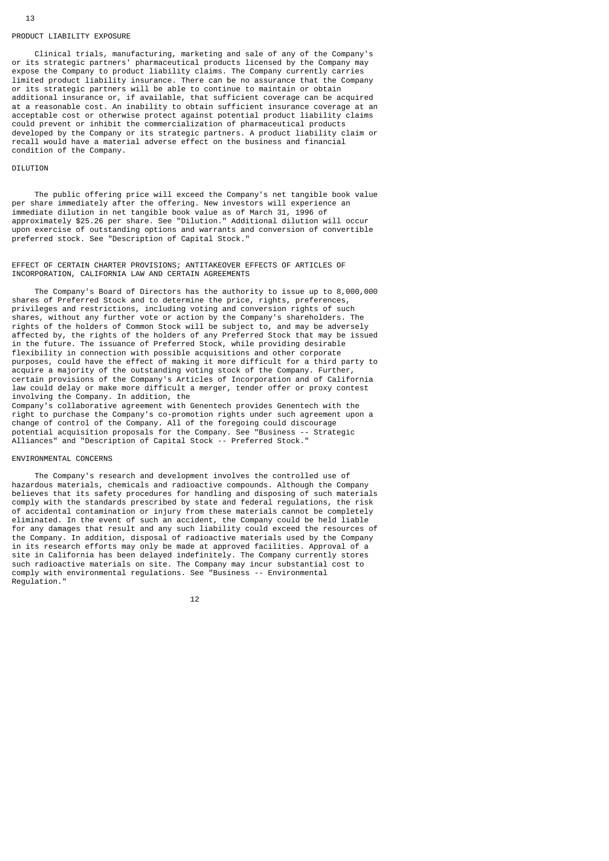#### PRODUCT LIABILITY EXPOSURE

 Clinical trials, manufacturing, marketing and sale of any of the Company's or its strategic partners' pharmaceutical products licensed by the Company may expose the Company to product liability claims. The Company currently carries limited product liability insurance. There can be no assurance that the Company or its strategic partners will be able to continue to maintain or obtain additional insurance or, if available, that sufficient coverage can be acquired at a reasonable cost. An inability to obtain sufficient insurance coverage at an acceptable cost or otherwise protect against potential product liability claims could prevent or inhibit the commercialization of pharmaceutical products developed by the Company or its strategic partners. A product liability claim or recall would have a material adverse effect on the business and financial condition of the Company.

## DTI UTTON

 The public offering price will exceed the Company's net tangible book value per share immediately after the offering. New investors will experience an immediate dilution in net tangible book value as of March 31, 1996 of approximately \$25.26 per share. See "Dilution." Additional dilution will occur upon exercise of outstanding options and warrants and conversion of convertible preferred stock. See "Description of Capital Stock."

## EFFECT OF CERTAIN CHARTER PROVISIONS; ANTITAKEOVER EFFECTS OF ARTICLES OF INCORPORATION, CALIFORNIA LAW AND CERTAIN AGREEMENTS

 The Company's Board of Directors has the authority to issue up to 8,000,000 shares of Preferred Stock and to determine the price, rights, preferences, privileges and restrictions, including voting and conversion rights of such shares, without any further vote or action by the Company's shareholders. The rights of the holders of Common Stock will be subject to, and may be adversely affected by, the rights of the holders of any Preferred Stock that may be issued in the future. The issuance of Preferred Stock, while providing desirable flexibility in connection with possible acquisitions and other corporate purposes, could have the effect of making it more difficult for a third party to acquire a majority of the outstanding voting stock of the Company. Further, certain provisions of the Company's Articles of Incorporation and of California law could delay or make more difficult a merger, tender offer or proxy contest involving the Company. In addition, the Company's collaborative agreement with Genentech provides Genentech with the right to purchase the Company's co-promotion rights under such agreement upon a change of control of the Company. All of the foregoing could discourage potential acquisition proposals for the Company. See "Business -- Strategic

Alliances" and "Description of Capital Stock -- Preferred Stock."

#### ENVIRONMENTAL CONCERNS

 The Company's research and development involves the controlled use of hazardous materials, chemicals and radioactive compounds. Although the Company believes that its safety procedures for handling and disposing of such materials comply with the standards prescribed by state and federal regulations, the risk of accidental contamination or injury from these materials cannot be completely eliminated. In the event of such an accident, the Company could be held liable for any damages that result and any such liability could exceed the resources of the Company. In addition, disposal of radioactive materials used by the Company in its research efforts may only be made at approved facilities. Approval of a site in California has been delayed indefinitely. The Company currently stores such radioactive materials on site. The Company may incur substantial cost to comply with environmental regulations. See "Business -- Environmental Regulation."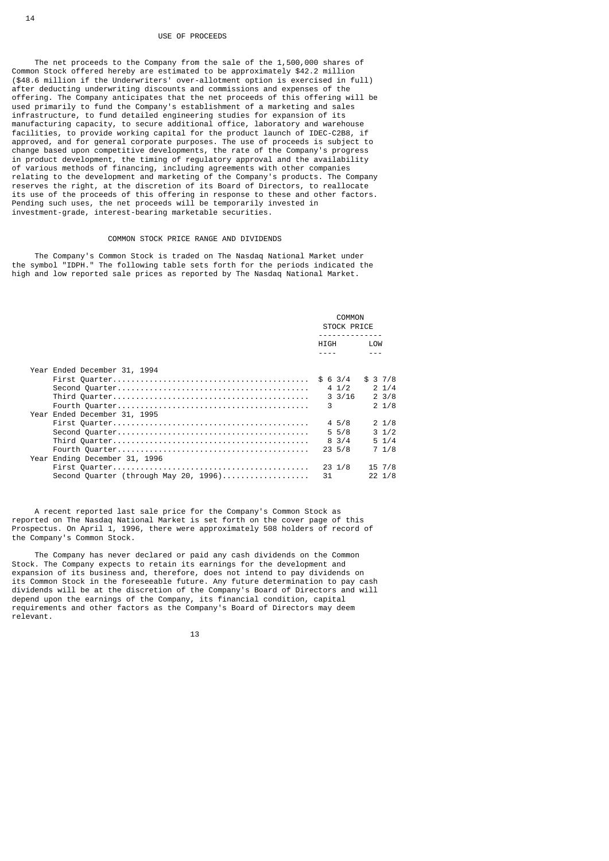#### USE OF PROCEEDS

 The net proceeds to the Company from the sale of the 1,500,000 shares of Common Stock offered hereby are estimated to be approximately \$42.2 million (\$48.6 million if the Underwriters' over-allotment option is exercised in full) after deducting underwriting discounts and commissions and expenses of the offering. The Company anticipates that the net proceeds of this offering will be used primarily to fund the Company's establishment of a marketing and sales infrastructure, to fund detailed engineering studies for expansion of its manufacturing capacity, to secure additional office, laboratory and warehouse facilities, to provide working capital for the product launch of IDEC-C2B8, if approved, and for general corporate purposes. The use of proceeds is subject to change based upon competitive developments, the rate of the Company's progress in product development, the timing of regulatory approval and the availability of various methods of financing, including agreements with other companies relating to the development and marketing of the Company's products. The Company reserves the right, at the discretion of its Board of Directors, to reallocate its use of the proceeds of this offering in response to these and other factors. Pending such uses, the net proceeds will be temporarily invested in investment-grade, interest-bearing marketable securities.

#### COMMON STOCK PRICE RANGE AND DIVIDENDS

 The Company's Common Stock is traded on The Nasdaq National Market under the symbol "IDPH." The following table sets forth for the periods indicated the high and low reported sale prices as reported by The Nasdaq National Market.

|                                       |                  | COMMON<br>STOCK PRICE       |
|---------------------------------------|------------------|-----------------------------|
|                                       | HIGH             | I OW                        |
|                                       |                  |                             |
| Year Ended December 31, 1994          |                  |                             |
|                                       |                  |                             |
|                                       |                  | $4 \frac{1}{2} \frac{1}{4}$ |
|                                       | $3 \frac{3}{16}$ | $2 \frac{3}{8}$             |
|                                       | 3                | 21/8                        |
| Year Ended December 31, 1995          |                  |                             |
|                                       | 45/8             | $2 \frac{1}{8}$             |
|                                       | $5\,5/8$         | $3 \frac{1}{2}$             |
|                                       | $8 \frac{3}{4}$  | $5 \frac{1}{4}$             |
|                                       | 23, 5/8          | 7 1/8                       |
| Year Ending December 31, 1996         |                  |                             |
|                                       | $23 \frac{1}{8}$ | $15 \frac{7}{8}$            |
| Second Quarter (through May 20, 1996) | 31               | $22 \frac{1}{8}$            |

 A recent reported last sale price for the Company's Common Stock as reported on The Nasdaq National Market is set forth on the cover page of this Prospectus. On April 1, 1996, there were approximately 508 holders of record of the Company's Common Stock.

 The Company has never declared or paid any cash dividends on the Common Stock. The Company expects to retain its earnings for the development and expansion of its business and, therefore, does not intend to pay dividends on its Common Stock in the foreseeable future. Any future determination to pay cash dividends will be at the discretion of the Company's Board of Directors and will depend upon the earnings of the Company, its financial condition, capital requirements and other factors as the Company's Board of Directors may deem relevant.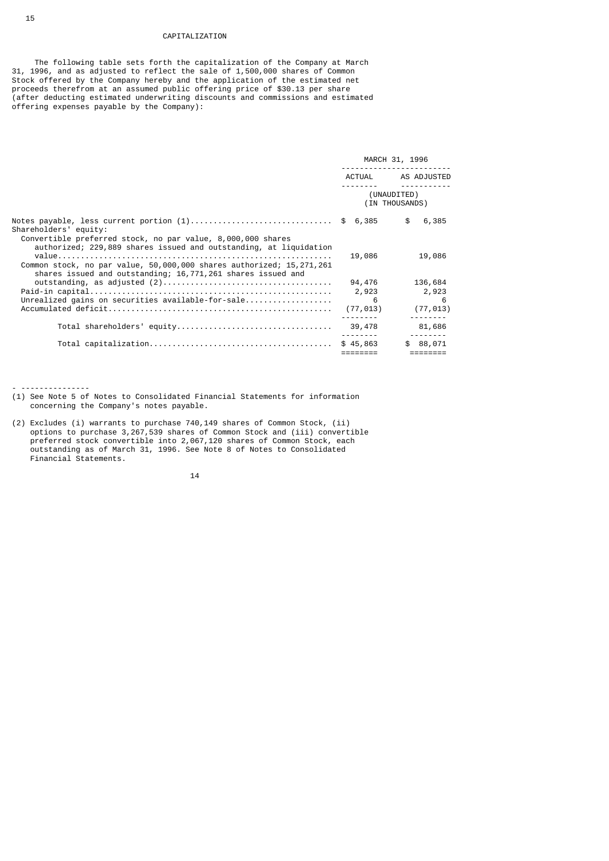#### CAPITALIZATION

 The following table sets forth the capitalization of the Company at March 31, 1996, and as adjusted to reflect the sale of 1,500,000 shares of Common Stock offered by the Company hereby and the application of the estimated net proceeds therefrom at an assumed public offering price of \$30.13 per share (after deducting estimated underwriting discounts and commissions and estimated offering expenses payable by the Company):

|                                                                                                                                                                                                                                                                         |          | MARCH 31, 1996                |
|-------------------------------------------------------------------------------------------------------------------------------------------------------------------------------------------------------------------------------------------------------------------------|----------|-------------------------------|
|                                                                                                                                                                                                                                                                         |          | ACTUAL AS ADJUSTED            |
|                                                                                                                                                                                                                                                                         |          | (UNAUDITED)<br>(IN THOUSANDS) |
| Notes payable, less current portion (1) \$ 6,385<br>Shareholders' equity:                                                                                                                                                                                               |          | \$<br>6,385                   |
| Convertible preferred stock, no par value, 8,000,000 shares<br>authorized; 229,889 shares issued and outstanding, at liquidation<br>Common stock, no par value, 50,000,000 shares authorized; 15,271,261<br>shares issued and outstanding; 16,771,261 shares issued and | 19,086   | 19,086                        |
|                                                                                                                                                                                                                                                                         | 94,476   | 136,684                       |
|                                                                                                                                                                                                                                                                         |          | 2,923 2,923                   |
|                                                                                                                                                                                                                                                                         | 6        | -6                            |
|                                                                                                                                                                                                                                                                         |          | $(77, 013)$ $(77, 013)$       |
|                                                                                                                                                                                                                                                                         | 39,478   | 81,686                        |
|                                                                                                                                                                                                                                                                         | \$45,863 | \$<br>88,071                  |
|                                                                                                                                                                                                                                                                         |          |                               |

- ---------------

- (1) See Note 5 of Notes to Consolidated Financial Statements for information concerning the Company's notes payable.
- (2) Excludes (i) warrants to purchase 740,149 shares of Common Stock, (ii) options to purchase 3,267,539 shares of Common Stock and (iii) convertible preferred stock convertible into 2,067,120 shares of Common Stock, each outstanding as of March 31, 1996. See Note 8 of Notes to Consolidated Financial Statements.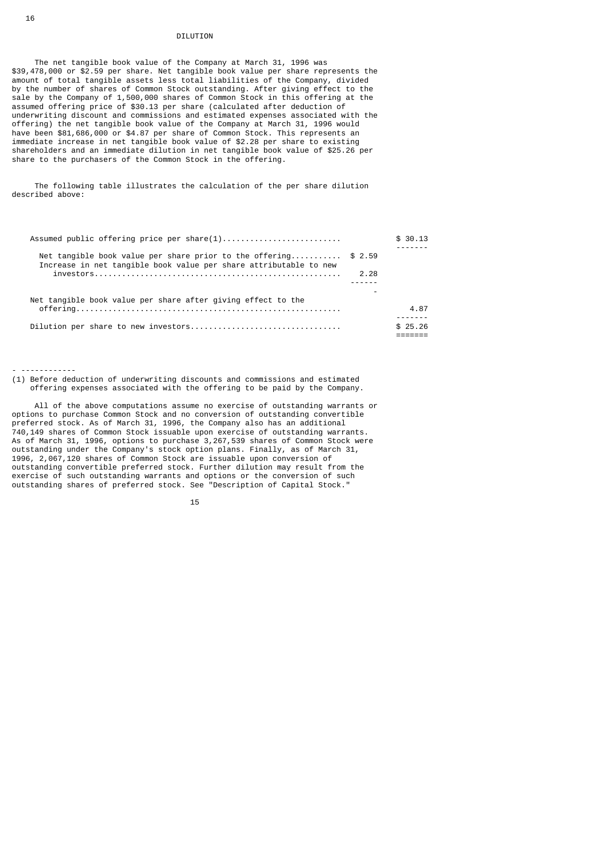#### DTI UTTON

 The net tangible book value of the Company at March 31, 1996 was \$39,478,000 or \$2.59 per share. Net tangible book value per share represents the amount of total tangible assets less total liabilities of the Company, divided by the number of shares of Common Stock outstanding. After giving effect to the sale by the Company of 1,500,000 shares of Common Stock in this offering at the assumed offering price of \$30.13 per share (calculated after deduction of underwriting discount and commissions and estimated expenses associated with the offering) the net tangible book value of the Company at March 31, 1996 would have been \$81,686,000 or \$4.87 per share of Common Stock. This represents an immediate increase in net tangible book value of \$2.28 per share to existing shareholders and an immediate dilution in net tangible book value of \$25.26 per share to the purchasers of the Common Stock in the offering.

 The following table illustrates the calculation of the per share dilution described above:

| Assumed public offering price per share(1)                                                                                           |      | \$30.13 |
|--------------------------------------------------------------------------------------------------------------------------------------|------|---------|
| Net tangible book value per share prior to the offering $$2.59$<br>Increase in net tangible book value per share attributable to new |      |         |
|                                                                                                                                      | 2.28 |         |
| Net tangible book value per share after giving effect to the                                                                         |      |         |
|                                                                                                                                      |      | 4.87    |
|                                                                                                                                      |      | \$25.26 |

- ------------

(1) Before deduction of underwriting discounts and commissions and estimated offering expenses associated with the offering to be paid by the Company.

 All of the above computations assume no exercise of outstanding warrants or options to purchase Common Stock and no conversion of outstanding convertible preferred stock. As of March 31, 1996, the Company also has an additional 740,149 shares of Common Stock issuable upon exercise of outstanding warrants. As of March 31, 1996, options to purchase 3,267,539 shares of Common Stock were outstanding under the Company's stock option plans. Finally, as of March 31, 1996, 2,067,120 shares of Common Stock are issuable upon conversion of outstanding convertible preferred stock. Further dilution may result from the exercise of such outstanding warrants and options or the conversion of such outstanding shares of preferred stock. See "Description of Capital Stock."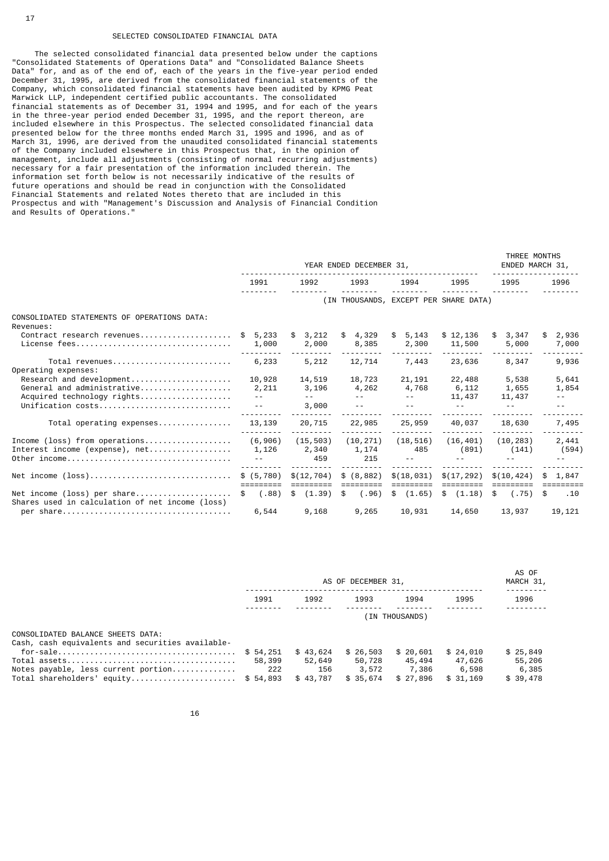### SELECTED CONSOLIDATED FINANCIAL DATA

 The selected consolidated financial data presented below under the captions "Consolidated Statements of Operations Data" and "Consolidated Balance Sheets Data" for, and as of the end of, each of the years in the five-year period ended December 31, 1995, are derived from the consolidated financial statements of the Company, which consolidated financial statements have been audited by KPMG Peat Marwick LLP, independent certified public accountants. The consolidated financial statements as of December 31, 1994 and 1995, and for each of the years in the three-year period ended December 31, 1995, and the report thereon, are included elsewhere in this Prospectus. The selected consolidated financial data presented below for the three months ended March 31, 1995 and 1996, and as of March 31, 1996, are derived from the unaudited consolidated financial statements of the Company included elsewhere in this Prospectus that, in the opinion of management, include all adjustments (consisting of normal recurring adjustments) necessary for a fair presentation of the information included therein. The information set forth below is not necessarily indicative of the results of future operations and should be read in conjunction with the Consolidated Financial Statements and related Notes thereto that are included in this Prospectus and with "Management's Discussion and Analysis of Financial Condition and Results of Operations."

|                                                                                      | YEAR ENDED DECEMBER 31,    |                                   |                           |                      |                                       |                          | THREE MONTHS<br>ENDED MARCH 31, |  |      |      |
|--------------------------------------------------------------------------------------|----------------------------|-----------------------------------|---------------------------|----------------------|---------------------------------------|--------------------------|---------------------------------|--|------|------|
|                                                                                      | 1991                       | 1992                              | 1993<br>1994              |                      |                                       |                          | 1995                            |  | 1995 | 1996 |
|                                                                                      |                            |                                   |                           |                      | (IN THOUSANDS, EXCEPT PER SHARE DATA) |                          |                                 |  |      |      |
| CONSOLIDATED STATEMENTS OF OPERATIONS DATA:<br>Revenues:                             |                            |                                   |                           |                      |                                       |                          |                                 |  |      |      |
| Contract research revenues                                                           | \$5,233<br>1,000           | 3,212<br>\$<br>2,000              | \$4,329<br>8,385          | 5,143<br>S.<br>2,300 | \$12,136<br>11,500                    | 3,347<br>\$<br>5,000     | 2,936<br>\$.<br>7,000           |  |      |      |
| Total revenues<br>Operating expenses:                                                | 6,233                      | 5,212                             | 12,714                    | 7,443                | 23,636                                | 8,347                    | 9,936                           |  |      |      |
| Research and development<br>General and administrative<br>Acquired technology rights | 10,928<br>2,211            | 14,519<br>3,196<br>$- -$          | 18,723<br>4,262<br>$- -$  | 21, 191<br>4,768     | 22,488<br>6,112<br>11,437             | 5,538<br>1,655<br>11,437 | 5,641<br>1,854<br>$- -$         |  |      |      |
| Unification costs                                                                    | $\sim$ $\sim$              | 3,000                             | $- -$                     | $- -$                | $- -$                                 | $- -$                    | $- -$                           |  |      |      |
| Total operating expenses                                                             | 13,139                     | 20,715                            | 22,985                    | 25,959               | 40,037                                | 18,630                   | 7,495                           |  |      |      |
| Interest income (expense), net                                                       | (6, 906)<br>1,126<br>$- -$ | (15, 503)<br>2,340<br>459         | (10, 271)<br>1,174<br>215 | (18, 516)<br>485     | (16, 401)<br>(891)                    | (10, 283)<br>(141)       | 2,441<br>(594)<br>$- -$         |  |      |      |
|                                                                                      | \$ (5, 780)                | \$(12, 704)                       | \$ (8, 882)               | \$(18, 031)          | \$(17, 292)                           | \$(10, 424)              | 1,847                           |  |      |      |
| Net income (loss) per share<br>Shares used in calculation of net income (loss)       | (.88)<br>\$<br>6,544       | (1.39)<br>$$\mathbb{S}$$<br>9,168 | (.96)<br>\$<br>9,265      | \$(1.65)<br>10,931   | \$(1.18)<br>14,650                    | (.75)<br>\$<br>13,937    | .10<br>\$<br>19,121             |  |      |      |
|                                                                                      |                            |                                   |                           |                      |                                       |                          |                                 |  |      |      |

|                                                                                       | AS OF DECEMBER 31,                     |                                       |                                          |                                         |                                         | AS OF<br>MARCH 31,                      |
|---------------------------------------------------------------------------------------|----------------------------------------|---------------------------------------|------------------------------------------|-----------------------------------------|-----------------------------------------|-----------------------------------------|
|                                                                                       | 1992<br>1991<br>1993<br>1994           |                                       |                                          |                                         | 1995                                    | 1996                                    |
|                                                                                       | (IN THOUSANDS)                         |                                       |                                          |                                         |                                         |                                         |
| CONSOLIDATED BALANCE SHEETS DATA:<br>Cash, cash equivalents and securities available- |                                        |                                       |                                          |                                         |                                         |                                         |
| Notes payable, less current portion<br>Total shareholders' equity                     | \$ 54,251<br>58,399<br>222<br>\$54,893 | \$43,624<br>52,649<br>156<br>\$43,787 | \$26,503<br>50,728<br>3.572<br>\$ 35,674 | \$20,601<br>45,494<br>7,386<br>\$27,896 | \$24.010<br>47,626<br>6,598<br>\$31,169 | \$25,849<br>55,206<br>6,385<br>\$39,478 |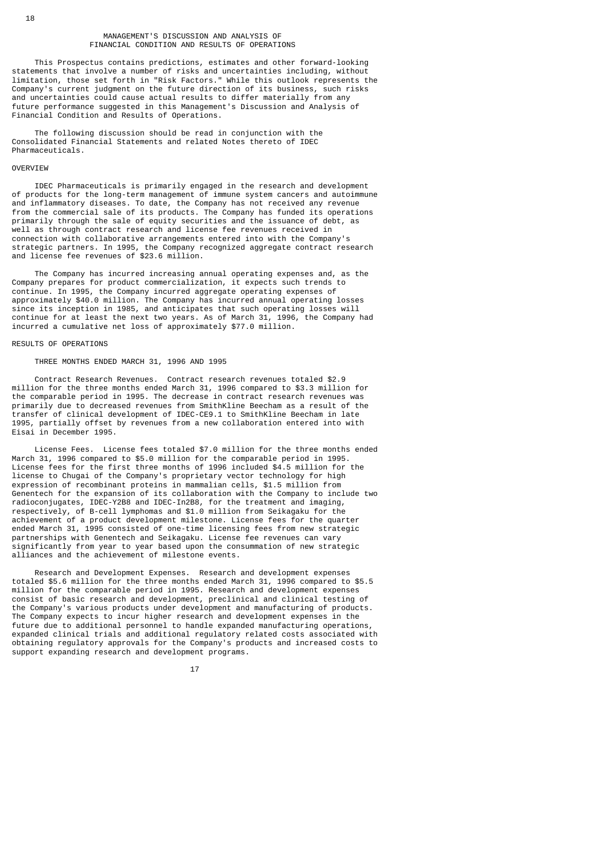## MANAGEMENT'S DISCUSSION AND ANALYSIS OF FINANCIAL CONDITION AND RESULTS OF OPERATIONS

 This Prospectus contains predictions, estimates and other forward-looking statements that involve a number of risks and uncertainties including, without limitation, those set forth in "Risk Factors." While this outlook represents the Company's current judgment on the future direction of its business, such risks and uncertainties could cause actual results to differ materially from any future performance suggested in this Management's Discussion and Analysis of Financial Condition and Results of Operations.

 The following discussion should be read in conjunction with the Consolidated Financial Statements and related Notes thereto of IDEC Pharmaceuticals.

## **OVERVIEW**

 IDEC Pharmaceuticals is primarily engaged in the research and development of products for the long-term management of immune system cancers and autoimmune and inflammatory diseases. To date, the Company has not received any revenue from the commercial sale of its products. The Company has funded its operations primarily through the sale of equity securities and the issuance of debt, as well as through contract research and license fee revenues received in connection with collaborative arrangements entered into with the Company's strategic partners. In 1995, the Company recognized aggregate contract research and license fee revenues of \$23.6 million.

 The Company has incurred increasing annual operating expenses and, as the Company prepares for product commercialization, it expects such trends to continue. In 1995, the Company incurred aggregate operating expenses of approximately \$40.0 million. The Company has incurred annual operating losses since its inception in 1985, and anticipates that such operating losses will continue for at least the next two years. As of March 31, 1996, the Company had incurred a cumulative net loss of approximately \$77.0 million.

## RESULTS OF OPERATIONS

## THREE MONTHS ENDED MARCH 31, 1996 AND 1995

 Contract Research Revenues. Contract research revenues totaled \$2.9 million for the three months ended March 31, 1996 compared to \$3.3 million for the comparable period in 1995. The decrease in contract research revenues was primarily due to decreased revenues from SmithKline Beecham as a result of the transfer of clinical development of IDEC-CE9.1 to SmithKline Beecham in late 1995, partially offset by revenues from a new collaboration entered into with Eisai in December 1995.

 License Fees. License fees totaled \$7.0 million for the three months ended March 31, 1996 compared to \$5.0 million for the comparable period in 1995. License fees for the first three months of 1996 included \$4.5 million for the license to Chugai of the Company's proprietary vector technology for high expression of recombinant proteins in mammalian cells, \$1.5 million from Genentech for the expansion of its collaboration with the Company to include two radioconjugates, IDEC-Y2B8 and IDEC-In2B8, for the treatment and imaging, respectively, of B-cell lymphomas and \$1.0 million from Seikagaku for the achievement of a product development milestone. License fees for the quarter ended March 31, 1995 consisted of one-time licensing fees from new strategic partnerships with Genentech and Seikagaku. License fee revenues can vary significantly from year to year based upon the consummation of new strategic alliances and the achievement of milestone events.

 Research and Development Expenses. Research and development expenses totaled \$5.6 million for the three months ended March 31, 1996 compared to \$5.5 million for the comparable period in 1995. Research and development expenses consist of basic research and development, preclinical and clinical testing of the Company's various products under development and manufacturing of products. The Company expects to incur higher research and development expenses in the future due to additional personnel to handle expanded manufacturing operations, expanded clinical trials and additional regulatory related costs associated with obtaining regulatory approvals for the Company's products and increased costs to support expanding research and development programs.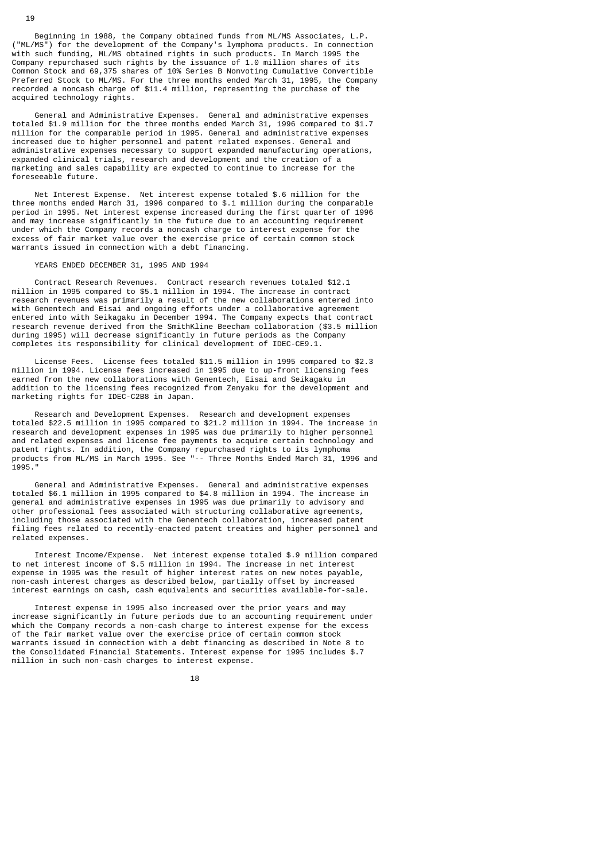Beginning in 1988, the Company obtained funds from ML/MS Associates, L.P. ("ML/MS") for the development of the Company's lymphoma products. In connection with such funding, ML/MS obtained rights in such products. In March 1995 the Company repurchased such rights by the issuance of 1.0 million shares of its Common Stock and 69,375 shares of 10% Series B Nonvoting Cumulative Convertible Preferred Stock to ML/MS. For the three months ended March 31, 1995, the Company recorded a noncash charge of \$11.4 million, representing the purchase of the acquired technology rights.

 General and Administrative Expenses. General and administrative expenses totaled \$1.9 million for the three months ended March 31, 1996 compared to \$1.7 million for the comparable period in 1995. General and administrative expenses increased due to higher personnel and patent related expenses. General and administrative expenses necessary to support expanded manufacturing operations, expanded clinical trials, research and development and the creation of a marketing and sales capability are expected to continue to increase for the foreseeable future.

 Net Interest Expense. Net interest expense totaled \$.6 million for the three months ended March 31, 1996 compared to \$.1 million during the comparable period in 1995. Net interest expense increased during the first quarter of 1996 and may increase significantly in the future due to an accounting requirement under which the Company records a noncash charge to interest expense for the excess of fair market value over the exercise price of certain common stock warrants issued in connection with a debt financing.

# YEARS ENDED DECEMBER 31, 1995 AND 1994

 Contract Research Revenues. Contract research revenues totaled \$12.1 million in 1995 compared to \$5.1 million in 1994. The increase in contract research revenues was primarily a result of the new collaborations entered into with Genentech and Eisai and ongoing efforts under a collaborative agreement entered into with Seikagaku in December 1994. The Company expects that contract research revenue derived from the SmithKline Beecham collaboration (\$3.5 million during 1995) will decrease significantly in future periods as the Company completes its responsibility for clinical development of IDEC-CE9.1.

 License Fees. License fees totaled \$11.5 million in 1995 compared to \$2.3 million in 1994. License fees increased in 1995 due to up-front licensing fees earned from the new collaborations with Genentech, Eisai and Seikagaku in addition to the licensing fees recognized from Zenyaku for the development and marketing rights for IDEC-C2B8 in Japan.

 Research and Development Expenses. Research and development expenses totaled \$22.5 million in 1995 compared to \$21.2 million in 1994. The increase in research and development expenses in 1995 was due primarily to higher personnel and related expenses and license fee payments to acquire certain technology and patent rights. In addition, the Company repurchased rights to its lymphoma products from ML/MS in March 1995. See "-- Three Months Ended March 31, 1996 and 1995."

 General and Administrative Expenses. General and administrative expenses totaled \$6.1 million in 1995 compared to \$4.8 million in 1994. The increase in general and administrative expenses in 1995 was due primarily to advisory and other professional fees associated with structuring collaborative agreements, including those associated with the Genentech collaboration, increased patent filing fees related to recently-enacted patent treaties and higher personnel and related expenses.

 Interest Income/Expense. Net interest expense totaled \$.9 million compared to net interest income of \$.5 million in 1994. The increase in net interest expense in 1995 was the result of higher interest rates on new notes payable, non-cash interest charges as described below, partially offset by increased interest earnings on cash, cash equivalents and securities available-for-sale.

 Interest expense in 1995 also increased over the prior years and may increase significantly in future periods due to an accounting requirement under which the Company records a non-cash charge to interest expense for the excess of the fair market value over the exercise price of certain common stock warrants issued in connection with a debt financing as described in Note 8 to the Consolidated Financial Statements. Interest expense for 1995 includes \$.7 million in such non-cash charges to interest expense.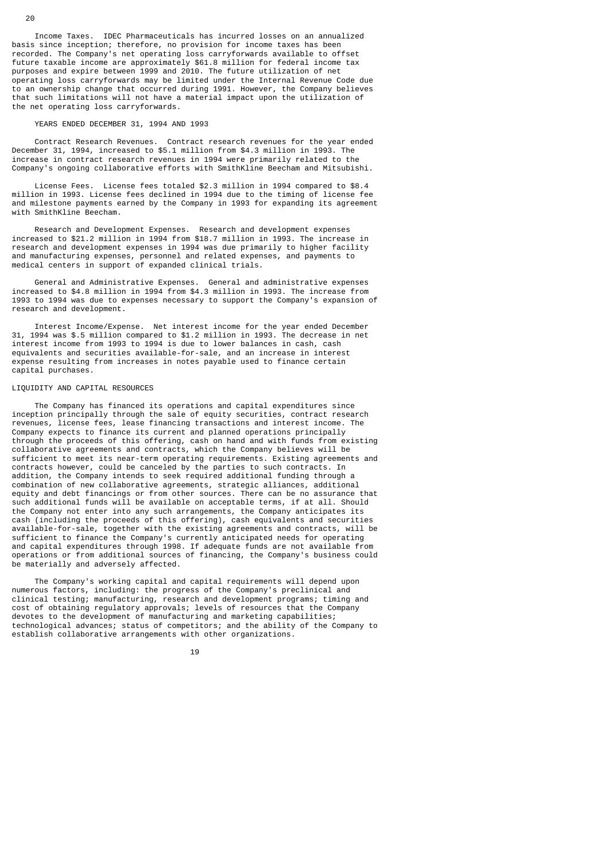Income Taxes. IDEC Pharmaceuticals has incurred losses on an annualized basis since inception; therefore, no provision for income taxes has been recorded. The Company's net operating loss carryforwards available to offset future taxable income are approximately \$61.8 million for federal income tax purposes and expire between 1999 and 2010. The future utilization of net operating loss carryforwards may be limited under the Internal Revenue Code due to an ownership change that occurred during 1991. However, the Company believes that such limitations will not have a material impact upon the utilization of the net operating loss carryforwards.

## YEARS ENDED DECEMBER 31, 1994 AND 1993

 Contract Research Revenues. Contract research revenues for the year ended December 31, 1994, increased to \$5.1 million from \$4.3 million in 1993. The increase in contract research revenues in 1994 were primarily related to the Company's ongoing collaborative efforts with SmithKline Beecham and Mitsubishi.

 License Fees. License fees totaled \$2.3 million in 1994 compared to \$8.4 million in 1993. License fees declined in 1994 due to the timing of license fee and milestone payments earned by the Company in 1993 for expanding its agreement with SmithKline Beecham.

 Research and Development Expenses. Research and development expenses increased to \$21.2 million in 1994 from \$18.7 million in 1993. The increase in research and development expenses in 1994 was due primarily to higher facility and manufacturing expenses, personnel and related expenses, and payments to medical centers in support of expanded clinical trials.

 General and Administrative Expenses. General and administrative expenses increased to \$4.8 million in 1994 from \$4.3 million in 1993. The increase from 1993 to 1994 was due to expenses necessary to support the Company's expansion of research and development.

 Interest Income/Expense. Net interest income for the year ended December 31, 1994 was \$.5 million compared to \$1.2 million in 1993. The decrease in net interest income from 1993 to 1994 is due to lower balances in cash, cash equivalents and securities available-for-sale, and an increase in interest expense resulting from increases in notes payable used to finance certain capital purchases.

# LIQUIDITY AND CAPITAL RESOURCES

 The Company has financed its operations and capital expenditures since inception principally through the sale of equity securities, contract research revenues, license fees, lease financing transactions and interest income. The Company expects to finance its current and planned operations principally through the proceeds of this offering, cash on hand and with funds from existing collaborative agreements and contracts, which the Company believes will be sufficient to meet its near-term operating requirements. Existing agreements and contracts however, could be canceled by the parties to such contracts. In addition, the Company intends to seek required additional funding through a combination of new collaborative agreements, strategic alliances, additional equity and debt financings or from other sources. There can be no assurance that such additional funds will be available on acceptable terms, if at all. Should the Company not enter into any such arrangements, the Company anticipates its cash (including the proceeds of this offering), cash equivalents and securities available-for-sale, together with the existing agreements and contracts, will be sufficient to finance the Company's currently anticipated needs for operating and capital expenditures through 1998. If adequate funds are not available from operations or from additional sources of financing, the Company's business could be materially and adversely affected.

 The Company's working capital and capital requirements will depend upon numerous factors, including: the progress of the Company's preclinical and clinical testing; manufacturing, research and development programs; timing and cost of obtaining regulatory approvals; levels of resources that the Company devotes to the development of manufacturing and marketing capabilities; technological advances; status of competitors; and the ability of the Company to establish collaborative arrangements with other organizations.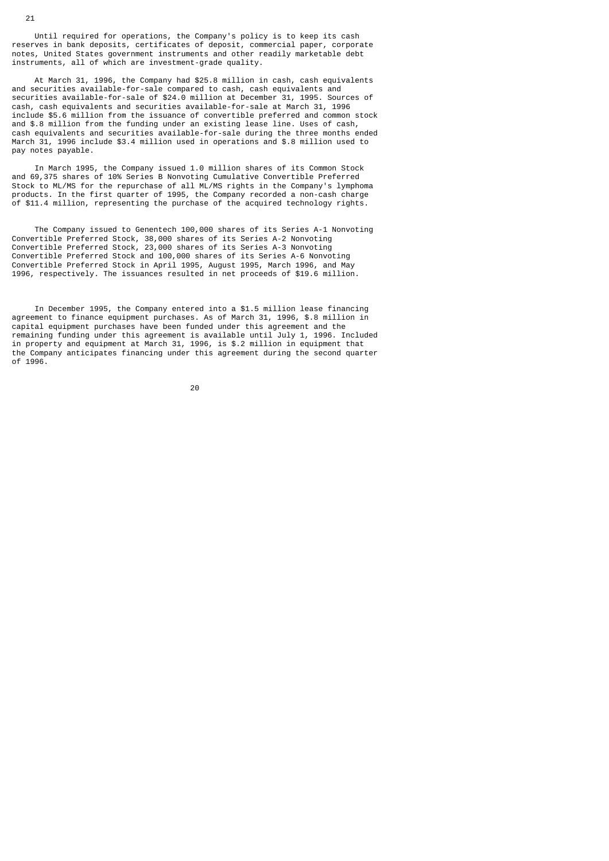Until required for operations, the Company's policy is to keep its cash reserves in bank deposits, certificates of deposit, commercial paper, corporate notes, United States government instruments and other readily marketable debt instruments, all of which are investment-grade quality.

 At March 31, 1996, the Company had \$25.8 million in cash, cash equivalents and securities available-for-sale compared to cash, cash equivalents and securities available-for-sale of \$24.0 million at December 31, 1995. Sources of cash, cash equivalents and securities available-for-sale at March 31, 1996 include \$5.6 million from the issuance of convertible preferred and common stock and \$.8 million from the funding under an existing lease line. Uses of cash, cash equivalents and securities available-for-sale during the three months ended March 31, 1996 include \$3.4 million used in operations and \$.8 million used to pay notes payable.

 In March 1995, the Company issued 1.0 million shares of its Common Stock and 69,375 shares of 10% Series B Nonvoting Cumulative Convertible Preferred Stock to ML/MS for the repurchase of all ML/MS rights in the Company's lymphoma products. In the first quarter of 1995, the Company recorded a non-cash charge of \$11.4 million, representing the purchase of the acquired technology rights.

 The Company issued to Genentech 100,000 shares of its Series A-1 Nonvoting Convertible Preferred Stock, 38,000 shares of its Series A-2 Nonvoting Convertible Preferred Stock, 23,000 shares of its Series A-3 Nonvoting Convertible Preferred Stock and 100,000 shares of its Series A-6 Nonvoting Convertible Preferred Stock in April 1995, August 1995, March 1996, and May 1996, respectively. The issuances resulted in net proceeds of \$19.6 million.

 In December 1995, the Company entered into a \$1.5 million lease financing agreement to finance equipment purchases. As of March 31, 1996, \$.8 million in capital equipment purchases have been funded under this agreement and the remaining funding under this agreement is available until July 1, 1996. Included in property and equipment at March 31, 1996, is \$.2 million in equipment that the Company anticipates financing under this agreement during the second quarter of 1996.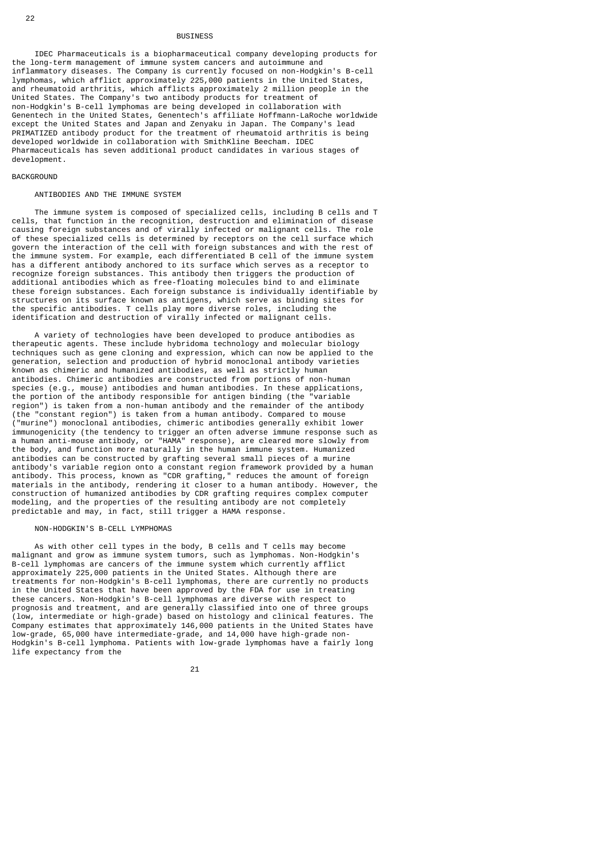#### **BUSTNESS**

 IDEC Pharmaceuticals is a biopharmaceutical company developing products for the long-term management of immune system cancers and autoimmune and inflammatory diseases. The Company is currently focused on non-Hodgkin's B-cell lymphomas, which afflict approximately 225,000 patients in the United States, and rheumatoid arthritis, which afflicts approximately 2 million people in the United States. The Company's two antibody products for treatment of non-Hodgkin's B-cell lymphomas are being developed in collaboration with Genentech in the United States, Genentech's affiliate Hoffmann-LaRoche worldwide except the United States and Japan and Zenyaku in Japan. The Company's lead PRIMATIZED antibody product for the treatment of rheumatoid arthritis is being developed worldwide in collaboration with SmithKline Beecham. IDEC Pharmaceuticals has seven additional product candidates in various stages of development.

# **BACKGROUND**

#### ANTIBODIES AND THE IMMUNE SYSTEM

 The immune system is composed of specialized cells, including B cells and T cells, that function in the recognition, destruction and elimination of disease causing foreign substances and of virally infected or malignant cells. The role of these specialized cells is determined by receptors on the cell surface which govern the interaction of the cell with foreign substances and with the rest of the immune system. For example, each differentiated B cell of the immune system has a different antibody anchored to its surface which serves as a receptor to recognize foreign substances. This antibody then triggers the production of additional antibodies which as free-floating molecules bind to and eliminate these foreign substances. Each foreign substance is individually identifiable by structures on its surface known as antigens, which serve as binding sites for the specific antibodies. T cells play more diverse roles, including the identification and destruction of virally infected or malignant cells.

 A variety of technologies have been developed to produce antibodies as therapeutic agents. These include hybridoma technology and molecular biology techniques such as gene cloning and expression, which can now be applied to the generation, selection and production of hybrid monoclonal antibody varieties known as chimeric and humanized antibodies, as well as strictly human antibodies. Chimeric antibodies are constructed from portions of non-human species (e.g., mouse) antibodies and human antibodies. In these applications, the portion of the antibody responsible for antigen binding (the "variable region") is taken from a non-human antibody and the remainder of the antibody (the "constant region") is taken from a human antibody. Compared to mouse ("murine") monoclonal antibodies, chimeric antibodies generally exhibit lower immunogenicity (the tendency to trigger an often adverse immune response such as a human anti-mouse antibody, or "HAMA" response), are cleared more slowly from the body, and function more naturally in the human immune system. Humanized antibodies can be constructed by grafting several small pieces of a murine antibody's variable region onto a constant region framework provided by a human antibody. This process, known as "CDR grafting," reduces the amount of foreign materials in the antibody, rendering it closer to a human antibody. However, the construction of humanized antibodies by CDR grafting requires complex computer modeling, and the properties of the resulting antibody are not completely predictable and may, in fact, still trigger a HAMA response.

#### NON-HODGKIN'S B-CELL LYMPHOMAS

 As with other cell types in the body, B cells and T cells may become malignant and grow as immune system tumors, such as lymphomas. Non-Hodgkin's B-cell lymphomas are cancers of the immune system which currently afflict approximately 225,000 patients in the United States. Although there are treatments for non-Hodgkin's B-cell lymphomas, there are currently no products in the United States that have been approved by the FDA for use in treating these cancers. Non-Hodgkin's B-cell lymphomas are diverse with respect to prognosis and treatment, and are generally classified into one of three groups (low, intermediate or high-grade) based on histology and clinical features. The Company estimates that approximately 146,000 patients in the United States have low-grade, 65,000 have intermediate-grade, and 14,000 have high-grade non-Hodgkin's B-cell lymphoma. Patients with low-grade lymphomas have a fairly long life expectancy from the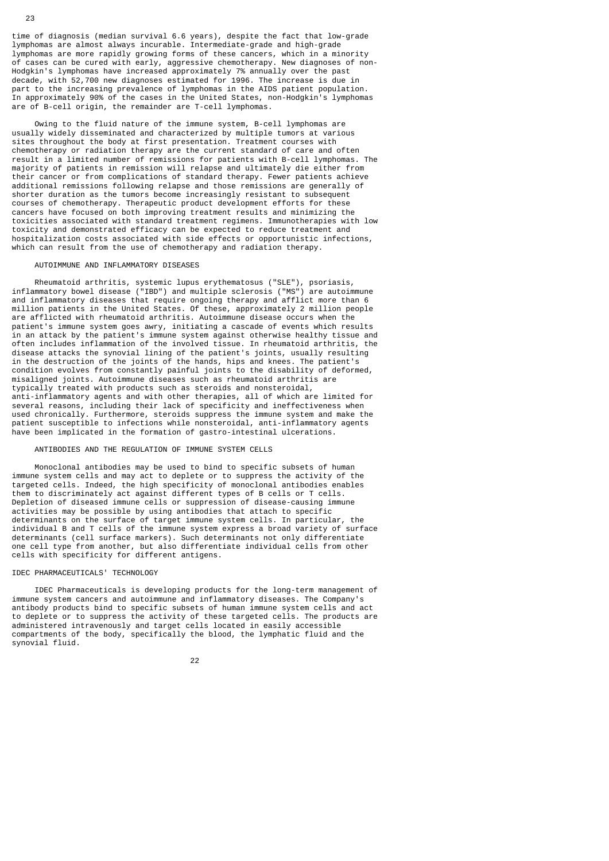time of diagnosis (median survival 6.6 years), despite the fact that low-grade lymphomas are almost always incurable. Intermediate-grade and high-grade lymphomas are more rapidly growing forms of these cancers, which in a minority of cases can be cured with early, aggressive chemotherapy. New diagnoses of non-Hodgkin's lymphomas have increased approximately 7% annually over the past decade, with 52,700 new diagnoses estimated for 1996. The increase is due in part to the increasing prevalence of lymphomas in the AIDS patient population. In approximately 90% of the cases in the United States, non-Hodgkin's lymphomas are of B-cell origin, the remainder are T-cell lymphomas.

 Owing to the fluid nature of the immune system, B-cell lymphomas are usually widely disseminated and characterized by multiple tumors at various sites throughout the body at first presentation. Treatment courses with chemotherapy or radiation therapy are the current standard of care and often result in a limited number of remissions for patients with B-cell lymphomas. The majority of patients in remission will relapse and ultimately die either from their cancer or from complications of standard therapy. Fewer patients achieve additional remissions following relapse and those remissions are generally of shorter duration as the tumors become increasingly resistant to subsequent courses of chemotherapy. Therapeutic product development efforts for these cancers have focused on both improving treatment results and minimizing the toxicities associated with standard treatment regimens. Immunotherapies with low toxicity and demonstrated efficacy can be expected to reduce treatment and hospitalization costs associated with side effects or opportunistic infections, which can result from the use of chemotherapy and radiation therapy.

# AUTOIMMUNE AND INFLAMMATORY DISEASES

 Rheumatoid arthritis, systemic lupus erythematosus ("SLE"), psoriasis, inflammatory bowel disease ("IBD") and multiple sclerosis ("MS") are autoimmune and inflammatory diseases that require ongoing therapy and afflict more than 6 million patients in the United States. Of these, approximately 2 million people are afflicted with rheumatoid arthritis. Autoimmune disease occurs when the patient's immune system goes awry, initiating a cascade of events which results in an attack by the patient's immune system against otherwise healthy tissue and often includes inflammation of the involved tissue. In rheumatoid arthritis, the disease attacks the synovial lining of the patient's joints, usually resulting in the destruction of the joints of the hands, hips and knees. The patient's condition evolves from constantly painful joints to the disability of deformed, misaligned joints. Autoimmune diseases such as rheumatoid arthritis are typically treated with products such as steroids and nonsteroidal, anti-inflammatory agents and with other therapies, all of which are limited for several reasons, including their lack of specificity and ineffectiveness when used chronically. Furthermore, steroids suppress the immune system and make the patient susceptible to infections while nonsteroidal, anti-inflammatory agents have been implicated in the formation of gastro-intestinal ulcerations.

#### ANTIBODIES AND THE REGULATION OF IMMUNE SYSTEM CELLS

 Monoclonal antibodies may be used to bind to specific subsets of human immune system cells and may act to deplete or to suppress the activity of the targeted cells. Indeed, the high specificity of monoclonal antibodies enables them to discriminately act against different types of B cells or T cells. Depletion of diseased immune cells or suppression of disease-causing immune activities may be possible by using antibodies that attach to specific determinants on the surface of target immune system cells. In particular, the individual B and T cells of the immune system express a broad variety of surface determinants (cell surface markers). Such determinants not only differentiate one cell type from another, but also differentiate individual cells from other cells with specificity for different antigens.

# IDEC PHARMACEUTICALS' TECHNOLOGY

 IDEC Pharmaceuticals is developing products for the long-term management of immune system cancers and autoimmune and inflammatory diseases. The Company's antibody products bind to specific subsets of human immune system cells and act to deplete or to suppress the activity of these targeted cells. The products are administered intravenously and target cells located in easily accessible compartments of the body, specifically the blood, the lymphatic fluid and the synovial fluid.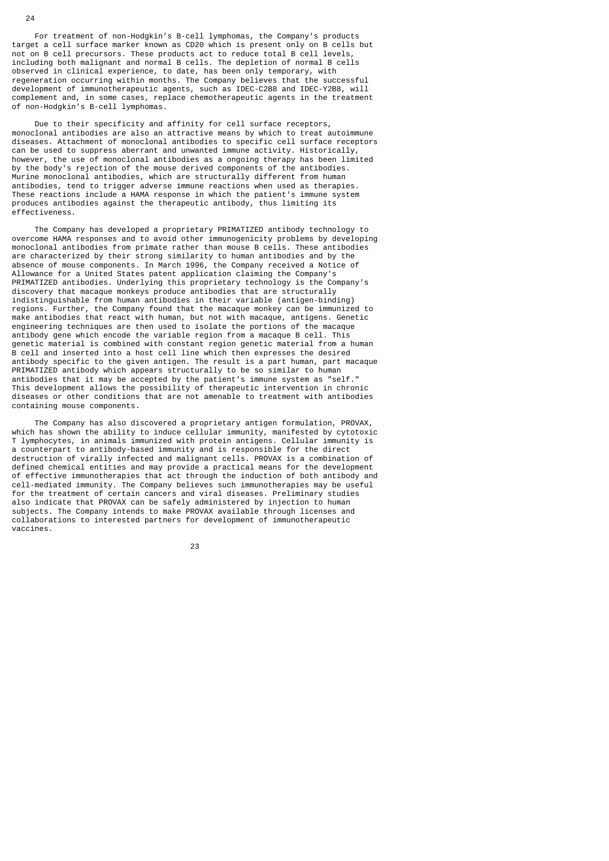For treatment of non-Hodgkin's B-cell lymphomas, the Company's products target a cell surface marker known as CD20 which is present only on B cells but not on B cell precursors. These products act to reduce total B cell levels, including both malignant and normal B cells. The depletion of normal B cells observed in clinical experience, to date, has been only temporary, with regeneration occurring within months. The Company believes that the successful development of immunotherapeutic agents, such as IDEC-C2B8 and IDEC-Y2B8, will complement and, in some cases, replace chemotherapeutic agents in the treatment of non-Hodgkin's B-cell lymphomas.

 Due to their specificity and affinity for cell surface receptors, monoclonal antibodies are also an attractive means by which to treat autoimmune diseases. Attachment of monoclonal antibodies to specific cell surface receptors can be used to suppress aberrant and unwanted immune activity. Historically, however, the use of monoclonal antibodies as a ongoing therapy has been limited by the body's rejection of the mouse derived components of the antibodies. Murine monoclonal antibodies, which are structurally different from human antibodies, tend to trigger adverse immune reactions when used as therapies. These reactions include a HAMA response in which the patient's immune system produces antibodies against the therapeutic antibody, thus limiting its effectiveness.

 The Company has developed a proprietary PRIMATIZED antibody technology to overcome HAMA responses and to avoid other immunogenicity problems by developing monoclonal antibodies from primate rather than mouse B cells. These antibodies are characterized by their strong similarity to human antibodies and by the absence of mouse components. In March 1996, the Company received a Notice of Allowance for a United States patent application claiming the Company's PRIMATIZED antibodies. Underlying this proprietary technology is the Company's discovery that macaque monkeys produce antibodies that are structurally indistinguishable from human antibodies in their variable (antigen-binding) regions. Further, the Company found that the macaque monkey can be immunized to make antibodies that react with human, but not with macaque, antigens. Genetic engineering techniques are then used to isolate the portions of the macaque antibody gene which encode the variable region from a macaque B cell. This genetic material is combined with constant region genetic material from a human B cell and inserted into a host cell line which then expresses the desired antibody specific to the given antigen. The result is a part human, part macaque PRIMATIZED antibody which appears structurally to be so similar to human antibodies that it may be accepted by the patient's immune system as "self." This development allows the possibility of therapeutic intervention in chronic diseases or other conditions that are not amenable to treatment with antibodies containing mouse components.

 The Company has also discovered a proprietary antigen formulation, PROVAX, which has shown the ability to induce cellular immunity, manifested by cytotoxic T lymphocytes, in animals immunized with protein antigens. Cellular immunity is a counterpart to antibody-based immunity and is responsible for the direct destruction of virally infected and malignant cells. PROVAX is a combination of defined chemical entities and may provide a practical means for the development of effective immunotherapies that act through the induction of both antibody and cell-mediated immunity. The Company believes such immunotherapies may be useful for the treatment of certain cancers and viral diseases. Preliminary studies also indicate that PROVAX can be safely administered by injection to human subjects. The Company intends to make PROVAX available through licenses and collaborations to interested partners for development of immunotherapeutic vaccines.

<u>23 and 23</u>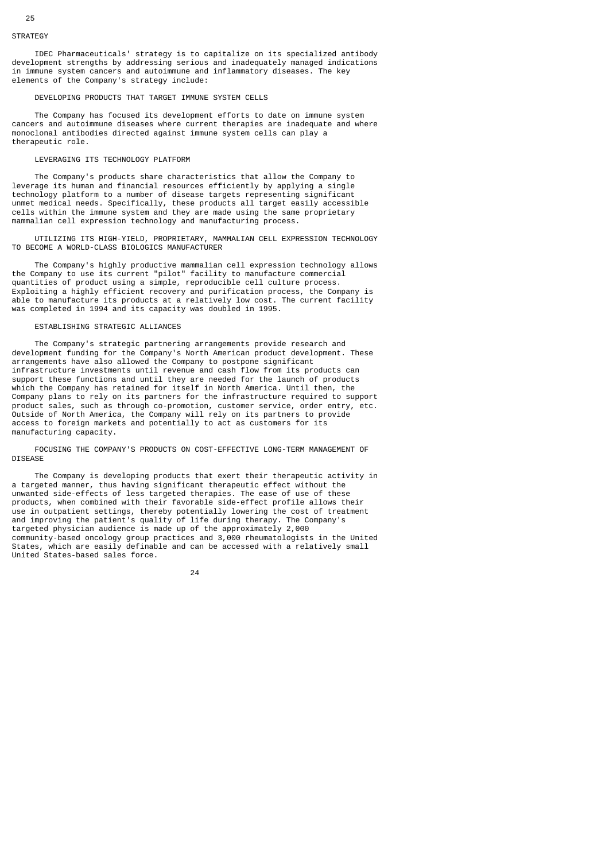#### **STRATEGY**

 IDEC Pharmaceuticals' strategy is to capitalize on its specialized antibody development strengths by addressing serious and inadequately managed indications in immune system cancers and autoimmune and inflammatory diseases. The key elements of the Company's strategy include:

# DEVELOPING PRODUCTS THAT TARGET IMMUNE SYSTEM CELLS

 The Company has focused its development efforts to date on immune system cancers and autoimmune diseases where current therapies are inadequate and where monoclonal antibodies directed against immune system cells can play a therapeutic role.

#### LEVERAGING ITS TECHNOLOGY PLATFORM

 The Company's products share characteristics that allow the Company to leverage its human and financial resources efficiently by applying a single technology platform to a number of disease targets representing significant unmet medical needs. Specifically, these products all target easily accessible cells within the immune system and they are made using the same proprietary mammalian cell expression technology and manufacturing process.

 UTILIZING ITS HIGH-YIELD, PROPRIETARY, MAMMALIAN CELL EXPRESSION TECHNOLOGY TO BECOME A WORLD-CLASS BIOLOGICS MANUFACTURER

 The Company's highly productive mammalian cell expression technology allows the Company to use its current "pilot" facility to manufacture commercial quantities of product using a simple, reproducible cell culture process. Exploiting a highly efficient recovery and purification process, the Company is able to manufacture its products at a relatively low cost. The current facility was completed in 1994 and its capacity was doubled in 1995.

## ESTABLISHING STRATEGIC ALLIANCES

 The Company's strategic partnering arrangements provide research and development funding for the Company's North American product development. These arrangements have also allowed the Company to postpone significant infrastructure investments until revenue and cash flow from its products can support these functions and until they are needed for the launch of products which the Company has retained for itself in North America. Until then, the Company plans to rely on its partners for the infrastructure required to support product sales, such as through co-promotion, customer service, order entry, etc. Outside of North America, the Company will rely on its partners to provide access to foreign markets and potentially to act as customers for its manufacturing capacity.

 FOCUSING THE COMPANY'S PRODUCTS ON COST-EFFECTIVE LONG-TERM MANAGEMENT OF **DISEASE** 

 The Company is developing products that exert their therapeutic activity in a targeted manner, thus having significant therapeutic effect without the unwanted side-effects of less targeted therapies. The ease of use of these products, when combined with their favorable side-effect profile allows their use in outpatient settings, thereby potentially lowering the cost of treatment and improving the patient's quality of life during therapy. The Company's targeted physician audience is made up of the approximately 2,000 community-based oncology group practices and 3,000 rheumatologists in the United States, which are easily definable and can be accessed with a relatively small United States-based sales force.

<u>24</u>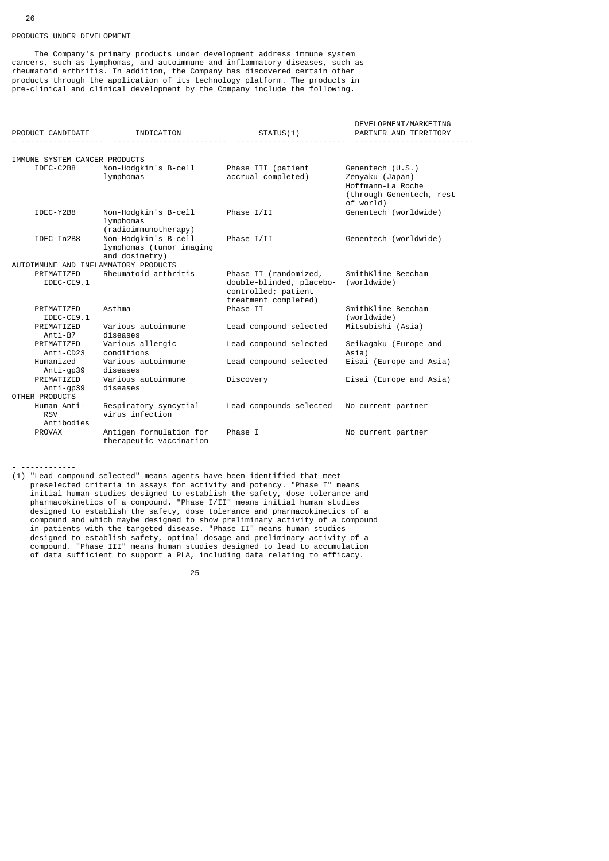# PRODUCTS UNDER DEVELOPMENT

26

 The Company's primary products under development address immune system cancers, such as lymphomas, and autoimmune and inflammatory diseases, such as rheumatoid arthritis. In addition, the Company has discovered certain other products through the application of its technology platform. The products in pre-clinical and clinical development by the Company include the following.

| PRODUCT CANDIDATE                       | INDICATION                                                         | STATUS(1)                                                                                        | DEVELOPMENT/MARKETING<br>PARTNER AND TERRITORY                                                    |
|-----------------------------------------|--------------------------------------------------------------------|--------------------------------------------------------------------------------------------------|---------------------------------------------------------------------------------------------------|
| IMMUNE SYSTEM CANCER PRODUCTS           |                                                                    |                                                                                                  |                                                                                                   |
| IDEC-C2B8                               | Non-Hodgkin's B-cell<br>lymphomas                                  | Phase III (patient<br>accrual completed)                                                         | Genentech (U.S.)<br>Zenyaku (Japan)<br>Hoffmann-La Roche<br>(through Genentech, rest<br>of world) |
| IDEC-Y2B8                               | Non-Hodgkin's B-cell<br>lymphomas<br>(radioimmunotherapy)          | Phase I/II                                                                                       | Genentech (worldwide)                                                                             |
| IDEC-In2B8                              | Non-Hodgkin's B-cell<br>lymphomas (tumor imaging<br>and dosimetry) | Phase I/II                                                                                       | Genentech (worldwide)                                                                             |
| AUTOIMMUNE AND INFLAMMATORY PRODUCTS    |                                                                    |                                                                                                  |                                                                                                   |
| PRIMATIZED<br>IDEC-CE9.1                | Rheumatoid arthritis                                               | Phase II (randomized,<br>double-blinded, placebo-<br>controlled; patient<br>treatment completed) | SmithKline Beecham<br>(worldwide)                                                                 |
| PRIMATIZED<br>IDEC-CE9.1                | Asthma                                                             | Phase II                                                                                         | SmithKline Beecham<br>(worldwide)                                                                 |
| PRIMATIZED<br>Anti-B7                   | Various autoimmune<br>diseases                                     | Lead compound selected                                                                           | Mitsubishi (Asia)                                                                                 |
| PRIMATIZED<br>Anti-CD23                 | Various allergic<br>conditions                                     | Lead compound selected                                                                           | Seikagaku (Europe and<br>Asia)                                                                    |
| Humanized<br>Anti-gp39                  | Various autoimmune<br>diseases                                     | Lead compound selected                                                                           | Eisai (Europe and Asia)                                                                           |
| PRIMATIZED<br>Anti-gp39                 | Various autoimmune<br>diseases                                     | Discovery                                                                                        | Eisai (Europe and Asia)                                                                           |
| OTHER PRODUCTS                          |                                                                    |                                                                                                  |                                                                                                   |
| Human Anti-<br><b>RSV</b><br>Antibodies | Respiratory syncytial<br>virus infection                           | Lead compounds selected                                                                          | No current partner                                                                                |
| PROVAX                                  | Antigen formulation for<br>therapeutic vaccination                 | Phase I                                                                                          | No current partner                                                                                |

- ------------

(1) "Lead compound selected" means agents have been identified that meet preselected criteria in assays for activity and potency. "Phase I" means initial human studies designed to establish the safety, dose tolerance and pharmacokinetics of a compound. "Phase I/II" means initial human studies designed to establish the safety, dose tolerance and pharmacokinetics of a compound and which maybe designed to show preliminary activity of a compound in patients with the targeted disease. "Phase II" means human studies designed to establish safety, optimal dosage and preliminary activity of a compound. "Phase III" means human studies designed to lead to accumulation of data sufficient to support a PLA, including data relating to efficacy.

<u>25 and 25 and 26 and 26 and 26 and 26 and 26 and 26 and 26 and 26 and 26 and 26 and 26 and 26 and 26 and 26 and 26 and 26 and 26 and 26 and 26 and 26 and 26 and 26 and 26 and 27 and 27 and 27 and 27 and 27 and 27 and 27 a</u>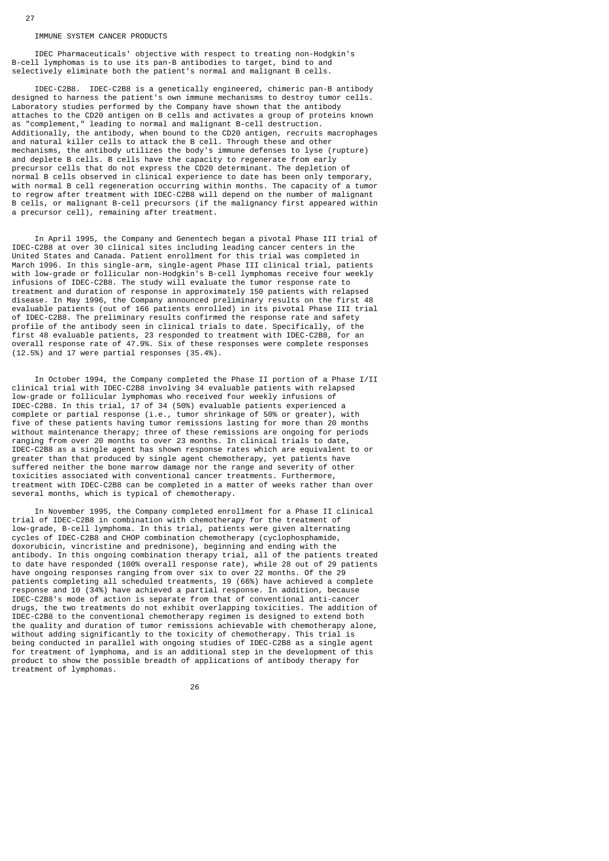## IMMUNE SYSTEM CANCER PRODUCTS

 IDEC Pharmaceuticals' objective with respect to treating non-Hodgkin's B-cell lymphomas is to use its pan-B antibodies to target, bind to and selectively eliminate both the patient's normal and malignant B cells.

 IDEC-C2B8. IDEC-C2B8 is a genetically engineered, chimeric pan-B antibody designed to harness the patient's own immune mechanisms to destroy tumor cells. Laboratory studies performed by the Company have shown that the antibody attaches to the CD20 antigen on B cells and activates a group of proteins known<br>as "complement" leading to normal and malignant B-cell destruction 'complement," leading to normal and malignant B-cell destruction. Additionally, the antibody, when bound to the CD20 antigen, recruits macrophages and natural killer cells to attack the B cell. Through these and other mechanisms, the antibody utilizes the body's immune defenses to lyse (rupture) and deplete B cells. B cells have the capacity to regenerate from early precursor cells that do not express the CD20 determinant. The depletion of normal B cells observed in clinical experience to date has been only temporary, with normal B cell regeneration occurring within months. The capacity of a tumor to regrow after treatment with IDEC-C2B8 will depend on the number of malignant B cells, or malignant B-cell precursors (if the malignancy first appeared within a precursor cell), remaining after treatment.

 In April 1995, the Company and Genentech began a pivotal Phase III trial of IDEC-C2B8 at over 30 clinical sites including leading cancer centers in the United States and Canada. Patient enrollment for this trial was completed in March 1996. In this single-arm, single-agent Phase III clinical trial, patients with low-grade or follicular non-Hodgkin's B-cell lymphomas receive four weekly infusions of IDEC-C2B8. The study will evaluate the tumor response rate to treatment and duration of response in approximately 150 patients with relapsed disease. In May 1996, the Company announced preliminary results on the first 48 evaluable patients (out of 166 patients enrolled) in its pivotal Phase III trial of IDEC-C2B8. The preliminary results confirmed the response rate and safety profile of the antibody seen in clinical trials to date. Specifically, of the first 48 evaluable patients, 23 responded to treatment with IDEC-C2B8, for an overall response rate of 47.9%. Six of these responses were complete responses (12.5%) and 17 were partial responses (35.4%).

 In October 1994, the Company completed the Phase II portion of a Phase I/II clinical trial with IDEC-C2B8 involving 34 evaluable patients with relapsed low-grade or follicular lymphomas who received four weekly infusions of IDEC-C2B8. In this trial, 17 of 34 (50%) evaluable patients experienced a complete or partial response (i.e., tumor shrinkage of 50% or greater), with five of these patients having tumor remissions lasting for more than 20 months without maintenance therapy; three of these remissions are ongoing for periods ranging from over 20 months to over 23 months. In clinical trials to date, IDEC-C2B8 as a single agent has shown response rates which are equivalent to or greater than that produced by single agent chemotherapy, yet patients have suffered neither the bone marrow damage nor the range and severity of other toxicities associated with conventional cancer treatments. Furthermore, treatment with IDEC-C2B8 can be completed in a matter of weeks rather than over several months, which is typical of chemotherapy.

 In November 1995, the Company completed enrollment for a Phase II clinical trial of IDEC-C2B8 in combination with chemotherapy for the treatment of low-grade, B-cell lymphoma. In this trial, patients were given alternating cycles of IDEC-C2B8 and CHOP combination chemotherapy (cyclophosphamide, doxorubicin, vincristine and prednisone), beginning and ending with the antibody. In this ongoing combination therapy trial, all of the patients treated to date have responded (100% overall response rate), while 28 out of 29 patients have ongoing responses ranging from over six to over 22 months. Of the 29 patients completing all scheduled treatments, 19 (66%) have achieved a complete response and 10 (34%) have achieved a partial response. In addition, because IDEC-C2B8's mode of action is separate from that of conventional anti-cancer drugs, the two treatments do not exhibit overlapping toxicities. The addition of IDEC-C2B8 to the conventional chemotherapy regimen is designed to extend both the quality and duration of tumor remissions achievable with chemotherapy alone, without adding significantly to the toxicity of chemotherapy. This trial is being conducted in parallel with ongoing studies of IDEC-C2B8 as a single agent for treatment of lymphoma, and is an additional step in the development of this product to show the possible breadth of applications of antibody therapy for treatment of lymphomas.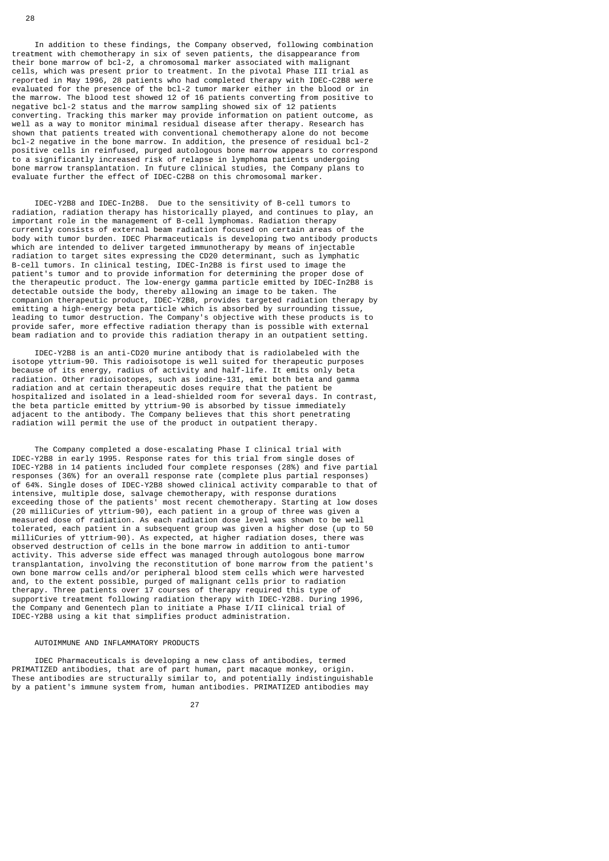In addition to these findings, the Company observed, following combination treatment with chemotherapy in six of seven patients, the disappearance from their bone marrow of bcl-2, a chromosomal marker associated with malignant cells, which was present prior to treatment. In the pivotal Phase III trial as reported in May 1996, 28 patients who had completed therapy with IDEC-C2B8 were evaluated for the presence of the bcl-2 tumor marker either in the blood or in the marrow. The blood test showed 12 of 16 patients converting from positive to negative bcl-2 status and the marrow sampling showed six of 12 patients converting. Tracking this marker may provide information on patient outcome, as well as a way to monitor minimal residual disease after therapy. Research has shown that patients treated with conventional chemotherapy alone do not become bcl-2 negative in the bone marrow. In addition, the presence of residual bcl-2 positive cells in reinfused, purged autologous bone marrow appears to correspond to a significantly increased risk of relapse in lymphoma patients undergoing bone marrow transplantation. In future clinical studies, the Company plans to evaluate further the effect of IDEC-C2B8 on this chromosomal marker.

 IDEC-Y2B8 and IDEC-In2B8. Due to the sensitivity of B-cell tumors to radiation, radiation therapy has historically played, and continues to play, an important role in the management of B-cell lymphomas. Radiation therapy currently consists of external beam radiation focused on certain areas of the body with tumor burden. IDEC Pharmaceuticals is developing two antibody products which are intended to deliver targeted immunotherapy by means of injectable radiation to target sites expressing the CD20 determinant, such as lymphatic B-cell tumors. In clinical testing, IDEC-In2B8 is first used to image the patient's tumor and to provide information for determining the proper dose of the therapeutic product. The low-energy gamma particle emitted by IDEC-In2B8 is detectable outside the body, thereby allowing an image to be taken. The companion therapeutic product, IDEC-Y2B8, provides targeted radiation therapy by emitting a high-energy beta particle which is absorbed by surrounding tissue, leading to tumor destruction. The Company's objective with these products is to provide safer, more effective radiation therapy than is possible with external beam radiation and to provide this radiation therapy in an outpatient setting.

 IDEC-Y2B8 is an anti-CD20 murine antibody that is radiolabeled with the isotope yttrium-90. This radioisotope is well suited for therapeutic purposes because of its energy, radius of activity and half-life. It emits only beta radiation. Other radioisotopes, such as iodine-131, emit both beta and gamma radiation and at certain therapeutic doses require that the patient be hospitalized and isolated in a lead-shielded room for several days. In contrast, the beta particle emitted by yttrium-90 is absorbed by tissue immediately adjacent to the antibody. The Company believes that this short penetrating radiation will permit the use of the product in outpatient therapy.

 The Company completed a dose-escalating Phase I clinical trial with IDEC-Y2B8 in early 1995. Response rates for this trial from single doses of IDEC-Y2B8 in 14 patients included four complete responses (28%) and five partial responses (36%) for an overall response rate (complete plus partial responses) of 64%. Single doses of IDEC-Y2B8 showed clinical activity comparable to that of intensive, multiple dose, salvage chemotherapy, with response durations exceeding those of the patients' most recent chemotherapy. Starting at low doses (20 milliCuries of yttrium-90), each patient in a group of three was given a measured dose of radiation. As each radiation dose level was shown to be well tolerated, each patient in a subsequent group was given a higher dose (up to 50 milliCuries of yttrium-90). As expected, at higher radiation doses, there was observed destruction of cells in the bone marrow in addition to anti-tumor activity. This adverse side effect was managed through autologous bone marrow transplantation, involving the reconstitution of bone marrow from the patient's own bone marrow cells and/or peripheral blood stem cells which were harvested and, to the extent possible, purged of malignant cells prior to radiation therapy. Three patients over 17 courses of therapy required this type of supportive treatment following radiation therapy with IDEC-Y2B8. During 1996, the Company and Genentech plan to initiate a Phase I/II clinical trial of IDEC-Y2B8 using a kit that simplifies product administration.

# AUTOIMMUNE AND INFLAMMATORY PRODUCTS

 IDEC Pharmaceuticals is developing a new class of antibodies, termed PRIMATIZED antibodies, that are of part human, part macaque monkey, origin. These antibodies are structurally similar to, and potentially indistinguishable by a patient's immune system from, human antibodies. PRIMATIZED antibodies may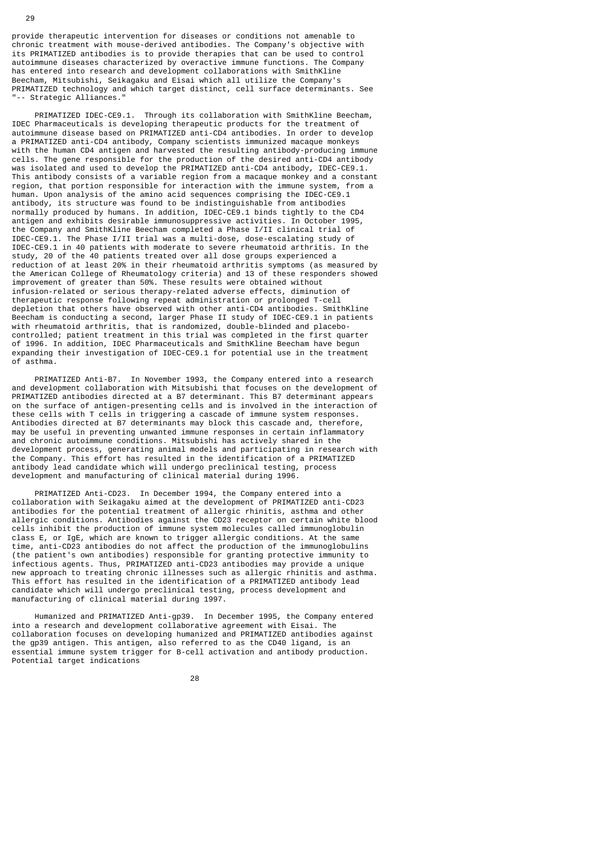provide therapeutic intervention for diseases or conditions not amenable to chronic treatment with mouse-derived antibodies. The Company's objective with its PRIMATIZED antibodies is to provide therapies that can be used to control autoimmune diseases characterized by overactive immune functions. The Company has entered into research and development collaborations with SmithKline Beecham, Mitsubishi, Seikagaku and Eisai which all utilize the Company's PRIMATIZED technology and which target distinct, cell surface determinants. See "-- Strategic Alliances."

 PRIMATIZED IDEC-CE9.1. Through its collaboration with SmithKline Beecham, IDEC Pharmaceuticals is developing therapeutic products for the treatment of autoimmune disease based on PRIMATIZED anti-CD4 antibodies. In order to develop a PRIMATIZED anti-CD4 antibody, Company scientists immunized macaque monkeys with the human CD4 antigen and harvested the resulting antibody-producing immune cells. The gene responsible for the production of the desired anti-CD4 antibody was isolated and used to develop the PRIMATIZED anti-CD4 antibody, IDEC-CE9.1. This antibody consists of a variable region from a macaque monkey and a constant region, that portion responsible for interaction with the immune system, from a human. Upon analysis of the amino acid sequences comprising the IDEC-CE9.1 antibody, its structure was found to be indistinguishable from antibodies normally produced by humans. In addition, IDEC-CE9.1 binds tightly to the CD4 antigen and exhibits desirable immunosuppressive activities. In October 1995, the Company and SmithKline Beecham completed a Phase I/II clinical trial of IDEC-CE9.1. The Phase I/II trial was a multi-dose, dose-escalating study of IDEC-CE9.1 in 40 patients with moderate to severe rheumatoid arthritis. In the study, 20 of the 40 patients treated over all dose groups experienced a reduction of at least 20% in their rheumatoid arthritis symptoms (as measured by the American College of Rheumatology criteria) and 13 of these responders showed improvement of greater than 50%. These results were obtained without infusion-related or serious therapy-related adverse effects, diminution of therapeutic response following repeat administration or prolonged T-cell depletion that others have observed with other anti-CD4 antibodies. SmithKline Beecham is conducting a second, larger Phase II study of IDEC-CE9.1 in patients with rheumatoid arthritis, that is randomized, double-blinded and placebocontrolled; patient treatment in this trial was completed in the first quarter of 1996. In addition, IDEC Pharmaceuticals and SmithKline Beecham have begun expanding their investigation of IDEC-CE9.1 for potential use in the treatment of asthma.

 PRIMATIZED Anti-B7. In November 1993, the Company entered into a research and development collaboration with Mitsubishi that focuses on the development of PRIMATIZED antibodies directed at a B7 determinant. This B7 determinant appears on the surface of antigen-presenting cells and is involved in the interaction of these cells with T cells in triggering a cascade of immune system responses. Antibodies directed at B7 determinants may block this cascade and, therefore, may be useful in preventing unwanted immune responses in certain inflammatory and chronic autoimmune conditions. Mitsubishi has actively shared in the development process, generating animal models and participating in research with the Company. This effort has resulted in the identification of a PRIMATIZED antibody lead candidate which will undergo preclinical testing, process development and manufacturing of clinical material during 1996.

 PRIMATIZED Anti-CD23. In December 1994, the Company entered into a collaboration with Seikagaku aimed at the development of PRIMATIZED anti-CD23 antibodies for the potential treatment of allergic rhinitis, asthma and other allergic conditions. Antibodies against the CD23 receptor on certain white blood cells inhibit the production of immune system molecules called immunoglobulin class E, or IgE, which are known to trigger allergic conditions. At the same time, anti-CD23 antibodies do not affect the production of the immunoglobulins (the patient's own antibodies) responsible for granting protective immunity to infectious agents. Thus, PRIMATIZED anti-CD23 antibodies may provide a unique new approach to treating chronic illnesses such as allergic rhinitis and asthma. This effort has resulted in the identification of a PRIMATIZED antibody lead candidate which will undergo preclinical testing, process development and manufacturing of clinical material during 1997.

 Humanized and PRIMATIZED Anti-gp39. In December 1995, the Company entered into a research and development collaborative agreement with Eisai. The collaboration focuses on developing humanized and PRIMATIZED antibodies against the gp39 antigen. This antigen, also referred to as the CD40 ligand, is an essential immune system trigger for B-cell activation and antibody production. Potential target indications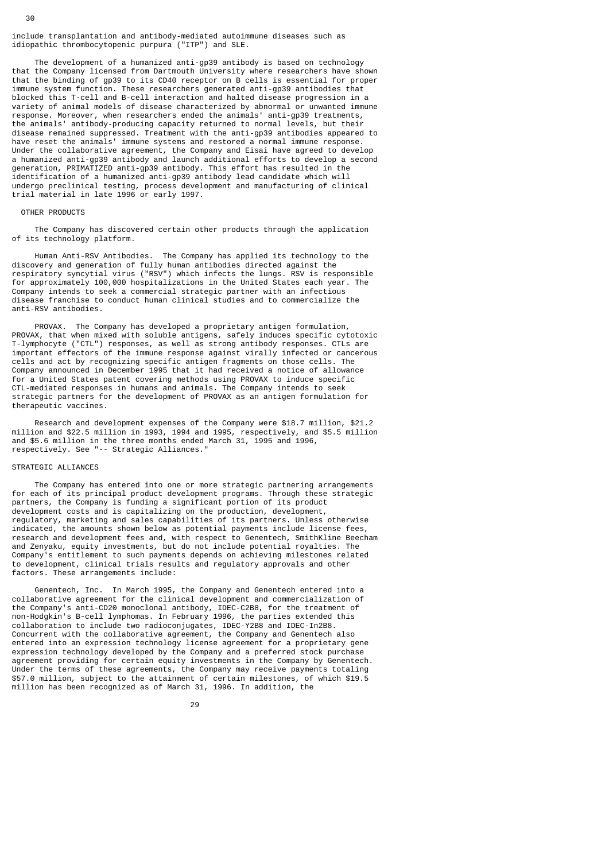include transplantation and antibody-mediated autoimmune diseases such as idiopathic thrombocytopenic purpura ("ITP") and SLE.

 The development of a humanized anti-gp39 antibody is based on technology that the Company licensed from Dartmouth University where researchers have shown that the binding of gp39 to its CD40 receptor on B cells is essential for proper immune system function. These researchers generated anti-gp39 antibodies that blocked this T-cell and B-cell interaction and halted disease progression in a variety of animal models of disease characterized by abnormal or unwanted immune response. Moreover, when researchers ended the animals' anti-gp39 treatments, the animals' antibody-producing capacity returned to normal levels, but their disease remained suppressed. Treatment with the anti-gp39 antibodies appeared to have reset the animals' immune systems and restored a normal immune response. Under the collaborative agreement, the Company and Eisai have agreed to develop a humanized anti-gp39 antibody and launch additional efforts to develop a second generation, PRIMATIZED anti-gp39 antibody. This effort has resulted in the identification of a humanized anti-gp39 antibody lead candidate which will undergo preclinical testing, process development and manufacturing of clinical trial material in late 1996 or early 1997.

## OTHER PRODUCTS

 The Company has discovered certain other products through the application of its technology platform.

 Human Anti-RSV Antibodies. The Company has applied its technology to the discovery and generation of fully human antibodies directed against the respiratory syncytial virus ("RSV") which infects the lungs. RSV is responsible for approximately 100,000 hospitalizations in the United States each year. The Company intends to seek a commercial strategic partner with an infectious disease franchise to conduct human clinical studies and to commercialize the anti-RSV antibodies.

 PROVAX. The Company has developed a proprietary antigen formulation, PROVAX, that when mixed with soluble antigens, safely induces specific cytotoxic T-lymphocyte ("CTL") responses, as well as strong antibody responses. CTLs are important effectors of the immune response against virally infected or cancerous cells and act by recognizing specific antigen fragments on those cells. The Company announced in December 1995 that it had received a notice of allowance for a United States patent covering methods using PROVAX to induce specific CTL-mediated responses in humans and animals. The Company intends to seek strategic partners for the development of PROVAX as an antigen formulation for therapeutic vaccines.

 Research and development expenses of the Company were \$18.7 million, \$21.2 million and \$22.5 million in 1993, 1994 and 1995, respectively, and \$5.5 million and \$5.6 million in the three months ended March 31, 1995 and 1996, respectively. See "-- Strategic Alliances."

# STRATEGIC ALLIANCES

 The Company has entered into one or more strategic partnering arrangements for each of its principal product development programs. Through these strategic partners, the Company is funding a significant portion of its product development costs and is capitalizing on the production, development, regulatory, marketing and sales capabilities of its partners. Unless otherwise indicated, the amounts shown below as potential payments include license fees, research and development fees and, with respect to Genentech, SmithKline Beecham and Zenyaku, equity investments, but do not include potential royalties. The Company's entitlement to such payments depends on achieving milestones related to development, clinical trials results and regulatory approvals and other factors. These arrangements include:

 Genentech, Inc. In March 1995, the Company and Genentech entered into a collaborative agreement for the clinical development and commercialization of the Company's anti-CD20 monoclonal antibody, IDEC-C2B8, for the treatment of non-Hodgkin's B-cell lymphomas. In February 1996, the parties extended this collaboration to include two radioconjugates, IDEC-Y2B8 and IDEC-In2B8. Concurrent with the collaborative agreement, the Company and Genentech also entered into an expression technology license agreement for a proprietary gene expression technology developed by the Company and a preferred stock purchase agreement providing for certain equity investments in the Company by Genentech. Under the terms of these agreements, the Company may receive payments totaling \$57.0 million, subject to the attainment of certain milestones, of which \$19.5 million has been recognized as of March 31, 1996. In addition, the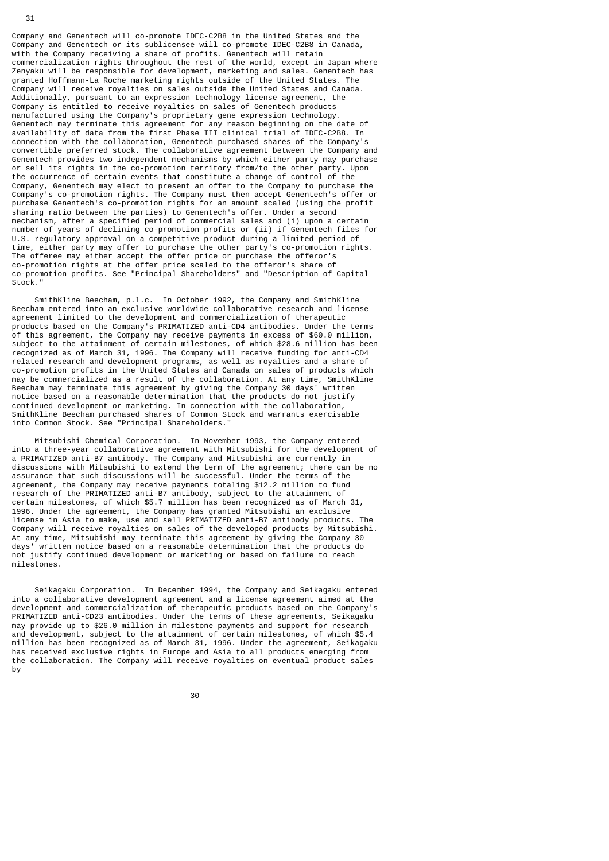Company and Genentech will co-promote IDEC-C2B8 in the United States and the Company and Genentech or its sublicensee will co-promote IDEC-C2B8 in Canada, with the Company receiving a share of profits. Genentech will retain commercialization rights throughout the rest of the world, except in Japan where Zenyaku will be responsible for development, marketing and sales. Genentech has granted Hoffmann-La Roche marketing rights outside of the United States. The Company will receive royalties on sales outside the United States and Canada. Additionally, pursuant to an expression technology license agreement, the Company is entitled to receive royalties on sales of Genentech products manufactured using the Company's proprietary gene expression technology. Genentech may terminate this agreement for any reason beginning on the date of availability of data from the first Phase III clinical trial of IDEC-C2B8. In connection with the collaboration, Genentech purchased shares of the Company's convertible preferred stock. The collaborative agreement between the Company and Genentech provides two independent mechanisms by which either party may purchase or sell its rights in the co-promotion territory from/to the other party. Upon the occurrence of certain events that constitute a change of control of the Company, Genentech may elect to present an offer to the Company to purchase the 's co-promotion rights. The Company must then accept Genentech's offer or purchase Genentech's co-promotion rights for an amount scaled (using the profit sharing ratio between the parties) to Genentech's offer. Under a second mechanism, after a specified period of commercial sales and (i) upon a certain number of years of declining co-promotion profits or (ii) if Genentech files for U.S. regulatory approval on a competitive product during a limited period of time, either party may offer to purchase the other party's co-promotion rights. The offeree may either accept the offer price or purchase the offeror's co-promotion rights at the offer price scaled to the offeror's share of co-promotion profits. See "Principal Shareholders" and "Description of Capital Stock."

 SmithKline Beecham, p.l.c. In October 1992, the Company and SmithKline Beecham entered into an exclusive worldwide collaborative research and license agreement limited to the development and commercialization of therapeutic products based on the Company's PRIMATIZED anti-CD4 antibodies. Under the terms of this agreement, the Company may receive payments in excess of \$60.0 million, subject to the attainment of certain milestones, of which \$28.6 million has been recognized as of March 31, 1996. The Company will receive funding for anti-CD4 related research and development programs, as well as royalties and a share of co-promotion profits in the United States and Canada on sales of products which may be commercialized as a result of the collaboration. At any time, SmithKline Beecham may terminate this agreement by giving the Company 30 days' written notice based on a reasonable determination that the products do not justify continued development or marketing. In connection with the collaboration, SmithKline Beecham purchased shares of Common Stock and warrants exercisable into Common Stock. See "Principal Shareholders."

 Mitsubishi Chemical Corporation. In November 1993, the Company entered into a three-year collaborative agreement with Mitsubishi for the development of a PRIMATIZED anti-B7 antibody. The Company and Mitsubishi are currently in discussions with Mitsubishi to extend the term of the agreement; there can be no assurance that such discussions will be successful. Under the terms of the agreement, the Company may receive payments totaling \$12.2 million to fund research of the PRIMATIZED anti-B7 antibody, subject to the attainment of certain milestones, of which \$5.7 million has been recognized as of March 31, 1996. Under the agreement, the Company has granted Mitsubishi an exclusive license in Asia to make, use and sell PRIMATIZED anti-B7 antibody products. The Company will receive royalties on sales of the developed products by Mitsubishi. At any time, Mitsubishi may terminate this agreement by giving the Company 30 days' written notice based on a reasonable determination that the products do not justify continued development or marketing or based on failure to reach milestones.

 Seikagaku Corporation. In December 1994, the Company and Seikagaku entered into a collaborative development agreement and a license agreement aimed at the development and commercialization of therapeutic products based on the Company's PRIMATIZED anti-CD23 antibodies. Under the terms of these agreements, Seikagaku may provide up to \$26.0 million in milestone payments and support for research and development, subject to the attainment of certain milestones, of which \$5.4 million has been recognized as of March 31, 1996. Under the agreement, Seikagaku has received exclusive rights in Europe and Asia to all products emerging from the collaboration. The Company will receive royalties on eventual product sales by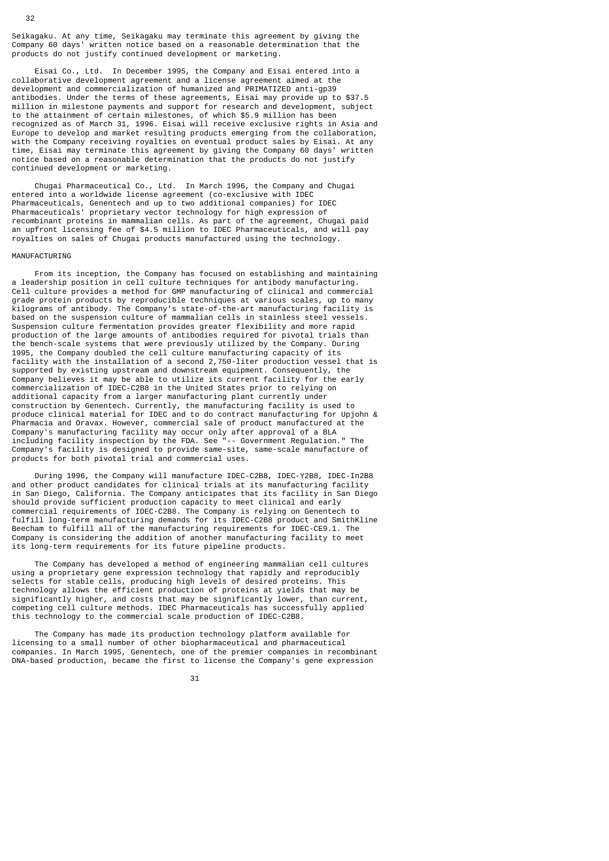Seikagaku. At any time, Seikagaku may terminate this agreement by giving the Company 60 days' written notice based on a reasonable determination that the products do not justify continued development or marketing.

 Eisai Co., Ltd. In December 1995, the Company and Eisai entered into a collaborative development agreement and a license agreement aimed at the development and commercialization of humanized and PRIMATIZED anti-gp39 antibodies. Under the terms of these agreements, Eisai may provide up to \$37.5 million in milestone payments and support for research and development, subject to the attainment of certain milestones, of which \$5.9 million has been recognized as of March 31, 1996. Eisai will receive exclusive rights in Asia and Europe to develop and market resulting products emerging from the collaboration, with the Company receiving royalties on eventual product sales by Eisai. At any time, Eisai may terminate this agreement by giving the Company 60 days' written notice based on a reasonable determination that the products do not justify continued development or marketing.

 Chugai Pharmaceutical Co., Ltd. In March 1996, the Company and Chugai entered into a worldwide license agreement (co-exclusive with IDEC Pharmaceuticals, Genentech and up to two additional companies) for IDEC Pharmaceuticals' proprietary vector technology for high expression of recombinant proteins in mammalian cells. As part of the agreement, Chugai paid an upfront licensing fee of \$4.5 million to IDEC Pharmaceuticals, and will pay royalties on sales of Chugai products manufactured using the technology.

#### MANUFACTURING

 From its inception, the Company has focused on establishing and maintaining a leadership position in cell culture techniques for antibody manufacturing. Cell culture provides a method for GMP manufacturing of clinical and commercial grade protein products by reproducible techniques at various scales, up to many kilograms of antibody. The Company's state-of-the-art manufacturing facility is based on the suspension culture of mammalian cells in stainless steel vessels. Suspension culture fermentation provides greater flexibility and more rapid production of the large amounts of antibodies required for pivotal trials than the bench-scale systems that were previously utilized by the Company. During 1995, the Company doubled the cell culture manufacturing capacity of its facility with the installation of a second 2,750-liter production vessel that is supported by existing upstream and downstream equipment. Consequently, the Company believes it may be able to utilize its current facility for the early commercialization of IDEC-C2B8 in the United States prior to relying on additional capacity from a larger manufacturing plant currently under construction by Genentech. Currently, the manufacturing facility is used to produce clinical material for IDEC and to do contract manufacturing for Upjohn & Pharmacia and Oravax. However, commercial sale of product manufactured at the Company's manufacturing facility may occur only after approval of a BLA including facility inspection by the FDA. See "-- Government Regulation." The Company's facility is designed to provide same-site, same-scale manufacture of products for both pivotal trial and commercial uses.

 During 1996, the Company will manufacture IDEC-C2B8, IDEC-Y2B8, IDEC-In2B8 and other product candidates for clinical trials at its manufacturing facility in San Diego, California. The Company anticipates that its facility in San Diego should provide sufficient production capacity to meet clinical and early commercial requirements of IDEC-C2B8. The Company is relying on Genentech to fulfill long-term manufacturing demands for its IDEC-C2B8 product and SmithKline Beecham to fulfill all of the manufacturing requirements for IDEC-CE9.1. The Company is considering the addition of another manufacturing facility to meet its long-term requirements for its future pipeline products.

 The Company has developed a method of engineering mammalian cell cultures using a proprietary gene expression technology that rapidly and reproducibly selects for stable cells, producing high levels of desired proteins. This technology allows the efficient production of proteins at yields that may be significantly higher, and costs that may be significantly lower, than current, competing cell culture methods. IDEC Pharmaceuticals has successfully applied this technology to the commercial scale production of IDEC-C2B8.

 The Company has made its production technology platform available for licensing to a small number of other biopharmaceutical and pharmaceutical companies. In March 1995, Genentech, one of the premier companies in recombinant DNA-based production, became the first to license the Company's gene expression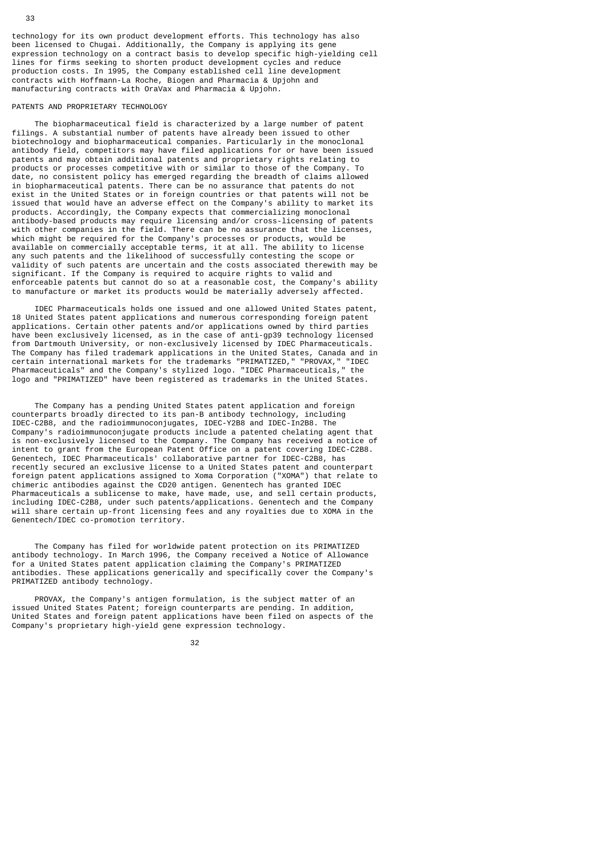technology for its own product development efforts. This technology has also been licensed to Chugai. Additionally, the Company is applying its gene expression technology on a contract basis to develop specific high-yielding cell lines for firms seeking to shorten product development cycles and reduce production costs. In 1995, the Company established cell line development contracts with Hoffmann-La Roche, Biogen and Pharmacia & Upjohn and manufacturing contracts with OraVax and Pharmacia & Upjohn.

# PATENTS AND PROPRIETARY TECHNOLOGY

 The biopharmaceutical field is characterized by a large number of patent filings. A substantial number of patents have already been issued to other biotechnology and biopharmaceutical companies. Particularly in the monoclonal antibody field, competitors may have filed applications for or have been issued patents and may obtain additional patents and proprietary rights relating to products or processes competitive with or similar to those of the Company. To date, no consistent policy has emerged regarding the breadth of claims allowed in biopharmaceutical patents. There can be no assurance that patents do not exist in the United States or in foreign countries or that patents will not be issued that would have an adverse effect on the Company's ability to market its products. Accordingly, the Company expects that commercializing monoclonal antibody-based products may require licensing and/or cross-licensing of patents with other companies in the field. There can be no assurance that the licenses, which might be required for the Company's processes or products, would be available on commercially acceptable terms, it at all. The ability to license any such patents and the likelihood of successfully contesting the scope or validity of such patents are uncertain and the costs associated therewith may be significant. If the Company is required to acquire rights to valid and enforceable patents but cannot do so at a reasonable cost, the Company's ability to manufacture or market its products would be materially adversely affected.

 IDEC Pharmaceuticals holds one issued and one allowed United States patent, 18 United States patent applications and numerous corresponding foreign patent applications. Certain other patents and/or applications owned by third parties have been exclusively licensed, as in the case of anti-gp39 technology licensed from Dartmouth University, or non-exclusively licensed by IDEC Pharmaceuticals. The Company has filed trademark applications in the United States, Canada and in certain international markets for the trademarks "PRIMATIZED," "PROVAX," "IDEC Pharmaceuticals" and the Company's stylized logo. "IDEC Pharmaceuticals," the logo and "PRIMATIZED" have been registered as trademarks in the United States.

 The Company has a pending United States patent application and foreign counterparts broadly directed to its pan-B antibody technology, including IDEC-C2B8, and the radioimmunoconjugates, IDEC-Y2B8 and IDEC-In2B8. The Company's radioimmunoconjugate products include a patented chelating agent that is non-exclusively licensed to the Company. The Company has received a notice of intent to grant from the European Patent Office on a patent covering IDEC-C2B8. Genentech, IDEC Pharmaceuticals' collaborative partner for IDEC-C2B8, has recently secured an exclusive license to a United States patent and counterpart foreign patent applications assigned to Xoma Corporation ("XOMA") that relate to chimeric antibodies against the CD20 antigen. Genentech has granted IDEC Pharmaceuticals a sublicense to make, have made, use, and sell certain products, including IDEC-C2B8, under such patents/applications. Genentech and the Company will share certain up-front licensing fees and any royalties due to XOMA in the Genentech/IDEC co-promotion territory.

 The Company has filed for worldwide patent protection on its PRIMATIZED antibody technology. In March 1996, the Company received a Notice of Allowance for a United States patent application claiming the Company's PRIMATIZED antibodies. These applications generically and specifically cover the Company's PRIMATIZED antibody technology.

 PROVAX, the Company's antigen formulation, is the subject matter of an issued United States Patent; foreign counterparts are pending. In addition, United States and foreign patent applications have been filed on aspects of the Company's proprietary high-yield gene expression technology.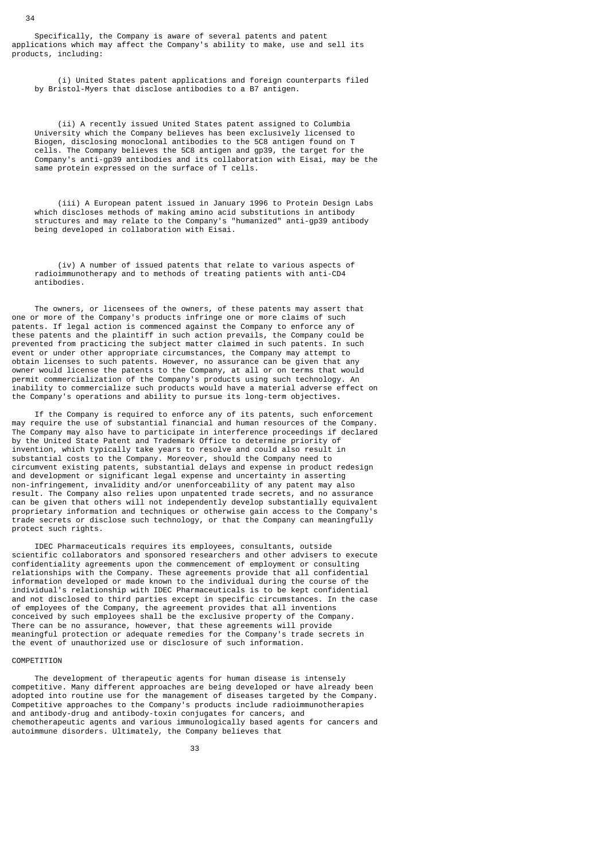Specifically, the Company is aware of several patents and patent applications which may affect the Company's ability to make, use and sell its products, including:

 (i) United States patent applications and foreign counterparts filed by Bristol-Myers that disclose antibodies to a B7 antigen.

 (ii) A recently issued United States patent assigned to Columbia University which the Company believes has been exclusively licensed to Biogen, disclosing monoclonal antibodies to the 5C8 antigen found on T cells. The Company believes the 5C8 antigen and gp39, the target for the Company's anti-gp39 antibodies and its collaboration with Eisai, may be the same protein expressed on the surface of T cells.

 (iii) A European patent issued in January 1996 to Protein Design Labs which discloses methods of making amino acid substitutions in antibody structures and may relate to the Company's "humanized" anti-gp39 antibody being developed in collaboration with Eisai.

 (iv) A number of issued patents that relate to various aspects of radioimmunotherapy and to methods of treating patients with anti-CD4 antibodies.

 The owners, or licensees of the owners, of these patents may assert that one or more of the Company's products infringe one or more claims of such patents. If legal action is commenced against the Company to enforce any of these patents and the plaintiff in such action prevails, the Company could be prevented from practicing the subject matter claimed in such patents. In such event or under other appropriate circumstances, the Company may attempt to obtain licenses to such patents. However, no assurance can be given that any owner would license the patents to the Company, at all or on terms that would permit commercialization of the Company's products using such technology. An inability to commercialize such products would have a material adverse effect on the Company's operations and ability to pursue its long-term objectives.

 If the Company is required to enforce any of its patents, such enforcement may require the use of substantial financial and human resources of the Company. The Company may also have to participate in interference proceedings if declared by the United State Patent and Trademark Office to determine priority of invention, which typically take years to resolve and could also result in substantial costs to the Company. Moreover, should the Company need to circumvent existing patents, substantial delays and expense in product redesign and development or significant legal expense and uncertainty in asserting non-infringement, invalidity and/or unenforceability of any patent may also result. The Company also relies upon unpatented trade secrets, and no assurance can be given that others will not independently develop substantially equivalent proprietary information and techniques or otherwise gain access to the Company's trade secrets or disclose such technology, or that the Company can meaningfully protect such rights.

 IDEC Pharmaceuticals requires its employees, consultants, outside scientific collaborators and sponsored researchers and other advisers to execute confidentiality agreements upon the commencement of employment or consulting relationships with the Company. These agreements provide that all confidential information developed or made known to the individual during the course of the individual's relationship with IDEC Pharmaceuticals is to be kept confidential and not disclosed to third parties except in specific circumstances. In the case of employees of the Company, the agreement provides that all inventions conceived by such employees shall be the exclusive property of the Company. There can be no assurance, however, that these agreements will provide meaningful protection or adequate remedies for the Company's trade secrets in the event of unauthorized use or disclosure of such information.

#### **COMPETITION**

 The development of therapeutic agents for human disease is intensely competitive. Many different approaches are being developed or have already been adopted into routine use for the management of diseases targeted by the Company. Competitive approaches to the Company's products include radioimmunotherapies and antibody-drug and antibody-toxin conjugates for cancers, and chemotherapeutic agents and various immunologically based agents for cancers and autoimmune disorders. Ultimately, the Company believes that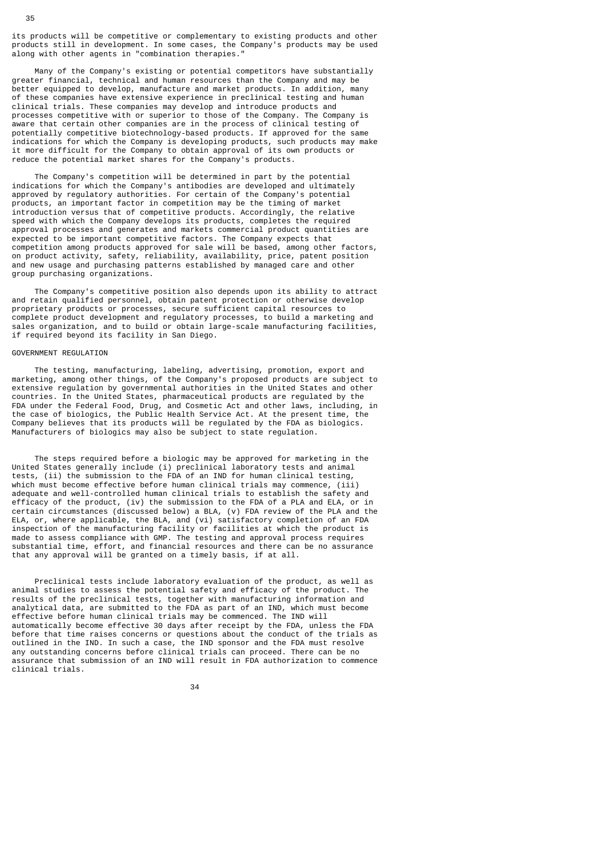its products will be competitive or complementary to existing products and other products still in development. In some cases, the Company's products may be used along with other agents in "combination therapies."

 Many of the Company's existing or potential competitors have substantially greater financial, technical and human resources than the Company and may be better equipped to develop, manufacture and market products. In addition, many of these companies have extensive experience in preclinical testing and human clinical trials. These companies may develop and introduce products and processes competitive with or superior to those of the Company. The Company is aware that certain other companies are in the process of clinical testing of potentially competitive biotechnology-based products. If approved for the same indications for which the Company is developing products, such products may make it more difficult for the Company to obtain approval of its own products or reduce the potential market shares for the Company's products.

 The Company's competition will be determined in part by the potential indications for which the Company's antibodies are developed and ultimately approved by regulatory authorities. For certain of the Company's potential products, an important factor in competition may be the timing of market introduction versus that of competitive products. Accordingly, the relative speed with which the Company develops its products, completes the required approval processes and generates and markets commercial product quantities are expected to be important competitive factors. The Company expects that competition among products approved for sale will be based, among other factors, on product activity, safety, reliability, availability, price, patent position and new usage and purchasing patterns established by managed care and other group purchasing organizations.

 The Company's competitive position also depends upon its ability to attract and retain qualified personnel, obtain patent protection or otherwise develop proprietary products or processes, secure sufficient capital resources to complete product development and regulatory processes, to build a marketing and sales organization, and to build or obtain large-scale manufacturing facilities, if required beyond its facility in San Diego.

# GOVERNMENT REGULATION

 The testing, manufacturing, labeling, advertising, promotion, export and marketing, among other things, of the Company's proposed products are subject to extensive regulation by governmental authorities in the United States and other countries. In the United States, pharmaceutical products are regulated by the FDA under the Federal Food, Drug, and Cosmetic Act and other laws, including, in the case of biologics, the Public Health Service Act. At the present time, the Company believes that its products will be regulated by the FDA as biologics. Manufacturers of biologics may also be subject to state regulation.

 The steps required before a biologic may be approved for marketing in the United States generally include (i) preclinical laboratory tests and animal tests, (ii) the submission to the FDA of an IND for human clinical testing, which must become effective before human clinical trials may commence, (iii) adequate and well-controlled human clinical trials to establish the safety and efficacy of the product, (iv) the submission to the FDA of a PLA and ELA, or in certain circumstances (discussed below) a BLA, (v) FDA review of the PLA and the ELA, or, where applicable, the BLA, and (vi) satisfactory completion of an FDA inspection of the manufacturing facility or facilities at which the product is made to assess compliance with GMP. The testing and approval process requires substantial time, effort, and financial resources and there can be no assurance that any approval will be granted on a timely basis, if at all.

 Preclinical tests include laboratory evaluation of the product, as well as animal studies to assess the potential safety and efficacy of the product. The results of the preclinical tests, together with manufacturing information and analytical data, are submitted to the FDA as part of an IND, which must become effective before human clinical trials may be commenced. The IND will automatically become effective 30 days after receipt by the FDA, unless the FDA before that time raises concerns or questions about the conduct of the trials as outlined in the IND. In such a case, the IND sponsor and the FDA must resolve any outstanding concerns before clinical trials can proceed. There can be no assurance that submission of an IND will result in FDA authorization to commence clinical trials.

34 and 34 and 34 and 34 and 34 and 34 and 34 and 34 and 35 and 35 and 35 and 35 and 35 and 35 and 35 and 35 an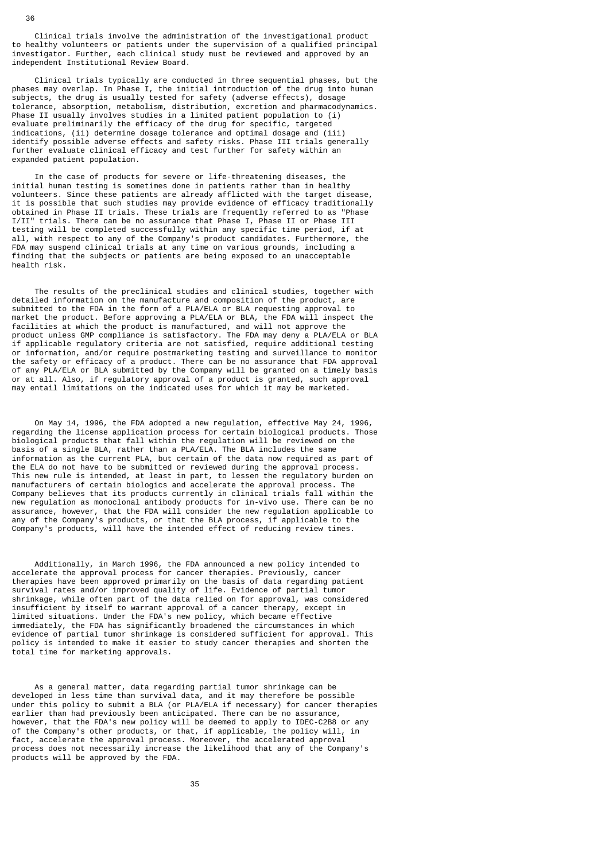Clinical trials involve the administration of the investigational product to healthy volunteers or patients under the supervision of a qualified principal investigator. Further, each clinical study must be reviewed and approved by an independent Institutional Review Board.

 Clinical trials typically are conducted in three sequential phases, but the phases may overlap. In Phase I, the initial introduction of the drug into human subjects, the drug is usually tested for safety (adverse effects), dosage tolerance, absorption, metabolism, distribution, excretion and pharmacodynamics. Phase II usually involves studies in a limited patient population to (i) evaluate preliminarily the efficacy of the drug for specific, targeted indications, (ii) determine dosage tolerance and optimal dosage and (iii) identify possible adverse effects and safety risks. Phase III trials generally further evaluate clinical efficacy and test further for safety within an expanded patient population.

 In the case of products for severe or life-threatening diseases, the initial human testing is sometimes done in patients rather than in healthy volunteers. Since these patients are already afflicted with the target disease, it is possible that such studies may provide evidence of efficacy traditionally obtained in Phase II trials. These trials are frequently referred to as "Phase I/II" trials. There can be no assurance that Phase I, Phase II or Phase III testing will be completed successfully within any specific time period, if at all, with respect to any of the Company's product candidates. Furthermore, the FDA may suspend clinical trials at any time on various grounds, including a finding that the subjects or patients are being exposed to an unacceptable health risk.

 The results of the preclinical studies and clinical studies, together with detailed information on the manufacture and composition of the product, are submitted to the FDA in the form of a PLA/ELA or BLA requesting approval to market the product. Before approving a PLA/ELA or BLA, the FDA will inspect the facilities at which the product is manufactured, and will not approve the product unless GMP compliance is satisfactory. The FDA may deny a PLA/ELA or BLA if applicable regulatory criteria are not satisfied, require additional testing or information, and/or require postmarketing testing and surveillance to monitor the safety or efficacy of a product. There can be no assurance that FDA approval of any PLA/ELA or BLA submitted by the Company will be granted on a timely basis or at all. Also, if regulatory approval of a product is granted, such approval may entail limitations on the indicated uses for which it may be marketed.

 On May 14, 1996, the FDA adopted a new regulation, effective May 24, 1996, regarding the license application process for certain biological products. Those biological products that fall within the regulation will be reviewed on the basis of a single BLA, rather than a PLA/ELA. The BLA includes the same information as the current PLA, but certain of the data now required as part of the ELA do not have to be submitted or reviewed during the approval process. This new rule is intended, at least in part, to lessen the regulatory burden on manufacturers of certain biologics and accelerate the approval process. The Company believes that its products currently in clinical trials fall within the new regulation as monoclonal antibody products for in-vivo use. There can be no assurance, however, that the FDA will consider the new regulation applicable to any of the Company's products, or that the BLA process, if applicable to the Company's products, will have the intended effect of reducing review times.

 Additionally, in March 1996, the FDA announced a new policy intended to accelerate the approval process for cancer therapies. Previously, cancer therapies have been approved primarily on the basis of data regarding patient survival rates and/or improved quality of life. Evidence of partial tumor shrinkage, while often part of the data relied on for approval, was considered insufficient by itself to warrant approval of a cancer therapy, except in limited situations. Under the FDA's new policy, which became effective immediately, the FDA has significantly broadened the circumstances in which evidence of partial tumor shrinkage is considered sufficient for approval. This policy is intended to make it easier to study cancer therapies and shorten the total time for marketing approvals.

 As a general matter, data regarding partial tumor shrinkage can be developed in less time than survival data, and it may therefore be possible under this policy to submit a BLA (or PLA/ELA if necessary) for cancer therapies earlier than had previously been anticipated. There can be no assurance, however, that the FDA's new policy will be deemed to apply to IDEC-C2B8 or any of the Company's other products, or that, if applicable, the policy will, in fact, accelerate the approval process. Moreover, the accelerated approval process does not necessarily increase the likelihood that any of the Company's products will be approved by the FDA.

<u>35 and 200 and 200 and 200 and 200 and 200 and 200 and 200 and 200 and 200 and 200 and 200 and 200 and 200 and 200 and 200 and 200 and 200 and 200 and 200 and 200 and 200 and 200 and 200 and 200 and 200 and 200 and 200 an</u>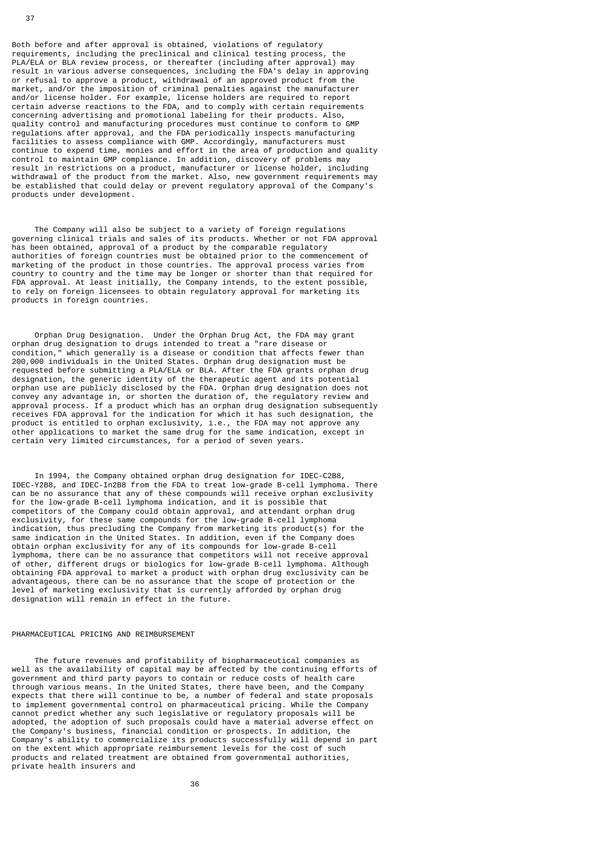Both before and after approval is obtained, violations of regulatory requirements, including the preclinical and clinical testing process, the PLA/ELA or BLA review process, or thereafter (including after approval) may result in various adverse consequences, including the FDA's delay in approving or refusal to approve a product, withdrawal of an approved product from the market, and/or the imposition of criminal penalties against the manufacturer and/or license holder. For example, license holders are required to report certain adverse reactions to the FDA, and to comply with certain requirements concerning advertising and promotional labeling for their products. Also, quality control and manufacturing procedures must continue to conform to GMP regulations after approval, and the FDA periodically inspects manufacturing facilities to assess compliance with GMP. Accordingly, manufacturers must continue to expend time, monies and effort in the area of production and quality control to maintain GMP compliance. In addition, discovery of problems may result in restrictions on a product, manufacturer or license holder, including withdrawal of the product from the market. Also, new government requirements may be established that could delay or prevent regulatory approval of the Company's products under development.

 The Company will also be subject to a variety of foreign regulations governing clinical trials and sales of its products. Whether or not FDA approval has been obtained, approval of a product by the comparable regulatory authorities of foreign countries must be obtained prior to the commencement of marketing of the product in those countries. The approval process varies from country to country and the time may be longer or shorter than that required for FDA approval. At least initially, the Company intends, to the extent possible, to rely on foreign licensees to obtain regulatory approval for marketing its products in foreign countries.

 Orphan Drug Designation. Under the Orphan Drug Act, the FDA may grant orphan drug designation to drugs intended to treat a "rare disease or condition," which generally is a disease or condition that affects fewer than 200,000 individuals in the United States. Orphan drug designation must be requested before submitting a PLA/ELA or BLA. After the FDA grants orphan drug designation, the generic identity of the therapeutic agent and its potential orphan use are publicly disclosed by the FDA. Orphan drug designation does not convey any advantage in, or shorten the duration of, the regulatory review and approval process. If a product which has an orphan drug designation subsequently receives FDA approval for the indication for which it has such designation, the product is entitled to orphan exclusivity, i.e., the FDA may not approve any other applications to market the same drug for the same indication, except in certain very limited circumstances, for a period of seven years.

 In 1994, the Company obtained orphan drug designation for IDEC-C2B8, IDEC-Y2B8, and IDEC-In2B8 from the FDA to treat low-grade B-cell lymphoma. There can be no assurance that any of these compounds will receive orphan exclusivity for the low-grade B-cell lymphoma indication, and it is possible that competitors of the Company could obtain approval, and attendant orphan drug exclusivity, for these same compounds for the low-grade B-cell lymphoma indication, thus precluding the Company from marketing its product(s) for the same indication in the United States. In addition, even if the Company does obtain orphan exclusivity for any of its compounds for low-grade B-cell lymphoma, there can be no assurance that competitors will not receive approval of other, different drugs or biologics for low-grade B-cell lymphoma. Although obtaining FDA approval to market a product with orphan drug exclusivity can be advantageous, there can be no assurance that the scope of protection or the level of marketing exclusivity that is currently afforded by orphan drug designation will remain in effect in the future.

#### PHARMACEUTICAL PRICING AND REIMBURSEMENT

 The future revenues and profitability of biopharmaceutical companies as well as the availability of capital may be affected by the continuing efforts of government and third party payors to contain or reduce costs of health care through various means. In the United States, there have been, and the Company expects that there will continue to be, a number of federal and state proposals to implement governmental control on pharmaceutical pricing. While the Company cannot predict whether any such legislative or regulatory proposals will be adopted, the adoption of such proposals could have a material adverse effect on the Company's business, financial condition or prospects. In addition, the Company's ability to commercialize its products successfully will depend in part on the extent which appropriate reimbursement levels for the cost of such products and related treatment are obtained from governmental authorities, private health insurers and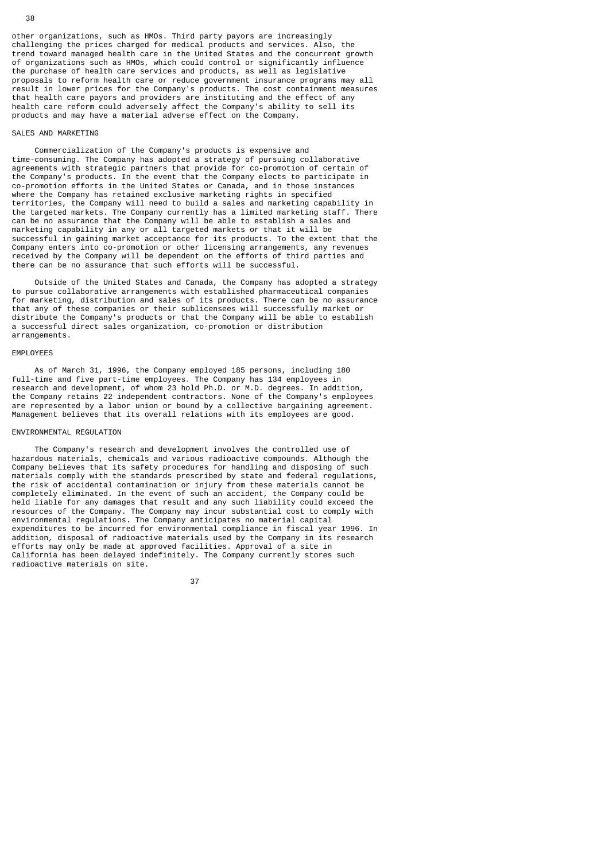other organizations, such as HMOs. Third party payors are increasingly challenging the prices charged for medical products and services. Also, the trend toward managed health care in the United States and the concurrent growth of organizations such as HMOs, which could control or significantly influence the purchase of health care services and products, as well as legislative proposals to reform health care or reduce government insurance programs may all result in lower prices for the Company's products. The cost containment measures that health care payors and providers are instituting and the effect of any health care reform could adversely affect the Company's ability to sell its products and may have a material adverse effect on the Company.

## SALES AND MARKETTNG

 Commercialization of the Company's products is expensive and time-consuming. The Company has adopted a strategy of pursuing collaborative agreements with strategic partners that provide for co-promotion of certain of the Company's products. In the event that the Company elects to participate in co-promotion efforts in the United States or Canada, and in those instances where the Company has retained exclusive marketing rights in specified territories, the Company will need to build a sales and marketing capability in the targeted markets. The Company currently has a limited marketing staff. There can be no assurance that the Company will be able to establish a sales and marketing capability in any or all targeted markets or that it will be successful in gaining market acceptance for its products. To the extent that the Company enters into co-promotion or other licensing arrangements, any revenues received by the Company will be dependent on the efforts of third parties and there can be no assurance that such efforts will be successful.

 Outside of the United States and Canada, the Company has adopted a strategy to pursue collaborative arrangements with established pharmaceutical companies for marketing, distribution and sales of its products. There can be no assurance that any of these companies or their sublicensees will successfully market or distribute the Company's products or that the Company will be able to establish a successful direct sales organization, co-promotion or distribution arrangements.

# EMPLOYEES

 As of March 31, 1996, the Company employed 185 persons, including 180 full-time and five part-time employees. The Company has 134 employees in research and development, of whom 23 hold Ph.D. or M.D. degrees. In addition, the Company retains 22 independent contractors. None of the Company's employees are represented by a labor union or bound by a collective bargaining agreement. Management believes that its overall relations with its employees are good.

# ENVIRONMENTAL REGULATION

 The Company's research and development involves the controlled use of hazardous materials, chemicals and various radioactive compounds. Although the Company believes that its safety procedures for handling and disposing of such materials comply with the standards prescribed by state and federal regulations, the risk of accidental contamination or injury from these materials cannot be completely eliminated. In the event of such an accident, the Company could be held liable for any damages that result and any such liability could exceed the resources of the Company. The Company may incur substantial cost to comply with environmental regulations. The Company anticipates no material capital expenditures to be incurred for environmental compliance in fiscal year 1996. In addition, disposal of radioactive materials used by the Company in its research efforts may only be made at approved facilities. Approval of a site in California has been delayed indefinitely. The Company currently stores such radioactive materials on site.

37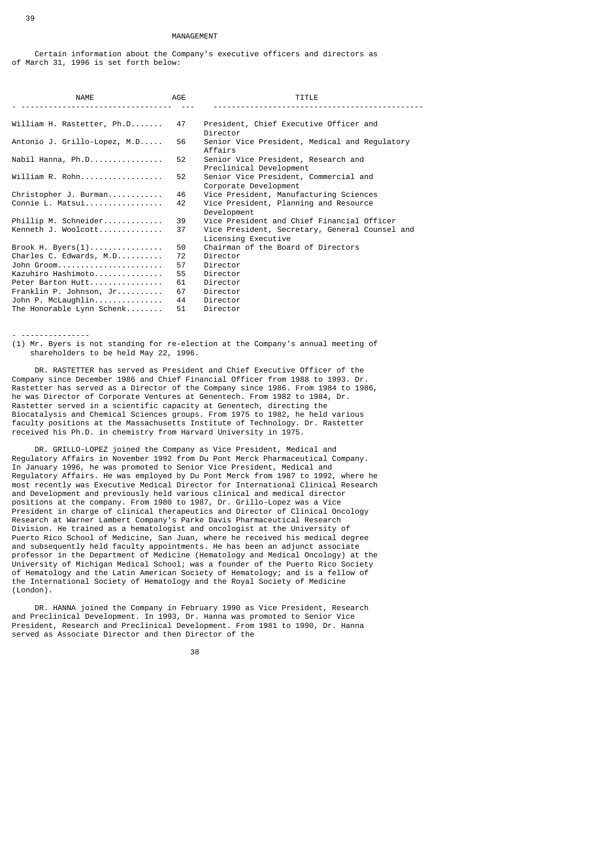#### MANAGEMENT

 Certain information about the Company's executive officers and directors as of March 31, 1996 is set forth below:

| <b>NAME</b>                  | AGE | TITLE                                                                 |
|------------------------------|-----|-----------------------------------------------------------------------|
| <u>.</u>                     |     |                                                                       |
| William H. Rastetter, Ph.D   | 47  | President, Chief Executive Officer and<br>Director                    |
| Antonio J. Grillo-Lopez, M.D | 56  | Senior Vice President, Medical and Regulatory<br>Affairs              |
| Nabil Hanna, Ph.D            | 52  | Senior Vice President, Research and<br>Preclinical Development        |
| William R. Rohn              | 52  | Senior Vice President, Commercial and<br>Corporate Development        |
| Christopher J. Burman        | 46  | Vice President, Manufacturing Sciences                                |
| Connie L. Matsui             | 42  | Vice President, Planning and Resource<br>Development                  |
| Phillip M. Schneider         | 39  | Vice President and Chief Financial Officer                            |
| Kenneth J. Woolcott          | 37  | Vice President, Secretary, General Counsel and<br>Licensing Executive |
| Brook H. Byers $(1)$         | 50  | Chairman of the Board of Directors                                    |
| Charles C. Edwards, M.D      | 72  | Director                                                              |
| John Groom                   | 57  | Director                                                              |
| Kazuhiro Hashimoto           | 55  | Director                                                              |
| Peter Barton Hutt            | 61  | Director                                                              |
| Franklin P. Johnson, Jr      | 67  | Director                                                              |
| John P. McLaughlin           | 44  | Director                                                              |
| The Honorable Lynn Schenk    | 51  | Director                                                              |

- --------------- (1) Mr. Byers is not standing for re-election at the Company's annual meeting of shareholders to be held May 22, 1996.

 DR. RASTETTER has served as President and Chief Executive Officer of the Company since December 1986 and Chief Financial Officer from 1988 to 1993. Dr. Rastetter has served as a Director of the Company since 1986. From 1984 to 1986, he was Director of Corporate Ventures at Genentech. From 1982 to 1984, Dr. Rastetter served in a scientific capacity at Genentech, directing the Biocatalysis and Chemical Sciences groups. From 1975 to 1982, he held various faculty positions at the Massachusetts Institute of Technology. Dr. Rastetter received his Ph.D. in chemistry from Harvard University in 1975.

 DR. GRILLO-LOPEZ joined the Company as Vice President, Medical and Regulatory Affairs in November 1992 from Du Pont Merck Pharmaceutical Company. In January 1996, he was promoted to Senior Vice President, Medical and Regulatory Affairs. He was employed by Du Pont Merck from 1987 to 1992, where he most recently was Executive Medical Director for International Clinical Research and Development and previously held various clinical and medical director positions at the company. From 1980 to 1987, Dr. Grillo-Lopez was a Vice President in charge of clinical therapeutics and Director of Clinical Oncology Research at Warner Lambert Company's Parke Davis Pharmaceutical Research Division. He trained as a hematologist and oncologist at the University of Puerto Rico School of Medicine, San Juan, where he received his medical degree and subsequently held faculty appointments. He has been an adjunct associate professor in the Department of Medicine (Hematology and Medical Oncology) at the University of Michigan Medical School; was a founder of the Puerto Rico Society of Hematology and the Latin American Society of Hematology; and is a fellow of the International Society of Hematology and the Royal Society of Medicine (London).

 DR. HANNA joined the Company in February 1990 as Vice President, Research and Preclinical Development. In 1993, Dr. Hanna was promoted to Senior Vice President, Research and Preclinical Development. From 1981 to 1990, Dr. Hanna served as Associate Director and then Director of the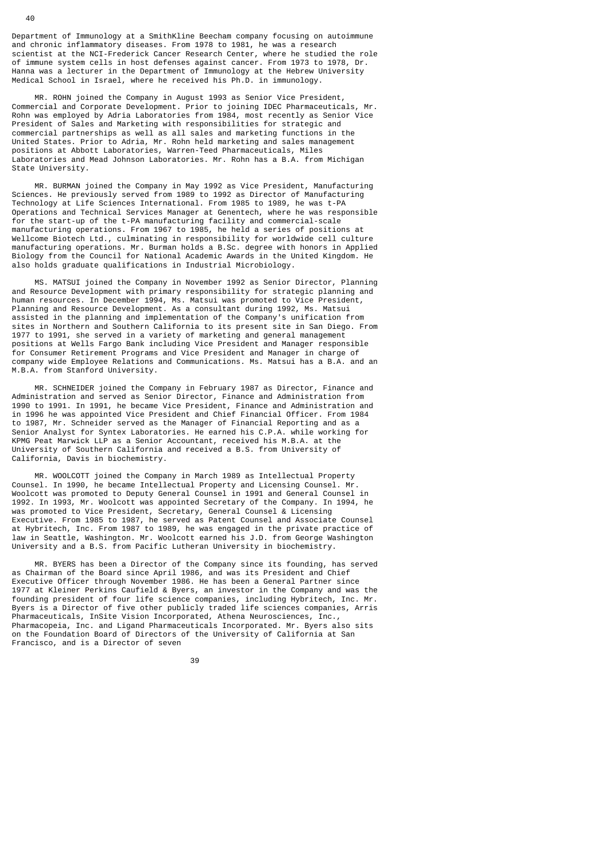Department of Immunology at a SmithKline Beecham company focusing on autoimmune and chronic inflammatory diseases. From 1978 to 1981, he was a research scientist at the NCI-Frederick Cancer Research Center, where he studied the role of immune system cells in host defenses against cancer. From 1973 to 1978, Dr. Hanna was a lecturer in the Department of Immunology at the Hebrew University Medical School in Israel, where he received his Ph.D. in immunology.

 MR. ROHN joined the Company in August 1993 as Senior Vice President, Commercial and Corporate Development. Prior to joining IDEC Pharmaceuticals, Mr. Rohn was employed by Adria Laboratories from 1984, most recently as Senior Vice President of Sales and Marketing with responsibilities for strategic and commercial partnerships as well as all sales and marketing functions in the United States. Prior to Adria, Mr. Rohn held marketing and sales management positions at Abbott Laboratories, Warren-Teed Pharmaceuticals, Miles Laboratories and Mead Johnson Laboratories. Mr. Rohn has a B.A. from Michigan State University.

 MR. BURMAN joined the Company in May 1992 as Vice President, Manufacturing Sciences. He previously served from 1989 to 1992 as Director of Manufacturing Technology at Life Sciences International. From 1985 to 1989, he was t-PA Operations and Technical Services Manager at Genentech, where he was responsible for the start-up of the t-PA manufacturing facility and commercial-scale manufacturing operations. From 1967 to 1985, he held a series of positions at Wellcome Biotech Ltd., culminating in responsibility for worldwide cell culture manufacturing operations. Mr. Burman holds a B.Sc. degree with honors in Applied Biology from the Council for National Academic Awards in the United Kingdom. He also holds graduate qualifications in Industrial Microbiology.

 MS. MATSUI joined the Company in November 1992 as Senior Director, Planning and Resource Development with primary responsibility for strategic planning and human resources. In December 1994, Ms. Matsui was promoted to Vice President, Planning and Resource Development. As a consultant during 1992, Ms. Matsui assisted in the planning and implementation of the Company's unification from sites in Northern and Southern California to its present site in San Diego. From 1977 to 1991, she served in a variety of marketing and general management positions at Wells Fargo Bank including Vice President and Manager responsible for Consumer Retirement Programs and Vice President and Manager in charge of company wide Employee Relations and Communications. Ms. Matsui has a B.A. and an M.B.A. from Stanford University.

 MR. SCHNEIDER joined the Company in February 1987 as Director, Finance and Administration and served as Senior Director, Finance and Administration from 1990 to 1991. In 1991, he became Vice President, Finance and Administration and in 1996 he was appointed Vice President and Chief Financial Officer. From 1984 to 1987, Mr. Schneider served as the Manager of Financial Reporting and as a Senior Analyst for Syntex Laboratories. He earned his C.P.A. while working for KPMG Peat Marwick LLP as a Senior Accountant, received his M.B.A. at the University of Southern California and received a B.S. from University of California, Davis in biochemistry.

 MR. WOOLCOTT joined the Company in March 1989 as Intellectual Property Counsel. In 1990, he became Intellectual Property and Licensing Counsel. Mr. Woolcott was promoted to Deputy General Counsel in 1991 and General Counsel in 1992. In 1993, Mr. Woolcott was appointed Secretary of the Company. In 1994, he was promoted to Vice President, Secretary, General Counsel & Licensing Executive. From 1985 to 1987, he served as Patent Counsel and Associate Counsel at Hybritech, Inc. From 1987 to 1989, he was engaged in the private practice of law in Seattle, Washington. Mr. Woolcott earned his J.D. from George Washington University and a B.S. from Pacific Lutheran University in biochemistry.

 MR. BYERS has been a Director of the Company since its founding, has served as Chairman of the Board since April 1986, and was its President and Chief Executive Officer through November 1986. He has been a General Partner since 1977 at Kleiner Perkins Caufield & Byers, an investor in the Company and was the founding president of four life science companies, including Hybritech, Inc. Mr. Byers is a Director of five other publicly traded life sciences companies, Arris Pharmaceuticals, InSite Vision Incorporated, Athena Neurosciences, Inc., Pharmacopeia, Inc. and Ligand Pharmaceuticals Incorporated. Mr. Byers also sits on the Foundation Board of Directors of the University of California at San Francisco, and is a Director of seven

39 and 2012 and 2013 and 2014 and 2014 and 2014 and 2014 and 2014 and 2014 and 2014 and 2014 and 2014 and 2014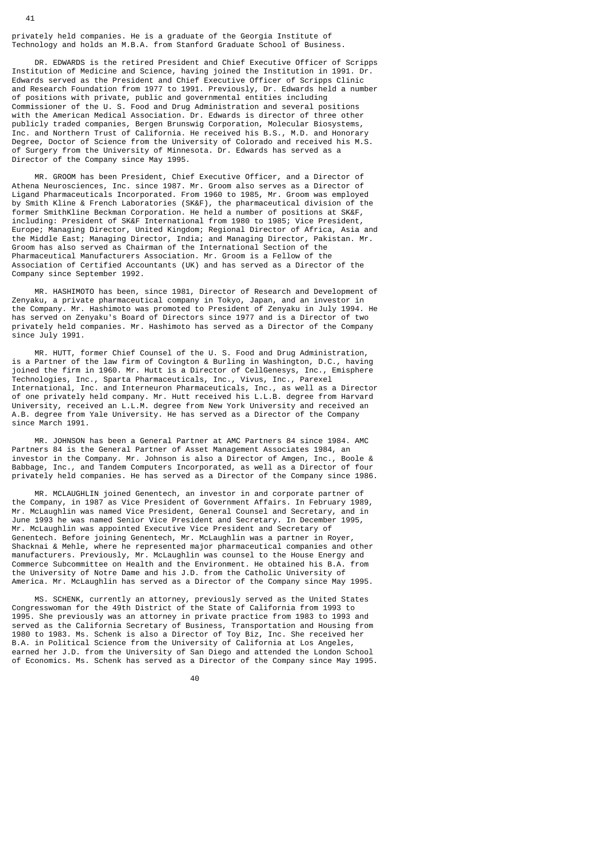privately held companies. He is a graduate of the Georgia Institute of Technology and holds an M.B.A. from Stanford Graduate School of Business.

 DR. EDWARDS is the retired President and Chief Executive Officer of Scripps Institution of Medicine and Science, having joined the Institution in 1991. Dr. Edwards served as the President and Chief Executive Officer of Scripps Clinic and Research Foundation from 1977 to 1991. Previously, Dr. Edwards held a number of positions with private, public and governmental entities including Commissioner of the U. S. Food and Drug Administration and several positions with the American Medical Association. Dr. Edwards is director of three other publicly traded companies, Bergen Brunswig Corporation, Molecular Biosystems, Inc. and Northern Trust of California. He received his B.S., M.D. and Honorary Degree, Doctor of Science from the University of Colorado and received his M.S. of Surgery from the University of Minnesota. Dr. Edwards has served as a Director of the Company since May 1995.

 MR. GROOM has been President, Chief Executive Officer, and a Director of Athena Neurosciences, Inc. since 1987. Mr. Groom also serves as a Director of Ligand Pharmaceuticals Incorporated. From 1960 to 1985, Mr. Groom was employed by Smith Kline & French Laboratories (SK&F), the pharmaceutical division of the former SmithKline Beckman Corporation. He held a number of positions at SK&F, including: President of SK&F International from 1980 to 1985; Vice President, Europe; Managing Director, United Kingdom; Regional Director of Africa, Asia and the Middle East; Managing Director, India; and Managing Director, Pakistan. Mr. Groom has also served as Chairman of the International Section of the Pharmaceutical Manufacturers Association. Mr. Groom is a Fellow of the Association of Certified Accountants (UK) and has served as a Director of the Company since September 1992.

 MR. HASHIMOTO has been, since 1981, Director of Research and Development of Zenyaku, a private pharmaceutical company in Tokyo, Japan, and an investor in the Company. Mr. Hashimoto was promoted to President of Zenyaku in July 1994. He has served on Zenyaku's Board of Directors since 1977 and is a Director of two privately held companies. Mr. Hashimoto has served as a Director of the Company since July 1991.

 MR. HUTT, former Chief Counsel of the U. S. Food and Drug Administration, is a Partner of the law firm of Covington & Burling in Washington, D.C., having joined the firm in 1960. Mr. Hutt is a Director of CellGenesys, Inc., Emisphere Technologies, Inc., Sparta Pharmaceuticals, Inc., Vivus, Inc., Parexel International, Inc. and Interneuron Pharmaceuticals, Inc., as well as a Director of one privately held company. Mr. Hutt received his L.L.B. degree from Harvard University, received an L.L.M. degree from New York University and received an A.B. degree from Yale University. He has served as a Director of the Company since March 1991.

 MR. JOHNSON has been a General Partner at AMC Partners 84 since 1984. AMC Partners 84 is the General Partner of Asset Management Associates 1984, an investor in the Company. Mr. Johnson is also a Director of Amgen, Inc., Boole & Babbage, Inc., and Tandem Computers Incorporated, as well as a Director of four privately held companies. He has served as a Director of the Company since 1986.

 MR. MCLAUGHLIN joined Genentech, an investor in and corporate partner of the Company, in 1987 as Vice President of Government Affairs. In February 1989, Mr. McLaughlin was named Vice President, General Counsel and Secretary, and in June 1993 he was named Senior Vice President and Secretary. In December 1995, Mr. McLaughlin was appointed Executive Vice President and Secretary of Genentech. Before joining Genentech, Mr. McLaughlin was a partner in Royer, Shacknai & Mehle, where he represented major pharmaceutical companies and other manufacturers. Previously, Mr. McLaughlin was counsel to the House Energy and Commerce Subcommittee on Health and the Environment. He obtained his B.A. from the University of Notre Dame and his J.D. from the Catholic University of America. Mr. McLaughlin has served as a Director of the Company since May 1995.

 MS. SCHENK, currently an attorney, previously served as the United States Congresswoman for the 49th District of the State of California from 1993 to 1995. She previously was an attorney in private practice from 1983 to 1993 and served as the California Secretary of Business, Transportation and Housing from 1980 to 1983. Ms. Schenk is also a Director of Toy Biz, Inc. She received her B.A. in Political Science from the University of California at Los Angeles, earned her J.D. from the University of San Diego and attended the London School of Economics. Ms. Schenk has served as a Director of the Company since May 1995.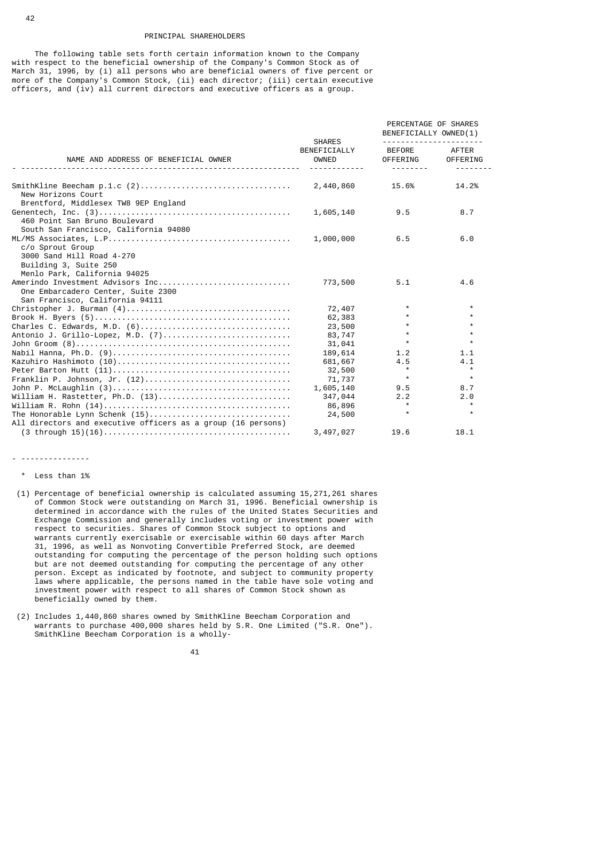### PRINCIPAL SHAREHOLDERS

 The following table sets forth certain information known to the Company with respect to the beneficial ownership of the Company's Common Stock as of March 31, 1996, by (i) all persons who are beneficial owners of five percent or more of the Company's Common Stock, (ii) each director; (iii) certain executive officers, and (iv) all current directors and executive officers as a group.

|                                                                                                           | <b>SHARES</b>         | BENEFICIALLY OWNED(1)<br>.     | PERCENTAGE OF SHARES |
|-----------------------------------------------------------------------------------------------------------|-----------------------|--------------------------------|----------------------|
| NAME AND ADDRESS OF BENEFICIAL OWNER                                                                      | BENEFICIALLY<br>OWNED | BEFORE<br>OFFERING<br><u>.</u> | AFTER<br>OFFERING    |
| New Horizons Court<br>Brentford, Middlesex TW8 9EP England                                                | 2,440,860             | 15.6%                          | 14.2%                |
| 460 Point San Bruno Boulevard<br>South San Francisco, California 94080                                    | 1,605,140             | 9.5                            | 8.7                  |
| c/o Sprout Group<br>3000 Sand Hill Road 4-270<br>Building 3, Suite 250<br>Menlo Park, California 94025    | 1,000,000             | 6.5                            | 6.0                  |
| Amerindo Investment Advisors Inc<br>One Embarcadero Center, Suite 2300<br>San Francisco, California 94111 | 773,500               | 5.1                            | 4.6                  |
|                                                                                                           | 72,407                | $\star$                        | $\star$              |
|                                                                                                           | 62,383                | $\star$                        | $\star$              |
|                                                                                                           | 23,500                |                                | $\star$              |
| Antonio J. Grillo-Lopez, M.D. (7)                                                                         | 83,747                | $\star$                        | $\star$              |
|                                                                                                           | 31,041                | $\star$                        | $\star$              |
|                                                                                                           | 189,614               | 1.2                            | 1.1                  |
|                                                                                                           | 681,667               | 4.5                            | 4.1                  |
|                                                                                                           | 32,500                | $\star$                        | $\star$              |
|                                                                                                           | 71,737                | $\star$                        | $\star$              |
|                                                                                                           | 1,605,140             | 9.5                            | 8.7                  |
|                                                                                                           | 347,044               | 2.2                            | 2.0                  |
|                                                                                                           | 86,896                | $\star$                        | $\star$              |
| The Honorable Lynn Schenk (15)<br>All directors and executive officers as a group (16 persons)            | 24,500                | $\star$                        | $\star$              |
|                                                                                                           | 3,497,027             | 19.6                           | 18.1                 |

# - ---------------

# \* Less than 1%

- (1) Percentage of beneficial ownership is calculated assuming 15,271,261 shares of Common Stock were outstanding on March 31, 1996. Beneficial ownership is determined in accordance with the rules of the United States Securities and Exchange Commission and generally includes voting or investment power with respect to securities. Shares of Common Stock subject to options and warrants currently exercisable or exercisable within 60 days after March 31, 1996, as well as Nonvoting Convertible Preferred Stock, are deemed outstanding for computing the percentage of the person holding such options but are not deemed outstanding for computing the percentage of any other person. Except as indicated by footnote, and subject to community property laws where applicable, the persons named in the table have sole voting and investment power with respect to all shares of Common Stock shown as beneficially owned by them.
- (2) Includes 1,440,860 shares owned by SmithKline Beecham Corporation and warrants to purchase 400,000 shares held by S.R. One Limited ("S.R. One"). SmithKline Beecham Corporation is a wholly-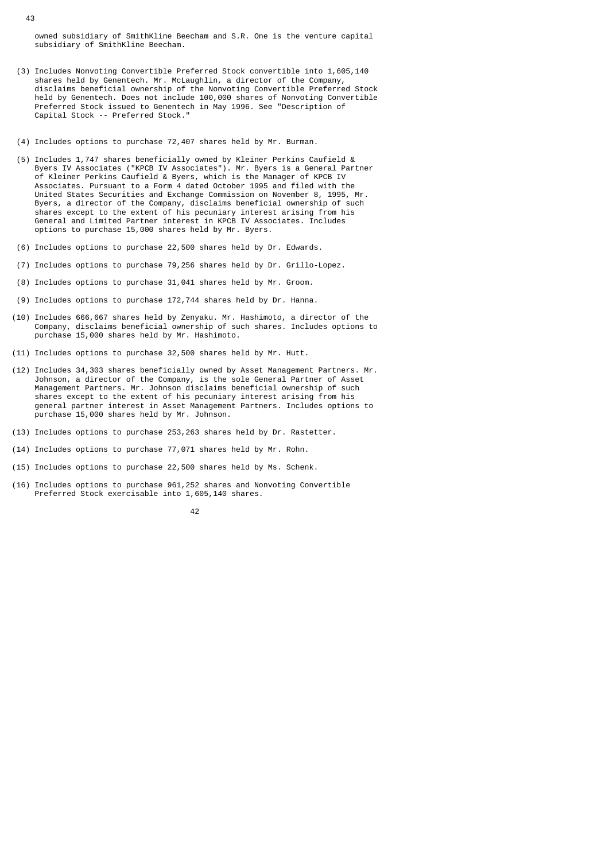owned subsidiary of SmithKline Beecham and S.R. One is the venture capital subsidiary of SmithKline Beecham.

- (3) Includes Nonvoting Convertible Preferred Stock convertible into 1,605,140 shares held by Genentech. Mr. McLaughlin, a director of the Company, disclaims beneficial ownership of the Nonvoting Convertible Preferred Stock held by Genentech. Does not include 100,000 shares of Nonvoting Convertible Preferred Stock issued to Genentech in May 1996. See "Description of Capital Stock -- Preferred Stock."
- (4) Includes options to purchase 72,407 shares held by Mr. Burman.
- (5) Includes 1,747 shares beneficially owned by Kleiner Perkins Caufield & Byers IV Associates ("KPCB IV Associates"). Mr. Byers is a General Partner of Kleiner Perkins Caufield & Byers, which is the Manager of KPCB IV Associates. Pursuant to a Form 4 dated October 1995 and filed with the United States Securities and Exchange Commission on November 8, 1995, Mr. Byers, a director of the Company, disclaims beneficial ownership of such shares except to the extent of his pecuniary interest arising from his General and Limited Partner interest in KPCB IV Associates. Includes options to purchase 15,000 shares held by Mr. Byers.
- (6) Includes options to purchase 22,500 shares held by Dr. Edwards.
- (7) Includes options to purchase 79,256 shares held by Dr. Grillo-Lopez.
- (8) Includes options to purchase 31,041 shares held by Mr. Groom.
- (9) Includes options to purchase 172,744 shares held by Dr. Hanna.
- (10) Includes 666,667 shares held by Zenyaku. Mr. Hashimoto, a director of the Company, disclaims beneficial ownership of such shares. Includes options to purchase 15,000 shares held by Mr. Hashimoto.
- (11) Includes options to purchase 32,500 shares held by Mr. Hutt.
- (12) Includes 34,303 shares beneficially owned by Asset Management Partners. Mr. Johnson, a director of the Company, is the sole General Partner of Asset Management Partners. Mr. Johnson disclaims beneficial ownership of such shares except to the extent of his pecuniary interest arising from his general partner interest in Asset Management Partners. Includes options to purchase 15,000 shares held by Mr. Johnson.
- (13) Includes options to purchase 253,263 shares held by Dr. Rastetter.
- (14) Includes options to purchase 77,071 shares held by Mr. Rohn.
- (15) Includes options to purchase 22,500 shares held by Ms. Schenk.
- (16) Includes options to purchase 961,252 shares and Nonvoting Convertible Preferred Stock exercisable into 1,605,140 shares.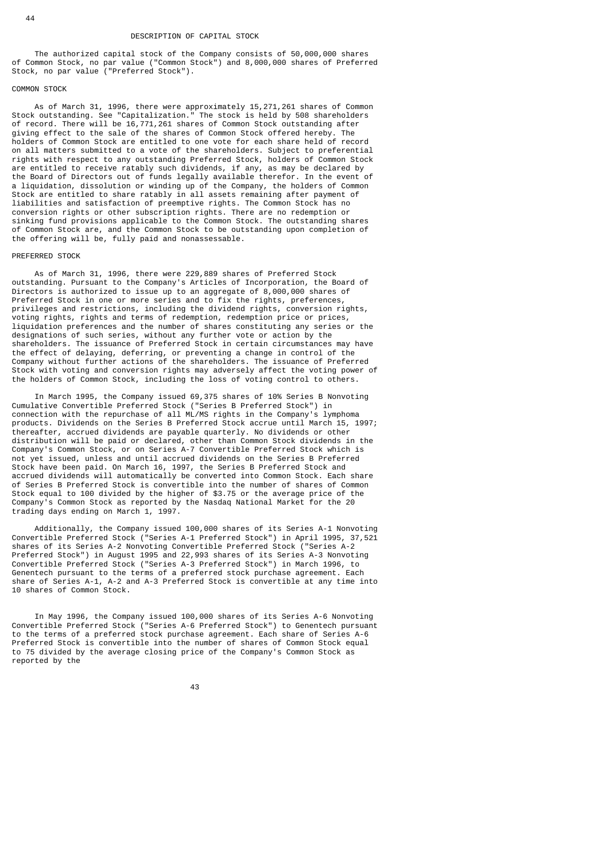The authorized capital stock of the Company consists of 50,000,000 shares of Common Stock, no par value ("Common Stock") and 8,000,000 shares of Preferred Stock, no par value ("Preferred Stock").

# COMMON STOCK

 As of March 31, 1996, there were approximately 15,271,261 shares of Common Stock outstanding. See "Capitalization." The stock is held by 508 shareholders of record. There will be 16,771,261 shares of Common Stock outstanding after giving effect to the sale of the shares of Common Stock offered hereby. The holders of Common Stock are entitled to one vote for each share held of record on all matters submitted to a vote of the shareholders. Subject to preferential rights with respect to any outstanding Preferred Stock, holders of Common Stock are entitled to receive ratably such dividends, if any, as may be declared by the Board of Directors out of funds legally available therefor. In the event of a liquidation, dissolution or winding up of the Company, the holders of Common Stock are entitled to share ratably in all assets remaining after payment of liabilities and satisfaction of preemptive rights. The Common Stock has no conversion rights or other subscription rights. There are no redemption or sinking fund provisions applicable to the Common Stock. The outstanding shares of Common Stock are, and the Common Stock to be outstanding upon completion of the offering will be, fully paid and nonassessable.

#### PREFERRED STOCK

 As of March 31, 1996, there were 229,889 shares of Preferred Stock outstanding. Pursuant to the Company's Articles of Incorporation, the Board of Directors is authorized to issue up to an aggregate of 8,000,000 shares of Preferred Stock in one or more series and to fix the rights, preferences, privileges and restrictions, including the dividend rights, conversion rights, voting rights, rights and terms of redemption, redemption price or prices, liquidation preferences and the number of shares constituting any series or the designations of such series, without any further vote or action by the shareholders. The issuance of Preferred Stock in certain circumstances may have the effect of delaying, deferring, or preventing a change in control of the Company without further actions of the shareholders. The issuance of Preferred Stock with voting and conversion rights may adversely affect the voting power of the holders of Common Stock, including the loss of voting control to others.

 In March 1995, the Company issued 69,375 shares of 10% Series B Nonvoting Cumulative Convertible Preferred Stock ("Series B Preferred Stock") in connection with the repurchase of all ML/MS rights in the Company's lymphoma products. Dividends on the Series B Preferred Stock accrue until March 15, 1997; thereafter, accrued dividends are payable quarterly. No dividends or other distribution will be paid or declared, other than Common Stock dividends in the Company's Common Stock, or on Series A-7 Convertible Preferred Stock which is not yet issued, unless and until accrued dividends on the Series B Preferred Stock have been paid. On March 16, 1997, the Series B Preferred Stock and accrued dividends will automatically be converted into Common Stock. Each share of Series B Preferred Stock is convertible into the number of shares of Common Stock equal to 100 divided by the higher of \$3.75 or the average price of the Company's Common Stock as reported by the Nasdaq National Market for the 20 trading days ending on March 1, 1997.

 Additionally, the Company issued 100,000 shares of its Series A-1 Nonvoting Convertible Preferred Stock ("Series A-1 Preferred Stock") in April 1995, 37,521 shares of its Series A-2 Nonvoting Convertible Preferred Stock ("Series A-2 Preferred Stock") in August 1995 and 22,993 shares of its Series A-3 Nonvoting Convertible Preferred Stock ("Series A-3 Preferred Stock") in March 1996, to Genentech pursuant to the terms of a preferred stock purchase agreement. Each share of Series A-1, A-2 and A-3 Preferred Stock is convertible at any time into 10 shares of Common Stock.

 In May 1996, the Company issued 100,000 shares of its Series A-6 Nonvoting Convertible Preferred Stock ("Series A-6 Preferred Stock") to Genentech pursuant to the terms of a preferred stock purchase agreement. Each share of Series A-6 Preferred Stock is convertible into the number of shares of Common Stock equal to 75 divided by the average closing price of the Company's Common Stock as reported by the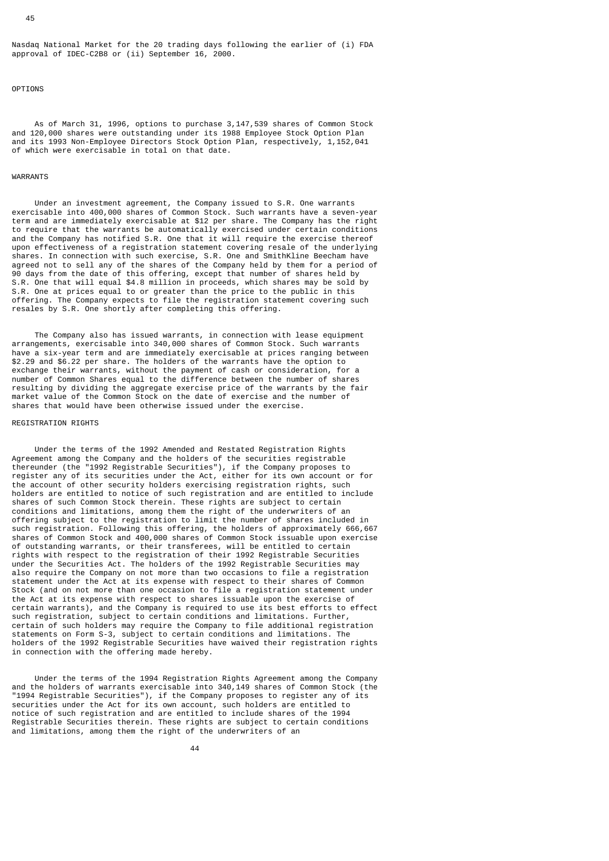Nasdaq National Market for the 20 trading days following the earlier of (i) FDA approval of IDEC-C2B8 or (ii) September 16, 2000.

#### OPTIONS

 As of March 31, 1996, options to purchase 3,147,539 shares of Common Stock and 120,000 shares were outstanding under its 1988 Employee Stock Option Plan and its 1993 Non-Employee Directors Stock Option Plan, respectively, 1,152,041 of which were exercisable in total on that date.

# WARRANTS

 Under an investment agreement, the Company issued to S.R. One warrants exercisable into 400,000 shares of Common Stock. Such warrants have a seven-year term and are immediately exercisable at \$12 per share. The Company has the right to require that the warrants be automatically exercised under certain conditions and the Company has notified S.R. One that it will require the exercise thereof upon effectiveness of a registration statement covering resale of the underlying shares. In connection with such exercise, S.R. One and SmithKline Beecham have agreed not to sell any of the shares of the Company held by them for a period of 90 days from the date of this offering, except that number of shares held by S.R. One that will equal \$4.8 million in proceeds, which shares may be sold by S.R. One at prices equal to or greater than the price to the public in this offering. The Company expects to file the registration statement covering such resales by S.R. One shortly after completing this offering.

 The Company also has issued warrants, in connection with lease equipment arrangements, exercisable into 340,000 shares of Common Stock. Such warrants have a six-year term and are immediately exercisable at prices ranging between \$2.29 and \$6.22 per share. The holders of the warrants have the option to exchange their warrants, without the payment of cash or consideration, for a number of Common Shares equal to the difference between the number of shares resulting by dividing the aggregate exercise price of the warrants by the fair market value of the Common Stock on the date of exercise and the number of shares that would have been otherwise issued under the exercise.

### REGISTRATION RIGHTS

 Under the terms of the 1992 Amended and Restated Registration Rights Agreement among the Company and the holders of the securities registrable thereunder (the "1992 Registrable Securities"), if the Company proposes to register any of its securities under the Act, either for its own account or for the account of other security holders exercising registration rights, such holders are entitled to notice of such registration and are entitled to include shares of such Common Stock therein. These rights are subject to certain conditions and limitations, among them the right of the underwriters of an offering subject to the registration to limit the number of shares included in such registration. Following this offering, the holders of approximately 666,667 shares of Common Stock and 400,000 shares of Common Stock issuable upon exercise of outstanding warrants, or their transferees, will be entitled to certain rights with respect to the registration of their 1992 Registrable Securities under the Securities Act. The holders of the 1992 Registrable Securities may also require the Company on not more than two occasions to file a registration statement under the Act at its expense with respect to their shares of Common Stock (and on not more than one occasion to file a registration statement under the Act at its expense with respect to shares issuable upon the exercise of certain warrants), and the Company is required to use its best efforts to effect such registration, subject to certain conditions and limitations. Further, certain of such holders may require the Company to file additional registration statements on Form S-3, subject to certain conditions and limitations. The holders of the 1992 Registrable Securities have waived their registration rights in connection with the offering made hereby.

 Under the terms of the 1994 Registration Rights Agreement among the Company and the holders of warrants exercisable into 340,149 shares of Common Stock (the "1994 Registrable Securities"), if the Company proposes to register any of its securities under the Act for its own account, such holders are entitled to notice of such registration and are entitled to include shares of the 1994 Registrable Securities therein. These rights are subject to certain conditions and limitations, among them the right of the underwriters of an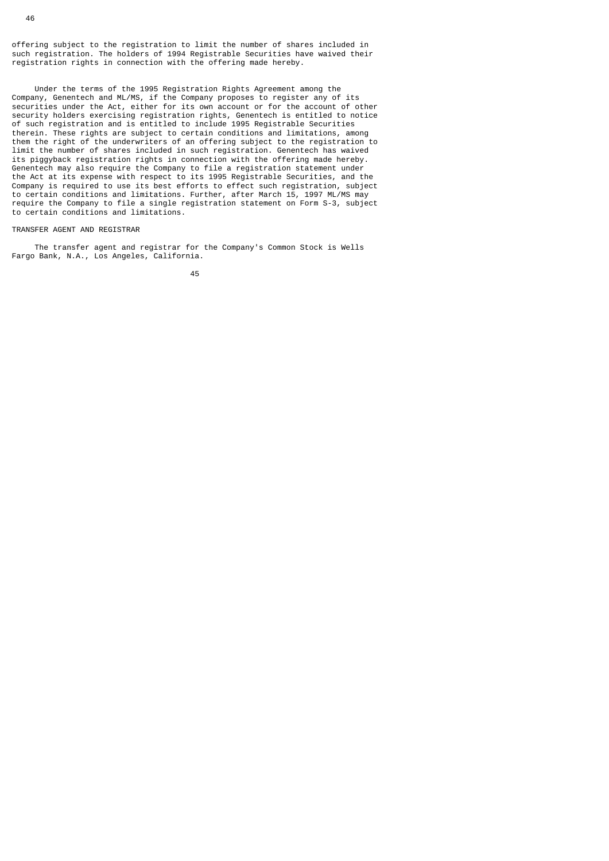offering subject to the registration to limit the number of shares included in such registration. The holders of 1994 Registrable Securities have waived their registration rights in connection with the offering made hereby.

 Under the terms of the 1995 Registration Rights Agreement among the Company, Genentech and ML/MS, if the Company proposes to register any of its securities under the Act, either for its own account or for the account of other security holders exercising registration rights, Genentech is entitled to notice of such registration and is entitled to include 1995 Registrable Securities therein. These rights are subject to certain conditions and limitations, among them the right of the underwriters of an offering subject to the registration to limit the number of shares included in such registration. Genentech has waived its piggyback registration rights in connection with the offering made hereby. Genentech may also require the Company to file a registration statement under the Act at its expense with respect to its 1995 Registrable Securities, and the Company is required to use its best efforts to effect such registration, subject to certain conditions and limitations. Further, after March 15, 1997 ML/MS may require the Company to file a single registration statement on Form S-3, subject to certain conditions and limitations.

# TRANSFER AGENT AND REGISTRAR

 The transfer agent and registrar for the Company's Common Stock is Wells Fargo Bank, N.A., Los Angeles, California.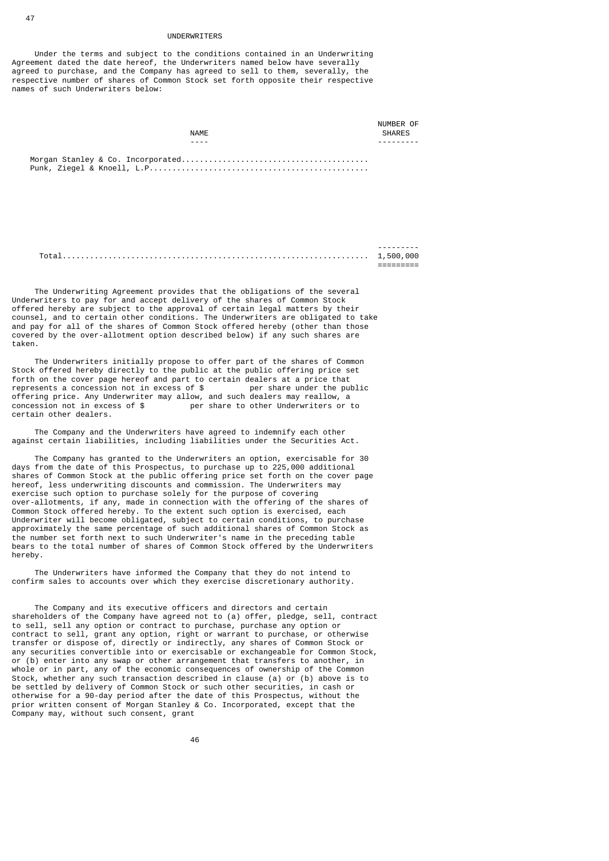#### UNDERWRITERS

 Under the terms and subject to the conditions contained in an Underwriting Agreement dated the date hereof, the Underwriters named below have severally agreed to purchase, and the Company has agreed to sell to them, severally, the respective number of shares of Common Stock set forth opposite their respective names of such Underwriters below:

|             | NUMBER OF     |
|-------------|---------------|
| <b>NAME</b> | <b>SHARES</b> |
|             |               |
|             |               |
|             |               |

| -----<br>- - - |
|----------------|
| -000<br>500    |
| ____<br>----   |

 The Underwriting Agreement provides that the obligations of the several Underwriters to pay for and accept delivery of the shares of Common Stock offered hereby are subject to the approval of certain legal matters by their counsel, and to certain other conditions. The Underwriters are obligated to take and pay for all of the shares of Common Stock offered hereby (other than those covered by the over-allotment option described below) if any such shares are taken.

 The Underwriters initially propose to offer part of the shares of Common Stock offered hereby directly to the public at the public offering price set forth on the cover page hereof and part to certain dealers at a price that represents a concession not in excess of \$ per share under the public offering price. Any Underwriter may allow, and such dealers may reallow, a concession not in excess of \$ per share to other Underwriters or to certain other dealers.

 The Company and the Underwriters have agreed to indemnify each other against certain liabilities, including liabilities under the Securities Act.

 The Company has granted to the Underwriters an option, exercisable for 30 days from the date of this Prospectus, to purchase up to 225,000 additional shares of Common Stock at the public offering price set forth on the cover page hereof, less underwriting discounts and commission. The Underwriters may exercise such option to purchase solely for the purpose of covering over-allotments, if any, made in connection with the offering of the shares of Common Stock offered hereby. To the extent such option is exercised, each Underwriter will become obligated, subject to certain conditions, to purchase approximately the same percentage of such additional shares of Common Stock as the number set forth next to such Underwriter's name in the preceding table bears to the total number of shares of Common Stock offered by the Underwriters hereby.

 The Underwriters have informed the Company that they do not intend to confirm sales to accounts over which they exercise discretionary authority.

 The Company and its executive officers and directors and certain shareholders of the Company have agreed not to (a) offer, pledge, sell, contract to sell, sell any option or contract to purchase, purchase any option or contract to sell, grant any option, right or warrant to purchase, or otherwise transfer or dispose of, directly or indirectly, any shares of Common Stock or any securities convertible into or exercisable or exchangeable for Common Stock, or (b) enter into any swap or other arrangement that transfers to another, in whole or in part, any of the economic consequences of ownership of the Common Stock, whether any such transaction described in clause (a) or (b) above is to be settled by delivery of Common Stock or such other securities, in cash or otherwise for a 90-day period after the date of this Prospectus, without the prior written consent of Morgan Stanley & Co. Incorporated, except that the Company may, without such consent, grant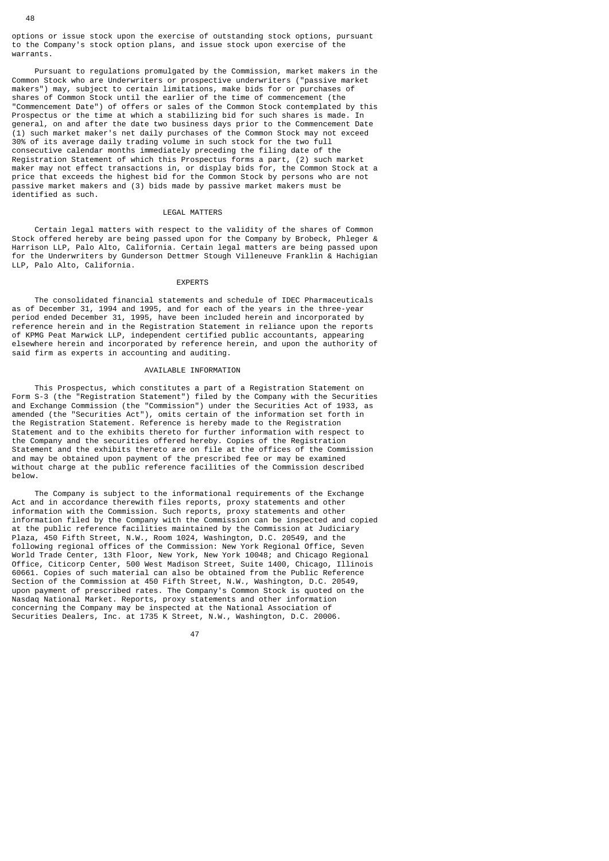options or issue stock upon the exercise of outstanding stock options, pursuant to the Company's stock option plans, and issue stock upon exercise of the warrants.

 Pursuant to regulations promulgated by the Commission, market makers in the Common Stock who are Underwriters or prospective underwriters ("passive market makers") may, subject to certain limitations, make bids for or purchases of shares of Common Stock until the earlier of the time of commencement (the "Commencement Date") of offers or sales of the Common Stock contemplated by this Prospectus or the time at which a stabilizing bid for such shares is made. In general, on and after the date two business days prior to the Commencement Date (1) such market maker's net daily purchases of the Common Stock may not exceed 30% of its average daily trading volume in such stock for the two full consecutive calendar months immediately preceding the filing date of the Registration Statement of which this Prospectus forms a part, (2) such market maker may not effect transactions in, or display bids for, the Common Stock at a price that exceeds the highest bid for the Common Stock by persons who are not passive market makers and (3) bids made by passive market makers must be identified as such.

# LEGAL MATTERS

 Certain legal matters with respect to the validity of the shares of Common Stock offered hereby are being passed upon for the Company by Brobeck, Phleger & Harrison LLP, Palo Alto, California. Certain legal matters are being passed upon for the Underwriters by Gunderson Dettmer Stough Villeneuve Franklin & Hachigian LLP, Palo Alto, California.

# EXPERTS

 The consolidated financial statements and schedule of IDEC Pharmaceuticals as of December 31, 1994 and 1995, and for each of the years in the three-year period ended December 31, 1995, have been included herein and incorporated by reference herein and in the Registration Statement in reliance upon the reports of KPMG Peat Marwick LLP, independent certified public accountants, appearing elsewhere herein and incorporated by reference herein, and upon the authority of said firm as experts in accounting and auditing.

# AVAILABLE INFORMATION

 This Prospectus, which constitutes a part of a Registration Statement on Form S-3 (the "Registration Statement") filed by the Company with the Securities and Exchange Commission (the "Commission") under the Securities Act of 1933, as amended (the "Securities Act"), omits certain of the information set forth in the Registration Statement. Reference is hereby made to the Registration Statement and to the exhibits thereto for further information with respect to the Company and the securities offered hereby. Copies of the Registration Statement and the exhibits thereto are on file at the offices of the Commission and may be obtained upon payment of the prescribed fee or may be examined without charge at the public reference facilities of the Commission described below.

 The Company is subject to the informational requirements of the Exchange Act and in accordance therewith files reports, proxy statements and other information with the Commission. Such reports, proxy statements and other information filed by the Company with the Commission can be inspected and copied at the public reference facilities maintained by the Commission at Judiciary Plaza, 450 Fifth Street, N.W., Room 1024, Washington, D.C. 20549, and the following regional offices of the Commission: New York Regional Office, Seven World Trade Center, 13th Floor, New York, New York 10048; and Chicago Regional Office, Citicorp Center, 500 West Madison Street, Suite 1400, Chicago, Illinois 60661. Copies of such material can also be obtained from the Public Reference Section of the Commission at 450 Fifth Street, N.W., Washington, D.C. 20549, upon payment of prescribed rates. The Company's Common Stock is quoted on the Nasdaq National Market. Reports, proxy statements and other information concerning the Company may be inspected at the National Association of Securities Dealers, Inc. at 1735 K Street, N.W., Washington, D.C. 20006.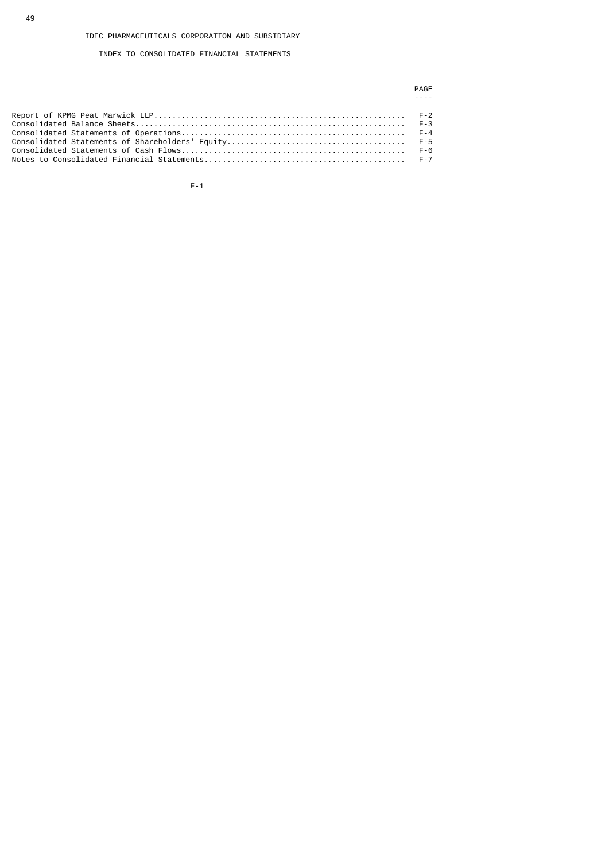# INDEX TO CONSOLIDATED FINANCIAL STATEMENTS

PAGE And the contract of the contract of the contract of the contract of the contract of the contract of the contract of the contract of the contract of the contract of the contract of the contract of the contract of the c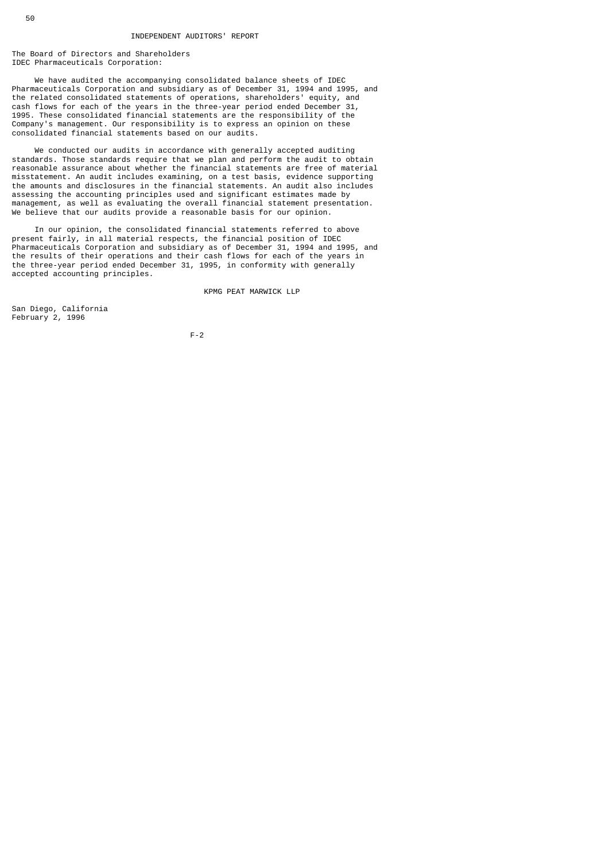The Board of Directors and Shareholders IDEC Pharmaceuticals Corporation:

 We have audited the accompanying consolidated balance sheets of IDEC Pharmaceuticals Corporation and subsidiary as of December 31, 1994 and 1995, and the related consolidated statements of operations, shareholders' equity, and cash flows for each of the years in the three-year period ended December 31, 1995. These consolidated financial statements are the responsibility of the Company's management. Our responsibility is to express an opinion on these consolidated financial statements based on our audits.

 We conducted our audits in accordance with generally accepted auditing standards. Those standards require that we plan and perform the audit to obtain reasonable assurance about whether the financial statements are free of material misstatement. An audit includes examining, on a test basis, evidence supporting the amounts and disclosures in the financial statements. An audit also includes assessing the accounting principles used and significant estimates made by management, as well as evaluating the overall financial statement presentation. We believe that our audits provide a reasonable basis for our opinion.

 In our opinion, the consolidated financial statements referred to above present fairly, in all material respects, the financial position of IDEC Pharmaceuticals Corporation and subsidiary as of December 31, 1994 and 1995, and the results of their operations and their cash flows for each of the years in the three-year period ended December 31, 1995, in conformity with generally accepted accounting principles.

KPMG PEAT MARWICK LLP

San Diego, California February 2, 1996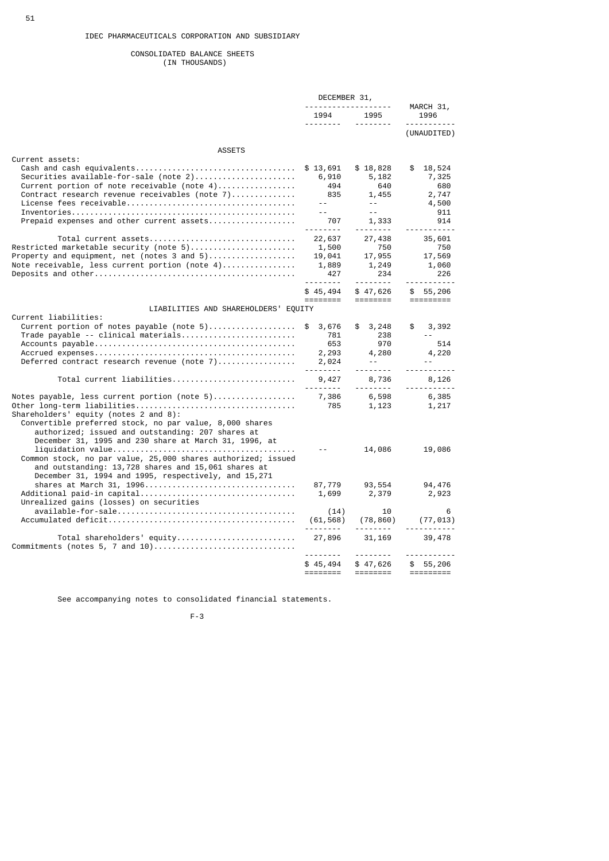## CONSOLIDATED BALANCE SHEETS (IN THOUSANDS)

|                                                               | DECEMBER 31,        |                 |                          |
|---------------------------------------------------------------|---------------------|-----------------|--------------------------|
|                                                               | 1994                | .<br>1995       | MARCH 31,<br>1996        |
|                                                               | .                   | <u>.</u>        | ---------<br>(UNAUDITED) |
| <b>ASSETS</b>                                                 |                     |                 |                          |
| Current assets:                                               |                     |                 |                          |
|                                                               | \$13,691            | \$18,828        | \$<br>18,524             |
|                                                               | 6,910               | 5,182           | 7,325                    |
| Current portion of note receivable (note 4)                   | 494                 | 640             | 680                      |
| Contract research revenue receivables (note 7)                | 835<br>$\sim$ $  -$ | 1,455<br>$  \,$ | 2,747<br>4,500           |
|                                                               |                     | $- -$           | 911                      |
| Prepaid expenses and other current assets                     | 707                 | 1,333           | 914                      |
|                                                               |                     |                 | <u>.</u>                 |
| Total current assets                                          | 22,637              | 27,438          | 35,601                   |
| Restricted marketable security (note 5)                       | 1,500               | 750             | 750                      |
| Property and equipment, net (notes 3 and $5)$                 | 19,041              | 17,955          | 17,569                   |
| Note receivable, less current portion (note 4)                | 1,889               | 1,249           | 1,060                    |
|                                                               | 427                 | 234             | 226<br>$- - - -$         |
|                                                               | \$45,494            | \$47,626        | \$55,206                 |
|                                                               | ========            |                 |                          |
| LIABILITIES AND SHAREHOLDERS' EQUITY                          |                     |                 |                          |
| Current liabilities:                                          |                     |                 |                          |
| Current portion of notes payable (note $5)$                   | \$<br>3,676         | \$<br>3,248     | \$<br>3,392              |
| $Trade$ payable -- clinical materials                         | 781                 | 238             | $ -$                     |
|                                                               | 653<br>2,293        | 970<br>4,280    | 514<br>4,220             |
| Deferred contract research revenue (note 7)                   | 2,024               | $ -$            |                          |
|                                                               | <u>.</u>            | <u>.</u>        |                          |
| Total current liabilities                                     | 9,427               | 8,736           | 8,126<br>.               |
| Notes payable, less current portion (note $5)$                | 7,386               | 6,598           | 6,385                    |
|                                                               | 785                 | 1,123           | 1,217                    |
| Shareholders' equity (notes 2 and 8):                         |                     |                 |                          |
| Convertible preferred stock, no par value, 8,000 shares       |                     |                 |                          |
| authorized; issued and outstanding: 207 shares at             |                     |                 |                          |
| December 31, 1995 and 230 share at March 31, 1996, at         | $- -$               | 14,086          | 19,086                   |
| Common stock, no par value, 25,000 shares authorized; issued  |                     |                 |                          |
| and outstanding: 13,728 shares and 15,061 shares at           |                     |                 |                          |
| December 31, 1994 and 1995, respectively, and 15,271          |                     |                 |                          |
|                                                               | 87,779              | 93,554          | 94,476                   |
|                                                               | 1,699               | 2,379           | 2,923                    |
| Unrealized gains (losses) on securities                       |                     |                 |                          |
|                                                               | (14)<br>(61, 568)   | 10<br>(78, 860) | 6<br>(77, 013)           |
|                                                               | . <sub>.</sub>      |                 |                          |
| Total shareholders' equity<br>Commitments (notes 5, 7 and 10) | 27,896              | 31,169          | 39,478                   |
|                                                               | .                   | <u>.</u>        |                          |
|                                                               | \$45,494            | \$47,626        | \$55,206                 |
|                                                               | ========            | ========        | =========                |

See accompanying notes to consolidated financial statements.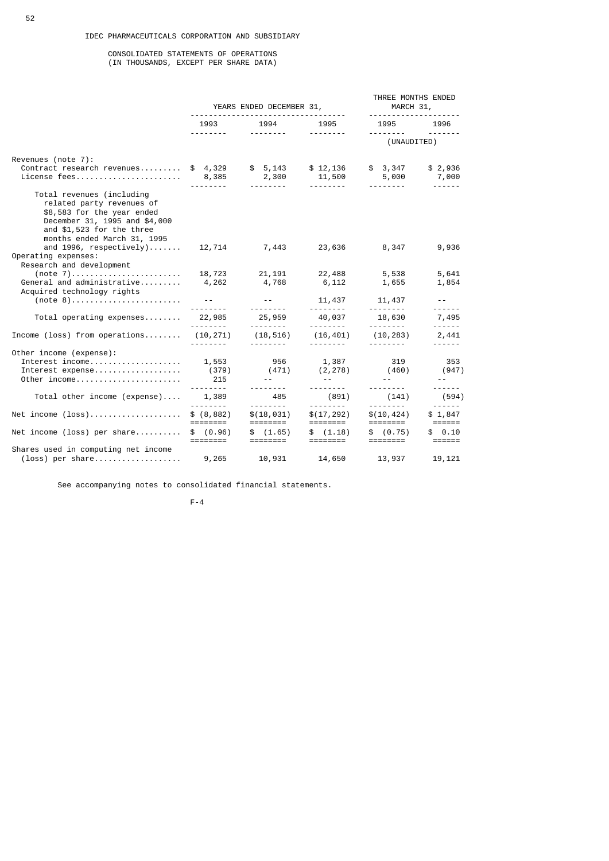CONSOLIDATED STATEMENTS OF OPERATIONS (IN THOUSANDS, EXCEPT PER SHARE DATA)

|                                                                                                                                                                                   |                                               | YEARS ENDED DECEMBER 31,                          |                                                           | THREE MONTHS ENDED<br>MARCH 31,<br>--------------------- |                                                                                                                                                                                                                                                                                                                                                                                                                                                                                                      |  |
|-----------------------------------------------------------------------------------------------------------------------------------------------------------------------------------|-----------------------------------------------|---------------------------------------------------|-----------------------------------------------------------|----------------------------------------------------------|------------------------------------------------------------------------------------------------------------------------------------------------------------------------------------------------------------------------------------------------------------------------------------------------------------------------------------------------------------------------------------------------------------------------------------------------------------------------------------------------------|--|
|                                                                                                                                                                                   |                                               | 1993 1994                                         | 1995                                                      | 1995 1996                                                |                                                                                                                                                                                                                                                                                                                                                                                                                                                                                                      |  |
|                                                                                                                                                                                   | <u>.</u>                                      | __________                                        | <u> - - - - - - - -</u>                                   | (UNAUDITED)                                              | $\begin{array}{cccccccccccccc} \multicolumn{2}{c}{} & \multicolumn{2}{c}{} & \multicolumn{2}{c}{} & \multicolumn{2}{c}{} & \multicolumn{2}{c}{} & \multicolumn{2}{c}{} & \multicolumn{2}{c}{} & \multicolumn{2}{c}{} & \multicolumn{2}{c}{} & \multicolumn{2}{c}{} & \multicolumn{2}{c}{} & \multicolumn{2}{c}{} & \multicolumn{2}{c}{} & \multicolumn{2}{c}{} & \multicolumn{2}{c}{} & \multicolumn{2}{c}{} & \multicolumn{2}{c}{} & \multicolumn{2}{c}{} & \multicolumn{2}{c}{} & \$               |  |
| Revenues (note 7):<br>Contract research revenues                                                                                                                                  | \$4,329                                       | $$5,143$ $$12,136$<br>2,300                       | 11,500                                                    | \$3,347<br>5,000<br><u> - - - - - - - -</u>              | \$ 2,936<br>7,000<br>$- - - - - -$                                                                                                                                                                                                                                                                                                                                                                                                                                                                   |  |
| Total revenues (including<br>related party revenues of<br>\$8,583 for the year ended<br>December 31, 1995 and \$4,000<br>and \$1,523 for the three<br>months ended March 31, 1995 |                                               |                                                   |                                                           |                                                          |                                                                                                                                                                                                                                                                                                                                                                                                                                                                                                      |  |
| and $1996$ , respectively)<br>Operating expenses:<br>Research and development                                                                                                     |                                               | 12,714 7,443                                      | 23,636                                                    | 8,347                                                    | 9,936                                                                                                                                                                                                                                                                                                                                                                                                                                                                                                |  |
| $(note 7) \dots \dots \dots \dots \dots \dots \dots \dots$<br>General and administrative<br>Acquired technology rights                                                            |                                               | 18,723 21,191 22,488 5,538<br>4,262 4,768         | 6,112                                                     | 1,655                                                    | 5,641<br>1,854                                                                                                                                                                                                                                                                                                                                                                                                                                                                                       |  |
| $(note 8) \dots \dots \dots \dots \dots \dots \dots \dots$                                                                                                                        | <b>Contract Contract Street</b><br><u>.</u> . | and the state of the state                        | 11,437 11,437<br>---------                                | <u> - - - - - - - -</u>                                  | <b>Service State</b>                                                                                                                                                                                                                                                                                                                                                                                                                                                                                 |  |
| Total operating expenses 22,985                                                                                                                                                   | <u>.</u>                                      | 25,959<br><u>.</u> .                              | 40,037<br><u>.</u>                                        | 18,630<br><u> - - - - - - - -</u>                        | $\frac{1}{2} \left( \frac{1}{2} \right) \left( \frac{1}{2} \right) \left( \frac{1}{2} \right) \left( \frac{1}{2} \right) \left( \frac{1}{2} \right) \left( \frac{1}{2} \right) \left( \frac{1}{2} \right) \left( \frac{1}{2} \right) \left( \frac{1}{2} \right) \left( \frac{1}{2} \right) \left( \frac{1}{2} \right) \left( \frac{1}{2} \right) \left( \frac{1}{2} \right) \left( \frac{1}{2} \right) \left( \frac{1}{2} \right) \left( \frac{1}{2} \right) \left( \frac$<br>7,495                  |  |
| Income (loss) from operations $(10, 271)$                                                                                                                                         | <u>.</u> .                                    | (18, 516)<br><u>.</u> .                           | (16, 401)<br><u> - - - - - - - -</u>                      | (10, 283)<br><u>.</u>                                    | 2,441<br>------                                                                                                                                                                                                                                                                                                                                                                                                                                                                                      |  |
| Other income (expense):<br>Interest income<br>Interest expense<br>Other income                                                                                                    | 1,553<br>(379)<br>215<br><u>.</u>             | 956<br>(471)<br>$\sim$ $\sim$ $ \sim$<br><u>.</u> | 1,387<br>(2, 278)<br><b>Contract Contract</b><br><u>.</u> | 319<br>(460)<br>$\sim$ $\sim$ $ \sim$<br><u>.</u>        | 353<br>(947)<br>$\sim$ $\sim$ $ \sim$                                                                                                                                                                                                                                                                                                                                                                                                                                                                |  |
| Total other income $(expense) \ldots$ .                                                                                                                                           | 1,389                                         | 485<br>---------                                  | (891)<br>---------                                        | (141)<br>---------                                       | $- - - - - -$<br>(594)<br>$\frac{1}{2} \left( \frac{1}{2} \right) \left( \frac{1}{2} \right) \left( \frac{1}{2} \right) \left( \frac{1}{2} \right) \left( \frac{1}{2} \right) \left( \frac{1}{2} \right) \left( \frac{1}{2} \right) \left( \frac{1}{2} \right) \left( \frac{1}{2} \right) \left( \frac{1}{2} \right) \left( \frac{1}{2} \right) \left( \frac{1}{2} \right) \left( \frac{1}{2} \right) \left( \frac{1}{2} \right) \left( \frac{1}{2} \right) \left( \frac{1}{2} \right) \left( \frac$ |  |
| Net income $(\text{loss}) \dots \dots \dots \dots \dots \dots$                                                                                                                    | \$ (8, 882)<br>========                       | \$(18, 031)<br>========                           | \$(17, 292)<br>========                                   | \$(10, 424)<br>========                                  | \$1,847<br>======                                                                                                                                                                                                                                                                                                                                                                                                                                                                                    |  |
| Net income (loss) per share                                                                                                                                                       | \$ (0.96)<br>========                         | \$(1.65)<br>========                              | \$(1.18)<br>========                                      | \$ (0.75)<br>========                                    | \$0.10<br>$=$ $=$ $=$ $=$ $=$ $=$                                                                                                                                                                                                                                                                                                                                                                                                                                                                    |  |
| Shares used in computing net income<br>$(\text{loss})$ per share                                                                                                                  | 9,265                                         | 10,931                                            | 14,650                                                    | 13,937                                                   | 19,121                                                                                                                                                                                                                                                                                                                                                                                                                                                                                               |  |

See accompanying notes to consolidated financial statements.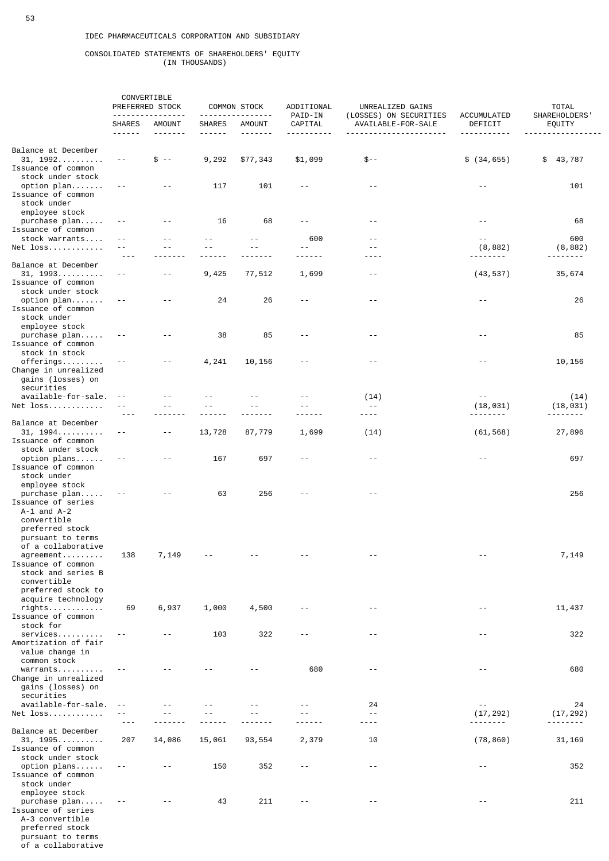CONSOLIDATED STATEMENTS OF SHAREHOLDERS' EQUITY (IN THOUSANDS)

|                                                                                                                                                       | CONVERTIBLE<br>PREFERRED STOCK |                   | COMMON STOCK            |               | ADDITIONAL<br>PAID-IN | UNREALIZED GAINS<br>(LOSSES) ON SECURITIES | ACCUMULATED            | <b>TOTAL</b><br>SHAREHOLDERS' |
|-------------------------------------------------------------------------------------------------------------------------------------------------------|--------------------------------|-------------------|-------------------------|---------------|-----------------------|--------------------------------------------|------------------------|-------------------------------|
|                                                                                                                                                       | <b>SHARES</b><br>------        | AMOUNT<br>------- | <b>SHARES</b><br>------ | AMOUNT        | CAPITAL<br>--------   | AVAILABLE-FOR-SALE                         | DEFICIT                | EQUITY                        |
| Balance at December                                                                                                                                   |                                |                   |                         |               |                       |                                            |                        |                               |
| $31, 1992 \ldots$<br>Issuance of common<br>stock under stock                                                                                          | $ -$                           | $$ - -$           | 9,292                   | \$77,343      | \$1,099               | $$ - -$                                    | \$ (34, 655)           | \$ 43,787                     |
| option plan<br>Issuance of common<br>stock under                                                                                                      | $ -$                           | - -               | 117                     | 101           | $ -$                  | $\sim$ $-$                                 | $\sim$ $-$             | 101                           |
| employee stock<br>purchase plan<br>Issuance of common                                                                                                 | - -                            | $ -$              | 16                      | 68            | $ -$                  | $\sim$ $-$                                 | $\sim$ $-$             | 68                            |
| stock warrants                                                                                                                                        | - -                            |                   |                         | $\sim$ $\sim$ | 600                   | $\overline{a}$                             | $\sim$ $-$             | 600                           |
| $Net loss$                                                                                                                                            | $ -$                           | $\sim$ $\sim$     |                         |               |                       | $\sim$ $\sim$                              | (8, 882)<br>. <u>.</u> | (8, 882)<br>$- - - - -$       |
| Balance at December                                                                                                                                   |                                |                   |                         |               |                       |                                            |                        |                               |
| $31, 1993 \ldots$<br>Issuance of common<br>stock under stock                                                                                          | - -                            |                   | 9,425                   | 77,512        | 1,699                 | - -                                        | (43, 537)              | 35,674                        |
| option plan<br>Issuance of common<br>stock under<br>employee stock                                                                                    | $ -$                           | $- -$             | 24                      | 26            | $ -$                  | $\sim$ $-$                                 | $ -$                   | 26                            |
| purchase plan<br>Issuance of common<br>stock in stock                                                                                                 | $- -$                          | - -               | 38                      | 85            | $ -$                  | $- -$                                      | $\sim$ $-$             | 85                            |
| $offerings$<br>Change in unrealized<br>gains (losses) on<br>securities                                                                                | $ -$                           |                   | 4,241                   | 10,156        |                       | $- -$                                      | - -                    | 10,156                        |
| available-for-sale.                                                                                                                                   | $ -$                           |                   |                         |               |                       | (14)                                       | $- -$                  | (14)                          |
| $Net loss$                                                                                                                                            | $- -$                          |                   |                         |               |                       | $- -$<br>- - - -                           | (18, 031)              | (18, 031)                     |
| Balance at December                                                                                                                                   |                                |                   |                         |               |                       |                                            |                        |                               |
| 31, 1994<br>Issuance of common<br>stock under stock                                                                                                   | $ -$                           | - -               | 13,728                  | 87,779        | 1,699                 | (14)                                       | (61, 568)              | 27,896                        |
| option plans<br>Issuance of common<br>stock under                                                                                                     | $ -$                           | $- -$             | 167                     | 697           | $ -$                  | $\sim$ $-$                                 | $ -$                   | 697                           |
| employee stock<br>purchase plan<br>Issuance of series<br>$A-1$ and $A-2$<br>convertible<br>preferred stock<br>pursuant to terms<br>of a collaborative | $ -$                           | $- -$             | 63                      | 256           | $ -$                  | $ -$                                       |                        | 256                           |
| agreement<br>Issuance of common<br>stock and series B<br>convertible<br>preferred stock to<br>acquire technology                                      | 138                            | 7,149             |                         |               |                       | $\sim$ $\sim$                              | $ -$                   | 7,149                         |
| rights<br>Issuance of common<br>stock for                                                                                                             | 69                             | 6,937             | 1,000                   | 4,500         |                       | $\sim$ $-$                                 | $\sim$ $-$             | 11,437                        |
| services<br>Amortization of fair<br>value change in<br>common stock                                                                                   | $\overline{a}$                 |                   | 103                     | 322           | - -                   | $- -$                                      | $- -$                  | 322                           |
| warrants<br>Change in unrealized<br>gains (losses) on<br>securities                                                                                   |                                |                   |                         |               | 680                   | $- -$                                      | $- -$                  | 680                           |
| available-for-sale.<br>$Net loss$                                                                                                                     | - -                            |                   |                         |               |                       | 24<br>$\sim$ $\sim$                        | $ -$<br>(17, 292)      | 24<br>(17, 292)               |
|                                                                                                                                                       |                                |                   |                         |               |                       |                                            |                        |                               |
| Balance at December<br>31, 1995                                                                                                                       | 207                            | 14,086            | 15,061                  | 93,554        | 2,379                 | 10                                         | (78, 860)              | 31,169                        |
| Issuance of common<br>stock under stock                                                                                                               |                                |                   |                         |               |                       |                                            |                        |                               |
| option plans<br>Issuance of common<br>stock under                                                                                                     | $- -$                          |                   | 150                     | 352           | $ -$                  | $\sim$ $-$                                 | $\sim$ $-$             | 352                           |
| employee stock<br>purchase plan<br>Issuance of series<br>A-3 convertible<br>preferred stock<br>pursuant to terms<br>of a collaborative                |                                |                   | 43                      | 211           |                       |                                            | $- -$                  | 211                           |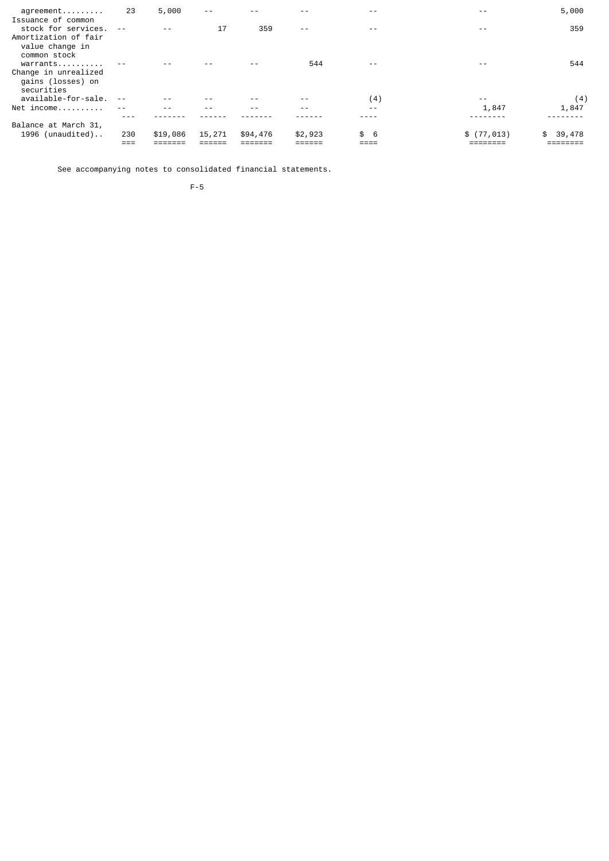| agreement<br>Issuance of common                                                | - 23  | 5,000    | $ -$   |          |         | $ -$     | $- -$       | 5,000        |
|--------------------------------------------------------------------------------|-------|----------|--------|----------|---------|----------|-------------|--------------|
| stock for services.<br>Amortization of fair<br>value change in<br>common stock | $ -$  | $ -$     | 17     | 359      | $ -$    | $ -$     | $ -$        | 359          |
| warrants<br>Change in unrealized<br>gains (losses) on<br>securities            | $- -$ |          |        |          | 544     | $ -$     | $ -$        | 544          |
| available-for-sale.                                                            | $ -$  |          | $ -$   | $ -$     |         | (4)      | $ -$        | (4)          |
| Net income                                                                     | $ -$  | - -      | $ -$   | $ -$     | $ -$    | $ -$     | 1,847       | 1,847        |
|                                                                                |       |          |        |          |         |          |             |              |
| Balance at March 31,<br>1996 (unaudited)                                       | 230   | \$19,086 | 15,271 | \$94,476 | \$2,923 | \$<br>-6 | \$(77, 013) | \$<br>39,478 |

See accompanying notes to consolidated financial statements.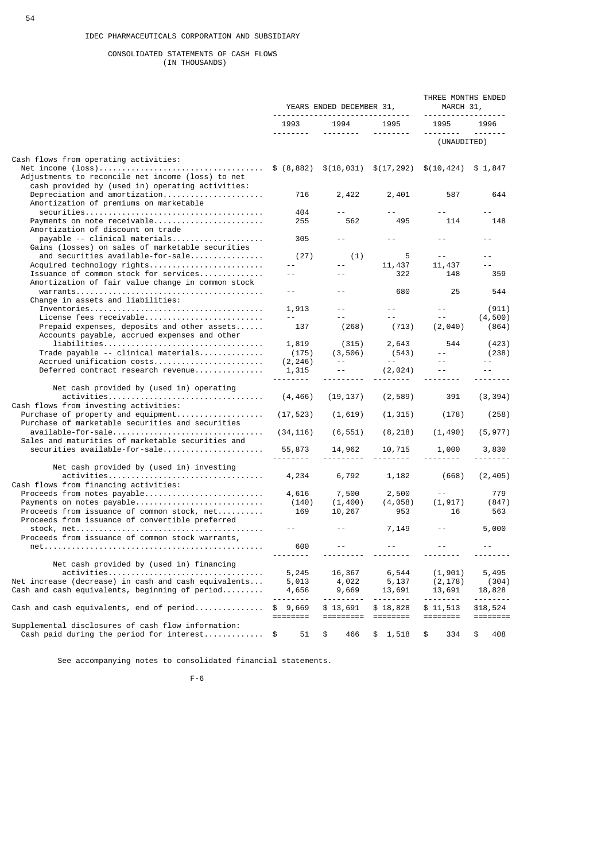CONSOLIDATED STATEMENTS OF CASH FLOWS (IN THOUSANDS)

|                                                                                                                             | YEARS ENDED DECEMBER 31,            |                          |                          | THREE MONTHS ENDED<br>MARCH 31,     |                          |  |
|-----------------------------------------------------------------------------------------------------------------------------|-------------------------------------|--------------------------|--------------------------|-------------------------------------|--------------------------|--|
|                                                                                                                             | 1993<br><u>.</u>                    | 1994<br><u>.</u>         | 1995                     | 1995<br>$- - - - -$                 | 1996                     |  |
|                                                                                                                             |                                     |                          |                          | (UNAUDITED)                         |                          |  |
| Cash flows from operating activities:<br>Adjustments to reconcile net income (loss) to net                                  |                                     | \$(18, 031)              | \$(17, 292)              | \$(10, 424)                         | \$1,847                  |  |
| cash provided by (used in) operating activities:<br>Depreciation and amortization<br>Amortization of premiums on marketable | 716                                 | 2,422                    | 2,401                    | 587                                 | 644                      |  |
| Payments on note receivable<br>Amortization of discount on trade                                                            | 404<br>255                          | 562                      | 495                      | 114                                 | 148                      |  |
| payable -- clinical materials<br>Gains (losses) on sales of marketable securities                                           | 305                                 |                          |                          |                                     |                          |  |
| and securities available-for-sale<br>Acquired technology rights<br>Issuance of common stock for services                    | (27)<br>$ -$                        | (1)<br>$- -$<br>$- -$    | 5<br>11,437<br>322       | $- -$<br>11,437<br>148              | $ -$<br>359              |  |
| Amortization of fair value change in common stock<br>Change in assets and liabilities:                                      | $- -$                               | - -                      | 680                      | 25                                  | 544                      |  |
| $Inventories.$<br>License fees receivable                                                                                   | 1,913                               | $ -$                     |                          | $ -$<br>$- -$                       | (911)<br>(4, 500)        |  |
| Prepaid expenses, deposits and other assets<br>Accounts payable, accrued expenses and other                                 | 137<br>1,819                        | (268)<br>(315)           | (713)<br>2,643           | (2,040)<br>544                      | (864)<br>(423)           |  |
| $Trade$ payable -- clinical materials<br>Accrued unification costs                                                          | (175)<br>(2, 246)                   | (3, 506)<br>$\sim$ $-$   | (543)<br>$- -$           |                                     | (238)<br>$- -$           |  |
| Deferred contract research revenue                                                                                          | 1,315                               | $ -$                     | (2, 024)                 |                                     |                          |  |
| Net cash provided by (used in) operating<br>activities<br>Cash flows from investing activities:                             | (4, 466)                            | (19, 137)                | (2, 589)                 | 391                                 | (3, 394)                 |  |
| Purchase of property and equipment<br>Purchase of marketable securities and securities                                      | (17, 523)                           | (1, 619)                 | (1, 315)                 | (178)                               | (258)                    |  |
| available-for-sale<br>Sales and maturities of marketable securities and<br>securities available-for-sale                    | (34, 116)<br>55,873                 | (6, 551)<br>14,962       | (8, 218)                 | (1, 490)<br>1,000                   | (5, 977)<br>3,830        |  |
| Net cash provided by (used in) investing                                                                                    |                                     |                          | 10,715                   |                                     |                          |  |
| Cash flows from financing activities:                                                                                       | 4,234                               | 6,792                    | 1,182                    | (668)                               | (2, 405)                 |  |
| Proceeds from notes payable<br>Payments on notes payable                                                                    | 4,616<br>(140)                      | 7,500<br>(1, 400)        | 2,500<br>(4, 058)        | (1, 917)                            | 779<br>(847)             |  |
| Proceeds from issuance of common stock, net<br>Proceeds from issuance of convertible preferred                              | 169                                 | 10,267                   | 953                      | 16                                  | 563                      |  |
| Proceeds from issuance of common stock warrants,                                                                            | 600                                 |                          | 7,149                    |                                     | 5,000<br>$-$             |  |
| Net cash provided by (used in) financing                                                                                    | - - - - - - - -                     | ---------                | --------                 | - - - - - - - -                     | --------                 |  |
| Net increase (decrease) in cash and cash equivalents<br>Cash and cash equivalents, beginning of $period$                    | 5, 245<br>5,013<br>4,656            | 16,367<br>4,022<br>9,669 | 6,544<br>5,137<br>13,691 | (1, 901)<br>(2, 178)<br>13,691      | 5,495<br>(304)<br>18,828 |  |
| Cash and cash equivalents, end of $period$                                                                                  | --------<br>9,669<br>\$<br>======== | \$13,691<br>=========    | ---<br>\$18,828          | $ -$<br>\$11,513<br><b>EDECEDED</b> | --------<br>\$18,524     |  |
| Supplemental disclosures of cash flow information:<br>Cash paid during the period for interest                              | \$<br>51                            | 466<br>\$                | \$1,518                  | \$<br>334                           | \$<br>408                |  |

See accompanying notes to consolidated financial statements.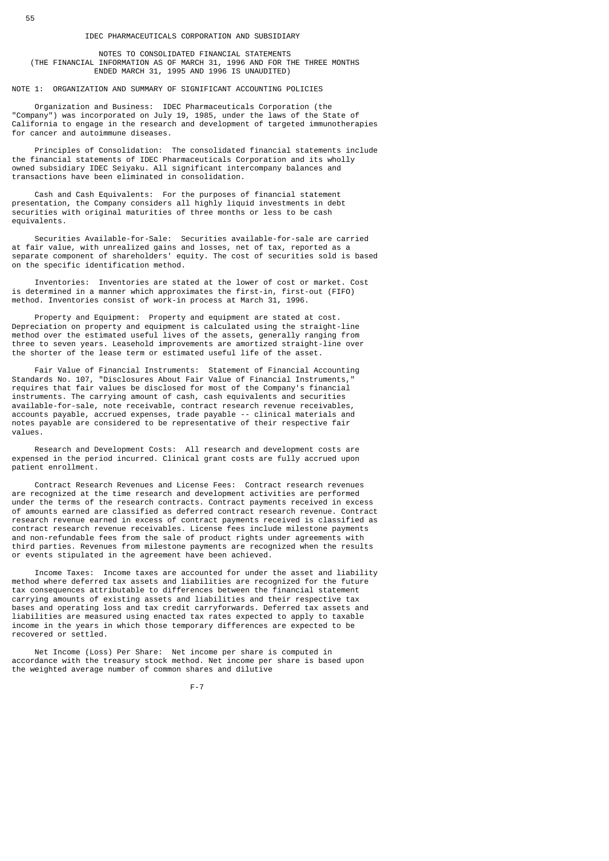NOTES TO CONSOLIDATED FINANCIAL STATEMENTS (THE FINANCIAL INFORMATION AS OF MARCH 31, 1996 AND FOR THE THREE MONTHS ENDED MARCH 31, 1995 AND 1996 IS UNAUDITED)

NOTE 1: ORGANIZATION AND SUMMARY OF SIGNIFICANT ACCOUNTING POLICIES

 Organization and Business: IDEC Pharmaceuticals Corporation (the "Company") was incorporated on July 19, 1985, under the laws of the State of California to engage in the research and development of targeted immunotherapies for cancer and autoimmune diseases.

 Principles of Consolidation: The consolidated financial statements include the financial statements of IDEC Pharmaceuticals Corporation and its wholly owned subsidiary IDEC Seiyaku. All significant intercompany balances and transactions have been eliminated in consolidation.

 Cash and Cash Equivalents: For the purposes of financial statement presentation, the Company considers all highly liquid investments in debt securities with original maturities of three months or less to be cash equivalents.

 Securities Available-for-Sale: Securities available-for-sale are carried at fair value, with unrealized gains and losses, net of tax, reported as a separate component of shareholders' equity. The cost of securities sold is based on the specific identification method.

 Inventories: Inventories are stated at the lower of cost or market. Cost is determined in a manner which approximates the first-in, first-out (FIFO) method. Inventories consist of work-in process at March 31, 1996.

 Property and Equipment: Property and equipment are stated at cost. Depreciation on property and equipment is calculated using the straight-line method over the estimated useful lives of the assets, generally ranging from three to seven years. Leasehold improvements are amortized straight-line over the shorter of the lease term or estimated useful life of the asset.

 Fair Value of Financial Instruments: Statement of Financial Accounting Standards No. 107, "Disclosures About Fair Value of Financial Instruments," requires that fair values be disclosed for most of the Company's financial instruments. The carrying amount of cash, cash equivalents and securities available-for-sale, note receivable, contract research revenue receivables, accounts payable, accrued expenses, trade payable -- clinical materials and notes payable are considered to be representative of their respective fair values.

 Research and Development Costs: All research and development costs are expensed in the period incurred. Clinical grant costs are fully accrued upon patient enrollment.

 Contract Research Revenues and License Fees: Contract research revenues are recognized at the time research and development activities are performed under the terms of the research contracts. Contract payments received in excess of amounts earned are classified as deferred contract research revenue. Contract research revenue earned in excess of contract payments received is classified as contract research revenue receivables. License fees include milestone payments and non-refundable fees from the sale of product rights under agreements with third parties. Revenues from milestone payments are recognized when the results or events stipulated in the agreement have been achieved.

 Income Taxes: Income taxes are accounted for under the asset and liability method where deferred tax assets and liabilities are recognized for the future tax consequences attributable to differences between the financial statement carrying amounts of existing assets and liabilities and their respective tax bases and operating loss and tax credit carryforwards. Deferred tax assets and liabilities are measured using enacted tax rates expected to apply to taxable income in the years in which those temporary differences are expected to be recovered or settled.

 Net Income (Loss) Per Share: Net income per share is computed in accordance with the treasury stock method. Net income per share is based upon the weighted average number of common shares and dilutive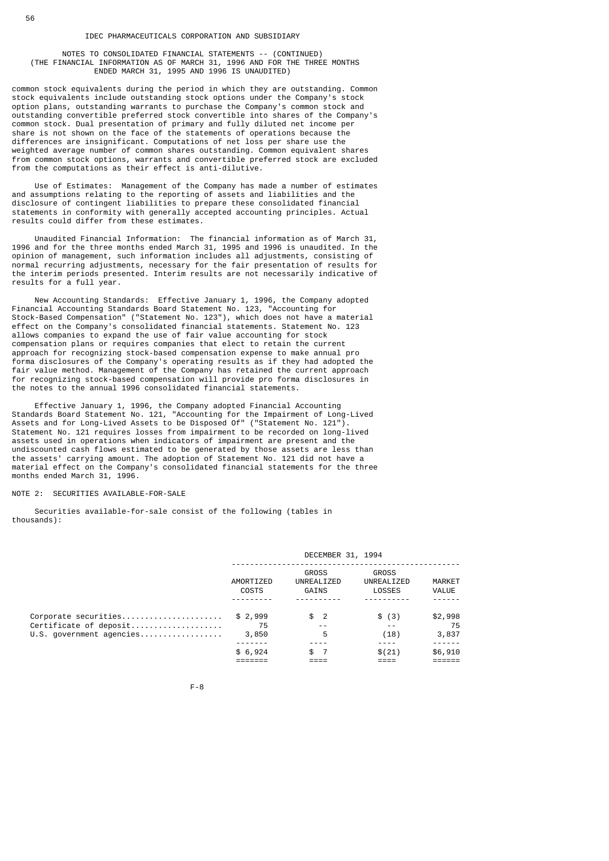### NOTES TO CONSOLIDATED FINANCIAL STATEMENTS -- (CONTINUED) (THE FINANCIAL INFORMATION AS OF MARCH 31, 1996 AND FOR THE THREE MONTHS ENDED MARCH 31, 1995 AND 1996 IS UNAUDITED)

common stock equivalents during the period in which they are outstanding. Common stock equivalents include outstanding stock options under the Company's stock option plans, outstanding warrants to purchase the Company's common stock and outstanding convertible preferred stock convertible into shares of the Company's common stock. Dual presentation of primary and fully diluted net income per share is not shown on the face of the statements of operations because the differences are insignificant. Computations of net loss per share use the weighted average number of common shares outstanding. Common equivalent shares from common stock options, warrants and convertible preferred stock are excluded from the computations as their effect is anti-dilutive.

 Use of Estimates: Management of the Company has made a number of estimates and assumptions relating to the reporting of assets and liabilities and the disclosure of contingent liabilities to prepare these consolidated financial statements in conformity with generally accepted accounting principles. Actual results could differ from these estimates.

 Unaudited Financial Information: The financial information as of March 31, 1996 and for the three months ended March 31, 1995 and 1996 is unaudited. In the opinion of management, such information includes all adjustments, consisting of normal recurring adjustments, necessary for the fair presentation of results for the interim periods presented. Interim results are not necessarily indicative of results for a full year.

 New Accounting Standards: Effective January 1, 1996, the Company adopted Financial Accounting Standards Board Statement No. 123, "Accounting for Stock-Based Compensation" ("Statement No. 123"), which does not have a material effect on the Company's consolidated financial statements. Statement No. 123 allows companies to expand the use of fair value accounting for stock compensation plans or requires companies that elect to retain the current approach for recognizing stock-based compensation expense to make annual pro forma disclosures of the Company's operating results as if they had adopted the fair value method. Management of the Company has retained the current approach for recognizing stock-based compensation will provide pro forma disclosures in the notes to the annual 1996 consolidated financial statements.

 Effective January 1, 1996, the Company adopted Financial Accounting Standards Board Statement No. 121, "Accounting for the Impairment of Long-Lived Assets and for Long-Lived Assets to be Disposed Of" ("Statement No. 121"). Statement No. 121 requires losses from impairment to be recorded on long-lived assets used in operations when indicators of impairment are present and the undiscounted cash flows estimated to be generated by those assets are less than the assets' carrying amount. The adoption of Statement No. 121 did not have a material effect on the Company's consolidated financial statements for the three months ended March 31, 1996.

## NOTE 2: SECURITIES AVAILABLE-FOR-SALE

 Securities available-for-sale consist of the following (tables in thousands):

|                                                                            | DECEMBER 31, 1994      |                                     |                                             |                        |  |
|----------------------------------------------------------------------------|------------------------|-------------------------------------|---------------------------------------------|------------------------|--|
|                                                                            | AMORTIZED<br>COSTS     | <b>GROSS</b><br>UNREALIZED<br>GAINS | <b>GROSS</b><br>UNREALIZED<br><b>LOSSES</b> | MARKET<br>VALUE        |  |
| Corporate securities<br>Certificate of deposit<br>U.S. government agencies | \$2,999<br>75<br>3,850 | \$2<br>- -<br>5                     | \$ (3)<br>$ -$<br>(18)                      | \$2,998<br>75<br>3,837 |  |
|                                                                            | \$6,924                | \$.                                 | \$(21)                                      | \$6,910                |  |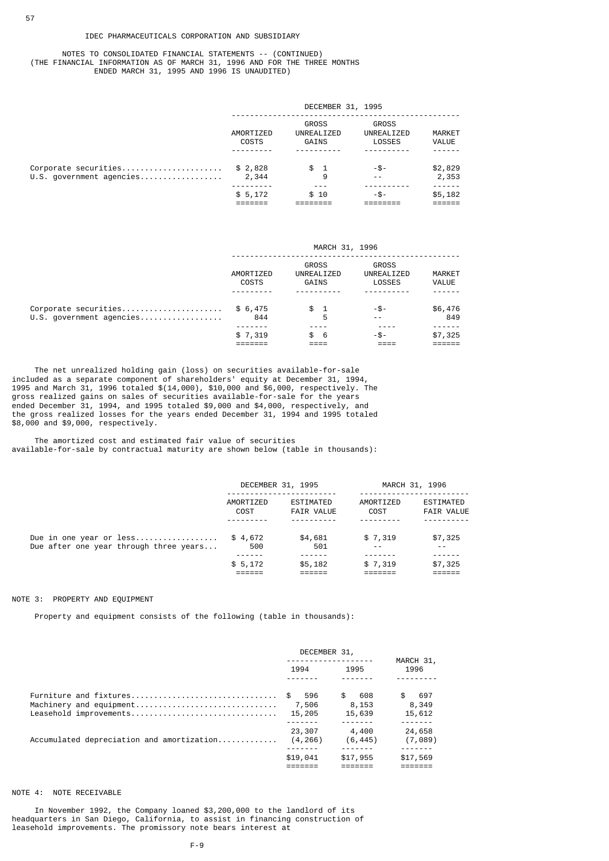## NOTES TO CONSOLIDATED FINANCIAL STATEMENTS -- (CONTINUED) (THE FINANCIAL INFORMATION AS OF MARCH 31, 1996 AND FOR THE THREE MONTHS ENDED MARCH 31, 1995 AND 1996 IS UNAUDITED)

|                                                  | DECEMBER 31, 1995         |                                     |                                             |                        |
|--------------------------------------------------|---------------------------|-------------------------------------|---------------------------------------------|------------------------|
|                                                  | AMORTIZED<br><b>COSTS</b> | <b>GROSS</b><br>UNREALIZED<br>GAINS | <b>GROSS</b><br>UNREALIZED<br><b>LOSSES</b> | <b>MARKET</b><br>VALUE |
| Corporate securities<br>U.S. government agencies | \$2,828<br>2,344          | \$1<br>9                            | -\$-<br>$ -$                                | \$2,829<br>2,353       |
|                                                  | \$5,172                   | \$10                                | $-5-$                                       | \$5,182                |

|                                                  |                    | MARCH 31, 1996                      |                                             |                        |
|--------------------------------------------------|--------------------|-------------------------------------|---------------------------------------------|------------------------|
|                                                  | AMORTIZED<br>COSTS | <b>GROSS</b><br>UNREALIZED<br>GAINS | <b>GROSS</b><br>UNREALIZED<br><b>LOSSES</b> | <b>MARKET</b><br>VALUE |
| Corporate securities<br>U.S. government agencies | \$6,475<br>844     | \$1<br>5                            | -\$-<br>$ -$                                | \$6,476<br>849         |
|                                                  |                    |                                     |                                             |                        |
|                                                  | \$7,319            | \$.<br>- 6                          | -\$-                                        | \$7,325                |

 The net unrealized holding gain (loss) on securities available-for-sale included as a separate component of shareholders' equity at December 31, 1994, 1995 and March 31, 1996 totaled \$(14,000), \$10,000 and \$6,000, respectively. The gross realized gains on sales of securities available-for-sale for the years ended December 31, 1994, and 1995 totaled \$9,000 and \$4,000, respectively, and the gross realized losses for the years ended December 31, 1994 and 1995 totaled \$8,000 and \$9,000, respectively.

 The amortized cost and estimated fair value of securities available-for-sale by contractual maturity are shown below (table in thousands):

|                                                                   | DECEMBER 31, 1995 |                                | MARCH 31, 1996    |                                |  |
|-------------------------------------------------------------------|-------------------|--------------------------------|-------------------|--------------------------------|--|
|                                                                   | AMORTIZED<br>COST | ESTIMATED<br><b>FAIR VALUE</b> | AMORTIZED<br>COST | ESTIMATED<br><b>FAIR VALUE</b> |  |
|                                                                   |                   |                                |                   |                                |  |
| Due in one year or less<br>Due after one year through three years | \$4,672<br>500    | \$4,681<br>501                 | \$7,319<br>$ -$   | \$7,325<br>$ -$                |  |
|                                                                   | \$5,172           | \$5,182                        | \$7,319           | \$7,325                        |  |

# NOTE 3: PROPERTY AND EQUIPMENT

Property and equipment consists of the following (table in thousands):

|                                                                             | DECEMBER 31,<br>.             |                              |                                |  |
|-----------------------------------------------------------------------------|-------------------------------|------------------------------|--------------------------------|--|
|                                                                             | 1994                          | 1995                         | MARCH 31,<br>1996              |  |
| Furniture and fixtures<br>Machinery and equipment<br>Leasehold improvements | 596<br>\$.<br>7,506<br>15,205 | \$<br>608<br>8,153<br>15,639 | - 697<br>\$<br>8,349<br>15,612 |  |
| Accumulated depreciation and amortization                                   | 23,307<br>(4, 266)            | 4,400<br>(6, 445)            | 24,658<br>(7,089)              |  |
|                                                                             | \$19,041                      | \$17,955                     | \$17,569                       |  |

# NOTE 4: NOTE RECEIVABLE

 In November 1992, the Company loaned \$3,200,000 to the landlord of its headquarters in San Diego, California, to assist in financing construction of leasehold improvements. The promissory note bears interest at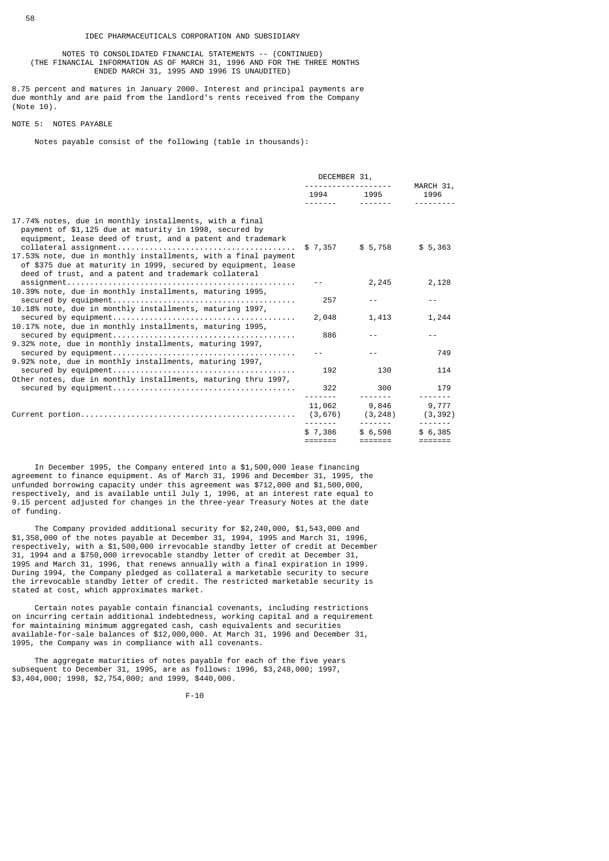NOTES TO CONSOLIDATED FINANCIAL STATEMENTS -- (CONTINUED) (THE FINANCIAL INFORMATION AS OF MARCH 31, 1996 AND FOR THE THREE MONTHS ENDED MARCH 31, 1995 AND 1996 IS UNAUDITED)

8.75 percent and matures in January 2000. Interest and principal payments are due monthly and are paid from the landlord's rents received from the Company (Note 10).

### NOTE 5: NOTES PAYABLE

Notes payable consist of the following (table in thousands):

|                                                                                                                                                                                                                                                                                                                                                                            |         | DECEMBER 31,<br>------------------- |                            |
|----------------------------------------------------------------------------------------------------------------------------------------------------------------------------------------------------------------------------------------------------------------------------------------------------------------------------------------------------------------------------|---------|-------------------------------------|----------------------------|
|                                                                                                                                                                                                                                                                                                                                                                            |         | 1994 1995                           | MARCH 31,<br>1996          |
| 17.74% notes, due in monthly installments, with a final<br>payment of \$1,125 due at maturity in 1998, secured by<br>equipment, lease deed of trust, and a patent and trademark<br>17.53% note, due in monthly installments, with a final payment<br>of \$375 due at maturity in 1999, secured by equipment, lease<br>deed of trust, and a patent and trademark collateral |         | $$7,357$ $$5,758$                   | \$5,363                    |
|                                                                                                                                                                                                                                                                                                                                                                            |         | 2,245                               | 2,128                      |
| 10.39% note, due in monthly installments, maturing 1995,<br>10.18% note, due in monthly installments, maturing 1997,                                                                                                                                                                                                                                                       | 257     | $- -$                               | $- -$                      |
|                                                                                                                                                                                                                                                                                                                                                                            | 2,048   | 1,413                               | 1,244                      |
| 10.17% note, due in monthly installments, maturing 1995,<br>9.32% note, due in monthly installments, maturing 1997,                                                                                                                                                                                                                                                        | 886     |                                     |                            |
|                                                                                                                                                                                                                                                                                                                                                                            |         |                                     | 749                        |
| 9.92% note, due in monthly installments, maturing 1997,<br>Other notes, due in monthly installments, maturing thru 1997,                                                                                                                                                                                                                                                   | 192     | 130                                 | 114                        |
|                                                                                                                                                                                                                                                                                                                                                                            | 322     | 300                                 | 179                        |
|                                                                                                                                                                                                                                                                                                                                                                            | 11,062  | 9,846                               | $- - - - - - - -$<br>9,777 |
|                                                                                                                                                                                                                                                                                                                                                                            | \$7,386 | \$6,598<br><b>EEEEEEE</b>           | \$6,385                    |

 In December 1995, the Company entered into a \$1,500,000 lease financing agreement to finance equipment. As of March 31, 1996 and December 31, 1995, the unfunded borrowing capacity under this agreement was \$712,000 and \$1,500,000, respectively, and is available until July 1, 1996, at an interest rate equal to 9.15 percent adjusted for changes in the three-year Treasury Notes at the date of funding.

 The Company provided additional security for \$2,240,000, \$1,543,000 and \$1,358,000 of the notes payable at December 31, 1994, 1995 and March 31, 1996, respectively, with a \$1,500,000 irrevocable standby letter of credit at December 31, 1994 and a \$750,000 irrevocable standby letter of credit at December 31, 1995 and March 31, 1996, that renews annually with a final expiration in 1999. During 1994, the Company pledged as collateral a marketable security to secure the irrevocable standby letter of credit. The restricted marketable security is stated at cost, which approximates market.

 Certain notes payable contain financial covenants, including restrictions on incurring certain additional indebtedness, working capital and a requirement for maintaining minimum aggregated cash, cash equivalents and securities available-for-sale balances of \$12,000,000. At March 31, 1996 and December 31, 1995, the Company was in compliance with all covenants.

 The aggregate maturities of notes payable for each of the five years subsequent to December 31, 1995, are as follows: 1996, \$3,248,000; 1997, \$3,404,000; 1998, \$2,754,000; and 1999, \$440,000.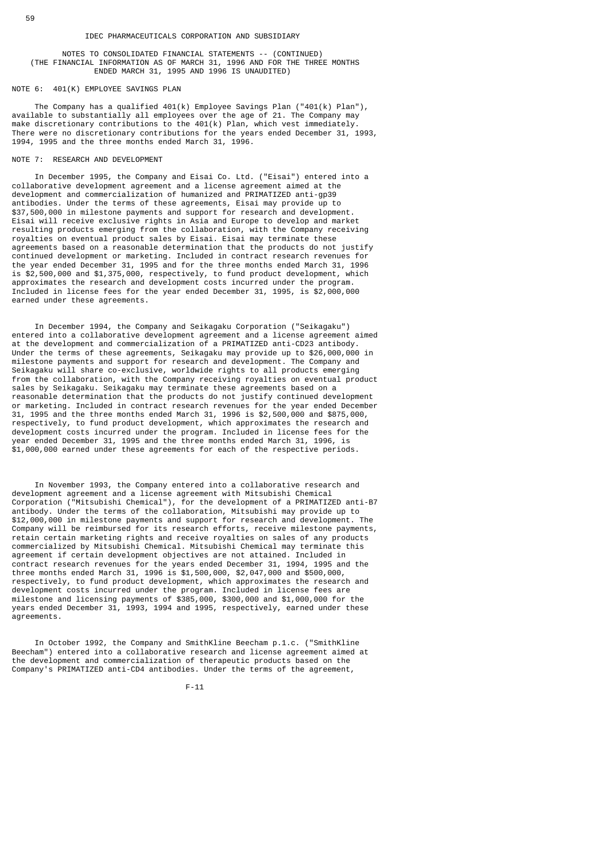NOTES TO CONSOLIDATED FINANCIAL STATEMENTS -- (CONTINUED) (THE FINANCIAL INFORMATION AS OF MARCH 31, 1996 AND FOR THE THREE MONTHS ENDED MARCH 31, 1995 AND 1996 IS UNAUDITED)

NOTE 6: 401(K) EMPLOYEE SAVINGS PLAN

 The Company has a qualified 401(k) Employee Savings Plan ("401(k) Plan"), available to substantially all employees over the age of 21. The Company may make discretionary contributions to the 401(k) Plan, which vest immediately. There were no discretionary contributions for the years ended December 31, 1993, 1994, 1995 and the three months ended March 31, 1996.

#### NOTE 7: RESEARCH AND DEVELOPMENT

 In December 1995, the Company and Eisai Co. Ltd. ("Eisai") entered into a collaborative development agreement and a license agreement aimed at the development and commercialization of humanized and PRIMATIZED anti-gp39 antibodies. Under the terms of these agreements, Eisai may provide up to \$37,500,000 in milestone payments and support for research and development. Eisai will receive exclusive rights in Asia and Europe to develop and market resulting products emerging from the collaboration, with the Company receiving royalties on eventual product sales by Eisai. Eisai may terminate these agreements based on a reasonable determination that the products do not justify continued development or marketing. Included in contract research revenues for the year ended December 31, 1995 and for the three months ended March 31, 1996 is \$2,500,000 and \$1,375,000, respectively, to fund product development, which approximates the research and development costs incurred under the program. Included in license fees for the year ended December 31, 1995, is \$2,000,000 earned under these agreements.

 In December 1994, the Company and Seikagaku Corporation ("Seikagaku") entered into a collaborative development agreement and a license agreement aimed at the development and commercialization of a PRIMATIZED anti-CD23 antibody. Under the terms of these agreements, Seikagaku may provide up to \$26,000,000 in milestone payments and support for research and development. The Company and Seikagaku will share co-exclusive, worldwide rights to all products emerging from the collaboration, with the Company receiving royalties on eventual product sales by Seikagaku. Seikagaku may terminate these agreements based on a reasonable determination that the products do not justify continued development or marketing. Included in contract research revenues for the year ended December 31, 1995 and the three months ended March 31, 1996 is \$2,500,000 and \$875,000, respectively, to fund product development, which approximates the research and respectively, to fund product development, which approximates the research and development costs incurred under the program. Included in license fees for the year ended December 31, 1995 and the three months ended March 31, 1996, is \$1,000,000 earned under these agreements for each of the respective periods.

 In November 1993, the Company entered into a collaborative research and development agreement and a license agreement with Mitsubishi Chemical Corporation ("Mitsubishi Chemical"), for the development of a PRIMATIZED anti-B7 antibody. Under the terms of the collaboration, Mitsubishi may provide up to \$12,000,000 in milestone payments and support for research and development. The Company will be reimbursed for its research efforts, receive milestone payments, retain certain marketing rights and receive royalties on sales of any products commercialized by Mitsubishi Chemical. Mitsubishi Chemical may terminate this agreement if certain development objectives are not attained. Included in contract research revenues for the years ended December 31, 1994, 1995 and the three months ended March 31, 1996 is \$1,500,000, \$2,047,000 and \$500,000, respectively, to fund product development, which approximates the research and development costs incurred under the program. Included in license fees are milestone and licensing payments of \$385,000, \$300,000 and \$1,000,000 for the years ended December 31, 1993, 1994 and 1995, respectively, earned under these agreements.

 In October 1992, the Company and SmithKline Beecham p.1.c. ("SmithKline Beecham") entered into a collaborative research and license agreement aimed at the development and commercialization of therapeutic products based on the Company's PRIMATIZED anti-CD4 antibodies. Under the terms of the agreement,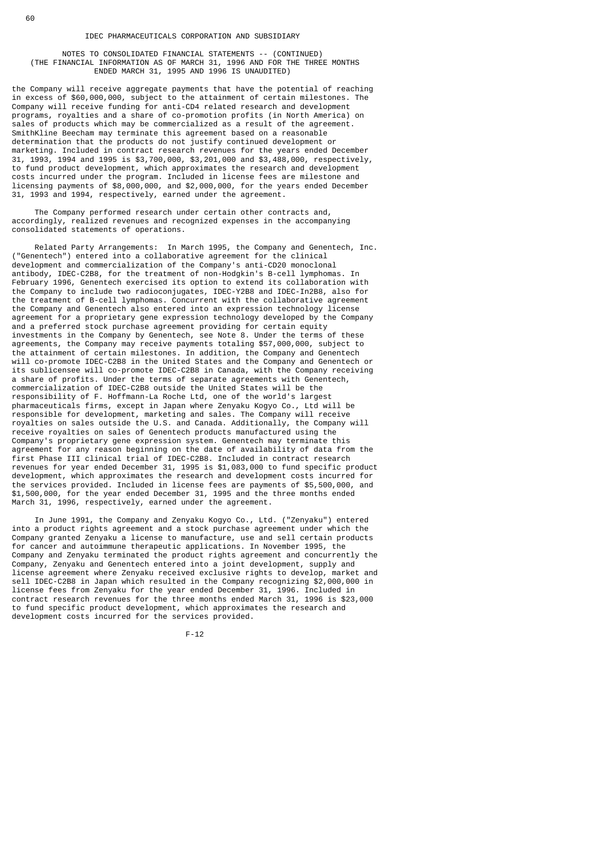NOTES TO CONSOLIDATED FINANCIAL STATEMENTS -- (CONTINUED) (THE FINANCIAL INFORMATION AS OF MARCH 31, 1996 AND FOR THE THREE MONTHS ENDED MARCH 31, 1995 AND 1996 IS UNAUDITED)

the Company will receive aggregate payments that have the potential of reaching in excess of \$60,000,000, subject to the attainment of certain milestones. The Company will receive funding for anti-CD4 related research and development programs, royalties and a share of co-promotion profits (in North America) on sales of products which may be commercialized as a result of the agreement. SmithKline Beecham may terminate this agreement based on a reasonable determination that the products do not justify continued development or marketing. Included in contract research revenues for the years ended December 31, 1993, 1994 and 1995 is \$3,700,000, \$3,201,000 and \$3,488,000, respectively, to fund product development, which approximates the research and development costs incurred under the program. Included in license fees are milestone and licensing payments of \$8,000,000, and \$2,000,000, for the years ended December 31, 1993 and 1994, respectively, earned under the agreement.

 The Company performed research under certain other contracts and, accordingly, realized revenues and recognized expenses in the accompanying consolidated statements of operations.

 Related Party Arrangements: In March 1995, the Company and Genentech, Inc. ("Genentech") entered into a collaborative agreement for the clinical development and commercialization of the Company's anti-CD20 monoclonal antibody, IDEC-C2B8, for the treatment of non-Hodgkin's B-cell lymphomas. In February 1996, Genentech exercised its option to extend its collaboration with the Company to include two radioconjugates, IDEC-Y2B8 and IDEC-In2B8, also for the treatment of B-cell lymphomas. Concurrent with the collaborative agreement the Company and Genentech also entered into an expression technology license agreement for a proprietary gene expression technology developed by the Company and a preferred stock purchase agreement providing for certain equity investments in the Company by Genentech, see Note 8. Under the terms of these agreements, the Company may receive payments totaling \$57,000,000, subject to the attainment of certain milestones. In addition, the Company and Genentech will co-promote IDEC-C2B8 in the United States and the Company and Genentech or its sublicensee will co-promote IDEC-C2B8 in Canada, with the Company receiving a share of profits. Under the terms of separate agreements with Genentech, commercialization of IDEC-C2B8 outside the United States will be the responsibility of F. Hoffmann-La Roche Ltd, one of the world's largest pharmaceuticals firms, except in Japan where Zenyaku Kogyo Co., Ltd will be responsible for development, marketing and sales. The Company will receive royalties on sales outside the U.S. and Canada. Additionally, the Company will receive royalties on sales of Genentech products manufactured using the Company's proprietary gene expression system. Genentech may terminate this agreement for any reason beginning on the date of availability of data from the first Phase III clinical trial of IDEC-C2B8. Included in contract research revenues for year ended December 31, 1995 is \$1,083,000 to fund specific product development, which approximates the research and development costs incurred for the services provided. Included in license fees are payments of \$5,500,000, and \$1,500,000, for the year ended December 31, 1995 and the three months ended March 31, 1996, respectively, earned under the agreement.

 In June 1991, the Company and Zenyaku Kogyo Co., Ltd. ("Zenyaku") entered into a product rights agreement and a stock purchase agreement under which the Company granted Zenyaku a license to manufacture, use and sell certain products for cancer and autoimmune therapeutic applications. In November 1995, the Company and Zenyaku terminated the product rights agreement and concurrently the Company, Zenyaku and Genentech entered into a joint development, supply and license agreement where Zenyaku received exclusive rights to develop, market and sell IDEC-C2B8 in Japan which resulted in the Company recognizing \$2,000,000 in license fees from Zenyaku for the year ended December 31, 1996. Included in contract research revenues for the three months ended March 31, 1996 is \$23,000 to fund specific product development, which approximates the research and development costs incurred for the services provided.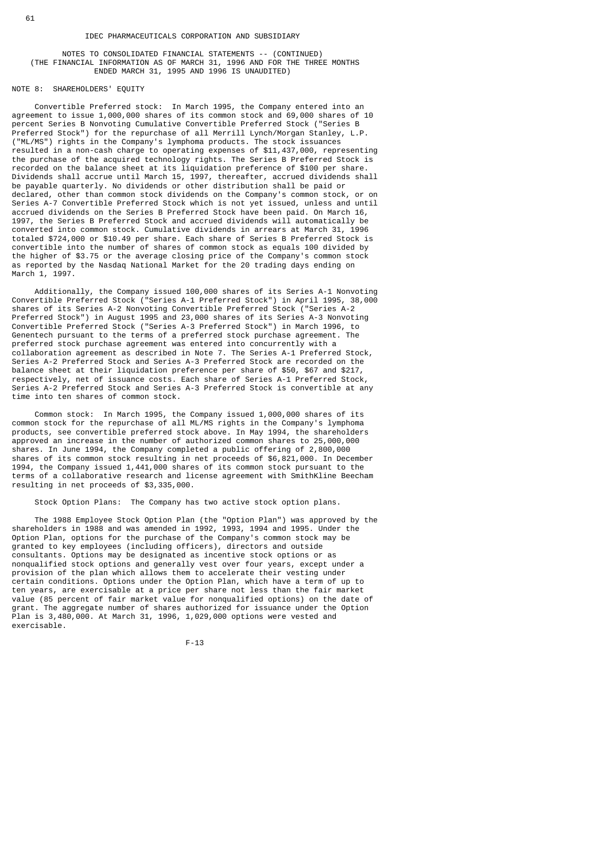# NOTES TO CONSOLIDATED FINANCIAL STATEMENTS -- (CONTINUED) (THE FINANCIAL INFORMATION AS OF MARCH 31, 1996 AND FOR THE THREE MONTHS ENDED MARCH 31, 1995 AND 1996 IS UNAUDITED)

# NOTE 8: SHAREHOLDERS' EQUITY

 Convertible Preferred stock: In March 1995, the Company entered into an agreement to issue 1,000,000 shares of its common stock and 69,000 shares of 10 percent Series B Nonvoting Cumulative Convertible Preferred Stock ("Series B Preferred Stock") for the repurchase of all Merrill Lynch/Morgan Stanley, L.P. ("ML/MS") rights in the Company's lymphoma products. The stock issuances resulted in a non-cash charge to operating expenses of \$11,437,000, representing the purchase of the acquired technology rights. The Series B Preferred Stock is recorded on the balance sheet at its liquidation preference of \$100 per share. Dividends shall accrue until March 15, 1997, thereafter, accrued dividends shall be payable quarterly. No dividends or other distribution shall be paid or declared, other than common stock dividends on the Company's common stock, or on Series A-7 Convertible Preferred Stock which is not yet issued, unless and until accrued dividends on the Series B Preferred Stock have been paid. On March 16, 1997, the Series B Preferred Stock and accrued dividends will automatically be converted into common stock. Cumulative dividends in arrears at March 31, 1996 totaled \$724,000 or \$10.49 per share. Each share of Series B Preferred Stock is convertible into the number of shares of common stock as equals 100 divided by the higher of \$3.75 or the average closing price of the Company's common stock as reported by the Nasdaq National Market for the 20 trading days ending on March 1, 1997.

 Additionally, the Company issued 100,000 shares of its Series A-1 Nonvoting Convertible Preferred Stock ("Series A-1 Preferred Stock") in April 1995, 38,000 shares of its Series A-2 Nonvoting Convertible Preferred Stock ("Series A-2 Preferred Stock") in August 1995 and 23,000 shares of its Series A-3 Nonvoting Convertible Preferred Stock ("Series A-3 Preferred Stock") in March 1996, to Genentech pursuant to the terms of a preferred stock purchase agreement. The preferred stock purchase agreement was entered into concurrently with a collaboration agreement as described in Note 7. The Series A-1 Preferred Stock, Series A-2 Preferred Stock and Series A-3 Preferred Stock are recorded on the balance sheet at their liquidation preference per share of \$50, \$67 and \$217, respectively, net of issuance costs. Each share of Series A-1 Preferred Stock, Series A-2 Preferred Stock and Series A-3 Preferred Stock is convertible at any time into ten shares of common stock.

 Common stock: In March 1995, the Company issued 1,000,000 shares of its common stock for the repurchase of all ML/MS rights in the Company's lymphoma products, see convertible preferred stock above. In May 1994, the shareholders approved an increase in the number of authorized common shares to 25,000,000 shares. In June 1994, the Company completed a public offering of 2,800,000 shares of its common stock resulting in net proceeds of \$6,821,000. In December 1994, the Company issued 1,441,000 shares of its common stock pursuant to the terms of a collaborative research and license agreement with SmithKline Beecham resulting in net proceeds of \$3,335,000.

Stock Option Plans: The Company has two active stock option plans.

 The 1988 Employee Stock Option Plan (the "Option Plan") was approved by the shareholders in 1988 and was amended in 1992, 1993, 1994 and 1995. Under the Option Plan, options for the purchase of the Company's common stock may be granted to key employees (including officers), directors and outside consultants. Options may be designated as incentive stock options or as nonqualified stock options and generally vest over four years, except under a provision of the plan which allows them to accelerate their vesting under certain conditions. Options under the Option Plan, which have a term of up to ten years, are exercisable at a price per share not less than the fair market value (85 percent of fair market value for nonqualified options) on the date of grant. The aggregate number of shares authorized for issuance under the Option Plan is 3,480,000. At March 31, 1996, 1,029,000 options were vested and exercisable.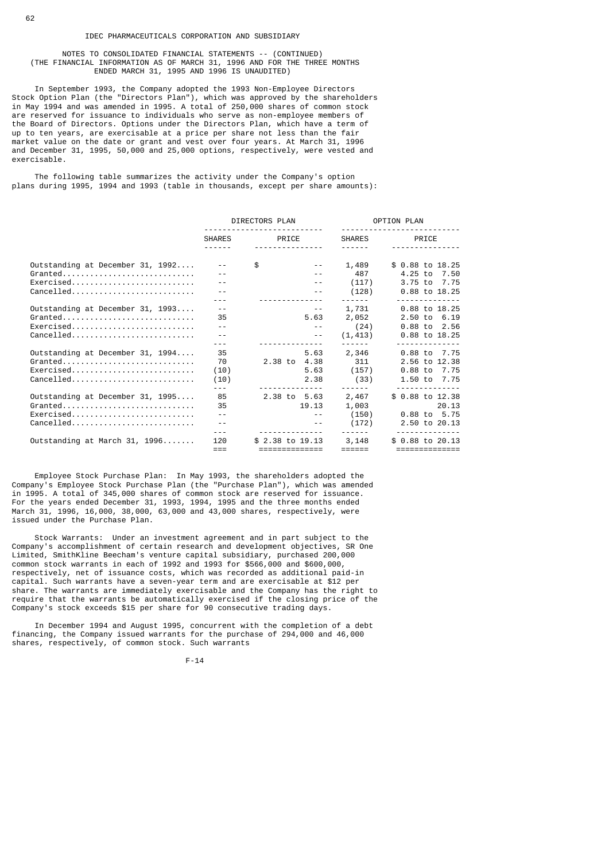## NOTES TO CONSOLIDATED FINANCIAL STATEMENTS -- (CONTINUED) (THE FINANCIAL INFORMATION AS OF MARCH 31, 1996 AND FOR THE THREE MONTHS ENDED MARCH 31, 1995 AND 1996 IS UNAUDITED)

 In September 1993, the Company adopted the 1993 Non-Employee Directors Stock Option Plan (the "Directors Plan"), which was approved by the shareholders in May 1994 and was amended in 1995. A total of 250,000 shares of common stock are reserved for issuance to individuals who serve as non-employee members of the Board of Directors. Options under the Directors Plan, which have a term of up to ten years, are exercisable at a price per share not less than the fair market value on the date or grant and vest over four years. At March 31, 1996 and December 31, 1995, 50,000 and 25,000 options, respectively, were vested and exercisable.

 The following table summarizes the activity under the Company's option plans during 1995, 1994 and 1993 (table in thousands, except per share amounts):

|                                                                                                                                                                               | DIRECTORS PLAN           |                                      |                                              | OPTION PLAN                                                                                  |
|-------------------------------------------------------------------------------------------------------------------------------------------------------------------------------|--------------------------|--------------------------------------|----------------------------------------------|----------------------------------------------------------------------------------------------|
|                                                                                                                                                                               | $- - - - - -$            | SHARES PRICE<br><u>.</u>             | --------------<br>$\frac{1}{2}$              | SHARES PRICE<br><u>.</u>                                                                     |
| Outstanding at December 31, 1992<br>$Granded \ldots \ldots \ldots \ldots \ldots \ldots \ldots \ldots$<br>$Exercised. \ldots \ldots \ldots \ldots \ldots \ldots \ldots \ldots$ |                          | \$<br>$ -$                           | 1,489<br>487<br>(117)                        | \$ 0.88 to 18.25<br>4.25 to 7.50<br>3.75 to 7.75                                             |
| Cancelled                                                                                                                                                                     |                          | $- -$                                | (128)                                        | 0.88 to 18.25                                                                                |
| Outstanding at December 31, 1993<br>$Granded \ldots \ldots \ldots \ldots \ldots \ldots \ldots \ldots$<br>Exercised<br>Cancelled                                               | $ -$<br>35               | $- -$<br>$- -$<br>$- -$              | 1,731<br>5.63 2,052<br>(24)<br>(1, 413)      | 0.88 to 18.25<br>2.50 to 6.19<br>0.88 to 2.56<br>0.88 to 18.25<br>- - - - - - - - - - - - -  |
| Outstanding at December 31, 1994<br>$Granded \ldots \ldots \ldots \ldots \ldots \ldots \ldots \ldots \ldots$<br>Exercised<br>Cancelled                                        | 35<br>70<br>(10)<br>(10) | 5.63<br>2.38 to 4.38<br>5.63<br>2.38 | 2,346<br>311<br>(157)<br>(33)<br>- - - - - - | 0.88 to 7.75<br>2.56 to 12.38<br>0.88 to 7.75<br>1.50 to 7.75<br>- - - - - - - - - - - - - - |
| Outstanding at December 31, 1995<br>$Granded \ldots \ldots \ldots \ldots \ldots \ldots \ldots \ldots$<br>Exercised<br>Cancelled                                               | 85<br>35                 | 2.38 to 5.63<br>19.13<br>$- -$       | 2,467<br>1,003<br>(150)<br>(172)             | \$ 0.88 to 12.38<br>20.13<br>0.88 to 5.75<br>2.50 to 20.13                                   |
| Outstanding at March 31, $1996$                                                                                                                                               | 120<br>$==$              | \$ 2.38 to 19.13<br>==============   | 3,148<br>$=$ $=$ $=$ $=$ $=$ $=$             | $$0.88$ to 20.13<br>==============                                                           |

 Employee Stock Purchase Plan: In May 1993, the shareholders adopted the Company's Employee Stock Purchase Plan (the "Purchase Plan"), which was amended in 1995. A total of 345,000 shares of common stock are reserved for issuance. For the years ended December 31, 1993, 1994, 1995 and the three months ended March 31, 1996, 16,000, 38,000, 63,000 and 43,000 shares, respectively, were issued under the Purchase Plan.

 Stock Warrants: Under an investment agreement and in part subject to the Company's accomplishment of certain research and development objectives, SR One Limited, SmithKline Beecham's venture capital subsidiary, purchased 200,000 common stock warrants in each of 1992 and 1993 for \$566,000 and \$600,000, respectively, net of issuance costs, which was recorded as additional paid-in capital. Such warrants have a seven-year term and are exercisable at \$12 per share. The warrants are immediately exercisable and the Company has the right to require that the warrants be automatically exercised if the closing price of the Company's stock exceeds \$15 per share for 90 consecutive trading days.

 In December 1994 and August 1995, concurrent with the completion of a debt financing, the Company issued warrants for the purchase of 294,000 and 46,000 shares, respectively, of common stock. Such warrants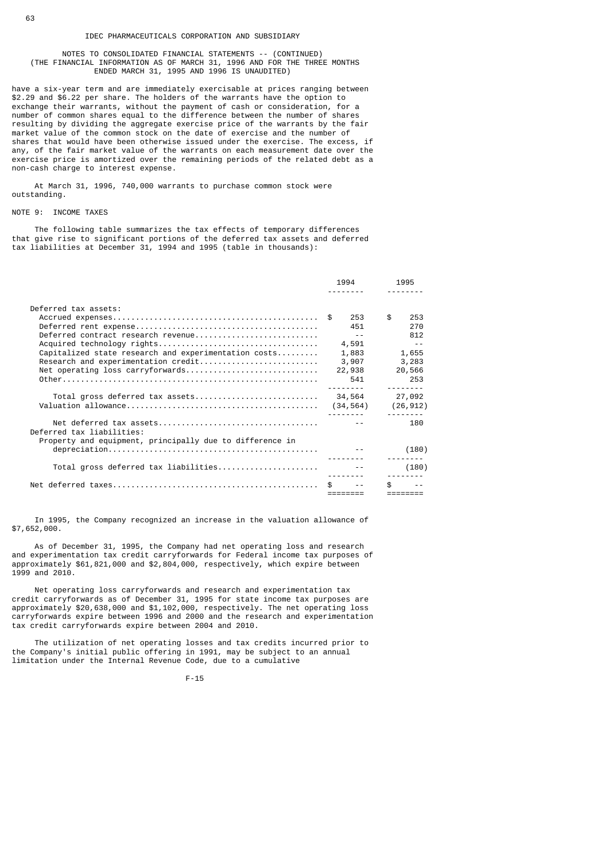## NOTES TO CONSOLIDATED FINANCIAL STATEMENTS -- (CONTINUED) (THE FINANCIAL INFORMATION AS OF MARCH 31, 1996 AND FOR THE THREE MONTHS ENDED MARCH 31, 1995 AND 1996 IS UNAUDITED)

have a six-year term and are immediately exercisable at prices ranging between \$2.29 and \$6.22 per share. The holders of the warrants have the option to exchange their warrants, without the payment of cash or consideration, for a number of common shares equal to the difference between the number of shares resulting by dividing the aggregate exercise price of the warrants by the fair market value of the common stock on the date of exercise and the number of shares that would have been otherwise issued under the exercise. The excess, if any, of the fair market value of the warrants on each measurement date over the exercise price is amortized over the remaining periods of the related debt as a non-cash charge to interest expense.

 At March 31, 1996, 740,000 warrants to purchase common stock were outstanding.

### NOTE 9: INCOME TAXES

 The following table summarizes the tax effects of temporary differences that give rise to significant portions of the deferred tax assets and deferred tax liabilities at December 31, 1994 and 1995 (table in thousands):

|                                                          | 1994                    |     | 1995              |
|----------------------------------------------------------|-------------------------|-----|-------------------|
|                                                          |                         |     |                   |
| Deferred tax assets:                                     |                         |     |                   |
|                                                          | 253                     | \$  | 253               |
|                                                          | 451                     |     | 270               |
| Deferred contract research revenue                       | $ -$                    |     | 812               |
|                                                          | 4,591                   |     |                   |
| Capitalized state research and experimentation costs     | 1,883                   |     | 1,655             |
| Research and experimentation credit                      | 3,907                   |     | 3,283             |
| Net operating loss carryforwards                         | 22,938                  |     | 20,566            |
|                                                          | 541                     |     | 253               |
|                                                          |                         |     | $- - - - - - - -$ |
| Total gross deferred tax assets                          | 34,564                  |     | 27,092            |
|                                                          | $(34, 564)$ $(26, 912)$ |     |                   |
|                                                          |                         |     | 180               |
| Deferred tax liabilities:                                |                         |     |                   |
| Property and equipment, principally due to difference in |                         |     |                   |
|                                                          |                         |     | (180)             |
|                                                          |                         |     |                   |
| Total gross deferred tax liabilities                     |                         |     | (180)             |
|                                                          |                         |     |                   |
|                                                          |                         | \$. |                   |
|                                                          |                         |     |                   |

 In 1995, the Company recognized an increase in the valuation allowance of \$7,652,000.

 As of December 31, 1995, the Company had net operating loss and research and experimentation tax credit carryforwards for Federal income tax purposes of approximately \$61,821,000 and \$2,804,000, respectively, which expire between 1999 and 2010.

 Net operating loss carryforwards and research and experimentation tax credit carryforwards as of December 31, 1995 for state income tax purposes are approximately \$20,638,000 and \$1,102,000, respectively. The net operating loss carryforwards expire between 1996 and 2000 and the research and experimentation tax credit carryforwards expire between 2004 and 2010.

 The utilization of net operating losses and tax credits incurred prior to the Company's initial public offering in 1991, may be subject to an annual limitation under the Internal Revenue Code, due to a cumulative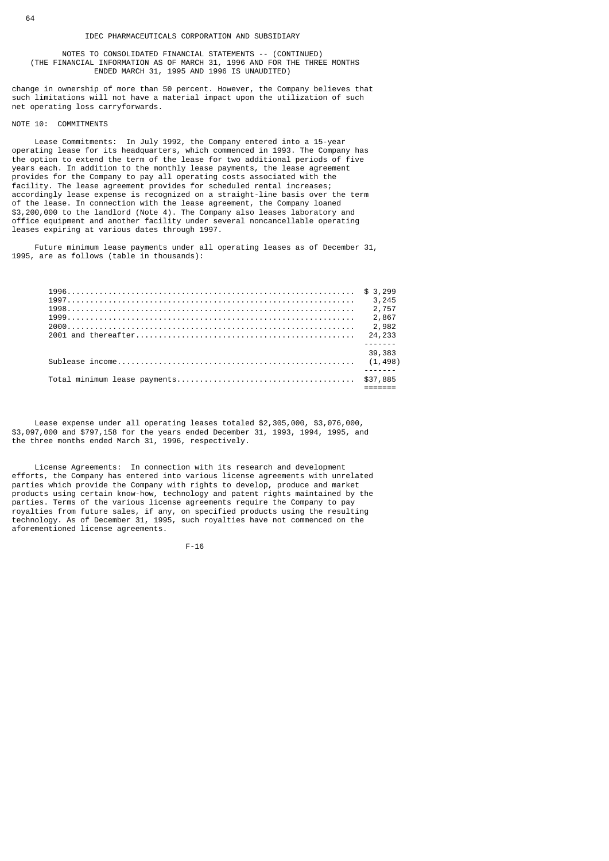NOTES TO CONSOLIDATED FINANCIAL STATEMENTS -- (CONTINUED) (THE FINANCIAL INFORMATION AS OF MARCH 31, 1996 AND FOR THE THREE MONTHS ENDED MARCH 31, 1995 AND 1996 IS UNAUDITED)

change in ownership of more than 50 percent. However, the Company believes that such limitations will not have a material impact upon the utilization of such net operating loss carryforwards.

# NOTE 10: COMMITMENTS

 Lease Commitments: In July 1992, the Company entered into a 15-year operating lease for its headquarters, which commenced in 1993. The Company has the option to extend the term of the lease for two additional periods of five years each. In addition to the monthly lease payments, the lease agreement provides for the Company to pay all operating costs associated with the facility. The lease agreement provides for scheduled rental increases; accordingly lease expense is recognized on a straight-line basis over the term of the lease. In connection with the lease agreement, the Company loaned \$3,200,000 to the landlord (Note 4). The Company also leases laboratory and office equipment and another facility under several noncancellable operating leases expiring at various dates through 1997.

 Future minimum lease payments under all operating leases as of December 31, 1995, are as follows (table in thousands):

|  | \$3,299  |
|--|----------|
|  | 3,245    |
|  | 2,757    |
|  | 2,867    |
|  | 2,982    |
|  | 24, 233  |
|  |          |
|  | 39,383   |
|  | (1, 498) |
|  |          |
|  |          |
|  |          |

 Lease expense under all operating leases totaled \$2,305,000, \$3,076,000, \$3,097,000 and \$797,158 for the years ended December 31, 1993, 1994, 1995, and the three months ended March 31, 1996, respectively.

 License Agreements: In connection with its research and development efforts, the Company has entered into various license agreements with unrelated parties which provide the Company with rights to develop, produce and market products using certain know-how, technology and patent rights maintained by the parties. Terms of the various license agreements require the Company to pay royalties from future sales, if any, on specified products using the resulting technology. As of December 31, 1995, such royalties have not commenced on the aforementioned license agreements.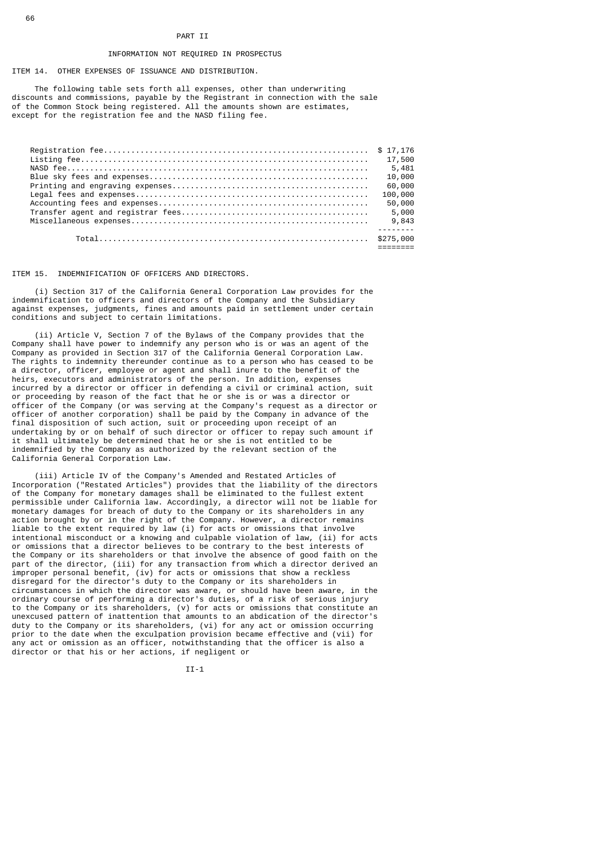#### PART II

### INFORMATION NOT REQUIRED IN PROSPECTUS

ITEM 14. OTHER EXPENSES OF ISSUANCE AND DISTRIBUTION.

 The following table sets forth all expenses, other than underwriting discounts and commissions, payable by the Registrant in connection with the sale of the Common Stock being registered. All the amounts shown are estimates, except for the registration fee and the NASD filing fee.

| 17,500   |
|----------|
| 5,481    |
| 10,000   |
| 60,000   |
| 100,000  |
| 50,000   |
| 5,000    |
| 9,843    |
| <u>.</u> |
|          |
|          |

ITEM 15. INDEMNIFICATION OF OFFICERS AND DIRECTORS.

 (i) Section 317 of the California General Corporation Law provides for the indemnification to officers and directors of the Company and the Subsidiary against expenses, judgments, fines and amounts paid in settlement under certain conditions and subject to certain limitations.

 (ii) Article V, Section 7 of the Bylaws of the Company provides that the Company shall have power to indemnify any person who is or was an agent of the Company as provided in Section 317 of the California General Corporation Law. The rights to indemnity thereunder continue as to a person who has ceased to be a director, officer, employee or agent and shall inure to the benefit of the heirs, executors and administrators of the person. In addition, expenses incurred by a director or officer in defending a civil or criminal action, suit or proceeding by reason of the fact that he or she is or was a director or officer of the Company (or was serving at the Company's request as a director or officer of another corporation) shall be paid by the Company in advance of the final disposition of such action, suit or proceeding upon receipt of an undertaking by or on behalf of such director or officer to repay such amount if it shall ultimately be determined that he or she is not entitled to be indemnified by the Company as authorized by the relevant section of the California General Corporation Law.

 (iii) Article IV of the Company's Amended and Restated Articles of Incorporation ("Restated Articles") provides that the liability of the directors of the Company for monetary damages shall be eliminated to the fullest extent permissible under California law. Accordingly, a director will not be liable for monetary damages for breach of duty to the Company or its shareholders in any action brought by or in the right of the Company. However, a director remains liable to the extent required by law (i) for acts or omissions that involve intentional misconduct or a knowing and culpable violation of law, (ii) for acts or omissions that a director believes to be contrary to the best interests of the Company or its shareholders or that involve the absence of good faith on the part of the director, (iii) for any transaction from which a director derived an improper personal benefit, (iv) for acts or omissions that show a reckless disregard for the director's duty to the Company or its shareholders in circumstances in which the director was aware, or should have been aware, in the ordinary course of performing a director's duties, of a risk of serious injury to the Company or its shareholders, (v) for acts or omissions that constitute an unexcused pattern of inattention that amounts to an abdication of the director's duty to the Company or its shareholders, (vi) for any act or omission occurring prior to the date when the exculpation provision became effective and (vii) for any act or omission as an officer, notwithstanding that the officer is also a director or that his or her actions, if negligent or

II-1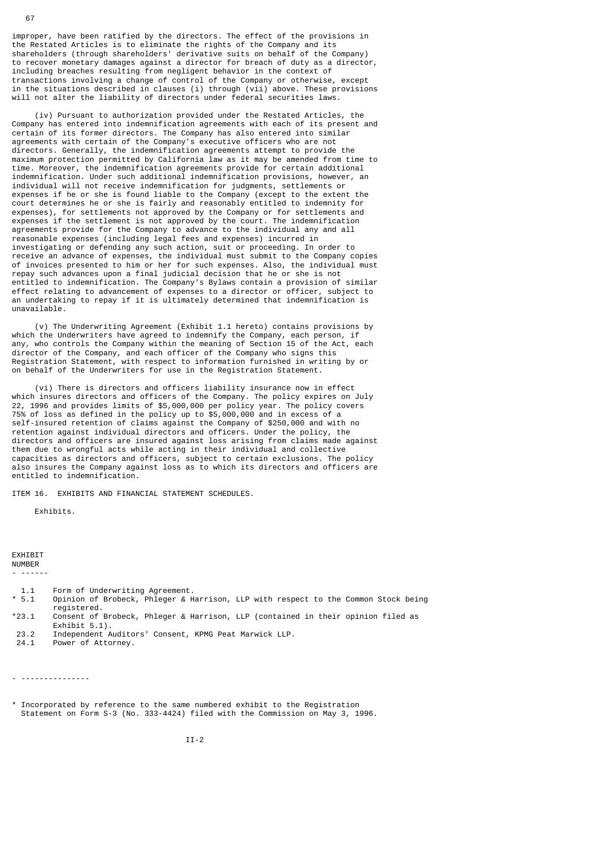improper, have been ratified by the directors. The effect of the provisions in the Restated Articles is to eliminate the rights of the Company and its shareholders (through shareholders' derivative suits on behalf of the Company) to recover monetary damages against a director for breach of duty as a director, including breaches resulting from negligent behavior in the context of transactions involving a change of control of the Company or otherwise, except in the situations described in clauses (i) through (vii) above. These provisions will not alter the liability of directors under federal securities laws.

 (iv) Pursuant to authorization provided under the Restated Articles, the Company has entered into indemnification agreements with each of its present and certain of its former directors. The Company has also entered into similar agreements with certain of the Company's executive officers who are not directors. Generally, the indemnification agreements attempt to provide the maximum protection permitted by California law as it may be amended from time to time. Moreover, the indemnification agreements provide for certain additional indemnification. Under such additional indemnification provisions, however, an individual will not receive indemnification for judgments, settlements or expenses if he or she is found liable to the Company (except to the extent the court determines he or she is fairly and reasonably entitled to indemnity for expenses), for settlements not approved by the Company or for settlements and expenses if the settlement is not approved by the court. The indemnification agreements provide for the Company to advance to the individual any and all reasonable expenses (including legal fees and expenses) incurred in investigating or defending any such action, suit or proceeding. In order to receive an advance of expenses, the individual must submit to the Company copies of invoices presented to him or her for such expenses. Also, the individual must repay such advances upon a final judicial decision that he or she is not entitled to indemnification. The Company's Bylaws contain a provision of similar effect relating to advancement of expenses to a director or officer, subject to an undertaking to repay if it is ultimately determined that indemnification is unavailable.

 (v) The Underwriting Agreement (Exhibit 1.1 hereto) contains provisions by which the Underwriters have agreed to indemnify the Company, each person, if any, who controls the Company within the meaning of Section 15 of the Act, each director of the Company, and each officer of the Company who signs this Registration Statement, with respect to information furnished in writing by or on behalf of the Underwriters for use in the Registration Statement.

 (vi) There is directors and officers liability insurance now in effect which insures directors and officers of the Company. The policy expires on July 22, 1996 and provides limits of \$5,000,000 per policy year. The policy covers 75% of loss as defined in the policy up to \$5,000,000 and in excess of a self-insured retention of claims against the Company of \$250,000 and with no retention against individual directors and officers. Under the policy, the directors and officers are insured against loss arising from claims made against them due to wrongful acts while acting in their individual and collective capacities as directors and officers, subject to certain exclusions. The policy also insures the Company against loss as to which its directors and officers are entitled to indemnification.

ITEM 16. EXHIBITS AND FINANCIAL STATEMENT SCHEDULES.

Exhibits.

EXHIBIT NUMBER - ------

- 
- 1.1 Form of Underwriting Agreement.<br>\* 5.1 Opinion of Brobeck, Phleger & H Opinion of Brobeck, Phleger & Harrison, LLP with respect to the Common Stock being registered.<br>23.1 Consent of
- Consent of Brobeck, Phleger & Harrison, LLP (contained in their opinion filed as  $\begin{array}{r} \text{Exhibit 5.1)}\\ \text{23.2} \end{array}$
- 23.2 Independent Auditors' Consent, KPMG Peat Marwick LLP.<br>24.1 Power of Attorney.
- Power of Attorney.

- ---------------

\* Incorporated by reference to the same numbered exhibit to the Registration Statement on Form S-3 (No. 333-4424) filed with the Commission on May 3, 1996.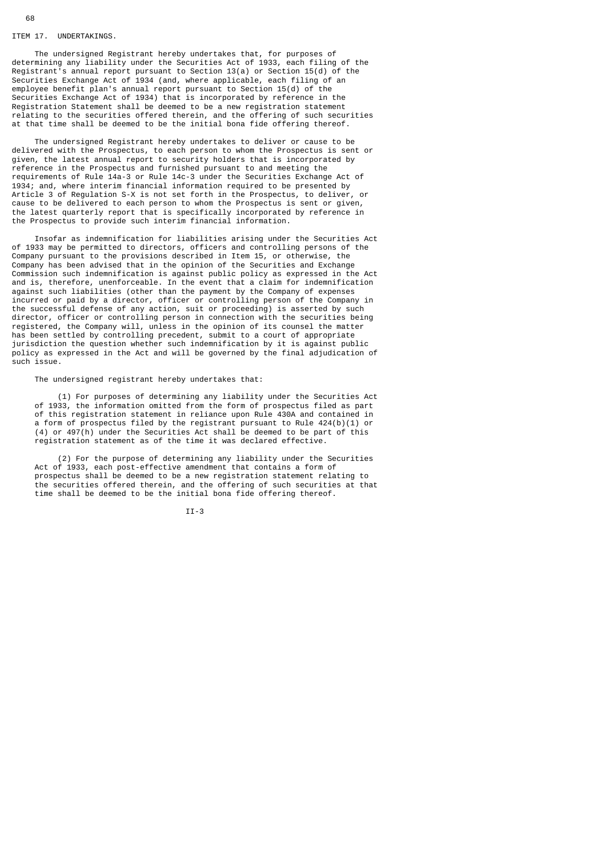#### ITEM 17. UNDERTAKINGS.

 The undersigned Registrant hereby undertakes that, for purposes of determining any liability under the Securities Act of 1933, each filing of the Registrant's annual report pursuant to Section 13(a) or Section 15(d) of the Securities Exchange Act of 1934 (and, where applicable, each filing of an employee benefit plan's annual report pursuant to Section 15(d) of the Securities Exchange Act of 1934) that is incorporated by reference in the Registration Statement shall be deemed to be a new registration statement relating to the securities offered therein, and the offering of such securities at that time shall be deemed to be the initial bona fide offering thereof.

 The undersigned Registrant hereby undertakes to deliver or cause to be delivered with the Prospectus, to each person to whom the Prospectus is sent or given, the latest annual report to security holders that is incorporated by reference in the Prospectus and furnished pursuant to and meeting the requirements of Rule 14a-3 or Rule 14c-3 under the Securities Exchange Act of 1934; and, where interim financial information required to be presented by Article 3 of Regulation S-X is not set forth in the Prospectus, to deliver, or cause to be delivered to each person to whom the Prospectus is sent or given, the latest quarterly report that is specifically incorporated by reference in the Prospectus to provide such interim financial information.

 Insofar as indemnification for liabilities arising under the Securities Act of 1933 may be permitted to directors, officers and controlling persons of the Company pursuant to the provisions described in Item 15, or otherwise, the Company has been advised that in the opinion of the Securities and Exchange Commission such indemnification is against public policy as expressed in the Act and is, therefore, unenforceable. In the event that a claim for indemnification against such liabilities (other than the payment by the Company of expenses incurred or paid by a director, officer or controlling person of the Company in the successful defense of any action, suit or proceeding) is asserted by such director, officer or controlling person in connection with the securities being registered, the Company will, unless in the opinion of its counsel the matter has been settled by controlling precedent, submit to a court of appropriate jurisdiction the question whether such indemnification by it is against public policy as expressed in the Act and will be governed by the final adjudication of such issue.

The undersigned registrant hereby undertakes that:

 (1) For purposes of determining any liability under the Securities Act of 1933, the information omitted from the form of prospectus filed as part of this registration statement in reliance upon Rule 430A and contained in a form of prospectus filed by the registrant pursuant to Rule  $424(b)(1)$  or (4) or 497(h) under the Securities Act shall be deemed to be part of this registration statement as of the time it was declared effective.

 (2) For the purpose of determining any liability under the Securities Act of 1933, each post-effective amendment that contains a form of prospectus shall be deemed to be a new registration statement relating to the securities offered therein, and the offering of such securities at that time shall be deemed to be the initial bona fide offering thereof.

II-3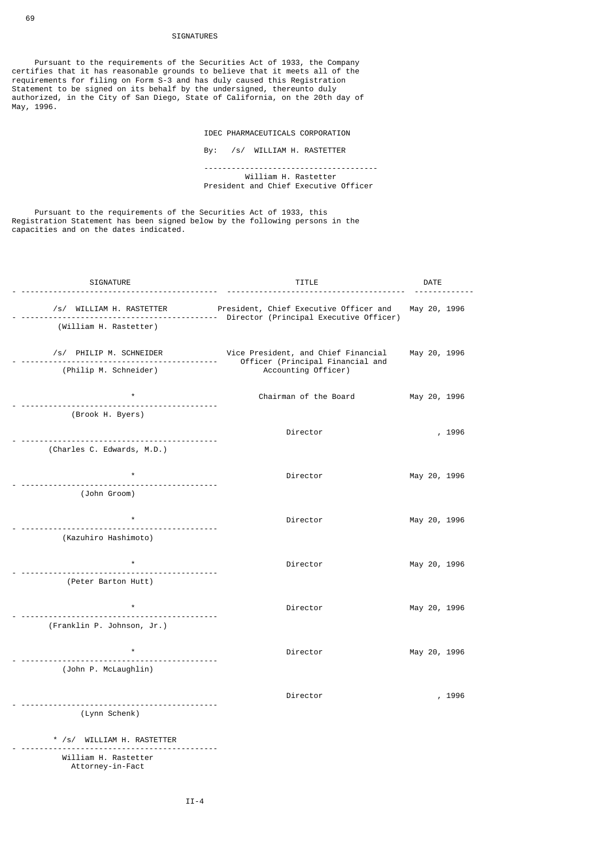### SIGNATURES

 Pursuant to the requirements of the Securities Act of 1933, the Company certifies that it has reasonable grounds to believe that it meets all of the requirements for filing on Form S-3 and has duly caused this Registration Statement to be signed on its behalf by the undersigned, thereunto duly authorized, in the City of San Diego, State of California, on the 20th day of May, 1996.

IDEC PHARMACEUTICALS CORPORATION

By: /s/ WILLIAM H. RASTETTER

 -------------------------------------- William H. Rastetter President and Chief Executive Officer

 Pursuant to the requirements of the Securities Act of 1933, this Registration Statement has been signed below by the following persons in the capacities and on the dates indicated.

| SIGNATURE                                                       | TITLE                                                                   | DATE |  |              |
|-----------------------------------------------------------------|-------------------------------------------------------------------------|------|--|--------------|
|                                                                 | /s/ WILLIAM H. RASTETTER President, Chief Executive Officer and         |      |  | May 20, 1996 |
| (William H. Rastetter)                                          |                                                                         |      |  |              |
| /s/ PHILIP M. SCHNEIDER<br>------------------------------------ | Vice President, and Chief Financial<br>Officer (Principal Financial and |      |  | May 20, 1996 |
| (Philip M. Schneider)                                           | Accounting Officer)                                                     |      |  |              |
| $\star$<br>.                                                    | Chairman of the Board                                                   |      |  | May 20, 1996 |
| (Brook H. Byers)                                                |                                                                         |      |  |              |
|                                                                 | Director                                                                |      |  | , 1996       |
| (Charles C. Edwards, M.D.)                                      |                                                                         |      |  |              |
|                                                                 |                                                                         |      |  |              |
| . <u>.</u> .                                                    | Director                                                                |      |  | May 20, 1996 |
| (John Groom)                                                    |                                                                         |      |  |              |
|                                                                 | Director                                                                |      |  | May 20, 1996 |
| (Kazuhiro Hashimoto)                                            |                                                                         |      |  |              |
|                                                                 |                                                                         |      |  |              |
|                                                                 | Director                                                                |      |  | May 20, 1996 |
| (Peter Barton Hutt)                                             |                                                                         |      |  |              |
|                                                                 | Director                                                                |      |  | May 20, 1996 |
|                                                                 |                                                                         |      |  |              |
| (Franklin P. Johnson, Jr.)                                      |                                                                         |      |  |              |
| $\star$                                                         | Director                                                                |      |  | May 20, 1996 |
| (John P. McLaughlin)                                            |                                                                         |      |  |              |
|                                                                 |                                                                         |      |  |              |
| ------------------------------                                  | Director                                                                |      |  | , 1996       |
| (Lynn Schenk)                                                   |                                                                         |      |  |              |
| * /s/ WILLIAM H. RASTETTER                                      |                                                                         |      |  |              |
| <u> - - - - - - - - - - - - -</u> -<br>William H. Rastetter     |                                                                         |      |  |              |
| Attorney-in-Fact                                                |                                                                         |      |  |              |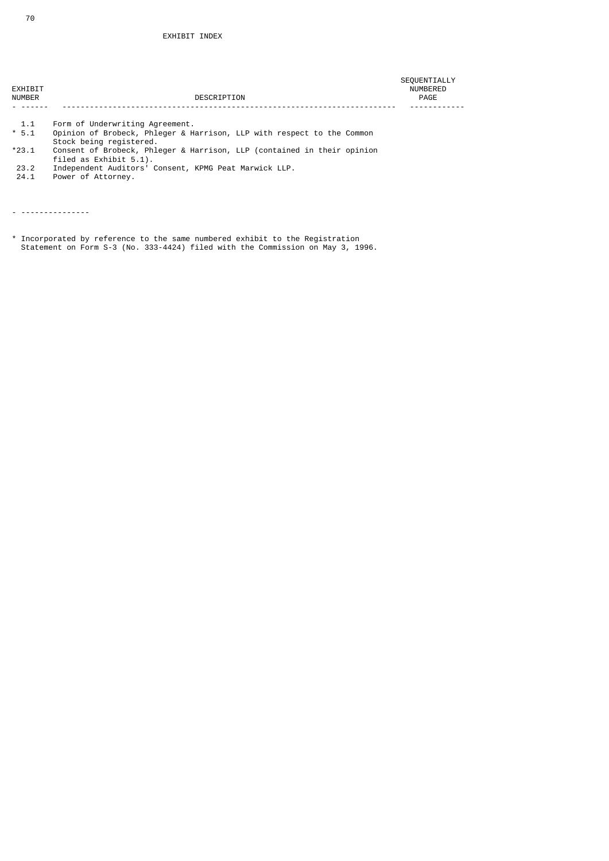|              |                                                                                                           | SEQUENTIALLY |  |
|--------------|-----------------------------------------------------------------------------------------------------------|--------------|--|
| EXHIBIT      |                                                                                                           | NUMBERED     |  |
| NUMBER       | DESCRIPTION                                                                                               | PAGE         |  |
|              |                                                                                                           |              |  |
| -1.1<br>* 51 | Form of Underwriting Agreement.<br>Oninion of Brobeck, Phlaner & Harrison, IIP with respect to the Common |              |  |

- \* 5.1 Opinion of Brobeck, Phleger & Harrison, LLP with respect to the Common Stock being registered.
- \*23.1 Consent of Brobeck, Phleger & Harrison, LLP (contained in their opinion filed as Exhibit 5.1).
- 23.2 Independent Auditors' Consent, KPMG Peat Marwick LLP. 23.2 Independent Audito<br>24.1 Power of Attorney.

- ---------------

\* Incorporated by reference to the same numbered exhibit to the Registration Statement on Form S-3 (No. 333-4424) filed with the Commission on May 3, 1996.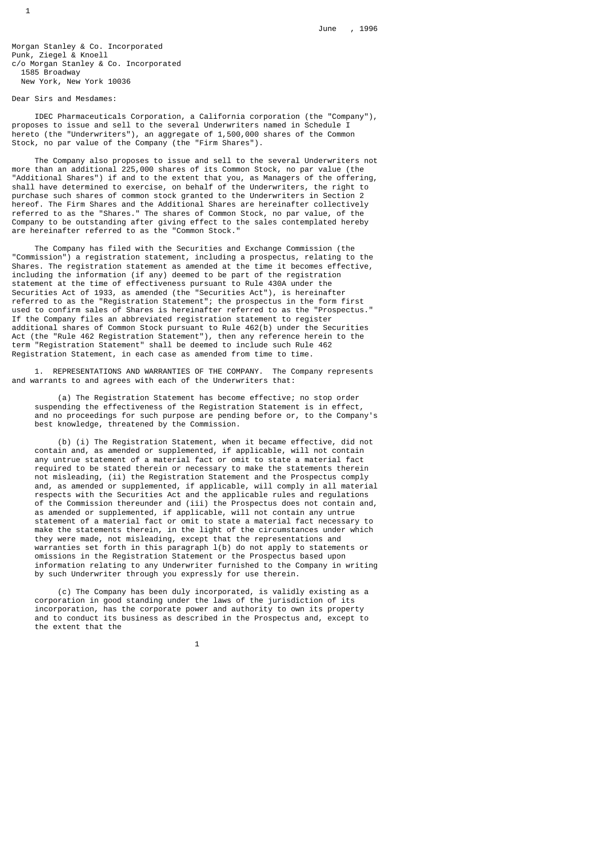Morgan Stanley & Co. Incorporated Punk, Ziegel & Knoell c/o Morgan Stanley & Co. Incorporated 1585 Broadway

New York, New York 10036

# Dear Sirs and Mesdames:

 IDEC Pharmaceuticals Corporation, a California corporation (the "Company"), proposes to issue and sell to the several Underwriters named in Schedule I hereto (the "Underwriters"), an aggregate of 1,500,000 shares of the Common Stock, no par value of the Company (the "Firm Shares").

 The Company also proposes to issue and sell to the several Underwriters not more than an additional 225,000 shares of its Common Stock, no par value (the "Additional Shares") if and to the extent that you, as Managers of the offering, shall have determined to exercise, on behalf of the Underwriters, the right to purchase such shares of common stock granted to the Underwriters in Section 2 hereof. The Firm Shares and the Additional Shares are hereinafter collectively referred to as the "Shares." The shares of Common Stock, no par value, of the Company to be outstanding after giving effect to the sales contemplated hereby are hereinafter referred to as the "Common Stock."

 The Company has filed with the Securities and Exchange Commission (the "Commission") a registration statement, including a prospectus, relating to the Shares. The registration statement as amended at the time it becomes effective, including the information (if any) deemed to be part of the registration statement at the time of effectiveness pursuant to Rule 430A under the Securities Act of 1933, as amended (the "Securities Act"), is hereinafter referred to as the "Registration Statement"; the prospectus in the form first used to confirm sales of Shares is hereinafter referred to as the "Prospectus." If the Company files an abbreviated registration statement to register additional shares of Common Stock pursuant to Rule 462(b) under the Securities Act (the "Rule 462 Registration Statement"), then any reference herein to the term "Registration Statement" shall be deemed to include such Rule 462 Registration Statement, in each case as amended from time to time.

 1. REPRESENTATIONS AND WARRANTIES OF THE COMPANY. The Company represents and warrants to and agrees with each of the Underwriters that:

 (a) The Registration Statement has become effective; no stop order suspending the effectiveness of the Registration Statement is in effect, and no proceedings for such purpose are pending before or, to the Company's best knowledge, threatened by the Commission.

 (b) (i) The Registration Statement, when it became effective, did not contain and, as amended or supplemented, if applicable, will not contain any untrue statement of a material fact or omit to state a material fact required to be stated therein or necessary to make the statements therein not misleading, (ii) the Registration Statement and the Prospectus comply and, as amended or supplemented, if applicable, will comply in all material respects with the Securities Act and the applicable rules and regulations of the Commission thereunder and (iii) the Prospectus does not contain and, as amended or supplemented, if applicable, will not contain any untrue statement of a material fact or omit to state a material fact necessary to make the statements therein, in the light of the circumstances under which they were made, not misleading, except that the representations and warranties set forth in this paragraph l(b) do not apply to statements or omissions in the Registration Statement or the Prospectus based upon information relating to any Underwriter furnished to the Company in writing by such Underwriter through you expressly for use therein.

 (c) The Company has been duly incorporated, is validly existing as a corporation in good standing under the laws of the jurisdiction of its incorporation, has the corporate power and authority to own its property and to conduct its business as described in the Prospectus and, except to the extent that the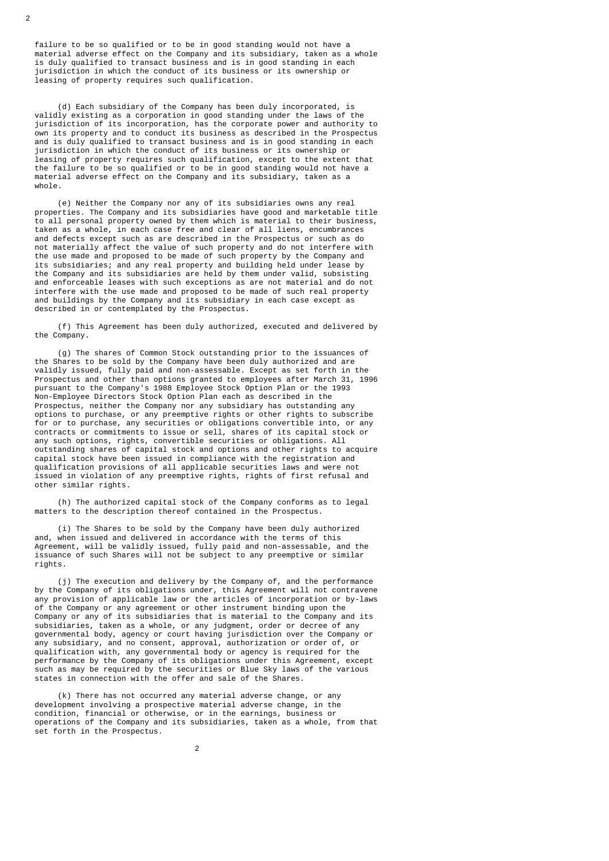failure to be so qualified or to be in good standing would not have a material adverse effect on the Company and its subsidiary, taken as a whole is duly qualified to transact business and is in good standing in each jurisdiction in which the conduct of its business or its ownership or leasing of property requires such qualification.

 (d) Each subsidiary of the Company has been duly incorporated, is validly existing as a corporation in good standing under the laws of the jurisdiction of its incorporation, has the corporate power and authority to own its property and to conduct its business as described in the Prospectus and is duly qualified to transact business and is in good standing in each jurisdiction in which the conduct of its business or its ownership or leasing of property requires such qualification, except to the extent that the failure to be so qualified or to be in good standing would not have a material adverse effect on the Company and its subsidiary, taken as a whole.

 (e) Neither the Company nor any of its subsidiaries owns any real properties. The Company and its subsidiaries have good and marketable title to all personal property owned by them which is material to their business, taken as a whole, in each case free and clear of all liens, encumbrances and defects except such as are described in the Prospectus or such as do not materially affect the value of such property and do not interfere with the use made and proposed to be made of such property by the Company and its subsidiaries; and any real property and building held under lease by the Company and its subsidiaries are held by them under valid, subsisting and enforceable leases with such exceptions as are not material and do not interfere with the use made and proposed to be made of such real property and buildings by the Company and its subsidiary in each case except as described in or contemplated by the Prospectus.

 (f) This Agreement has been duly authorized, executed and delivered by the Company.

 (g) The shares of Common Stock outstanding prior to the issuances of the Shares to be sold by the Company have been duly authorized and are validly issued, fully paid and non-assessable. Except as set forth in the Prospectus and other than options granted to employees after March 31, 1996 pursuant to the Company's 1988 Employee Stock Option Plan or the 1993 Non-Employee Directors Stock Option Plan each as described in the Prospectus, neither the Company nor any subsidiary has outstanding any options to purchase, or any preemptive rights or other rights to subscribe for or to purchase, any securities or obligations convertible into, or any contracts or commitments to issue or sell, shares of its capital stock or any such options, rights, convertible securities or obligations. All outstanding shares of capital stock and options and other rights to acquire capital stock have been issued in compliance with the registration and qualification provisions of all applicable securities laws and were not issued in violation of any preemptive rights, rights of first refusal and other similar rights.

 (h) The authorized capital stock of the Company conforms as to legal matters to the description thereof contained in the Prospectus.

 (i) The Shares to be sold by the Company have been duly authorized and, when issued and delivered in accordance with the terms of this Agreement, will be validly issued, fully paid and non-assessable, and the issuance of such Shares will not be subject to any preemptive or similar rights.

 (j) The execution and delivery by the Company of, and the performance by the Company of its obligations under, this Agreement will not contravene any provision of applicable law or the articles of incorporation or by-laws of the Company or any agreement or other instrument binding upon the Company or any of its subsidiaries that is material to the Company and its subsidiaries, taken as a whole, or any judgment, order or decree of any governmental body, agency or court having jurisdiction over the Company or any subsidiary, and no consent, approval, authorization or order of, or qualification with, any governmental body or agency is required for the performance by the Company of its obligations under this Agreement, except such as may be required by the securities or Blue Sky laws of the various states in connection with the offer and sale of the Shares.

 (k) There has not occurred any material adverse change, or any development involving a prospective material adverse change, in the condition, financial or otherwise, or in the earnings, business or operations of the Company and its subsidiaries, taken as a whole, from that set forth in the Prospectus.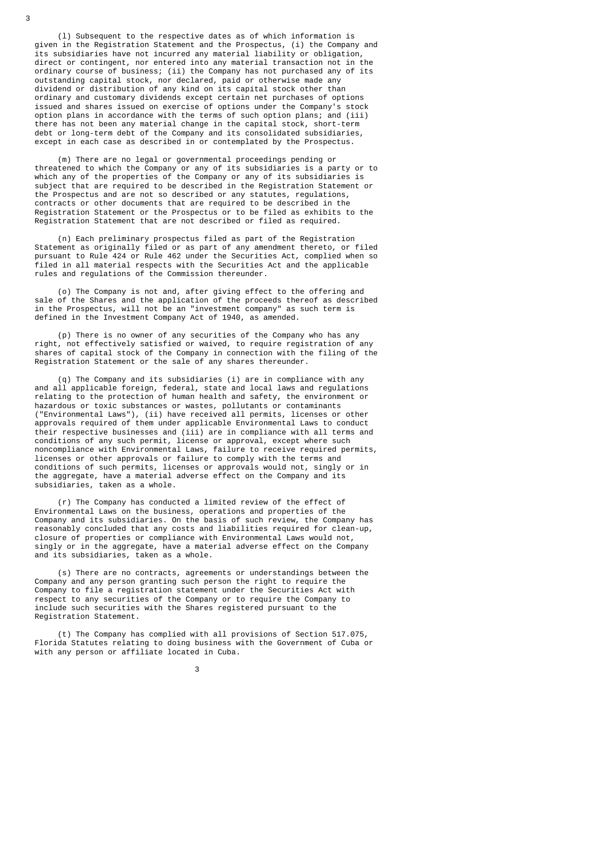(l) Subsequent to the respective dates as of which information is given in the Registration Statement and the Prospectus, (i) the Company and its subsidiaries have not incurred any material liability or obligation, direct or contingent, nor entered into any material transaction not in the ordinary course of business; (ii) the Company has not purchased any of its outstanding capital stock, nor declared, paid or otherwise made any dividend or distribution of any kind on its capital stock other than ordinary and customary dividends except certain net purchases of options issued and shares issued on exercise of options under the Company's stock option plans in accordance with the terms of such option plans; and (iii) there has not been any material change in the capital stock, short-term debt or long-term debt of the Company and its consolidated subsidiaries, except in each case as described in or contemplated by the Prospectus.

 (m) There are no legal or governmental proceedings pending or threatened to which the Company or any of its subsidiaries is a party or to which any of the properties of the Company or any of its subsidiaries is subject that are required to be described in the Registration Statement or the Prospectus and are not so described or any statutes, regulations, contracts or other documents that are required to be described in the Registration Statement or the Prospectus or to be filed as exhibits to the Registration Statement that are not described or filed as required.

 (n) Each preliminary prospectus filed as part of the Registration Statement as originally filed or as part of any amendment thereto, or filed pursuant to Rule 424 or Rule 462 under the Securities Act, complied when so filed in all material respects with the Securities Act and the applicable rules and regulations of the Commission thereunder.

 (o) The Company is not and, after giving effect to the offering and sale of the Shares and the application of the proceeds thereof as described in the Prospectus, will not be an "investment company" as such term is defined in the Investment Company Act of 1940, as amended.

 (p) There is no owner of any securities of the Company who has any right, not effectively satisfied or waived, to require registration of any shares of capital stock of the Company in connection with the filing of the Registration Statement or the sale of any shares thereunder.

 (q) The Company and its subsidiaries (i) are in compliance with any and all applicable foreign, federal, state and local laws and regulations relating to the protection of human health and safety, the environment or hazardous or toxic substances or wastes, pollutants or contaminants ("Environmental Laws"), (ii) have received all permits, licenses or other approvals required of them under applicable Environmental Laws to conduct their respective businesses and (iii) are in compliance with all terms and conditions of any such permit, license or approval, except where such noncompliance with Environmental Laws, failure to receive required permits, licenses or other approvals or failure to comply with the terms and conditions of such permits, licenses or approvals would not, singly or in the aggregate, have a material adverse effect on the Company and its subsidiaries, taken as a whole.

 (r) The Company has conducted a limited review of the effect of Environmental Laws on the business, operations and properties of the Company and its subsidiaries. On the basis of such review, the Company has reasonably concluded that any costs and liabilities required for clean-up, closure of properties or compliance with Environmental Laws would not, singly or in the aggregate, have a material adverse effect on the Company and its subsidiaries, taken as a whole.

 (s) There are no contracts, agreements or understandings between the Company and any person granting such person the right to require the Company to file a registration statement under the Securities Act with respect to any securities of the Company or to require the Company to include such securities with the Shares registered pursuant to the Registration Statement.

 (t) The Company has complied with all provisions of Section 517.075, Florida Statutes relating to doing business with the Government of Cuba or with any person or affiliate located in Cuba.

 $\sim$  3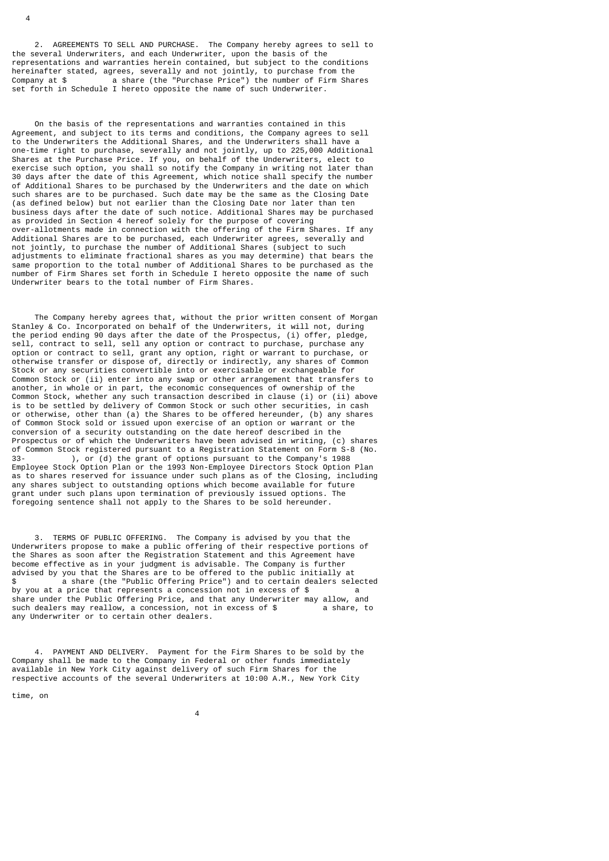2. AGREEMENTS TO SELL AND PURCHASE. The Company hereby agrees to sell to the several Underwriters, and each Underwriter, upon the basis of the representations and warranties herein contained, but subject to the conditions hereinafter stated, agrees, severally and not jointly, to purchase from the Company at \$ a share (the "Purchase Price") the number of Firm Shares set forth in Schedule I hereto opposite the name of such Underwriter.

 On the basis of the representations and warranties contained in this Agreement, and subject to its terms and conditions, the Company agrees to sell to the Underwriters the Additional Shares, and the Underwriters shall have a one-time right to purchase, severally and not jointly, up to 225,000 Additional Shares at the Purchase Price. If you, on behalf of the Underwriters, elect to exercise such option, you shall so notify the Company in writing not later than 30 days after the date of this Agreement, which notice shall specify the number of Additional Shares to be purchased by the Underwriters and the date on which such shares are to be purchased. Such date may be the same as the Closing Date (as defined below) but not earlier than the Closing Date nor later than ten business days after the date of such notice. Additional Shares may be purchased as provided in Section 4 hereof solely for the purpose of covering over-allotments made in connection with the offering of the Firm Shares. If any Additional Shares are to be purchased, each Underwriter agrees, severally and not jointly, to purchase the number of Additional Shares (subject to such adjustments to eliminate fractional shares as you may determine) that bears the same proportion to the total number of Additional Shares to be purchased as the number of Firm Shares set forth in Schedule I hereto opposite the name of such Underwriter bears to the total number of Firm Shares.

 The Company hereby agrees that, without the prior written consent of Morgan Stanley & Co. Incorporated on behalf of the Underwriters, it will not, during the period ending 90 days after the date of the Prospectus, (i) offer, pledge, sell, contract to sell, sell any option or contract to purchase, purchase any option or contract to sell, grant any option, right or warrant to purchase, or otherwise transfer or dispose of, directly or indirectly, any shares of Common Stock or any securities convertible into or exercisable or exchangeable for Common Stock or (ii) enter into any swap or other arrangement that transfers to another, in whole or in part, the economic consequences of ownership of the Common Stock, whether any such transaction described in clause (i) or (ii) above is to be settled by delivery of Common Stock or such other securities, in cash or otherwise, other than (a) the Shares to be offered hereunder, (b) any shares of Common Stock sold or issued upon exercise of an option or warrant or the conversion of a security outstanding on the date hereof described in the Prospectus or of which the Underwriters have been advised in writing, (c) shares of Common Stock registered pursuant to a Registration Statement on Form S-8 (No.<br>33. (d) the grant of ontions pursuant to the Company's 1988 ), or (d) the grant of options pursuant to the Company's 1988 Employee Stock Option Plan or the 1993 Non-Employee Directors Stock Option Plan as to shares reserved for issuance under such plans as of the Closing, including any shares subject to outstanding options which become available for future grant under such plans upon termination of previously issued options. The foregoing sentence shall not apply to the Shares to be sold hereunder.

 3. TERMS OF PUBLIC OFFERING. The Company is advised by you that the Underwriters propose to make a public offering of their respective portions of the Shares as soon after the Registration Statement and this Agreement have become effective as in your judgment is advisable. The Company is further advised by you that the Shares are to be offered to the public initially at a share (the "Public Offering Price") and to certain dealers selected by you at a price that represents a concession not in excess of  $\frac{1}{2}$  a share under the Public Offering Price, and that any Underwriter may allow, and such dealers may reallow, a concession, not in excess of \$ a share, to such dealers may reallow, a concession, not in excess of  $$$ any Underwriter or to certain other dealers.

 4. PAYMENT AND DELIVERY. Payment for the Firm Shares to be sold by the Company shall be made to the Company in Federal or other funds immediately available in New York City against delivery of such Firm Shares for the respective accounts of the several Underwriters at 10:00 A.M., New York City

time, on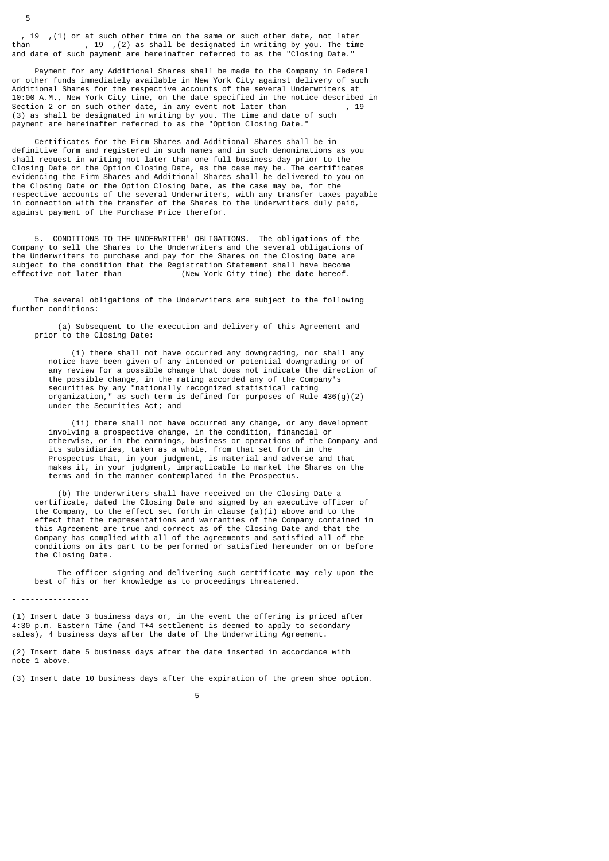, 19 ,(1) or at such other time on the same or such other date, not later than , 19 , (2) as shall be designated in writing by you. The time and date of such payment are hereinafter referred to as the "Closing Date."

 Payment for any Additional Shares shall be made to the Company in Federal or other funds immediately available in New York City against delivery of such Additional Shares for the respective accounts of the several Underwriters at 10:00 A.M., New York City time, on the date specified in the notice described in Section 2 or on such other date, in any event not later than (3) as shall be designated in writing by you. The time and date of such payment are hereinafter referred to as the "Option Closing Date.

 Certificates for the Firm Shares and Additional Shares shall be in definitive form and registered in such names and in such denominations as you shall request in writing not later than one full business day prior to the Closing Date or the Option Closing Date, as the case may be. The certificates evidencing the Firm Shares and Additional Shares shall be delivered to you on the Closing Date or the Option Closing Date, as the case may be, for the respective accounts of the several Underwriters, with any transfer taxes payable in connection with the transfer of the Shares to the Underwriters duly paid, against payment of the Purchase Price therefor.

 5. CONDITIONS TO THE UNDERWRITER' OBLIGATIONS. The obligations of the Company to sell the Shares to the Underwriters and the several obligations of the Underwriters to purchase and pay for the Shares on the Closing Date are subject to the condition that the Registration Statement shall have become<br>effective not later than (New York City time) the date hereof. (New York City time) the date hereof.

 The several obligations of the Underwriters are subject to the following further conditions:

 (a) Subsequent to the execution and delivery of this Agreement and prior to the Closing Date:

 (i) there shall not have occurred any downgrading, nor shall any notice have been given of any intended or potential downgrading or of any review for a possible change that does not indicate the direction of the possible change, in the rating accorded any of the Company's securities by any "nationally recognized statistical rating organization," as such term is defined for purposes of Rule 436(g)(2) under the Securities Act; and

(ii) there shall not have occurred any change, or any development involving a prospective change, in the condition, financial or otherwise, or in the earnings, business or operations of the Company and its subsidiaries, taken as a whole, from that set forth in the Prospectus that, in your judgment, is material and adverse and that makes it, in your judgment, impracticable to market the Shares on the terms and in the manner contemplated in the Prospectus.

 (b) The Underwriters shall have received on the Closing Date a certificate, dated the Closing Date and signed by an executive officer of the Company, to the effect set forth in clause (a)(i) above and to the effect that the representations and warranties of the Company contained in this Agreement are true and correct as of the Closing Date and that the Company has complied with all of the agreements and satisfied all of the conditions on its part to be performed or satisfied hereunder on or before the Closing Date.

 The officer signing and delivering such certificate may rely upon the best of his or her knowledge as to proceedings threatened.

(1) Insert date 3 business days or, in the event the offering is priced after 4:30 p.m. Eastern Time (and T+4 settlement is deemed to apply to secondary sales), 4 business days after the date of the Underwriting Agreement.

(2) Insert date 5 business days after the date inserted in accordance with note 1 above.

(3) Insert date 10 business days after the expiration of the green shoe option.

5

- ---------------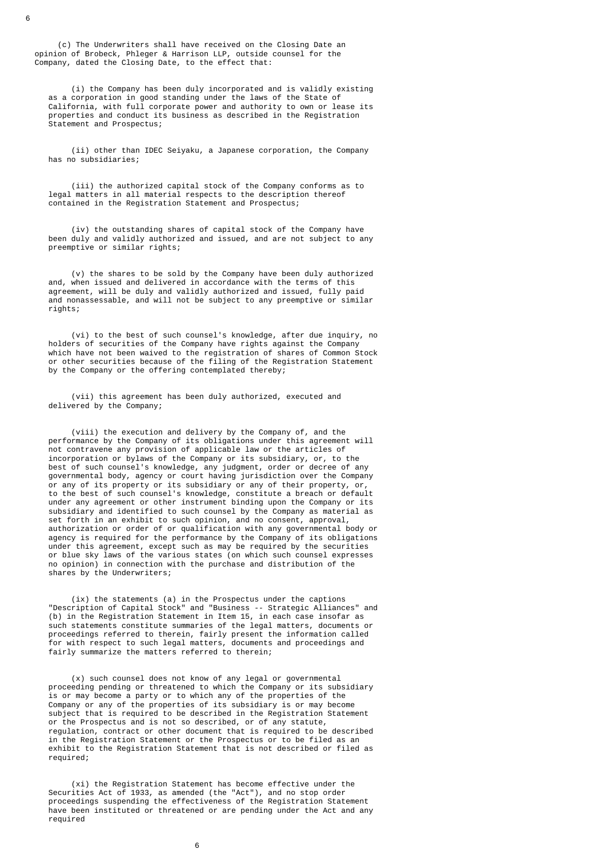(c) The Underwriters shall have received on the Closing Date an opinion of Brobeck, Phleger & Harrison LLP, outside counsel for the Company, dated the Closing Date, to the effect that:

> (i) the Company has been duly incorporated and is validly existing as a corporation in good standing under the laws of the State of California, with full corporate power and authority to own or lease its properties and conduct its business as described in the Registration Statement and Prospectus;

 (ii) other than IDEC Seiyaku, a Japanese corporation, the Company has no subsidiaries;

 (iii) the authorized capital stock of the Company conforms as to legal matters in all material respects to the description thereof contained in the Registration Statement and Prospectus;

 (iv) the outstanding shares of capital stock of the Company have been duly and validly authorized and issued, and are not subject to any preemptive or similar rights;

 (v) the shares to be sold by the Company have been duly authorized and, when issued and delivered in accordance with the terms of this and, then control and securities are accordance higher the crime of the agreement, will be duly and validly authorized and issued, fully paid and nonassessable, and will not be subject to any preemptive or similar rights;

 (vi) to the best of such counsel's knowledge, after due inquiry, no holders of securities of the Company have rights against the Company which have not been waived to the registration of shares of Common Stock or other securities because of the filing of the Registration Statement by the Company or the offering contemplated thereby;

 (vii) this agreement has been duly authorized, executed and delivered by the Company;

 (viii) the execution and delivery by the Company of, and the performance by the Company of its obligations under this agreement will not contravene any provision of applicable law or the articles of incorporation or bylaws of the Company or its subsidiary, or, to the best of such counsel's knowledge, any judgment, order or decree of any governmental body, agency or court having jurisdiction over the Company or any of its property or its subsidiary or any of their property, or, to the best of such counsel's knowledge, constitute a breach or default under any agreement or other instrument binding upon the Company or its subsidiary and identified to such counsel by the Company as material as set forth in an exhibit to such opinion, and no consent, approval, authorization or order of or qualification with any governmental body or agency is required for the performance by the Company of its obligations under this agreement, except such as may be required by the securities or blue sky laws of the various states (on which such counsel expresses no opinion) in connection with the purchase and distribution of the shares by the Underwriters;

 (ix) the statements (a) in the Prospectus under the captions "Description of Capital Stock" and "Business -- Strategic Alliances" and (b) in the Registration Statement in Item 15, in each case insofar as such statements constitute summaries of the legal matters, documents or proceedings referred to therein, fairly present the information called for with respect to such legal matters, documents and proceedings and fairly summarize the matters referred to therein;

 (x) such counsel does not know of any legal or governmental proceeding pending or threatened to which the Company or its subsidiary is or may become a party or to which any of the properties of the Company or any of the properties of its subsidiary is or may become subject that is required to be described in the Registration Statement or the Prospectus and is not so described, or of any statute, regulation, contract or other document that is required to be described in the Registration Statement or the Prospectus or to be filed as an exhibit to the Registration Statement that is not described or filed as required;

 (xi) the Registration Statement has become effective under the Securities Act of 1933, as amended (the "Act"), and no stop order proceedings suspending the effectiveness of the Registration Statement have been instituted or threatened or are pending under the Act and any required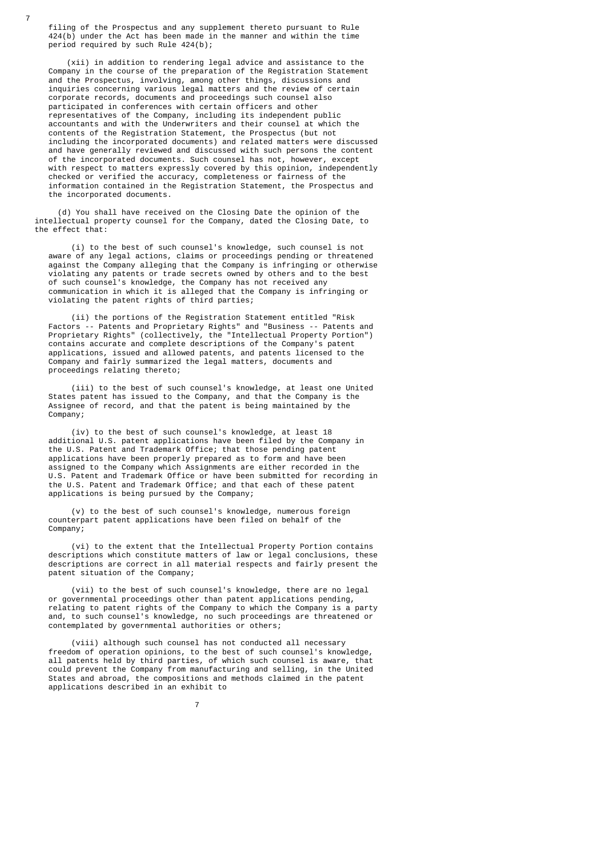filing of the Prospectus and any supplement thereto pursuant to Rule 424(b) under the Act has been made in the manner and within the time period required by such Rule 424(b);

 (xii) in addition to rendering legal advice and assistance to the Company in the course of the preparation of the Registration Statement and the Prospectus, involving, among other things, discussions and inquiries concerning various legal matters and the review of certain corporate records, documents and proceedings such counsel also participated in conferences with certain officers and other representatives of the Company, including its independent public accountants and with the Underwriters and their counsel at which the contents of the Registration Statement, the Prospectus (but not including the incorporated documents) and related matters were discussed and have generally reviewed and discussed with such persons the content of the incorporated documents. Such counsel has not, however, except with respect to matters expressly covered by this opinion, independently checked or verified the accuracy, completeness or fairness of the information contained in the Registration Statement, the Prospectus and the incorporated documents.

 (d) You shall have received on the Closing Date the opinion of the intellectual property counsel for the Company, dated the Closing Date, to the effect that:

 (i) to the best of such counsel's knowledge, such counsel is not aware of any legal actions, claims or proceedings pending or threatened against the Company alleging that the Company is infringing or otherwise violating any patents or trade secrets owned by others and to the best of such counsel's knowledge, the Company has not received any communication in which it is alleged that the Company is infringing or violating the patent rights of third parties;

 (ii) the portions of the Registration Statement entitled "Risk Factors -- Patents and Proprietary Rights" and "Business -- Patents and Proprietary Rights" (collectively, the "Intellectual Property Portion") contains accurate and complete descriptions of the Company's patent applications, issued and allowed patents, and patents licensed to the Company and fairly summarized the legal matters, documents and proceedings relating thereto;

 (iii) to the best of such counsel's knowledge, at least one United States patent has issued to the Company, and that the Company is the Assignee of record, and that the patent is being maintained by the Company;

 (iv) to the best of such counsel's knowledge, at least 18 additional U.S. patent applications have been filed by the Company in the U.S. Patent and Trademark Office; that those pending patent applications have been properly prepared as to form and have been assigned to the Company which Assignments are either recorded in the U.S. Patent and Trademark Office or have been submitted for recording in the U.S. Patent and Trademark Office; and that each of these patent applications is being pursued by the Company;

 (v) to the best of such counsel's knowledge, numerous foreign counterpart patent applications have been filed on behalf of the Company;

 (vi) to the extent that the Intellectual Property Portion contains descriptions which constitute matters of law or legal conclusions, these descriptions are correct in all material respects and fairly present the patent situation of the Company;

 (vii) to the best of such counsel's knowledge, there are no legal or governmental proceedings other than patent applications pending, relating to patent rights of the Company to which the Company is a party and, to such counsel's knowledge, no such proceedings are threatened or contemplated by governmental authorities or others;

 (viii) although such counsel has not conducted all necessary freedom of operation opinions, to the best of such counsel's knowledge, all patents held by third parties, of which such counsel is aware, that could prevent the Company from manufacturing and selling, in the United States and abroad, the compositions and methods claimed in the patent applications described in an exhibit to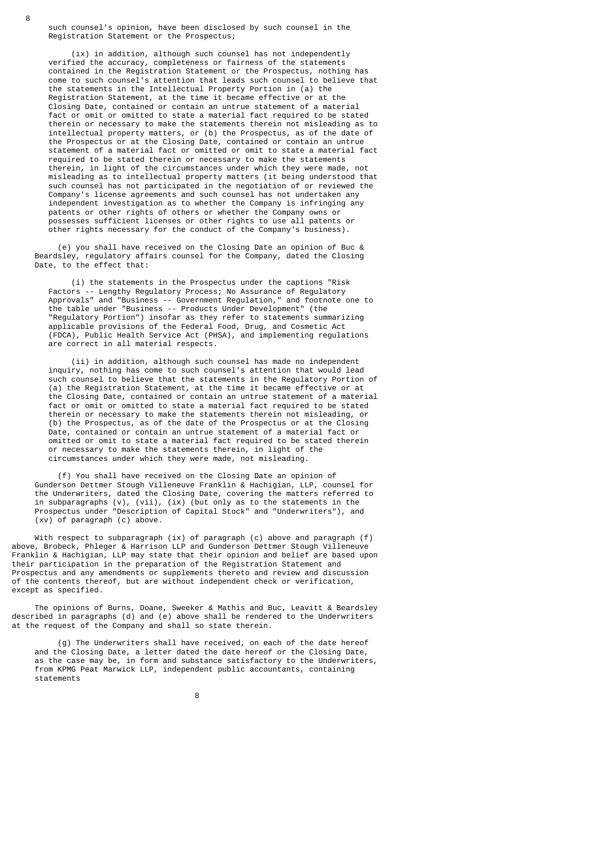such counsel's opinion, have been disclosed by such counsel in the Registration Statement or the Prospectus;

 (ix) in addition, although such counsel has not independently verified the accuracy, completeness or fairness of the statements contained in the Registration Statement or the Prospectus, nothing has come to such counsel's attention that leads such counsel to believe that the statements in the Intellectual Property Portion in (a) the Registration Statement, at the time it became effective or at the Closing Date, contained or contain an untrue statement of a material fact or omit or omitted to state a material fact required to be stated therein or necessary to make the statements therein not misleading as to intellectual property matters, or (b) the Prospectus, as of the date of the Prospectus or at the Closing Date, contained or contain an untrue statement of a material fact or omitted or omit to state a material fact required to be stated therein or necessary to make the statements therein, in light of the circumstances under which they were made, not misleading as to intellectual property matters (it being understood that such counsel has not participated in the negotiation of or reviewed the Company's license agreements and such counsel has not undertaken any independent investigation as to whether the Company is infringing any patents or other rights of others or whether the Company owns or possesses sufficient licenses or other rights to use all patents or other rights necessary for the conduct of the Company's business).

 (e) you shall have received on the Closing Date an opinion of Buc & Beardsley, regulatory affairs counsel for the Company, dated the Closing Date, to the effect that:

 (i) the statements in the Prospectus under the captions "Risk Factors -- Lengthy Regulatory Process; No Assurance of Regulatory Approvals" and "Business -- Government Regulation," and footnote one to the table under "Business -- Products Under Development" (the "Regulatory Portion") insofar as they refer to statements summarizing applicable provisions of the Federal Food, Drug, and Cosmetic Act (FDCA), Public Health Service Act (PHSA), and implementing regulations are correct in all material respects.

 (ii) in addition, although such counsel has made no independent inquiry, nothing has come to such counsel's attention that would lead such counsel to believe that the statements in the Regulatory Portion of (a) the Registration Statement, at the time it became effective or at the Closing Date, contained or contain an untrue statement of a material fact or omit or omitted to state a material fact required to be stated therein or necessary to make the statements therein not misleading, or (b) the Prospectus, as of the date of the Prospectus or at the Closing Date, contained or contain an untrue statement of a material fact or omitted or omit to state a material fact required to be stated therein or necessary to make the statements therein, in light of the circumstances under which they were made, not misleading.

 (f) You shall have received on the Closing Date an opinion of Gunderson Dettmer Stough Villeneuve Franklin & Hachigian, LLP, counsel for the Underwriters, dated the Closing Date, covering the matters referred to in subparagraphs (v), (vii), (ix) (but only as to the statements in the Prospectus under "Description of Capital Stock" and "Underwriters"), and (xv) of paragraph (c) above.

 With respect to subparagraph (ix) of paragraph (c) above and paragraph (f) above, Brobeck, Phleger & Harrison LLP and Gunderson Dettmer Stough Villeneuve Franklin & Hachigian, LLP may state that their opinion and belief are based upon their participation in the preparation of the Registration Statement and Prospectus and any amendments or supplements thereto and review and discussion of the contents thereof, but are without independent check or verification, except as specified.

 The opinions of Burns, Doane, Sweeker & Mathis and Buc, Leavitt & Beardsley described in paragraphs (d) and (e) above shall be rendered to the Underwriters at the request of the Company and shall so state therein.

 (g) The Underwriters shall have received, on each of the date hereof and the Closing Date, a letter dated the date hereof or the Closing Date, as the case may be, in form and substance satisfactory to the Underwriters, from KPMG Peat Marwick LLP, independent public accountants, containing statements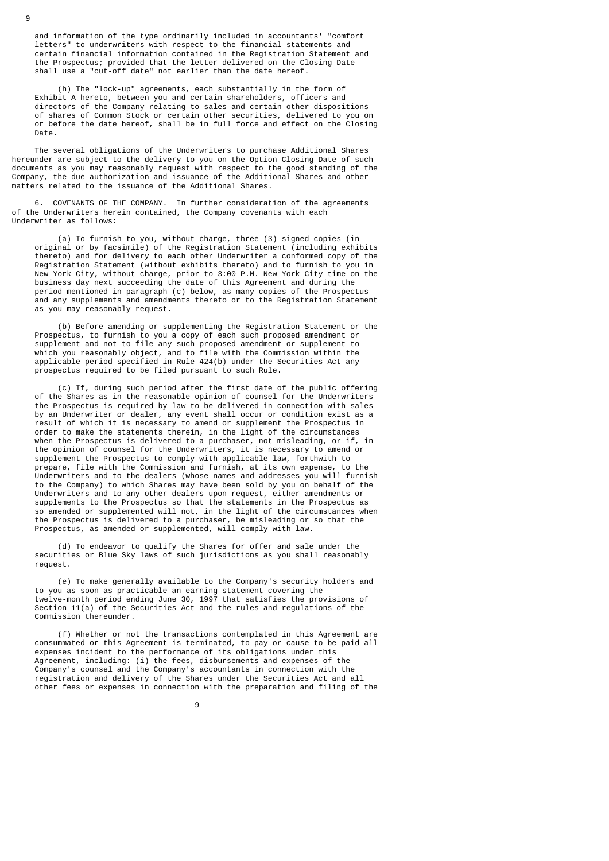and information of the type ordinarily included in accountants' "comfort letters" to underwriters with respect to the financial statements and certain financial information contained in the Registration Statement and the Prospectus; provided that the letter delivered on the Closing Date shall use a "cut-off date" not earlier than the date hereof.

 (h) The "lock-up" agreements, each substantially in the form of Exhibit A hereto, between you and certain shareholders, officers and directors of the Company relating to sales and certain other dispositions of shares of Common Stock or certain other securities, delivered to you on or before the date hereof, shall be in full force and effect on the Closing Date.

 The several obligations of the Underwriters to purchase Additional Shares hereunder are subject to the delivery to you on the Option Closing Date of such documents as you may reasonably request with respect to the good standing of the Company, the due authorization and issuance of the Additional Shares and other matters related to the issuance of the Additional Shares.

 6. COVENANTS OF THE COMPANY. In further consideration of the agreements of the Underwriters herein contained, the Company covenants with each Underwriter as follows:

 (a) To furnish to you, without charge, three (3) signed copies (in original or by facsimile) of the Registration Statement (including exhibits thereto) and for delivery to each other Underwriter a conformed copy of the Registration Statement (without exhibits thereto) and to furnish to you in New York City, without charge, prior to 3:00 P.M. New York City time on the business day next succeeding the date of this Agreement and during the period mentioned in paragraph (c) below, as many copies of the Prospectus and any supplements and amendments thereto or to the Registration Statement as you may reasonably request.

 (b) Before amending or supplementing the Registration Statement or the Prospectus, to furnish to you a copy of each such proposed amendment or supplement and not to file any such proposed amendment or supplement to which you reasonably object, and to file with the Commission within the applicable period specified in Rule 424(b) under the Securities Act any prospectus required to be filed pursuant to such Rule.

 (c) If, during such period after the first date of the public offering of the Shares as in the reasonable opinion of counsel for the Underwriters the Prospectus is required by law to be delivered in connection with sales by an Underwriter or dealer, any event shall occur or condition exist as a result of which it is necessary to amend or supplement the Prospectus in order to make the statements therein, in the light of the circumstances when the Prospectus is delivered to a purchaser, not misleading, or if, in the opinion of counsel for the Underwriters, it is necessary to amend or supplement the Prospectus to comply with applicable law, forthwith to prepare, file with the Commission and furnish, at its own expense, to the Underwriters and to the dealers (whose names and addresses you will furnish to the Company) to which Shares may have been sold by you on behalf of the Underwriters and to any other dealers upon request, either amendments or supplements to the Prospectus so that the statements in the Prospectus as so amended or supplemented will not, in the light of the circumstances when the Prospectus is delivered to a purchaser, be misleading or so that the Prospectus, as amended or supplemented, will comply with law.

 (d) To endeavor to qualify the Shares for offer and sale under the securities or Blue Sky laws of such jurisdictions as you shall reasonably request.

 (e) To make generally available to the Company's security holders and to you as soon as practicable an earning statement covering the twelve-month period ending June 30, 1997 that satisfies the provisions of Section 11(a) of the Securities Act and the rules and regulations of the Commission thereunder.

 (f) Whether or not the transactions contemplated in this Agreement are consummated or this Agreement is terminated, to pay or cause to be paid all expenses incident to the performance of its obligations under this Agreement, including: (i) the fees, disbursements and expenses of the Company's counsel and the Company's accountants in connection with the registration and delivery of the Shares under the Securities Act and all other fees or expenses in connection with the preparation and filing of the

9 and 20 and 20 and 20 and 20 and 20 and 20 and 20 and 20 and 20 and 20 and 20 and 20 and 20 and 20 and 20 and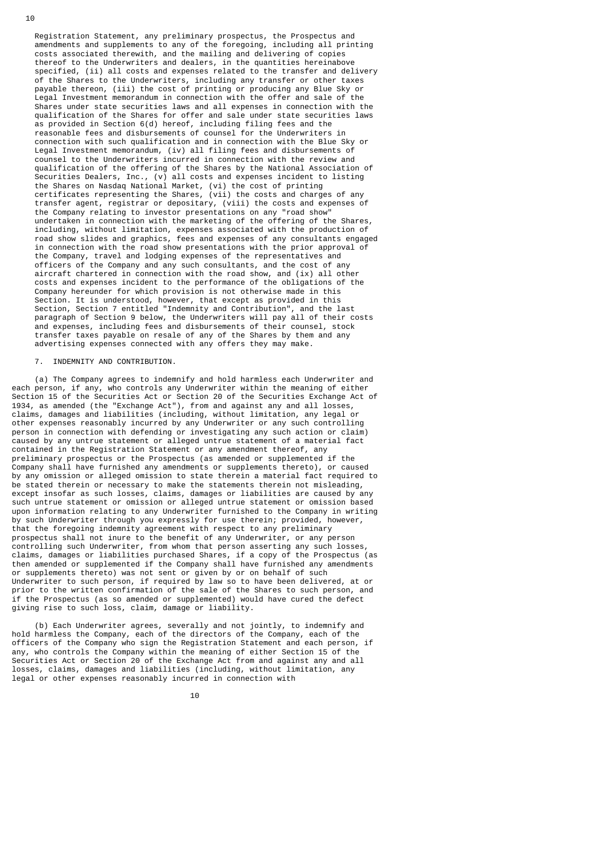Registration Statement, any preliminary prospectus, the Prospectus and amendments and supplements to any of the foregoing, including all printing costs associated therewith, and the mailing and delivering of copies thereof to the Underwriters and dealers, in the quantities hereinabove specified, (ii) all costs and expenses related to the transfer and delivery of the Shares to the Underwriters, including any transfer or other taxes payable thereon, (iii) the cost of printing or producing any Blue Sky or Legal Investment memorandum in connection with the offer and sale of the Shares under state securities laws and all expenses in connection with the qualification of the Shares for offer and sale under state securities laws as provided in Section 6(d) hereof, including filing fees and the reasonable fees and disbursements of counsel for the Underwriters in connection with such qualification and in connection with the Blue Sky or Legal Investment memorandum, (iv) all filing fees and disbursements of counsel to the Underwriters incurred in connection with the review and qualification of the offering of the Shares by the National Association of Securities Dealers, Inc., (v) all costs and expenses incident to listing the Shares on Nasdaq National Market, (vi) the cost of printing certificates representing the Shares, (vii) the costs and charges of any transfer agent, registrar or depositary, (viii) the costs and expenses of the Company relating to investor presentations on any "road show" undertaken in connection with the marketing of the offering of the Shares, including, without limitation, expenses associated with the production of road show slides and graphics, fees and expenses of any consultants engaged in connection with the road show presentations with the prior approval of the Company, travel and lodging expenses of the representatives and officers of the Company and any such consultants, and the cost of any aircraft chartered in connection with the road show, and (ix) all other costs and expenses incident to the performance of the obligations of the Company hereunder for which provision is not otherwise made in this Section. It is understood, however, that except as provided in this Section, Section 7 entitled "Indemnity and Contribution", and the last paragraph of Section 9 below, the Underwriters will pay all of their costs and expenses, including fees and disbursements of their counsel, stock transfer taxes payable on resale of any of the Shares by them and any advertising expenses connected with any offers they may make.

## 7. INDEMNITY AND CONTRIBUTION.

 (a) The Company agrees to indemnify and hold harmless each Underwriter and each person, if any, who controls any Underwriter within the meaning of either Section 15 of the Securities Act or Section 20 of the Securities Exchange Act of 1934, as amended (the "Exchange Act"), from and against any and all losses, claims, damages and liabilities (including, without limitation, any legal or other expenses reasonably incurred by any Underwriter or any such controlling person in connection with defending or investigating any such action or claim) caused by any untrue statement or alleged untrue statement of a material fact contained in the Registration Statement or any amendment thereof, any preliminary prospectus or the Prospectus (as amended or supplemented if the Company shall have furnished any amendments or supplements thereto), or caused by any omission or alleged omission to state therein a material fact required to be stated therein or necessary to make the statements therein not misleading, except insofar as such losses, claims, damages or liabilities are caused by any such untrue statement or omission or alleged untrue statement or omission based upon information relating to any Underwriter furnished to the Company in writing by such Underwriter through you expressly for use therein; provided, however, that the foregoing indemnity agreement with respect to any preliminary prospectus shall not inure to the benefit of any Underwriter, or any person controlling such Underwriter, from whom that person asserting any such losses, claims, damages or liabilities purchased Shares, if a copy of the Prospectus (as then amended or supplemented if the Company shall have furnished any amendments or supplements thereto) was not sent or given by or on behalf of such Underwriter to such person, if required by law so to have been delivered, at or prior to the written confirmation of the sale of the Shares to such person, and if the Prospectus (as so amended or supplemented) would have cured the defect giving rise to such loss, claim, damage or liability.

 (b) Each Underwriter agrees, severally and not jointly, to indemnify and hold harmless the Company, each of the directors of the Company, each of the officers of the Company who sign the Registration Statement and each person, if any, who controls the Company within the meaning of either Section 15 of the Securities Act or Section 20 of the Exchange Act from and against any and all losses, claims, damages and liabilities (including, without limitation, any legal or other expenses reasonably incurred in connection with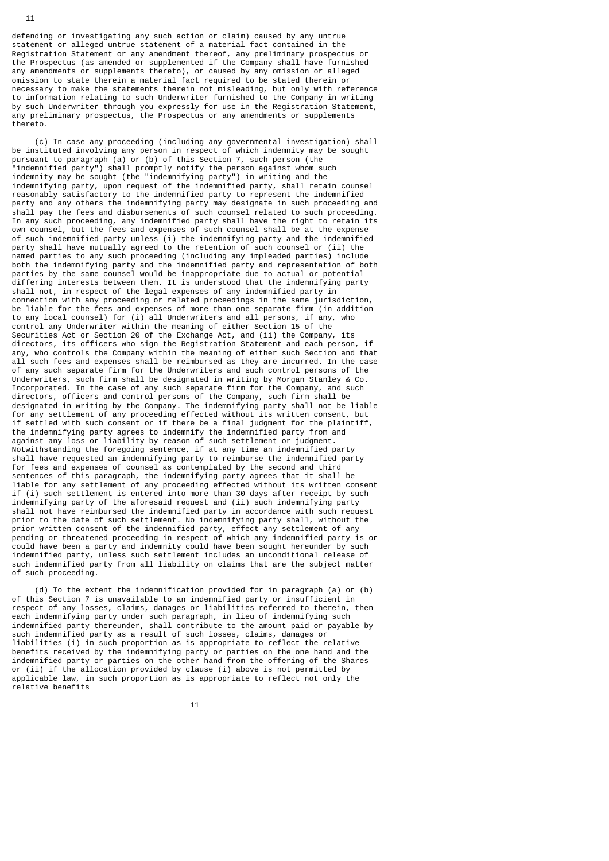defending or investigating any such action or claim) caused by any untrue statement or alleged untrue statement of a material fact contained in the Registration Statement or any amendment thereof, any preliminary prospectus or the Prospectus (as amended or supplemented if the Company shall have furnished any amendments or supplements thereto), or caused by any omission or alleged omission to state therein a material fact required to be stated therein or necessary to make the statements therein not misleading, but only with reference to information relating to such Underwriter furnished to the Company in writing by such Underwriter through you expressly for use in the Registration Statement, any preliminary prospectus, the Prospectus or any amendments or supplements thereto.

 (c) In case any proceeding (including any governmental investigation) shall be instituted involving any person in respect of which indemnity may be sought pursuant to paragraph (a) or (b) of this Section 7, such person (the "indemnified party") shall promptly notify the person against whom such indemnity may be sought (the "indemnifying party") in writing and the indemnifying party, upon request of the indemnified party, shall retain counsel reasonably satisfactory to the indemnified party to represent the indemnified party and any others the indemnifying party may designate in such proceeding and shall pay the fees and disbursements of such counsel related to such proceeding. In any such proceeding, any indemnified party shall have the right to retain its own counsel, but the fees and expenses of such counsel shall be at the expense of such indemnified party unless (i) the indemnifying party and the indemnified party shall have mutually agreed to the retention of such counsel or (ii) the named parties to any such proceeding (including any impleaded parties) include both the indemnifying party and the indemnified party and representation of both parties by the same counsel would be inappropriate due to actual or potential differing interests between them. It is understood that the indemnifying party shall not, in respect of the legal expenses of any indemnified party in connection with any proceeding or related proceedings in the same jurisdiction, be liable for the fees and expenses of more than one separate firm (in addition to any local counsel) for (i) all Underwriters and all persons, if any, who control any Underwriter within the meaning of either Section 15 of the Securities Act or Section 20 of the Exchange Act, and (ii) the Company, its directors, its officers who sign the Registration Statement and each person, if any, who controls the Company within the meaning of either such Section and that all such fees and expenses shall be reimbursed as they are incurred. In the case of any such separate firm for the Underwriters and such control persons of the Underwriters, such firm shall be designated in writing by Morgan Stanley & Co. Incorporated. In the case of any such separate firm for the Company, and such directors, officers and control persons of the Company, such firm shall be designated in writing by the Company. The indemnifying party shall not be liable for any settlement of any proceeding effected without its written consent, but if settled with such consent or if there be a final judgment for the plaintiff, the indemnifying party agrees to indemnify the indemnified party from and against any loss or liability by reason of such settlement or judgment. Notwithstanding the foregoing sentence, if at any time an indemnified party shall have requested an indemnifying party to reimburse the indemnified party for fees and expenses of counsel as contemplated by the second and third sentences of this paragraph, the indemnifying party agrees that it shall be liable for any settlement of any proceeding effected without its written consent if (i) such settlement is entered into more than 30 days after receipt by such indemnifying party of the aforesaid request and (ii) such indemnifying party shall not have reimbursed the indemnified party in accordance with such request prior to the date of such settlement. No indemnifying party shall, without the prior written consent of the indemnified party, effect any settlement of any pending or threatened proceeding in respect of which any indemnified party is or could have been a party and indemnity could have been sought hereunder by such indemnified party, unless such settlement includes an unconditional release of such indemnified party from all liability on claims that are the subject matter of such proceeding.

 (d) To the extent the indemnification provided for in paragraph (a) or (b) of this Section 7 is unavailable to an indemnified party or insufficient in respect of any losses, claims, damages or liabilities referred to therein, then each indemnifying party under such paragraph, in lieu of indemnifying such indemnified party thereunder, shall contribute to the amount paid or payable by such indemnified party as a result of such losses, claims, damages or liabilities (i) in such proportion as is appropriate to reflect the relative benefits received by the indemnifying party or parties on the one hand and the indemnified party or parties on the other hand from the offering of the Shares or (ii) if the allocation provided by clause (i) above is not permitted by applicable law, in such proportion as is appropriate to reflect not only the relative benefits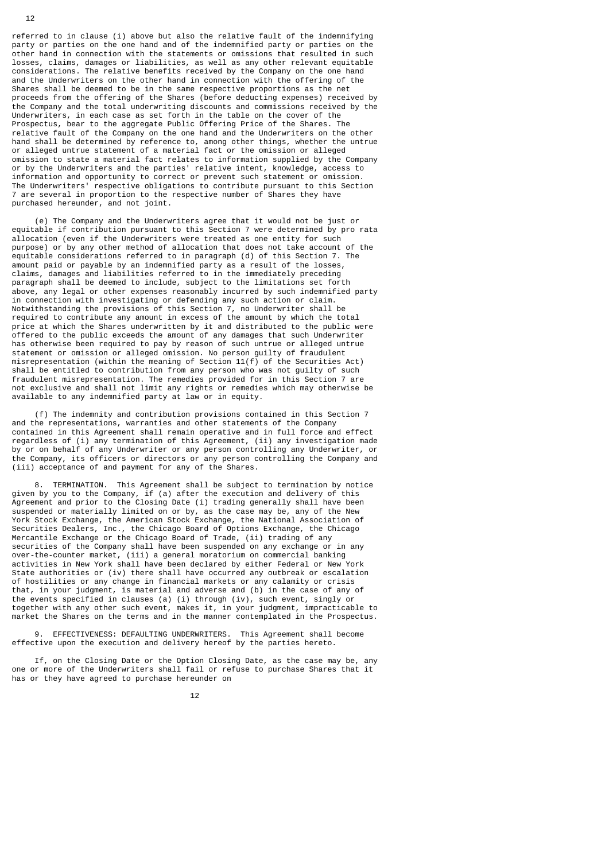referred to in clause (i) above but also the relative fault of the indemnifying party or parties on the one hand and of the indemnified party or parties on the other hand in connection with the statements or omissions that resulted in such losses, claims, damages or liabilities, as well as any other relevant equitable considerations. The relative benefits received by the Company on the one hand and the Underwriters on the other hand in connection with the offering of the Shares shall be deemed to be in the same respective proportions as the net proceeds from the offering of the Shares (before deducting expenses) received by the Company and the total underwriting discounts and commissions received by the Underwriters, in each case as set forth in the table on the cover of the Prospectus, bear to the aggregate Public Offering Price of the Shares. The relative fault of the Company on the one hand and the Underwriters on the other hand shall be determined by reference to, among other things, whether the untrue or alleged untrue statement of a material fact or the omission or alleged omission to state a material fact relates to information supplied by the Company or by the Underwriters and the parties' relative intent, knowledge, access to information and opportunity to correct or prevent such statement or omission. The Underwriters' respective obligations to contribute pursuant to this Section 7 are several in proportion to the respective number of Shares they have purchased hereunder, and not joint.

 (e) The Company and the Underwriters agree that it would not be just or equitable if contribution pursuant to this Section 7 were determined by pro rata allocation (even if the Underwriters were treated as one entity for such purpose) or by any other method of allocation that does not take account of the equitable considerations referred to in paragraph (d) of this Section 7. The amount paid or payable by an indemnified party as a result of the losses, claims, damages and liabilities referred to in the immediately preceding paragraph shall be deemed to include, subject to the limitations set forth above, any legal or other expenses reasonably incurred by such indemnified party in connection with investigating or defending any such action or claim. Notwithstanding the provisions of this Section 7, no Underwriter shall be required to contribute any amount in excess of the amount by which the total price at which the Shares underwritten by it and distributed to the public were offered to the public exceeds the amount of any damages that such Underwriter has otherwise been required to pay by reason of such untrue or alleged untrue statement or omission or alleged omission. No person guilty of fraudulent misrepresentation (within the meaning of Section 11(f) of the Securities Act) shall be entitled to contribution from any person who was not guilty of such fraudulent misrepresentation. The remedies provided for in this Section 7 are not exclusive and shall not limit any rights or remedies which may otherwise be available to any indemnified party at law or in equity.

 (f) The indemnity and contribution provisions contained in this Section 7 and the representations, warranties and other statements of the Company contained in this Agreement shall remain operative and in full force and effect regardless of (i) any termination of this Agreement, (ii) any investigation made by or on behalf of any Underwriter or any person controlling any Underwriter, or the Company, its officers or directors or any person controlling the Company and (iii) acceptance of and payment for any of the Shares.

 8. TERMINATION. This Agreement shall be subject to termination by notice given by you to the Company, if (a) after the execution and delivery of this Agreement and prior to the Closing Date (i) trading generally shall have been suspended or materially limited on or by, as the case may be, any of the New York Stock Exchange, the American Stock Exchange, the National Association of Securities Dealers, Inc., the Chicago Board of Options Exchange, the Chicago Mercantile Exchange or the Chicago Board of Trade, (ii) trading of any securities of the Company shall have been suspended on any exchange or in any over-the-counter market, (iii) a general moratorium on commercial banking activities in New York shall have been declared by either Federal or New York State authorities or (iv) there shall have occurred any outbreak or escalation of hostilities or any change in financial markets or any calamity or crisis that, in your judgment, is material and adverse and (b) in the case of any of the events specified in clauses (a) (i) through (iv), such event, singly or together with any other such event, makes it, in your judgment, impracticable to market the Shares on the terms and in the manner contemplated in the Prospectus.

 9. EFFECTIVENESS: DEFAULTING UNDERWRITERS. This Agreement shall become effective upon the execution and delivery hereof by the parties hereto.

 If, on the Closing Date or the Option Closing Date, as the case may be, any one or more of the Underwriters shall fail or refuse to purchase Shares that it has or they have agreed to purchase hereunder on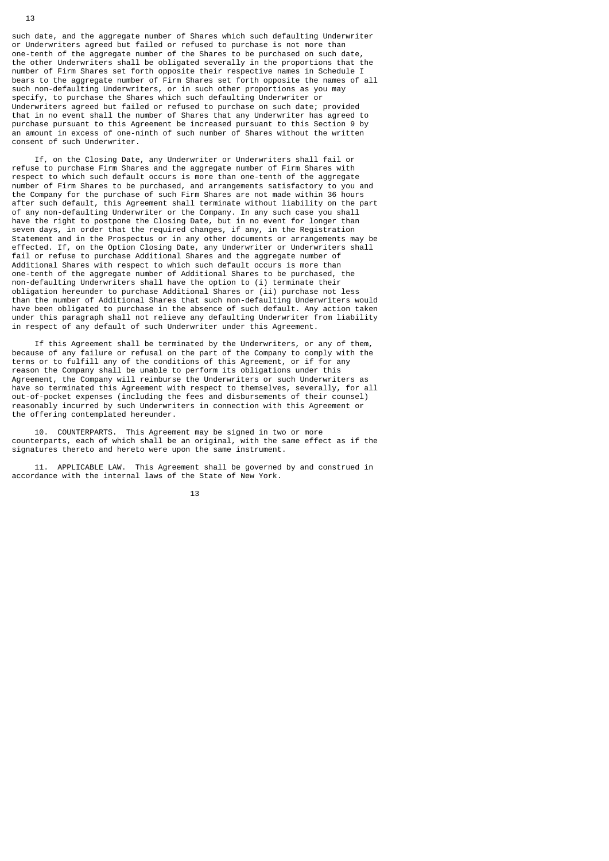such date, and the aggregate number of Shares which such defaulting Underwriter or Underwriters agreed but failed or refused to purchase is not more than one-tenth of the aggregate number of the Shares to be purchased on such date, the other Underwriters shall be obligated severally in the proportions that the number of Firm Shares set forth opposite their respective names in Schedule I bears to the aggregate number of Firm Shares set forth opposite the names of all such non-defaulting Underwriters, or in such other proportions as you may specify, to purchase the Shares which such defaulting Underwriter or Underwriters agreed but failed or refused to purchase on such date; provided that in no event shall the number of Shares that any Underwriter has agreed to purchase pursuant to this Agreement be increased pursuant to this Section 9 by an amount in excess of one-ninth of such number of Shares without the written consent of such Underwriter.

 If, on the Closing Date, any Underwriter or Underwriters shall fail or refuse to purchase Firm Shares and the aggregate number of Firm Shares with respect to which such default occurs is more than one-tenth of the aggregate number of Firm Shares to be purchased, and arrangements satisfactory to you and the Company for the purchase of such Firm Shares are not made within 36 hours after such default, this Agreement shall terminate without liability on the part of any non-defaulting Underwriter or the Company. In any such case you shall have the right to postpone the Closing Date, but in no event for longer than seven days, in order that the required changes, if any, in the Registration Statement and in the Prospectus or in any other documents or arrangements may be effected. If, on the Option Closing Date, any Underwriter or Underwriters shall fail or refuse to purchase Additional Shares and the aggregate number of Additional Shares with respect to which such default occurs is more than one-tenth of the aggregate number of Additional Shares to be purchased, the non-defaulting Underwriters shall have the option to (i) terminate their obligation hereunder to purchase Additional Shares or (ii) purchase not less than the number of Additional Shares that such non-defaulting Underwriters would have been obligated to purchase in the absence of such default. Any action taken under this paragraph shall not relieve any defaulting Underwriter from liability in respect of any default of such Underwriter under this Agreement.

 If this Agreement shall be terminated by the Underwriters, or any of them, because of any failure or refusal on the part of the Company to comply with the terms or to fulfill any of the conditions of this Agreement, or if for any reason the Company shall be unable to perform its obligations under this Agreement, the Company will reimburse the Underwriters or such Underwriters as have so terminated this Agreement with respect to themselves, severally, for all out-of-pocket expenses (including the fees and disbursements of their counsel) reasonably incurred by such Underwriters in connection with this Agreement or the offering contemplated hereunder.

 10. COUNTERPARTS. This Agreement may be signed in two or more counterparts, each of which shall be an original, with the same effect as if the signatures thereto and hereto were upon the same instrument.

 11. APPLICABLE LAW. This Agreement shall be governed by and construed in accordance with the internal laws of the State of New York.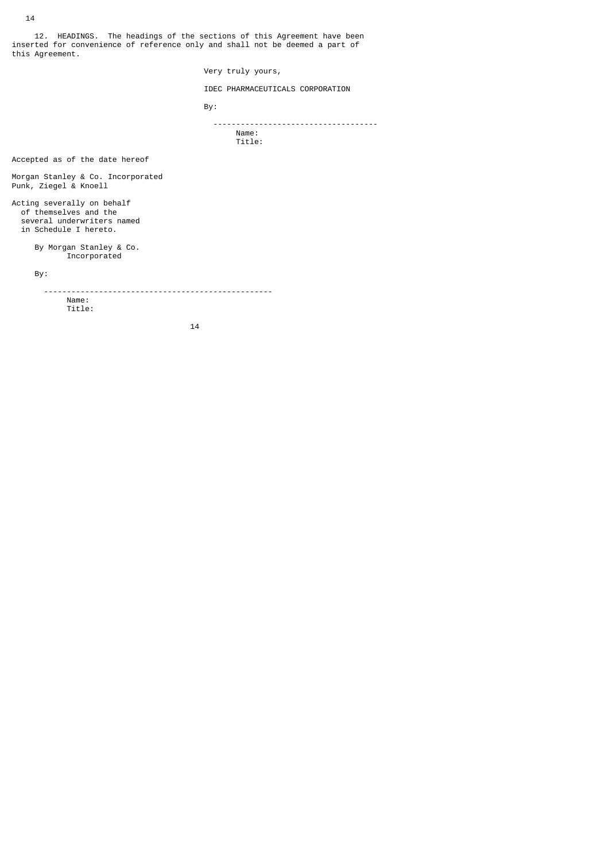12. HEADINGS. The headings of the sections of this Agreement have been inserted for convenience of reference only and shall not be deemed a part of this Agreement.

Very truly yours,

IDEC PHARMACEUTICALS CORPORATION

By:

 ------------------------------------ Name: Title:

Accepted as of the date hereof

Morgan Stanley & Co. Incorporated Punk, Ziegel & Knoell

Acting severally on behalf of themselves and the several underwriters named in Schedule I hereto.

 By Morgan Stanley & Co. Incorporated

By:

 -------------------------------------------------- Name: Title: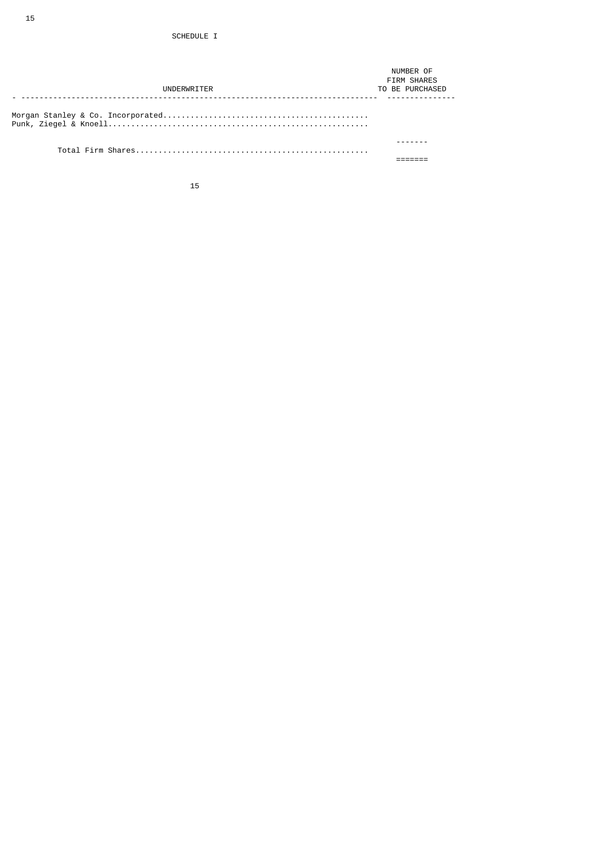| UNDERWRITER | NUMBER OF<br><b>FIRM SHARES</b><br>TO BE PURCHASED |
|-------------|----------------------------------------------------|
|             |                                                    |
|             |                                                    |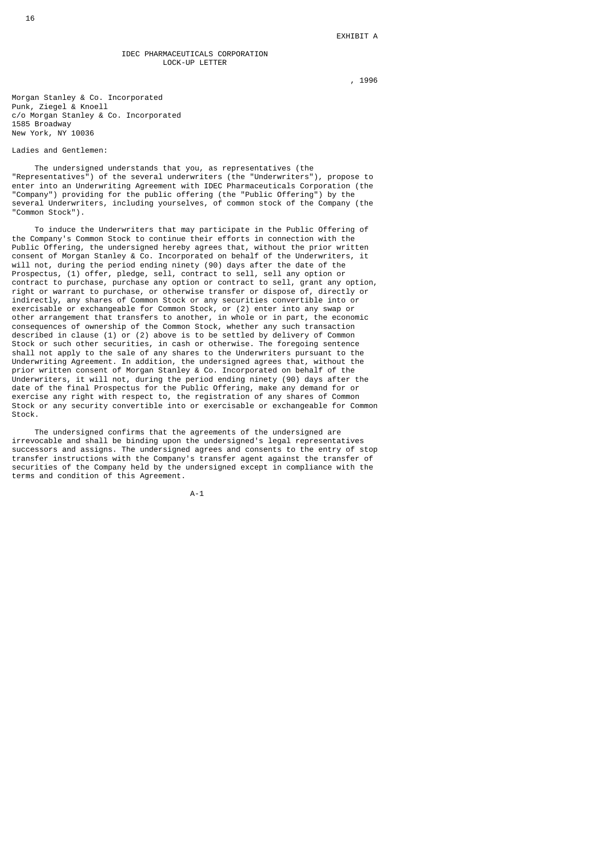IDEC PHARMACEUTICALS CORPORATION LOCK-UP LETTER

,  $1996$ 

Morgan Stanley & Co. Incorporated Punk, Ziegel & Knoell c/o Morgan Stanley & Co. Incorporated 1585 Broadway New York, NY 10036

### Ladies and Gentlemen:

 The undersigned understands that you, as representatives (the "Representatives") of the several underwriters (the "Underwriters"), propose to enter into an Underwriting Agreement with IDEC Pharmaceuticals Corporation (the "Company") providing for the public offering (the "Public Offering") by the several Underwriters, including yourselves, of common stock of the Company (the "Common Stock").

 To induce the Underwriters that may participate in the Public Offering of the Company's Common Stock to continue their efforts in connection with the Public Offering, the undersigned hereby agrees that, without the prior written consent of Morgan Stanley & Co. Incorporated on behalf of the Underwriters, it will not, during the period ending ninety (90) days after the date of the Prospectus, (1) offer, pledge, sell, contract to sell, sell any option or contract to purchase, purchase any option or contract to sell, grant any option, right or warrant to purchase, or otherwise transfer or dispose of, directly or indirectly, any shares of Common Stock or any securities convertible into or exercisable or exchangeable for Common Stock, or (2) enter into any swap or other arrangement that transfers to another, in whole or in part, the economic consequences of ownership of the Common Stock, whether any such transaction described in clause (1) or (2) above is to be settled by delivery of Common Stock or such other securities, in cash or otherwise. The foregoing sentence shall not apply to the sale of any shares to the Underwriters pursuant to the Underwriting Agreement. In addition, the undersigned agrees that, without the prior written consent of Morgan Stanley & Co. Incorporated on behalf of the Underwriters, it will not, during the period ending ninety (90) days after the date of the final Prospectus for the Public Offering, make any demand for or exercise any right with respect to, the registration of any shares of Common Stock or any security convertible into or exercisable or exchangeable for Common Stock.

 The undersigned confirms that the agreements of the undersigned are irrevocable and shall be binding upon the undersigned's legal representatives successors and assigns. The undersigned agrees and consents to the entry of stop transfer instructions with the Company's transfer agent against the transfer of securities of the Company held by the undersigned except in compliance with the terms and condition of this Agreement.

A-1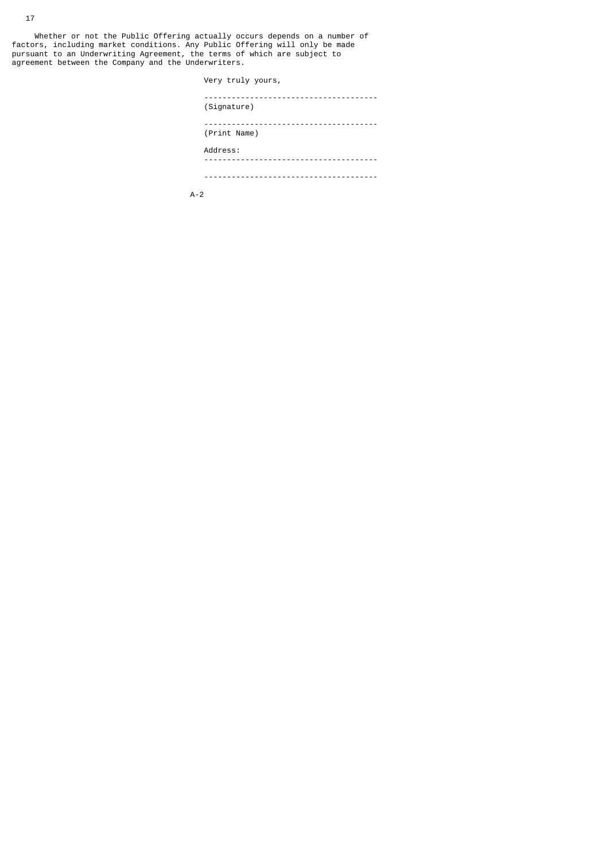Whether or not the Public Offering actually occurs depends on a number of factors, including market conditions. Any Public Offering will only be made pursuant to an Underwriting Agreement, the terms of which are subject to agreement between the Company and the Underwriters.

> Very truly yours, -------------------------------------- (Signature) -------------------------------------- (Print Name) Address: -------------------------------------- --------------------------------------

A-2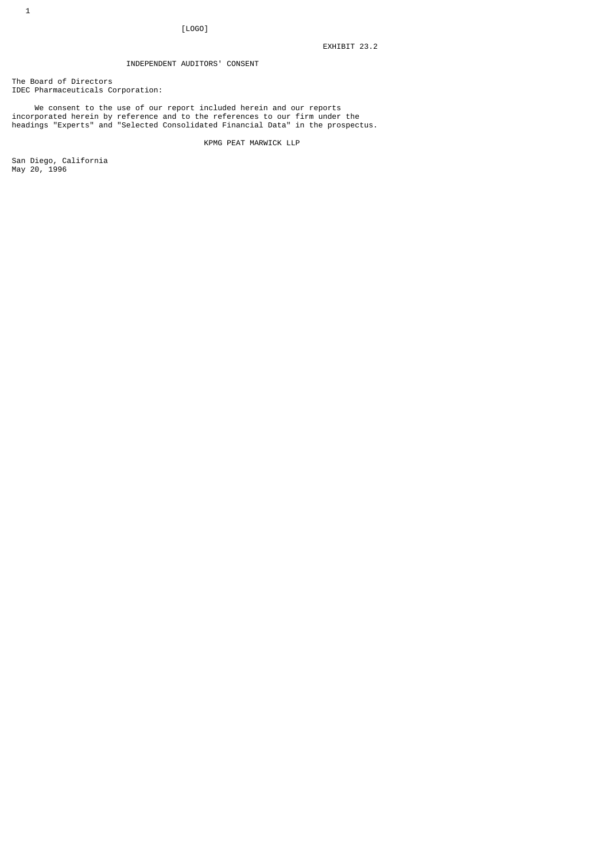## INDEPENDENT AUDITORS' CONSENT

The Board of Directors IDEC Pharmaceuticals Corporation:

 We consent to the use of our report included herein and our reports incorporated herein by reference and to the references to our firm under the headings "Experts" and "Selected Consolidated Financial Data" in the prospectus.

KPMG PEAT MARWICK LLP

San Diego, California May 20, 1996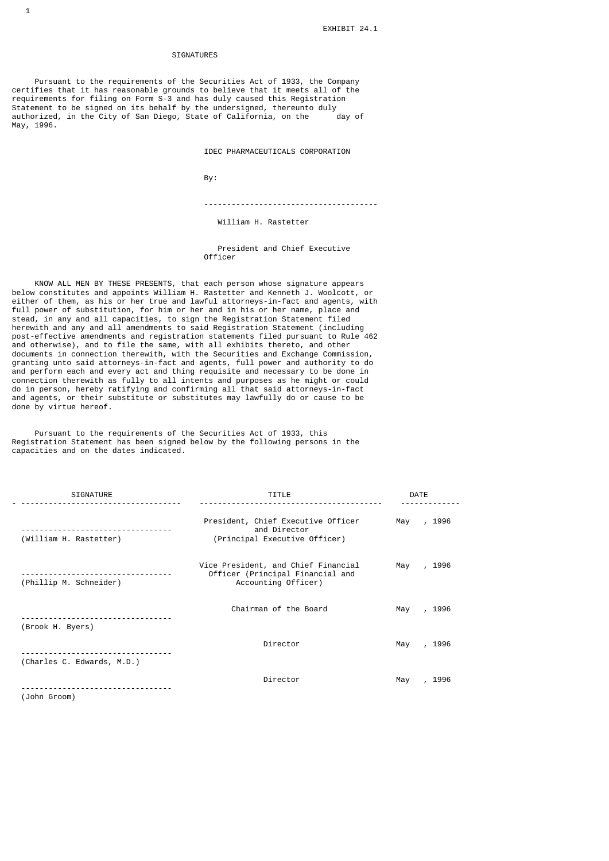### SIGNATURES

 Pursuant to the requirements of the Securities Act of 1933, the Company certifies that it has reasonable grounds to believe that it meets all of the requirements for filing on Form S-3 and has duly caused this Registration Statement to be signed on its behalf by the undersigned, thereunto duly authorized, in the City of San Diego, State of California, on the day of May, 1996.

IDEC PHARMACEUTICALS CORPORATION

By:

--------------------------------------

William H. Rastetter

President and Chief Executive<br>Officer Officer

 KNOW ALL MEN BY THESE PRESENTS, that each person whose signature appears below constitutes and appoints William H. Rastetter and Kenneth J. Woolcott, or either of them, as his or her true and lawful attorneys-in-fact and agents, with full power of substitution, for him or her and in his or her name, place and stead, in any and all capacities, to sign the Registration Statement filed herewith and any and all amendments to said Registration Statement (including post-effective amendments and registration statements filed pursuant to Rule 462 and otherwise), and to file the same, with all exhibits thereto, and other documents in connection therewith, with the Securities and Exchange Commission, granting unto said attorneys-in-fact and agents, full power and authority to do and perform each and every act and thing requisite and necessary to be done in connection therewith as fully to all intents and purposes as he might or could do in person, hereby ratifying and confirming all that said attorneys-in-fact and agents, or their substitute or substitutes may lawfully do or cause to be done by virtue hereof.

 Pursuant to the requirements of the Securities Act of 1933, this Registration Statement has been signed below by the following persons in the capacities and on the dates indicated.

| <b>SIGNATURE</b>                                           | TITLE                                                                                          | <b>DATE</b>                 |
|------------------------------------------------------------|------------------------------------------------------------------------------------------------|-----------------------------|
| (William H. Rastetter)                                     | President, Chief Executive Officer<br>and Director<br>(Principal Executive Officer)            | , 1996<br>May               |
| (Phillip M. Schneider)                                     | Vice President, and Chief Financial<br>Officer (Principal Financial and<br>Accounting Officer) | , 1996<br>May               |
| (Brook H. Byers)                                           | Chairman of the Board                                                                          | 1996<br>May<br>$\mathbf{r}$ |
| ----------------------------<br>(Charles C. Edwards, M.D.) | Director                                                                                       | , 1996<br>May               |
| (John Groom)                                               | Director                                                                                       | , 1996<br>May               |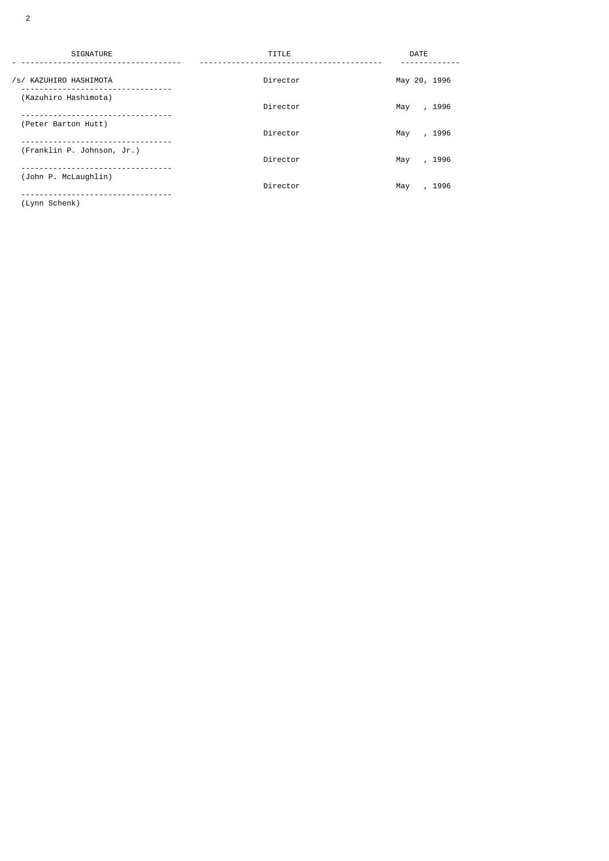| <b>SIGNATURE</b>                                | TITLE    | DATE         |
|-------------------------------------------------|----------|--------------|
| /s/ KAZUHIRO HASHIMOTA                          | Director | May 20, 1996 |
| (Kazuhiro Hashimota)                            | Director | 1996<br>May  |
| (Peter Barton Hutt)<br>------------------------ | Director | May<br>1996  |
| (Franklin P. Johnson, Jr.)                      | Director | 1996<br>May  |
| (John P. McLaughlin)                            | Director | 1996<br>May  |

(Lynn Schenk)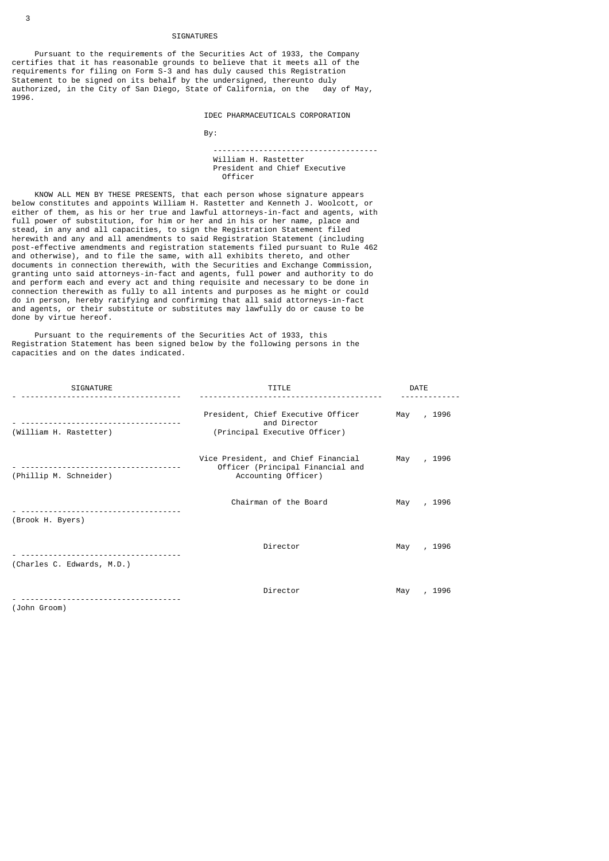#### SIGNATURES

 Pursuant to the requirements of the Securities Act of 1933, the Company certifies that it has reasonable grounds to believe that it meets all of the requirements for filing on Form S-3 and has duly caused this Registration Statement to be signed on its behalf by the undersigned, thereunto duly<br>authorized, in the City of San Diego, State of California, on the day of May, authorized, in the City of San Diego, State of California, on the 1996.

IDEC PHARMACEUTICALS CORPORATION

By:

 ------------------------------------ William H. Rastetter President and Chief Executive Officer

 KNOW ALL MEN BY THESE PRESENTS, that each person whose signature appears below constitutes and appoints William H. Rastetter and Kenneth J. Woolcott, or either of them, as his or her true and lawful attorneys-in-fact and agents, with full power of substitution, for him or her and in his or her name, place and stead, in any and all capacities, to sign the Registration Statement filed herewith and any and all amendments to said Registration Statement (including post-effective amendments and registration statements filed pursuant to Rule 462 and otherwise), and to file the same, with all exhibits thereto, and other documents in connection therewith, with the Securities and Exchange Commission, granting unto said attorneys-in-fact and agents, full power and authority to do and perform each and every act and thing requisite and necessary to be done in connection therewith as fully to all intents and purposes as he might or could do in person, hereby ratifying and confirming that all said attorneys-in-fact and agents, or their substitute or substitutes may lawfully do or cause to be done by virtue hereof.

 Pursuant to the requirements of the Securities Act of 1933, this Registration Statement has been signed below by the following persons in the capacities and on the dates indicated.

| <b>SIGNATURE</b><br><u> - - - - - - - - - - -</u>      | TITLE                                                                                          |     | <b>DATE</b>          |
|--------------------------------------------------------|------------------------------------------------------------------------------------------------|-----|----------------------|
| (William H. Rastetter)                                 | President, Chief Executive Officer<br>and Director<br>(Principal Executive Officer)            | May | , 1996               |
| (Phillip M. Schneider)                                 | Vice President, and Chief Financial<br>Officer (Principal Financial and<br>Accounting Officer) | May | , 1996               |
| __________________________________<br>(Brook H. Byers) | Chairman of the Board                                                                          | May | , 1996               |
| (Charles C. Edwards, M.D.)                             | Director                                                                                       | May | , 1996               |
| (John Groom)                                           | Director                                                                                       | May | 1996<br>$\mathbf{r}$ |